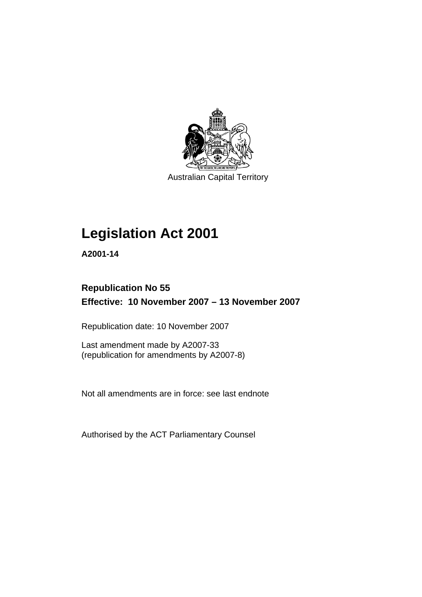

Australian Capital Territory

# **[Legislation Act 2001](#page-16-0)**

**A2001-14** 

## **Republication No 55 Effective: 10 November 2007 – 13 November 2007**

Republication date: 10 November 2007

Last amendment made by A2007-33 (republication for amendments by A2007-8)

Not all amendments are in force: see last endnote

Authorised by the ACT Parliamentary Counsel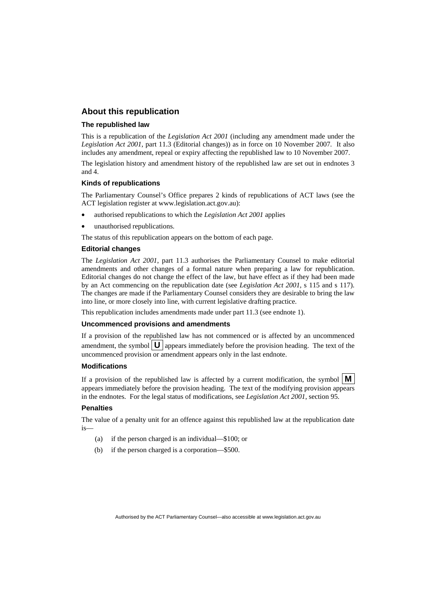### **About this republication**

#### **The republished law**

This is a republication of the *Legislation Act 2001* (including any amendment made under the *Legislation Act 2001*, part 11.3 (Editorial changes)) as in force on 10 November 2007*.* It also includes any amendment, repeal or expiry affecting the republished law to 10 November 2007.

The legislation history and amendment history of the republished law are set out in endnotes 3 and 4.

#### **Kinds of republications**

The Parliamentary Counsel's Office prepares 2 kinds of republications of ACT laws (see the ACT legislation register at www.legislation.act.gov.au):

- authorised republications to which the *Legislation Act 2001* applies
- unauthorised republications.

The status of this republication appears on the bottom of each page.

#### **Editorial changes**

The *Legislation Act 2001*, part 11.3 authorises the Parliamentary Counsel to make editorial amendments and other changes of a formal nature when preparing a law for republication. Editorial changes do not change the effect of the law, but have effect as if they had been made by an Act commencing on the republication date (see *Legislation Act 2001*, s 115 and s 117). The changes are made if the Parliamentary Counsel considers they are desirable to bring the law into line, or more closely into line, with current legislative drafting practice.

This republication includes amendments made under part 11.3 (see endnote 1).

#### **Uncommenced provisions and amendments**

If a provision of the republished law has not commenced or is affected by an uncommenced amendment, the symbol  $\mathbf{U}$  appears immediately before the provision heading. The text of the uncommenced provision or amendment appears only in the last endnote.

#### **Modifications**

If a provision of the republished law is affected by a current modification, the symbol  $\mathbf{M}$ appears immediately before the provision heading. The text of the modifying provision appears in the endnotes. For the legal status of modifications, see *Legislation Act 2001*, section 95.

#### **Penalties**

The value of a penalty unit for an offence against this republished law at the republication date is—

- (a) if the person charged is an individual—\$100; or
- (b) if the person charged is a corporation—\$500.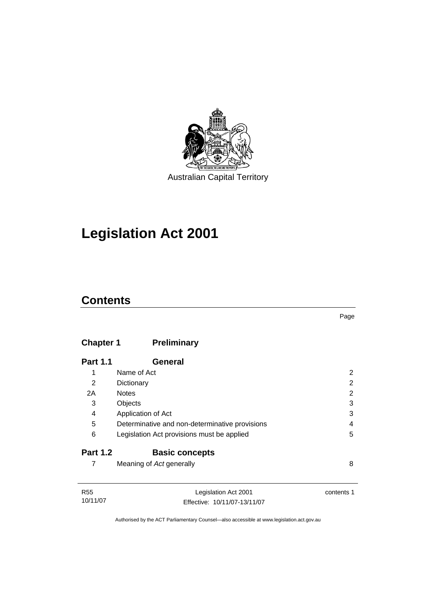

# **[Legislation Act 2001](#page-16-0)**

## **Contents**

## **Chapter 1 Preliminary**

| <b>Part 1.1</b> | General                                        |   |
|-----------------|------------------------------------------------|---|
| 1               | Name of Act                                    | 2 |
| 2               | Dictionary                                     | 2 |
| 2A              | <b>Notes</b>                                   | 2 |
| 3               | Objects                                        | 3 |
| 4               | Application of Act                             | 3 |
| 5               | Determinative and non-determinative provisions | 4 |
| 6               | Legislation Act provisions must be applied     | 5 |
| <b>Part 1.2</b> | <b>Basic concepts</b>                          |   |
|                 | Meaning of Act generally                       | 8 |

| R55      | Legislation Act 2001         | contents 1 |
|----------|------------------------------|------------|
| 10/11/07 | Effective: 10/11/07-13/11/07 |            |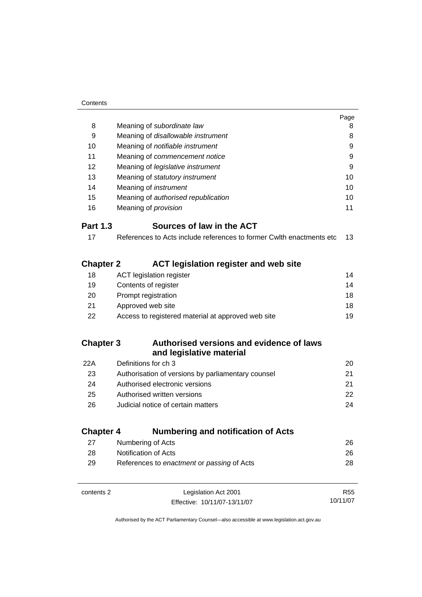|                  |                                                                       | Page |
|------------------|-----------------------------------------------------------------------|------|
| 8                | Meaning of subordinate law                                            | 8    |
| 9                | Meaning of disallowable instrument                                    | 8    |
| 10               | Meaning of notifiable instrument                                      | 9    |
| 11               | Meaning of commencement notice                                        | 9    |
| 12               | Meaning of legislative instrument                                     | 9    |
| 13               | Meaning of statutory instrument                                       | 10   |
| 14               | Meaning of <i>instrument</i>                                          | 10   |
| 15               | Meaning of authorised republication                                   | 10   |
| 16               | Meaning of provision                                                  | 11   |
| <b>Part 1.3</b>  | Sources of law in the ACT                                             |      |
| 17               | References to Acts include references to former Cwith enactments etc. | 13   |
| <b>Chapter 2</b> | <b>ACT legislation register and web site</b>                          |      |
| 18               | <b>ACT legislation register</b>                                       | 14   |
| 19               | Contents of register                                                  | 14   |
| 20               | Prompt registration                                                   | 18   |
| 21               | Approved web site                                                     | 18   |
| 22               | Access to registered material at approved web site                    | 19   |
| <b>Chapter 3</b> | Authorised versions and evidence of laws<br>and legislative material  |      |
| 22A              | Definitions for ch 3                                                  | 20   |
| 23               | Authorisation of versions by parliamentary counsel                    | 21   |
| 24               | Authorised electronic versions                                        | 21   |
| 25               | Authorised written versions                                           | 22   |
| 26               | Judicial notice of certain matters                                    | 24   |
| <b>Chapter 4</b> | <b>Numbering and notification of Acts</b>                             |      |
| 27               | Numbering of Acts                                                     | 26   |
| 28               | Notification of Acts                                                  | 26   |
| 29               | References to enactment or passing of Acts                            | 28   |
|                  |                                                                       |      |

| contents 2 | Legislation Act 2001         | R55      |
|------------|------------------------------|----------|
|            | Effective: 10/11/07-13/11/07 | 10/11/07 |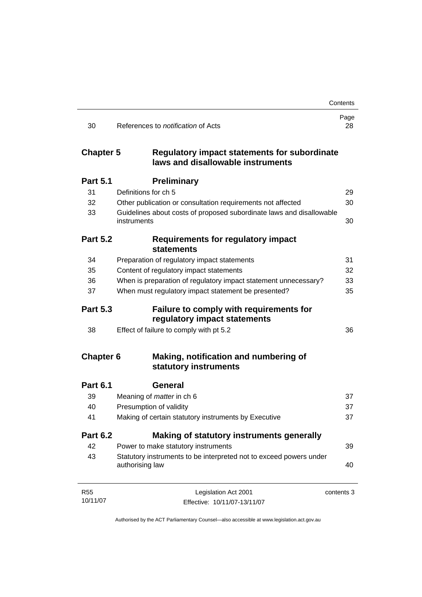|                  |                                                                                          | Contents   |
|------------------|------------------------------------------------------------------------------------------|------------|
| 30               | References to <i>notification</i> of Acts                                                | Page<br>28 |
| <b>Chapter 5</b> | <b>Regulatory impact statements for subordinate</b><br>laws and disallowable instruments |            |
| <b>Part 5.1</b>  | <b>Preliminary</b>                                                                       |            |
| 31               | Definitions for ch 5                                                                     | 29         |
| 32               | Other publication or consultation requirements not affected                              | 30         |
| 33               | Guidelines about costs of proposed subordinate laws and disallowable<br>instruments      | 30         |
| <b>Part 5.2</b>  | <b>Requirements for regulatory impact</b><br><b>statements</b>                           |            |
| 34               | Preparation of regulatory impact statements                                              | 31         |
| 35               | Content of regulatory impact statements                                                  | 32         |
| 36               | When is preparation of regulatory impact statement unnecessary?                          | 33         |
| 37               | When must regulatory impact statement be presented?                                      | 35         |
| <b>Part 5.3</b>  | Failure to comply with requirements for<br>regulatory impact statements                  |            |
| 38               | Effect of failure to comply with pt 5.2                                                  | 36         |
| <b>Chapter 6</b> | Making, notification and numbering of<br>statutory instruments                           |            |
| <b>Part 6.1</b>  | <b>General</b>                                                                           |            |
| 39               | Meaning of <i>matter</i> in ch 6                                                         | 37         |
| 40               | Presumption of validity                                                                  | 37         |
| 41               | Making of certain statutory instruments by Executive                                     | 37         |
| <b>Part 6.2</b>  | Making of statutory instruments generally                                                |            |
| 42               | Power to make statutory instruments                                                      | 39         |
| 43               | Statutory instruments to be interpreted not to exceed powers under<br>authorising law    | 40         |
| <b>R55</b>       | Legislation Act 2001                                                                     | contents 3 |
| 10/11/07         | Effective: 10/11/07-13/11/07                                                             |            |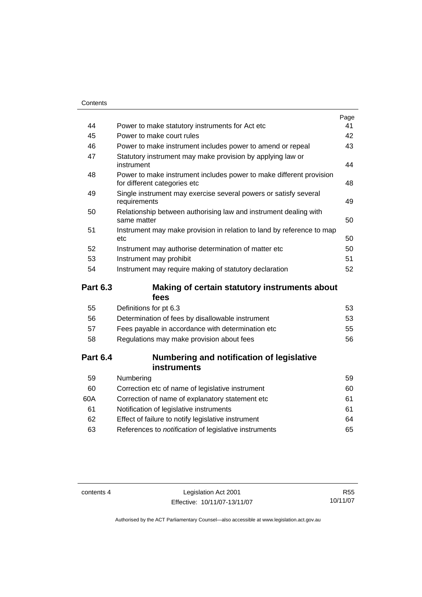|    |                                                                                                     | Page |
|----|-----------------------------------------------------------------------------------------------------|------|
| 44 | Power to make statutory instruments for Act etc.                                                    | 41   |
| 45 | Power to make court rules                                                                           | 42   |
| 46 | Power to make instrument includes power to amend or repeal                                          | 43   |
| 47 | Statutory instrument may make provision by applying law or<br>instrument                            | 44   |
| 48 | Power to make instrument includes power to make different provision<br>for different categories etc | 48   |
| 49 | Single instrument may exercise several powers or satisfy several<br>requirements                    | 49   |
| 50 | Relationship between authorising law and instrument dealing with<br>same matter                     | 50   |
| 51 | Instrument may make provision in relation to land by reference to map<br>etc                        | 50   |
| 52 | Instrument may authorise determination of matter etc                                                | 50   |
| 53 | Instrument may prohibit                                                                             | 51   |
| 54 | Instrument may require making of statutory declaration                                              | 52   |
|    |                                                                                                     |      |

### **Part 6.3 Making of certain statutory instruments about fees**

| 53 |
|----|
| 53 |
| 55 |
| 56 |
|    |

### **Part 6.4 Numbering and notification of legislative instruments**

| Numbering                                                    | 59  |
|--------------------------------------------------------------|-----|
| Correction etc of name of legislative instrument             | 60  |
| Correction of name of explanatory statement etc              | 61  |
| Notification of legislative instruments                      | 61  |
| Effect of failure to notify legislative instrument           | 64  |
| References to <i>notification</i> of legislative instruments | 65. |
|                                                              |     |

contents 4 Legislation Act 2001 Effective: 10/11/07-13/11/07

R55 10/11/07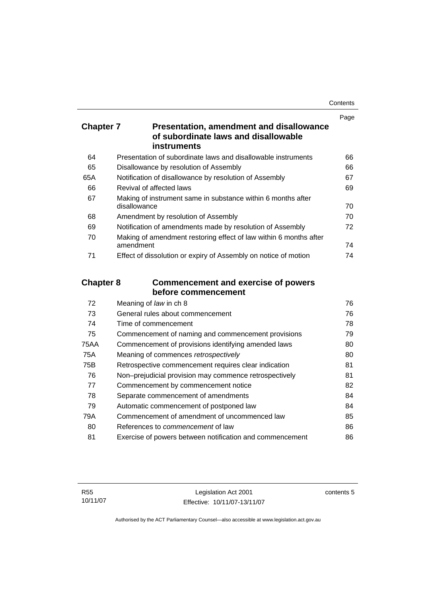| Contents |
|----------|
|----------|

|                  |                                                                                                        | Page |
|------------------|--------------------------------------------------------------------------------------------------------|------|
| <b>Chapter 7</b> | <b>Presentation, amendment and disallowance</b><br>of subordinate laws and disallowable<br>instruments |      |
|                  |                                                                                                        |      |
| 64               | Presentation of subordinate laws and disallowable instruments                                          | 66   |
| 65               | Disallowance by resolution of Assembly                                                                 | 66   |
| 65A              | Notification of disallowance by resolution of Assembly                                                 | 67   |
| 66               | Revival of affected laws                                                                               | 69   |
| 67               | Making of instrument same in substance within 6 months after<br>disallowance                           | 70   |
| 68               | Amendment by resolution of Assembly                                                                    | 70   |
| 69               | Notification of amendments made by resolution of Assembly                                              | 72   |
| 70               | Making of amendment restoring effect of law within 6 months after<br>amendment                         | 74   |
| 71               | Effect of dissolution or expiry of Assembly on notice of motion                                        | 74   |
| <b>Chapter 8</b> | <b>Commencement and exercise of powers</b><br>before commencement                                      |      |
| 72               | Meaning of law in ch 8                                                                                 | 76   |
| 73               | General rules about commencement                                                                       | 76   |
| 74               | Time of commencement                                                                                   | 78   |
| 75               | Commencement of naming and commencement provisions                                                     | 79   |
| <b>75AA</b>      | Commencement of provisions identifying amended laws                                                    | 80   |
| 75A              | Meaning of commences retrospectively                                                                   | 80   |
| 75B              | Retrospective commencement requires clear indication                                                   | 81   |
| 76               | Non-prejudicial provision may commence retrospectively                                                 | 81   |
| 77               | Commencement by commencement notice                                                                    | 82   |
| 78               | Separate commencement of amendments                                                                    | 84   |
| 79               | Automatic commencement of postponed law                                                                | 84   |
| 79A              | Commencement of amendment of uncommenced law                                                           | 85   |
|                  |                                                                                                        |      |

80 References to *commencement* of law [86](#page-101-0) 81 Exercise of powers between notification and commencement [86](#page-101-0)

contents 5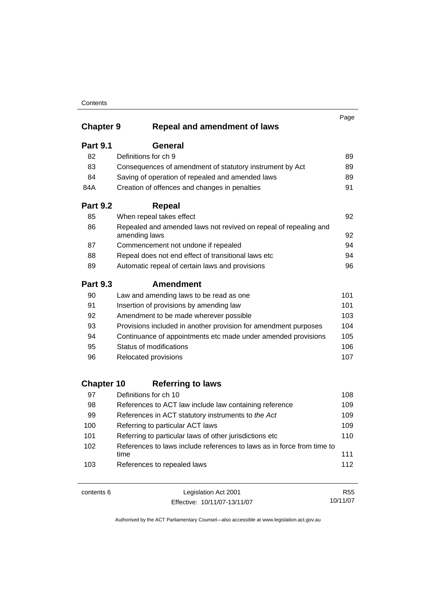### **Contents**

|                   |                                                                                   | Page |
|-------------------|-----------------------------------------------------------------------------------|------|
| <b>Chapter 9</b>  | <b>Repeal and amendment of laws</b>                                               |      |
| <b>Part 9.1</b>   | General                                                                           |      |
| 82                | Definitions for ch 9                                                              | 89   |
| 83                | Consequences of amendment of statutory instrument by Act                          | 89   |
| 84                | Saving of operation of repealed and amended laws                                  | 89   |
| 84A               | Creation of offences and changes in penalties                                     | 91   |
| <b>Part 9.2</b>   | <b>Repeal</b>                                                                     |      |
| 85                | When repeal takes effect                                                          | 92   |
| 86                | Repealed and amended laws not revived on repeal of repealing and<br>amending laws | 92   |
| 87                | Commencement not undone if repealed                                               | 94   |
| 88                | Repeal does not end effect of transitional laws etc                               | 94   |
| 89                | Automatic repeal of certain laws and provisions                                   | 96   |
| <b>Part 9.3</b>   | <b>Amendment</b>                                                                  |      |
| 90                | Law and amending laws to be read as one                                           | 101  |
| 91                | Insertion of provisions by amending law                                           | 101  |
| 92                | Amendment to be made wherever possible                                            | 103  |
| 93                | Provisions included in another provision for amendment purposes                   | 104  |
| 94                | Continuance of appointments etc made under amended provisions                     | 105  |
| 95                | Status of modifications                                                           | 106  |
| 96                | Relocated provisions                                                              | 107  |
| <b>Chapter 10</b> | <b>Referring to laws</b>                                                          |      |
| 97                | Definitions for ch 10                                                             | 108  |
| 98                | References to ACT law include law containing reference                            | 109  |
| 99                | References in ACT statutory instruments to the Act                                | 109  |
| 100               | Referring to particular ACT laws                                                  | 109  |
| 101               | Referring to particular laws of other jurisdictions etc                           | 110  |
| 102               | References to laws include references to laws as in force from time to            |      |
|                   | time                                                                              | 111  |
| 103               | References to repealed laws                                                       | 112  |

| contents 6 | Legislation Act 2001         | R55      |
|------------|------------------------------|----------|
|            | Effective: 10/11/07-13/11/07 | 10/11/07 |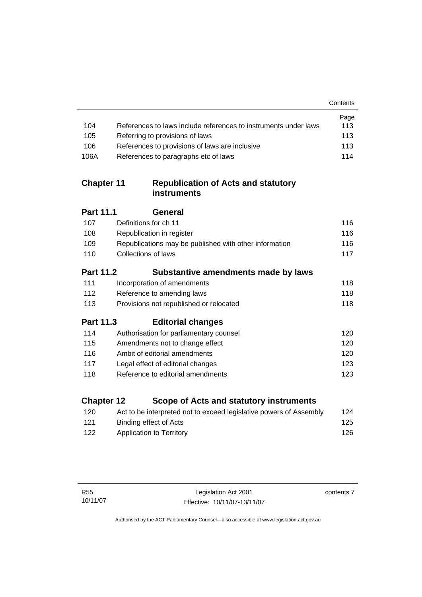|                   |                                                                    | Contents |
|-------------------|--------------------------------------------------------------------|----------|
|                   |                                                                    | Page     |
| 104               | References to laws include references to instruments under laws    | 113      |
| 105               | Referring to provisions of laws                                    | 113      |
| 106               | References to provisions of laws are inclusive                     | 113      |
| 106A              | References to paragraphs etc of laws                               | 114      |
| <b>Chapter 11</b> | <b>Republication of Acts and statutory</b><br><b>instruments</b>   |          |
| Part 11.1         | General                                                            |          |
| 107               | Definitions for ch 11                                              | 116      |
| 108               | Republication in register                                          | 116      |
| 109               | Republications may be published with other information             | 116      |
| 110               | Collections of laws                                                | 117      |
| <b>Part 11.2</b>  | Substantive amendments made by laws                                |          |
| 111               | Incorporation of amendments                                        | 118      |
| 112               | Reference to amending laws                                         | 118      |
| 113               | Provisions not republished or relocated                            | 118      |
| <b>Part 11.3</b>  | <b>Editorial changes</b>                                           |          |
| 114               | Authorisation for parliamentary counsel                            | 120      |
| 115               | Amendments not to change effect                                    | 120      |
| 116               | Ambit of editorial amendments                                      | 120      |
| 117               | Legal effect of editorial changes                                  | 123      |
| 118               | Reference to editorial amendments                                  | 123      |
| <b>Chapter 12</b> | Scope of Acts and statutory instruments                            |          |
| 120               | Act to be interpreted not to exceed legislative powers of Assembly | 124      |
|                   |                                                                    |          |

121 Binding effect of Acts 122 Application to Territory **[126](#page-141-0)** 

contents 7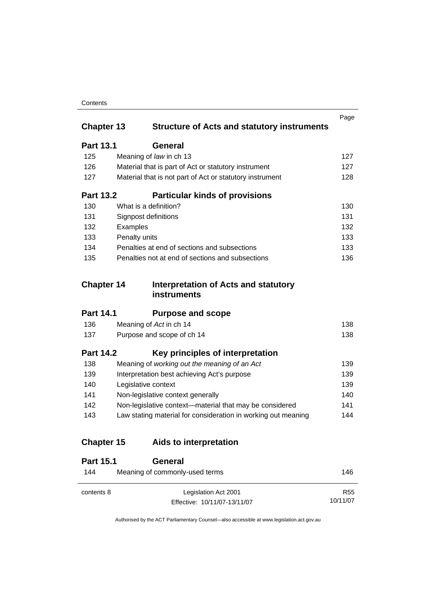### **Contents**

| <b>Chapter 13</b> | <b>Structure of Acts and statutory instruments</b>                | Page |
|-------------------|-------------------------------------------------------------------|------|
| <b>Part 13.1</b>  | <b>General</b>                                                    |      |
| 125               | Meaning of law in ch 13                                           | 127  |
| 126               | Material that is part of Act or statutory instrument              | 127  |
| 127               | Material that is not part of Act or statutory instrument          | 128  |
| <b>Part 13.2</b>  | <b>Particular kinds of provisions</b>                             |      |
| 130               | What is a definition?                                             | 130  |
| 131               | Signpost definitions                                              | 131  |
| 132               | Examples                                                          | 132  |
| 133               | Penalty units                                                     | 133  |
| 134               | Penalties at end of sections and subsections                      | 133  |
| 135               | Penalties not at end of sections and subsections                  | 136  |
| <b>Chapter 14</b> | <b>Interpretation of Acts and statutory</b><br><b>instruments</b> |      |
| <b>Part 14.1</b>  | <b>Purpose and scope</b>                                          |      |
| 136               | Meaning of Act in ch 14                                           | 138  |
| 137               | Purpose and scope of ch 14                                        | 138  |
| <b>Part 14.2</b>  | Key principles of interpretation                                  |      |
| 138               | Meaning of working out the meaning of an Act                      | 139  |
| 139               | Interpretation best achieving Act's purpose                       | 139  |
| 140               | Legislative context                                               | 139  |
| 141               | Non-legislative context generally                                 | 140  |
| 142               | Non-legislative context-material that may be considered           | 141  |
| 143               | Law stating material for consideration in working out meaning     | 144  |
| <b>Chapter 15</b> | Aids to interpretation                                            |      |
| <b>Part 15.1</b>  | <b>General</b>                                                    |      |
| 144               | Meaning of commonly-used terms                                    | 146  |

Authorised by the ACT Parliamentary Counsel—also accessible at www.legislation.act.gov.au

R55 10/11/07

Effective: 10/11/07-13/11/07

contents 8 Legislation Act 2001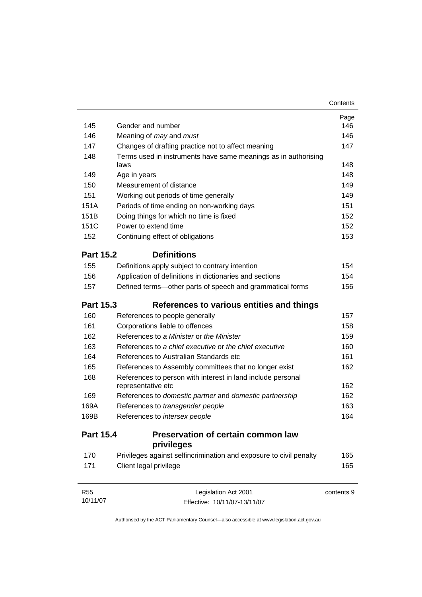|                  |                                                                        | Contents   |
|------------------|------------------------------------------------------------------------|------------|
|                  |                                                                        | Page       |
| 145              | Gender and number                                                      | 146        |
| 146              | Meaning of <i>may</i> and <i>must</i>                                  | 146        |
| 147              | Changes of drafting practice not to affect meaning                     | 147        |
| 148              | Terms used in instruments have same meanings as in authorising<br>laws | 148        |
| 149              | Age in years                                                           | 148        |
| 150              | Measurement of distance                                                | 149        |
| 151              | Working out periods of time generally                                  | 149        |
| 151A             | Periods of time ending on non-working days                             | 151        |
| 151B             | Doing things for which no time is fixed                                | 152        |
| 151C             | Power to extend time                                                   | 152        |
| 152              | Continuing effect of obligations                                       | 153        |
| <b>Part 15.2</b> | <b>Definitions</b>                                                     |            |
| 155              | Definitions apply subject to contrary intention                        | 154        |
| 156              | Application of definitions in dictionaries and sections                | 154        |
| 157              | Defined terms-other parts of speech and grammatical forms              | 156        |
| <b>Part 15.3</b> | References to various entities and things                              |            |
| 160              | References to people generally                                         | 157        |
| 161              | Corporations liable to offences                                        | 158        |
| 162              | References to a Minister or the Minister                               | 159        |
| 163              | References to a chief executive or the chief executive                 | 160        |
| 164              | References to Australian Standards etc                                 | 161        |
| 165              | References to Assembly committees that no longer exist                 | 162        |
| 168              | References to person with interest in land include personal            |            |
|                  | representative etc                                                     | 162        |
| 169              | References to domestic partner and domestic partnership                | 162        |
| 169A             | References to transgender people                                       | 163        |
| 169B             | References to intersex people                                          | 164        |
| <b>Part 15.4</b> | Preservation of certain common law<br>privileges                       |            |
| 170              | Privileges against selfincrimination and exposure to civil penalty     | 165        |
| 171              | Client legal privilege                                                 | 165        |
| R <sub>55</sub>  | Legislation Act 2001                                                   | contents 9 |

Authorised by the ACT Parliamentary Counsel—also accessible at www.legislation.act.gov.au

Effective: 10/11/07-13/11/07

10/11/07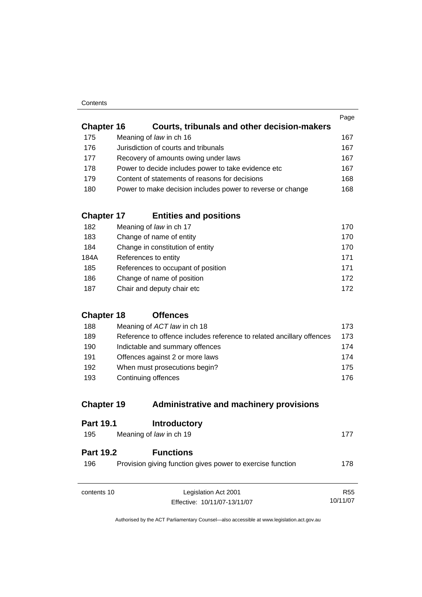#### **Contents**

|                   |                                                            | Page |
|-------------------|------------------------------------------------------------|------|
| <b>Chapter 16</b> | Courts, tribunals and other decision-makers                |      |
| 175               | Meaning of law in ch 16                                    | 167  |
| 176               | Jurisdiction of courts and tribunals                       | 167  |
| 177               | Recovery of amounts owing under laws                       | 167  |
| 178               | Power to decide includes power to take evidence etc        | 167  |
| 179               | Content of statements of reasons for decisions             | 168  |
| 180               | Power to make decision includes power to reverse or change | 168  |
|                   |                                                            |      |

### **Chapter 17 Entities and positions**

| 182  | Meaning of law in ch 17            | 170 |
|------|------------------------------------|-----|
| 183  | Change of name of entity           | 170 |
| 184  | Change in constitution of entity   | 170 |
| 184A | References to entity               | 171 |
| 185  | References to occupant of position | 171 |
| 186  | Change of name of position         | 172 |
| 187  | Chair and deputy chair etc         | 172 |

### **Chapter 18 Offences**

| 188 | Meaning of ACT law in ch 18                                           | 173. |
|-----|-----------------------------------------------------------------------|------|
| 189 | Reference to offence includes reference to related ancillary offences | 173  |
| 190 | Indictable and summary offences                                       | 174  |
| 191 | Offences against 2 or more laws                                       | 174  |
| 192 | When must prosecutions begin?                                         | 175. |
| 193 | Continuing offences                                                   | 176. |

## **Chapter 19 Administrative and machinery provisions**

| <b>Part 19.1</b>        | <b>Introductory</b>                                                            |                 |
|-------------------------|--------------------------------------------------------------------------------|-----------------|
| 195                     | Meaning of law in ch 19                                                        | 177             |
| <b>Part 19.2</b><br>196 | <b>Functions</b><br>Provision giving function gives power to exercise function | 178             |
| contents 10             | Legislation Act 2001                                                           | R <sub>55</sub> |
|                         | Effective: 10/11/07-13/11/07                                                   | 10/11/07        |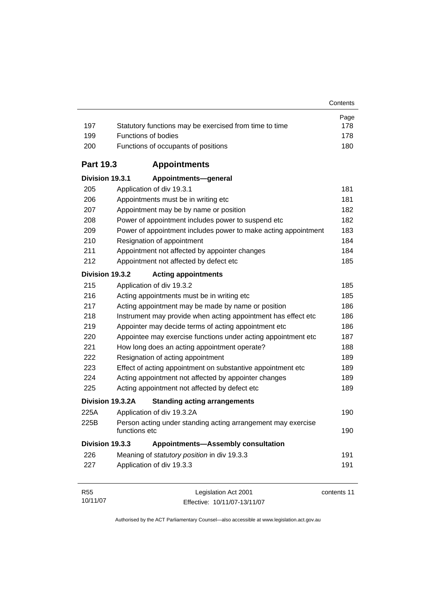| 197              | Statutory functions may be exercised from time to time                        | Page<br>178 |
|------------------|-------------------------------------------------------------------------------|-------------|
| 199              | <b>Functions of bodies</b>                                                    | 178         |
| 200              | Functions of occupants of positions                                           | 180         |
| <b>Part 19.3</b> | <b>Appointments</b>                                                           |             |
| Division 19.3.1  | Appointments-general                                                          |             |
| 205              | Application of div 19.3.1                                                     | 181         |
| 206              | Appointments must be in writing etc                                           | 181         |
| 207              | Appointment may be by name or position                                        | 182         |
| 208              | Power of appointment includes power to suspend etc                            | 182         |
| 209              | Power of appointment includes power to make acting appointment                | 183         |
| 210              | Resignation of appointment                                                    | 184         |
| 211              | Appointment not affected by appointer changes                                 | 184         |
| 212              | Appointment not affected by defect etc                                        | 185         |
| Division 19.3.2  | <b>Acting appointments</b>                                                    |             |
| 215              | Application of div 19.3.2                                                     | 185         |
| 216              | Acting appointments must be in writing etc                                    | 185         |
| 217              | Acting appointment may be made by name or position                            | 186         |
| 218              | Instrument may provide when acting appointment has effect etc                 | 186         |
| 219              | Appointer may decide terms of acting appointment etc                          | 186         |
| 220              | Appointee may exercise functions under acting appointment etc                 | 187         |
| 221              | How long does an acting appointment operate?                                  | 188         |
| 222              | Resignation of acting appointment                                             | 189         |
| 223              | Effect of acting appointment on substantive appointment etc                   | 189         |
| 224              | Acting appointment not affected by appointer changes                          | 189         |
| 225              | Acting appointment not affected by defect etc                                 | 189         |
|                  | Division 19.3.2A<br><b>Standing acting arrangements</b>                       |             |
| 225A             | Application of div 19.3.2A                                                    | 190         |
| 225B             | Person acting under standing acting arrangement may exercise<br>functions etc | 190         |
| Division 19.3.3  | <b>Appointments-Assembly consultation</b>                                     |             |
| 226              | Meaning of statutory position in div 19.3.3                                   | 191         |
| 227              | Application of div 19.3.3                                                     | 191         |
| R <sub>55</sub>  | Legislation Act 2001                                                          | contents 11 |

Authorised by the ACT Parliamentary Counsel—also accessible at www.legislation.act.gov.au

Effective: 10/11/07-13/11/07

10/11/07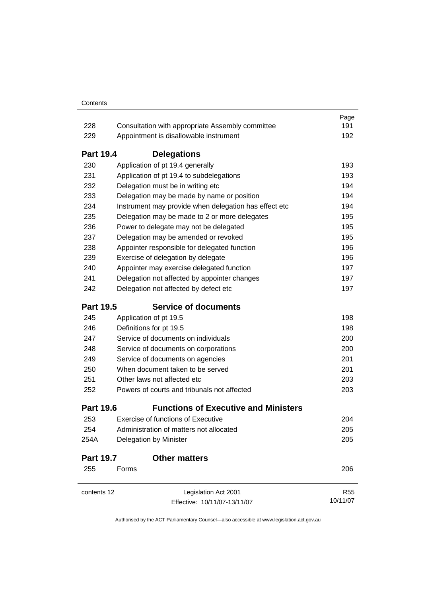|                  |                                                                          | Page<br>191 |  |
|------------------|--------------------------------------------------------------------------|-------------|--|
|                  | 228<br>Consultation with appropriate Assembly committee                  |             |  |
| 229              | Appointment is disallowable instrument                                   | 192         |  |
| <b>Part 19.4</b> | <b>Delegations</b>                                                       |             |  |
| 230              | Application of pt 19.4 generally                                         | 193         |  |
| 231              | Application of pt 19.4 to subdelegations                                 | 193         |  |
| 232              | Delegation must be in writing etc                                        | 194         |  |
| 233              | Delegation may be made by name or position                               | 194         |  |
| 234              | Instrument may provide when delegation has effect etc                    | 194         |  |
| 235              | Delegation may be made to 2 or more delegates                            | 195         |  |
| 236              | Power to delegate may not be delegated                                   | 195         |  |
| 237              | Delegation may be amended or revoked                                     | 195         |  |
| 238              | Appointer responsible for delegated function                             | 196         |  |
| 239              | Exercise of delegation by delegate                                       | 196         |  |
| 240              | Appointer may exercise delegated function                                | 197         |  |
| 241              | Delegation not affected by appointer changes                             | 197         |  |
| 242              | Delegation not affected by defect etc                                    | 197         |  |
| <b>Part 19.5</b> | <b>Service of documents</b>                                              |             |  |
| 245              | Application of pt 19.5                                                   | 198         |  |
| 246              | Definitions for pt 19.5                                                  | 198         |  |
| 247              | Service of documents on individuals                                      | 200         |  |
| 248              | Service of documents on corporations<br>Service of documents on agencies | 200<br>201  |  |
| 249              |                                                                          |             |  |
| 250              | When document taken to be served                                         | 201         |  |
| 251              | Other laws not affected etc                                              | 203         |  |
| 252              | Powers of courts and tribunals not affected                              | 203         |  |
| <b>Part 19.6</b> | <b>Functions of Executive and Ministers</b>                              |             |  |
| 253              | <b>Exercise of functions of Executive</b>                                | 204         |  |
| 254              | Administration of matters not allocated                                  | 205         |  |
| 254A             | Delegation by Minister                                                   | 205         |  |
| <b>Part 19.7</b> | <b>Other matters</b>                                                     |             |  |
| 255              | Forms                                                                    | 206         |  |
| contents 12      | Legislation Act 2001                                                     | <b>R55</b>  |  |
|                  | Effective: 10/11/07-13/11/07                                             | 10/11/07    |  |
|                  |                                                                          |             |  |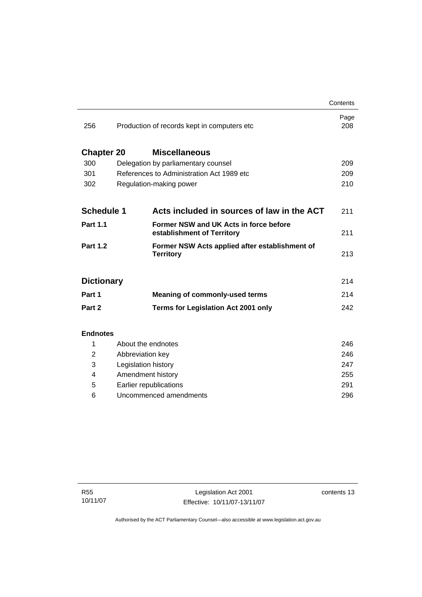|                   |                                            |                                                                      | Contents    |
|-------------------|--------------------------------------------|----------------------------------------------------------------------|-------------|
| 256               |                                            | Production of records kept in computers etc                          | Page<br>208 |
|                   |                                            |                                                                      |             |
| <b>Chapter 20</b> |                                            | <b>Miscellaneous</b>                                                 |             |
| 300               | Delegation by parliamentary counsel        |                                                                      | 209         |
| 301               | References to Administration Act 1989 etc. |                                                                      | 209         |
| 302               |                                            | Regulation-making power                                              | 210         |
|                   |                                            |                                                                      |             |
| <b>Schedule 1</b> |                                            | Acts included in sources of law in the ACT                           | 211         |
| <b>Part 1.1</b>   |                                            | Former NSW and UK Acts in force before<br>establishment of Territory | 211         |
| <b>Part 1.2</b>   |                                            | Former NSW Acts applied after establishment of<br><b>Territory</b>   | 213         |
|                   |                                            |                                                                      |             |
| <b>Dictionary</b> |                                            |                                                                      | 214         |
| Part 1            |                                            | <b>Meaning of commonly-used terms</b>                                | 214         |
| Part 2            |                                            | <b>Terms for Legislation Act 2001 only</b>                           | 242         |
|                   |                                            |                                                                      |             |
| <b>Endnotes</b>   |                                            |                                                                      |             |
| 1                 | About the endnotes                         |                                                                      | 246         |
| 2                 | Abbreviation key                           |                                                                      | 246         |
| 3                 | Legislation history                        |                                                                      | 247         |
| 4                 | Amendment history                          |                                                                      | 255         |

 5 Earlier republications [291](#page-306-0) 6 Uncommenced amendments [296](#page-311-0)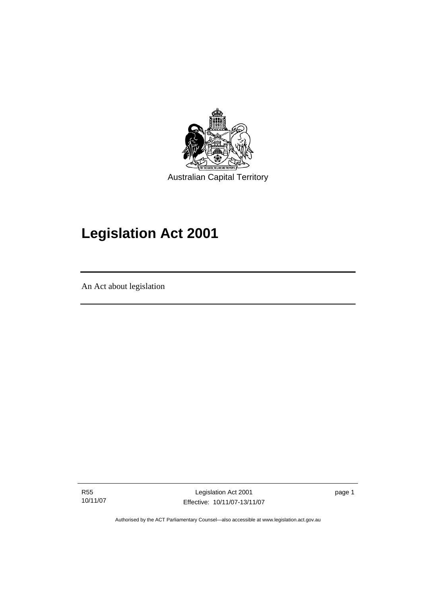<span id="page-16-0"></span>

# **Legislation Act 2001**

An Act about legislation

ׇ֡֬֡

R55 10/11/07

Legislation Act 2001 Effective: 10/11/07-13/11/07 page 1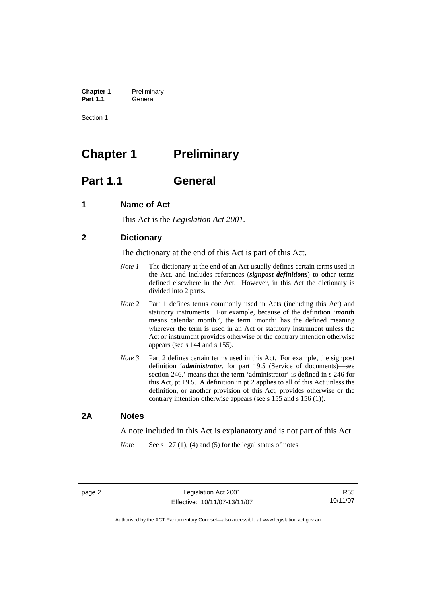<span id="page-17-0"></span>**Chapter 1** Preliminary<br>**Part 1.1** General General

Section 1

## **Chapter 1** Preliminary

### **Part 1.1 General**

### **1 Name of Act**

This Act is the *Legislation Act 2001.* 

### **2 Dictionary**

The dictionary at the end of this Act is part of this Act.

- *Note 1* The dictionary at the end of an Act usually defines certain terms used in the Act, and includes references (*signpost definitions*) to other terms defined elsewhere in the Act. However, in this Act the dictionary is divided into 2 parts.
- *Note* 2 Part 1 defines terms commonly used in Acts (including this Act) and statutory instruments. For example, because of the definition '*month* means calendar month.', the term 'month' has the defined meaning wherever the term is used in an Act or statutory instrument unless the Act or instrument provides otherwise or the contrary intention otherwise appears (see s 144 and s 155).
- *Note 3* Part 2 defines certain terms used in this Act. For example, the signpost definition '*administrator*, for part 19.5 (Service of documents)—see section 246.' means that the term 'administrator' is defined in s 246 for this Act, pt 19.5. A definition in pt 2 applies to all of this Act unless the definition, or another provision of this Act, provides otherwise or the contrary intention otherwise appears (see s 155 and s 156 (1)).

### **2A Notes**

A note included in this Act is explanatory and is not part of this Act.

*Note* See s 127 (1), (4) and (5) for the legal status of notes.

R55 10/11/07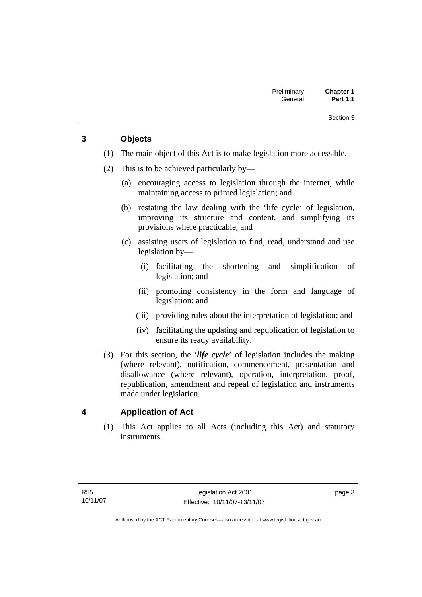### <span id="page-18-0"></span>**3 Objects**

- (1) The main object of this Act is to make legislation more accessible.
- (2) This is to be achieved particularly by—
	- (a) encouraging access to legislation through the internet, while maintaining access to printed legislation; and
	- (b) restating the law dealing with the 'life cycle' of legislation, improving its structure and content, and simplifying its provisions where practicable; and
	- (c) assisting users of legislation to find, read, understand and use legislation by—
		- (i) facilitating the shortening and simplification of legislation; and
		- (ii) promoting consistency in the form and language of legislation; and
		- (iii) providing rules about the interpretation of legislation; and
		- (iv) facilitating the updating and republication of legislation to ensure its ready availability.
- (3) For this section, the '*life cycle*' of legislation includes the making (where relevant), notification, commencement, presentation and disallowance (where relevant), operation, interpretation, proof, republication, amendment and repeal of legislation and instruments made under legislation.

### **4 Application of Act**

 (1) This Act applies to all Acts (including this Act) and statutory instruments.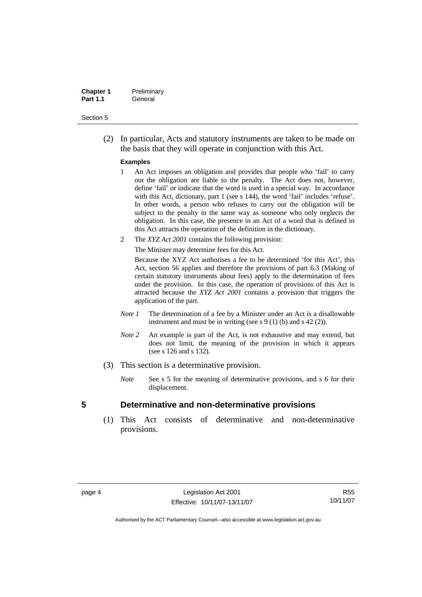<span id="page-19-0"></span>

| <b>Chapter 1</b> | Preliminary |
|------------------|-------------|
| <b>Part 1.1</b>  | General     |

 (2) In particular, Acts and statutory instruments are taken to be made on the basis that they will operate in conjunction with this Act.

#### **Examples**

- 1 An Act imposes an obligation and provides that people who 'fail' to carry out the obligation are liable to the penalty. The Act does not, however, define 'fail' or indicate that the word is used in a special way. In accordance with this Act, dictionary, part 1 (see s 144), the word 'fail' includes 'refuse'. In other words, a person who refuses to carry out the obligation will be subject to the penalty in the same way as someone who only neglects the obligation. In this case, the presence in an Act of a word that is defined in this Act attracts the operation of the definition in the dictionary.
- 2 The *XYZ Act 2001* contains the following provision:

The Minister may determine fees for this Act.

Because the XYZ Act authorises a fee to be determined 'for this Act', this Act, section 56 applies and therefore the provisions of part 6.3 (Making of certain statutory instruments about fees) apply to the determination of fees under the provision. In this case, the operation of provisions of this Act is attracted because the *XYZ Act 2001* contains a provision that triggers the application of the part.

- *Note 1* The determination of a fee by a Minister under an Act is a disallowable instrument and must be in writing (see s 9 (1) (b) and s 42 (2)).
- *Note 2* An example is part of the Act, is not exhaustive and may extend, but does not limit, the meaning of the provision in which it appears (see s 126 and s 132).
- (3) This section is a determinative provision.
	- *Note* See s 5 for the meaning of determinative provisions, and s 6 for their displacement.

#### **5 Determinative and non-determinative provisions**

 (1) This Act consists of determinative and non-determinative provisions.

R55 10/11/07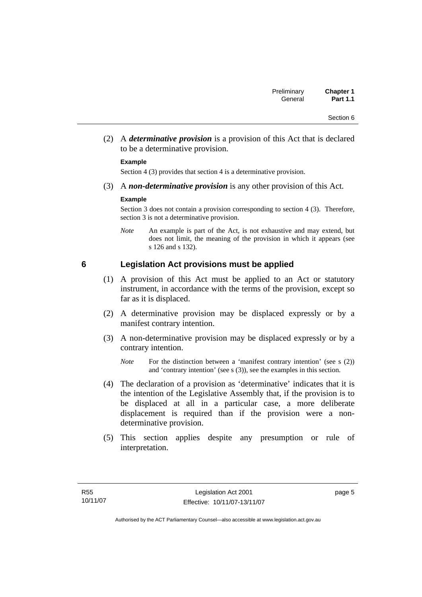<span id="page-20-0"></span> (2) A *determinative provision* is a provision of this Act that is declared to be a determinative provision.

#### **Example**

Section 4 (3) provides that section 4 is a determinative provision.

(3) A *non-determinative provision* is any other provision of this Act.

#### **Example**

Section 3 does not contain a provision corresponding to section 4 (3). Therefore, section 3 is not a determinative provision.

*Note* An example is part of the Act, is not exhaustive and may extend, but does not limit, the meaning of the provision in which it appears (see s 126 and s 132).

### **6 Legislation Act provisions must be applied**

- (1) A provision of this Act must be applied to an Act or statutory instrument, in accordance with the terms of the provision, except so far as it is displaced.
- (2) A determinative provision may be displaced expressly or by a manifest contrary intention.
- (3) A non-determinative provision may be displaced expressly or by a contrary intention.

- (4) The declaration of a provision as 'determinative' indicates that it is the intention of the Legislative Assembly that, if the provision is to be displaced at all in a particular case, a more deliberate displacement is required than if the provision were a nondeterminative provision.
- (5) This section applies despite any presumption or rule of interpretation.

page 5

*Note* For the distinction between a 'manifest contrary intention' (see s (2)) and 'contrary intention' (see s (3)), see the examples in this section.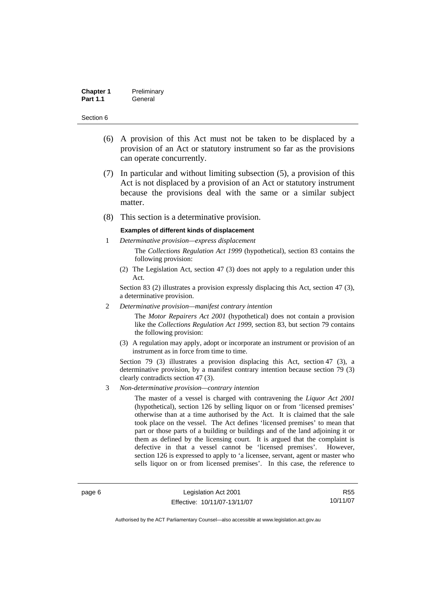| <b>Chapter 1</b> | Preliminary |
|------------------|-------------|
| <b>Part 1.1</b>  | General     |

- (6) A provision of this Act must not be taken to be displaced by a provision of an Act or statutory instrument so far as the provisions can operate concurrently.
- (7) In particular and without limiting subsection (5), a provision of this Act is not displaced by a provision of an Act or statutory instrument because the provisions deal with the same or a similar subject matter.
- (8) This section is a determinative provision.

#### **Examples of different kinds of displacement**

- 1 *Determinative provision—express displacement* The *Collections Regulation Act 1999* (hypothetical), section 83 contains the following provision:
	- (2) The Legislation Act, section 47 (3) does not apply to a regulation under this Act.

Section 83 (2) illustrates a provision expressly displacing this Act, section 47 (3), a determinative provision.

2 *Determinative provision—manifest contrary intention*

The *Motor Repairers Act 2001* (hypothetical) does not contain a provision like the *Collections Regulation Act 1999*, section 83, but section 79 contains the following provision:

(3) A regulation may apply, adopt or incorporate an instrument or provision of an instrument as in force from time to time.

Section 79 (3) illustrates a provision displacing this Act, section 47 (3), a determinative provision, by a manifest contrary intention because section 79 (3) clearly contradicts section 47 (3).

3 *Non-determinative provision—contrary intention*

The master of a vessel is charged with contravening the *Liquor Act 2001* (hypothetical), section 126 by selling liquor on or from 'licensed premises' otherwise than at a time authorised by the Act. It is claimed that the sale took place on the vessel. The Act defines 'licensed premises' to mean that part or those parts of a building or buildings and of the land adjoining it or them as defined by the licensing court. It is argued that the complaint is defective in that a vessel cannot be 'licensed premises'. However, section 126 is expressed to apply to 'a licensee, servant, agent or master who sells liquor on or from licensed premises'. In this case, the reference to

page 6 Legislation Act 2001 Effective: 10/11/07-13/11/07

R55 10/11/07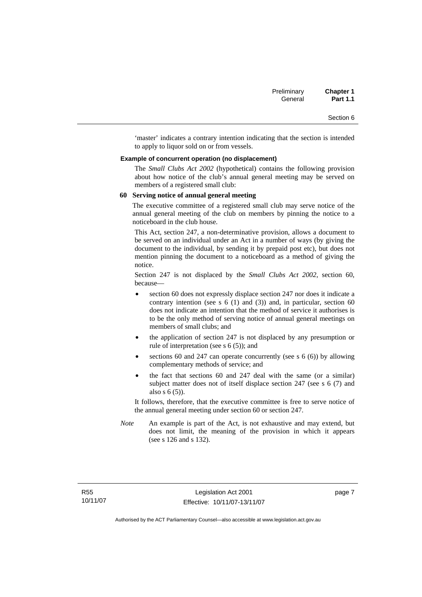'master' indicates a contrary intention indicating that the section is intended to apply to liquor sold on or from vessels.

#### **Example of concurrent operation (no displacement)**

The *Small Clubs Act 2002* (hypothetical) contains the following provision about how notice of the club's annual general meeting may be served on members of a registered small club:

#### **60 Serving notice of annual general meeting**

The executive committee of a registered small club may serve notice of the annual general meeting of the club on members by pinning the notice to a noticeboard in the club house.

This Act, section 247, a non-determinative provision, allows a document to be served on an individual under an Act in a number of ways (by giving the document to the individual, by sending it by prepaid post etc), but does not mention pinning the document to a noticeboard as a method of giving the notice.

Section 247 is not displaced by the *Small Clubs Act 2002*, section 60, because—

- section 60 does not expressly displace section 247 nor does it indicate a contrary intention (see s  $6(1)$  and  $(3)$ ) and, in particular, section  $60$ does not indicate an intention that the method of service it authorises is to be the only method of serving notice of annual general meetings on members of small clubs; and
- the application of section 247 is not displaced by any presumption or rule of interpretation (see s 6 (5)); and
- sections 60 and 247 can operate concurrently (see s  $6(6)$ ) by allowing complementary methods of service; and
- the fact that sections 60 and 247 deal with the same (or a similar) subject matter does not of itself displace section 247 (see s 6 (7) and also s 6 (5)).

It follows, therefore, that the executive committee is free to serve notice of the annual general meeting under section 60 or section 247.

*Note* An example is part of the Act, is not exhaustive and may extend, but does not limit, the meaning of the provision in which it appears (see s 126 and s 132).

page 7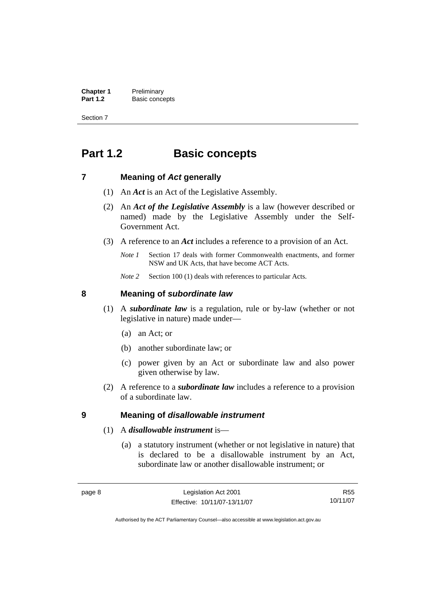<span id="page-23-0"></span>**Chapter 1** Preliminary<br>**Part 1.2** Basic conce **Basic concepts** 

Section 7

## **Part 1.2 Basic concepts**

### **7 Meaning of** *Act* **generally**

- (1) An *Act* is an Act of the Legislative Assembly.
- (2) An *Act of the Legislative Assembly* is a law (however described or named) made by the Legislative Assembly under the Self-Government Act.
- (3) A reference to an *Act* includes a reference to a provision of an Act.
	- *Note 1* Section 17 deals with former Commonwealth enactments, and former NSW and UK Acts, that have become ACT Acts.
	- *Note 2* Section 100 (1) deals with references to particular Acts.

### **8 Meaning of** *subordinate law*

- (1) A *subordinate law* is a regulation, rule or by-law (whether or not legislative in nature) made under—
	- (a) an Act; or
	- (b) another subordinate law; or
	- (c) power given by an Act or subordinate law and also power given otherwise by law.
- (2) A reference to a *subordinate law* includes a reference to a provision of a subordinate law.

### **9 Meaning of** *disallowable instrument*

- (1) A *disallowable instrument* is—
	- (a) a statutory instrument (whether or not legislative in nature) that is declared to be a disallowable instrument by an Act, subordinate law or another disallowable instrument; or

R55 10/11/07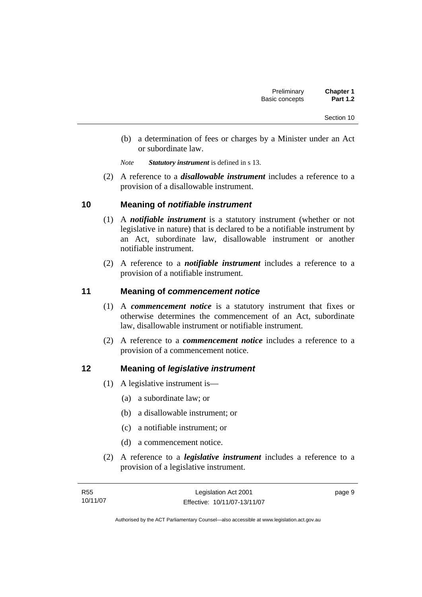- <span id="page-24-0"></span> (b) a determination of fees or charges by a Minister under an Act or subordinate law.
- *Note Statutory instrument* is defined in s 13.
- (2) A reference to a *disallowable instrument* includes a reference to a provision of a disallowable instrument.

### **10 Meaning of** *notifiable instrument*

- (1) A *notifiable instrument* is a statutory instrument (whether or not legislative in nature) that is declared to be a notifiable instrument by an Act, subordinate law, disallowable instrument or another notifiable instrument.
- (2) A reference to a *notifiable instrument* includes a reference to a provision of a notifiable instrument.

### **11 Meaning of** *commencement notice*

- (1) A *commencement notice* is a statutory instrument that fixes or otherwise determines the commencement of an Act, subordinate law, disallowable instrument or notifiable instrument.
- (2) A reference to a *commencement notice* includes a reference to a provision of a commencement notice.

### **12 Meaning of** *legislative instrument*

- (1) A legislative instrument is—
	- (a) a subordinate law; or
	- (b) a disallowable instrument; or
	- (c) a notifiable instrument; or
	- (d) a commencement notice.
- (2) A reference to a *legislative instrument* includes a reference to a provision of a legislative instrument.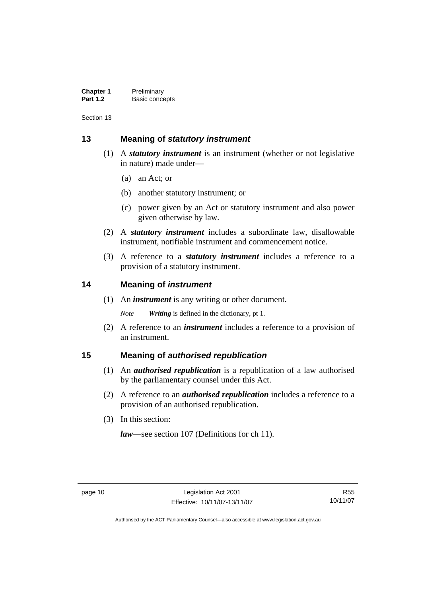<span id="page-25-0"></span>

| <b>Chapter 1</b> | Preliminary    |
|------------------|----------------|
| <b>Part 1.2</b>  | Basic concepts |

### **13 Meaning of** *statutory instrument*

- (1) A *statutory instrument* is an instrument (whether or not legislative in nature) made under—
	- (a) an Act; or
	- (b) another statutory instrument; or
	- (c) power given by an Act or statutory instrument and also power given otherwise by law.
- (2) A *statutory instrument* includes a subordinate law, disallowable instrument, notifiable instrument and commencement notice.
- (3) A reference to a *statutory instrument* includes a reference to a provision of a statutory instrument.

### **14 Meaning of** *instrument*

(1) An *instrument* is any writing or other document.

*Note Writing* is defined in the dictionary, pt 1.

 (2) A reference to an *instrument* includes a reference to a provision of an instrument.

### **15 Meaning of** *authorised republication*

- (1) An *authorised republication* is a republication of a law authorised by the parliamentary counsel under this Act.
- (2) A reference to an *authorised republication* includes a reference to a provision of an authorised republication.
- (3) In this section:

*law*—see section 107 (Definitions for ch 11).

R55 10/11/07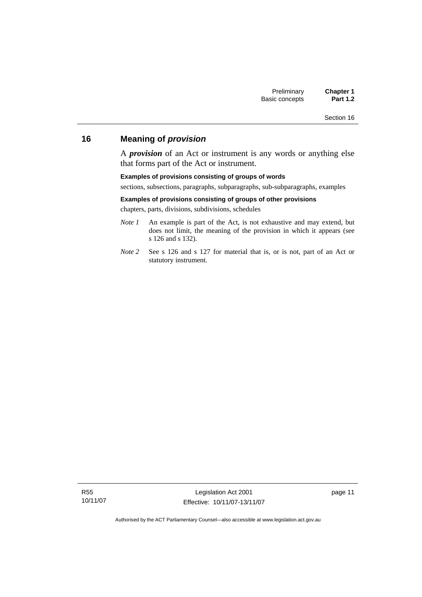### <span id="page-26-0"></span>**16 Meaning of** *provision*

A *provision* of an Act or instrument is any words or anything else that forms part of the Act or instrument.

#### **Examples of provisions consisting of groups of words**

sections, subsections, paragraphs, subparagraphs, sub-subparagraphs, examples

#### **Examples of provisions consisting of groups of other provisions**

chapters, parts, divisions, subdivisions, schedules

- *Note 1* An example is part of the Act, is not exhaustive and may extend, but does not limit, the meaning of the provision in which it appears (see s 126 and s 132).
- *Note 2* See s 126 and s 127 for material that is, or is not, part of an Act or statutory instrument.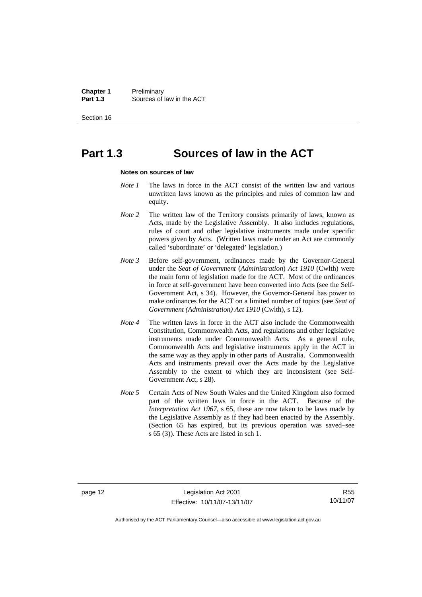**Chapter 1** Preliminary<br>**Part 1.3** Sources of **Part 1.3** Sources of law in the ACT

Section 16

## **Part 1.3 Sources of law in the ACT**

#### **Notes on sources of law**

- *Note 1* The laws in force in the ACT consist of the written law and various unwritten laws known as the principles and rules of common law and equity.
- *Note* 2 The written law of the Territory consists primarily of laws, known as Acts, made by the Legislative Assembly. It also includes regulations, rules of court and other legislative instruments made under specific powers given by Acts. (Written laws made under an Act are commonly called 'subordinate' or 'delegated' legislation.)
- *Note 3* Before self-government, ordinances made by the Governor-General under the *Seat of Government* (*Administration*) *Act 1910* (Cwlth) were the main form of legislation made for the ACT. Most of the ordinances in force at self-government have been converted into Acts (see the Self-Government Act, s 34). However, the Governor-General has power to make ordinances for the ACT on a limited number of topics (see *Seat of Government (Administration) Act 1910* (Cwlth), s 12).
- *Note 4* The written laws in force in the ACT also include the Commonwealth Constitution, Commonwealth Acts, and regulations and other legislative instruments made under Commonwealth Acts. As a general rule, Commonwealth Acts and legislative instruments apply in the ACT in the same way as they apply in other parts of Australia. Commonwealth Acts and instruments prevail over the Acts made by the Legislative Assembly to the extent to which they are inconsistent (see Self-Government Act, s 28).
- *Note 5* Certain Acts of New South Wales and the United Kingdom also formed part of the written laws in force in the ACT. Because of the *Interpretation Act 1967*, s 65, these are now taken to be laws made by the Legislative Assembly as if they had been enacted by the Assembly. (Section 65 has expired, but its previous operation was saved–see s 65 (3)). These Acts are listed in sch 1.

R55 10/11/07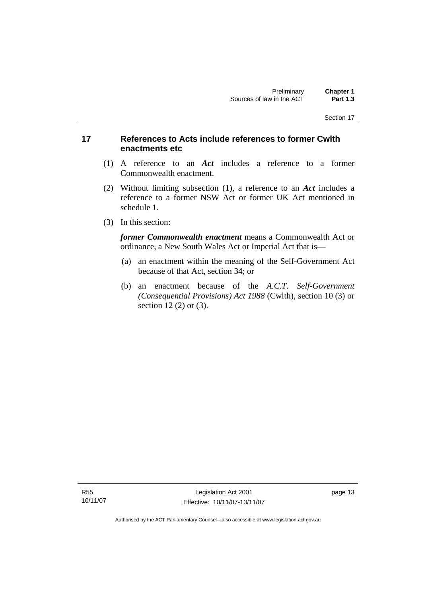### <span id="page-28-0"></span>**17 References to Acts include references to former Cwlth enactments etc**

- (1) A reference to an *Act* includes a reference to a former Commonwealth enactment.
- (2) Without limiting subsection (1), a reference to an *Act* includes a reference to a former NSW Act or former UK Act mentioned in schedule 1.
- (3) In this section:

*former Commonwealth enactment* means a Commonwealth Act or ordinance, a New South Wales Act or Imperial Act that is—

- (a) an enactment within the meaning of the Self-Government Act because of that Act, section 34; or
- (b) an enactment because of the *A.C.T*. *Self-Government (Consequential Provisions) Act 1988* (Cwlth), section 10 (3) or section 12 (2) or (3).

R55 10/11/07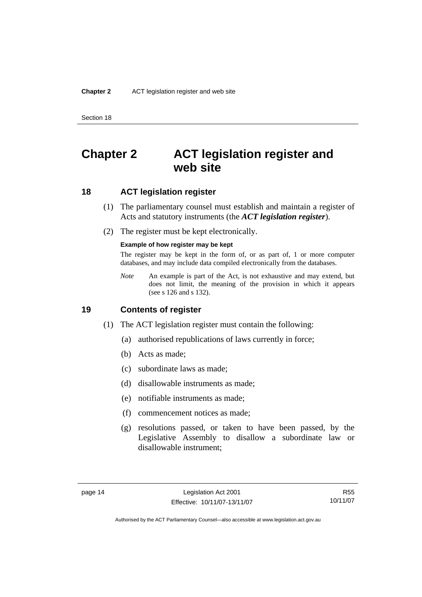## <span id="page-29-0"></span>**Chapter 2 ACT legislation register and web site**

### **18 ACT legislation register**

- (1) The parliamentary counsel must establish and maintain a register of Acts and statutory instruments (the *ACT legislation register*).
- (2) The register must be kept electronically.

#### **Example of how register may be kept**

The register may be kept in the form of, or as part of, 1 or more computer databases, and may include data compiled electronically from the databases.

*Note* An example is part of the Act, is not exhaustive and may extend, but does not limit, the meaning of the provision in which it appears (see s 126 and s 132).

### **19 Contents of register**

- (1) The ACT legislation register must contain the following:
	- (a) authorised republications of laws currently in force;
	- (b) Acts as made;
	- (c) subordinate laws as made;
	- (d) disallowable instruments as made;
	- (e) notifiable instruments as made;
	- (f) commencement notices as made;
	- (g) resolutions passed, or taken to have been passed, by the Legislative Assembly to disallow a subordinate law or disallowable instrument;

R55 10/11/07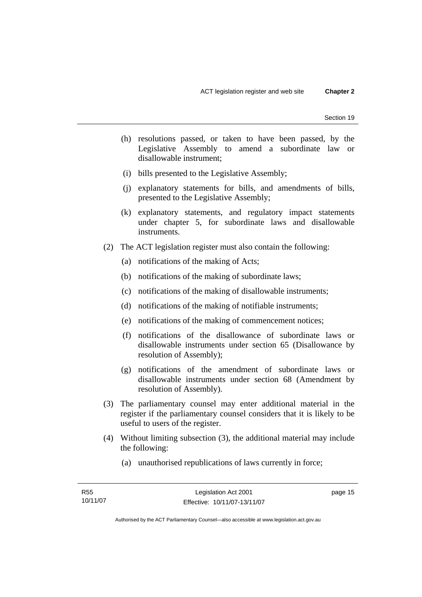- (h) resolutions passed, or taken to have been passed, by the Legislative Assembly to amend a subordinate law or disallowable instrument;
- (i) bills presented to the Legislative Assembly;
- (j) explanatory statements for bills, and amendments of bills, presented to the Legislative Assembly;
- (k) explanatory statements, and regulatory impact statements under chapter 5, for subordinate laws and disallowable instruments.
- (2) The ACT legislation register must also contain the following:
	- (a) notifications of the making of Acts;
	- (b) notifications of the making of subordinate laws;
	- (c) notifications of the making of disallowable instruments;
	- (d) notifications of the making of notifiable instruments;
	- (e) notifications of the making of commencement notices;
	- (f) notifications of the disallowance of subordinate laws or disallowable instruments under section 65 (Disallowance by resolution of Assembly);
	- (g) notifications of the amendment of subordinate laws or disallowable instruments under section 68 (Amendment by resolution of Assembly).
- (3) The parliamentary counsel may enter additional material in the register if the parliamentary counsel considers that it is likely to be useful to users of the register.
- (4) Without limiting subsection (3), the additional material may include the following:
	- (a) unauthorised republications of laws currently in force;

page 15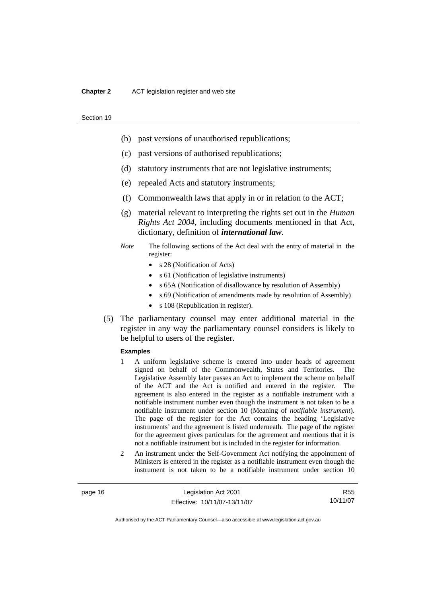#### **Chapter 2** ACT legislation register and web site

#### Section 19

- (b) past versions of unauthorised republications;
- (c) past versions of authorised republications;
- (d) statutory instruments that are not legislative instruments;
- (e) repealed Acts and statutory instruments;
- (f) Commonwealth laws that apply in or in relation to the ACT;
- (g) material relevant to interpreting the rights set out in the *Human Rights Act 2004*, including documents mentioned in that Act, dictionary, definition of *international law*.
- *Note* The following sections of the Act deal with the entry of material in the register:
	- s 28 (Notification of Acts)
	- s 61 (Notification of legislative instruments)
	- s 65A (Notification of disallowance by resolution of Assembly)
	- s 69 (Notification of amendments made by resolution of Assembly)
	- s 108 (Republication in register).
- (5) The parliamentary counsel may enter additional material in the register in any way the parliamentary counsel considers is likely to be helpful to users of the register.

#### **Examples**

- 1 A uniform legislative scheme is entered into under heads of agreement signed on behalf of the Commonwealth, States and Territories. The Legislative Assembly later passes an Act to implement the scheme on behalf of the ACT and the Act is notified and entered in the register. The agreement is also entered in the register as a notifiable instrument with a notifiable instrument number even though the instrument is not taken to be a notifiable instrument under section 10 (Meaning of *notifiable instrument*). The page of the register for the Act contains the heading 'Legislative instruments' and the agreement is listed underneath. The page of the register for the agreement gives particulars for the agreement and mentions that it is not a notifiable instrument but is included in the register for information.
- 2 An instrument under the Self-Government Act notifying the appointment of Ministers is entered in the register as a notifiable instrument even though the instrument is not taken to be a notifiable instrument under section 10

page 16 Legislation Act 2001 Effective: 10/11/07-13/11/07

R55 10/11/07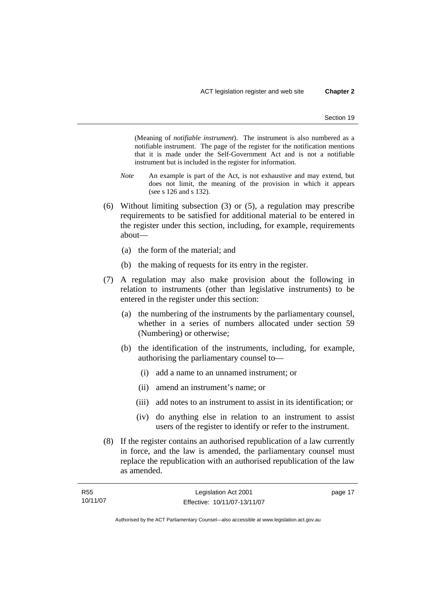(Meaning of *notifiable instrument*). The instrument is also numbered as a notifiable instrument. The page of the register for the notification mentions that it is made under the Self-Government Act and is not a notifiable instrument but is included in the register for information.

- *Note* An example is part of the Act, is not exhaustive and may extend, but does not limit, the meaning of the provision in which it appears (see s 126 and s 132).
- (6) Without limiting subsection (3) or (5), a regulation may prescribe requirements to be satisfied for additional material to be entered in the register under this section, including, for example, requirements about—
	- (a) the form of the material; and
	- (b) the making of requests for its entry in the register.
- (7) A regulation may also make provision about the following in relation to instruments (other than legislative instruments) to be entered in the register under this section:
	- (a) the numbering of the instruments by the parliamentary counsel, whether in a series of numbers allocated under section 59 (Numbering) or otherwise;
	- (b) the identification of the instruments, including, for example, authorising the parliamentary counsel to—
		- (i) add a name to an unnamed instrument; or
		- (ii) amend an instrument's name; or
		- (iii) add notes to an instrument to assist in its identification; or
		- (iv) do anything else in relation to an instrument to assist users of the register to identify or refer to the instrument.
- (8) If the register contains an authorised republication of a law currently in force, and the law is amended, the parliamentary counsel must replace the republication with an authorised republication of the law as amended.

| R <sub>55</sub> | Legislation Act 2001         | page 17 |
|-----------------|------------------------------|---------|
| 10/11/07        | Effective: 10/11/07-13/11/07 |         |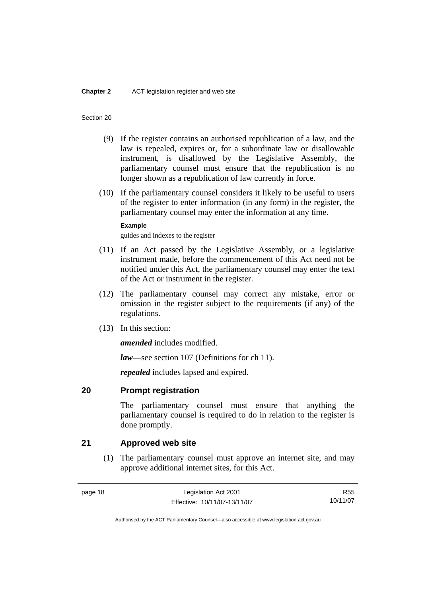- <span id="page-33-0"></span> (9) If the register contains an authorised republication of a law, and the law is repealed, expires or, for a subordinate law or disallowable instrument, is disallowed by the Legislative Assembly, the parliamentary counsel must ensure that the republication is no longer shown as a republication of law currently in force.
- (10) If the parliamentary counsel considers it likely to be useful to users of the register to enter information (in any form) in the register, the parliamentary counsel may enter the information at any time.

### **Example**

guides and indexes to the register

- (11) If an Act passed by the Legislative Assembly, or a legislative instrument made, before the commencement of this Act need not be notified under this Act, the parliamentary counsel may enter the text of the Act or instrument in the register.
- (12) The parliamentary counsel may correct any mistake, error or omission in the register subject to the requirements (if any) of the regulations.
- (13) In this section:

*amended* includes modified.

*law*—see section 107 (Definitions for ch 11).

*repealed* includes lapsed and expired.

### **20 Prompt registration**

The parliamentary counsel must ensure that anything the parliamentary counsel is required to do in relation to the register is done promptly.

### **21 Approved web site**

 (1) The parliamentary counsel must approve an internet site, and may approve additional internet sites, for this Act.

R55 10/11/07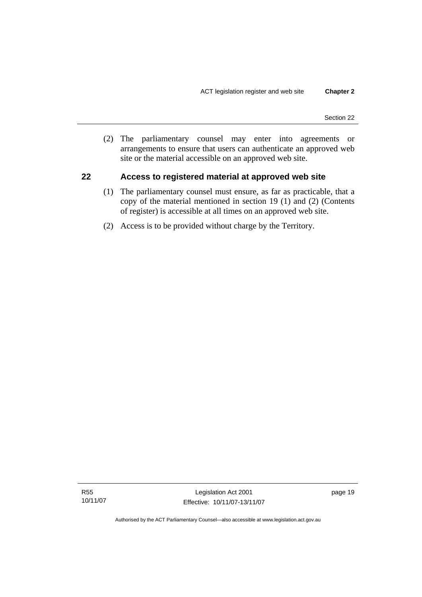<span id="page-34-0"></span> (2) The parliamentary counsel may enter into agreements or arrangements to ensure that users can authenticate an approved web site or the material accessible on an approved web site.

### **22 Access to registered material at approved web site**

- (1) The parliamentary counsel must ensure, as far as practicable, that a copy of the material mentioned in section 19 (1) and (2) (Contents of register) is accessible at all times on an approved web site.
- (2) Access is to be provided without charge by the Territory.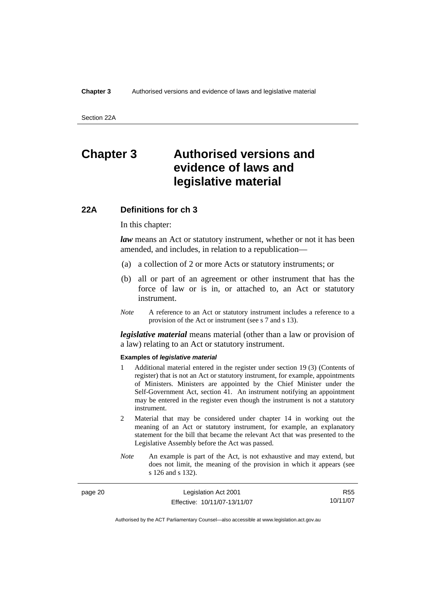<span id="page-35-0"></span>Section 22A

## **Chapter 3 Authorised versions and evidence of laws and legislative material**

### **22A Definitions for ch 3**

In this chapter:

*law* means an Act or statutory instrument, whether or not it has been amended, and includes, in relation to a republication—

- (a) a collection of 2 or more Acts or statutory instruments; or
- (b) all or part of an agreement or other instrument that has the force of law or is in, or attached to, an Act or statutory instrument.
- *Note* A reference to an Act or statutory instrument includes a reference to a provision of the Act or instrument (see s 7 and s 13).

*legislative material* means material (other than a law or provision of a law) relating to an Act or statutory instrument.

#### **Examples of** *legislative material*

- 1 Additional material entered in the register under section 19 (3) (Contents of register) that is not an Act or statutory instrument, for example, appointments of Ministers. Ministers are appointed by the Chief Minister under the Self-Government Act, section 41. An instrument notifying an appointment may be entered in the register even though the instrument is not a statutory instrument.
- 2 Material that may be considered under chapter 14 in working out the meaning of an Act or statutory instrument, for example, an explanatory statement for the bill that became the relevant Act that was presented to the Legislative Assembly before the Act was passed.
- *Note* An example is part of the Act, is not exhaustive and may extend, but does not limit, the meaning of the provision in which it appears (see s 126 and s 132).

| page 20 | Legislation Act 2001         | R55      |
|---------|------------------------------|----------|
|         | Effective: 10/11/07-13/11/07 | 10/11/07 |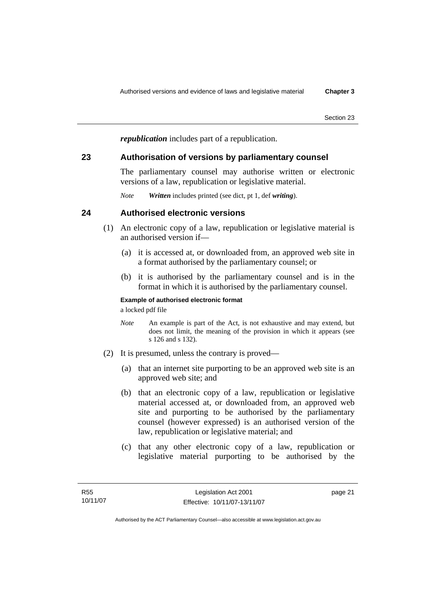*republication* includes part of a republication.

# **23 Authorisation of versions by parliamentary counsel**

The parliamentary counsel may authorise written or electronic versions of a law, republication or legislative material.

*Note Written* includes printed (see dict, pt 1, def *writing*).

# **24 Authorised electronic versions**

- (1) An electronic copy of a law, republication or legislative material is an authorised version if—
	- (a) it is accessed at, or downloaded from, an approved web site in a format authorised by the parliamentary counsel; or
	- (b) it is authorised by the parliamentary counsel and is in the format in which it is authorised by the parliamentary counsel.

## **Example of authorised electronic format**

a locked pdf file

- *Note* An example is part of the Act, is not exhaustive and may extend, but does not limit, the meaning of the provision in which it appears (see s 126 and s 132).
- (2) It is presumed, unless the contrary is proved—
	- (a) that an internet site purporting to be an approved web site is an approved web site; and
	- (b) that an electronic copy of a law, republication or legislative material accessed at, or downloaded from, an approved web site and purporting to be authorised by the parliamentary counsel (however expressed) is an authorised version of the law, republication or legislative material; and
	- (c) that any other electronic copy of a law, republication or legislative material purporting to be authorised by the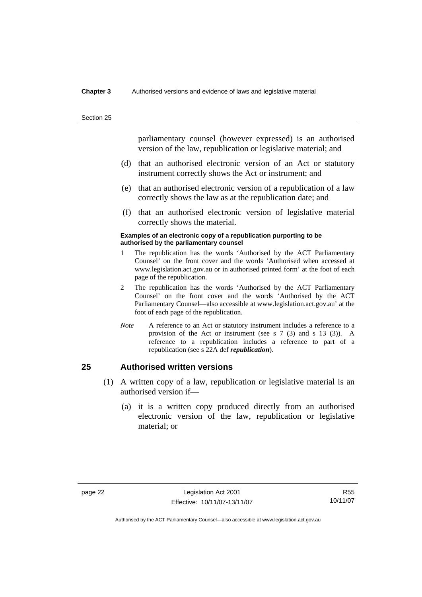#### **Chapter 3** Authorised versions and evidence of laws and legislative material

Section 25

parliamentary counsel (however expressed) is an authorised version of the law, republication or legislative material; and

- (d) that an authorised electronic version of an Act or statutory instrument correctly shows the Act or instrument; and
- (e) that an authorised electronic version of a republication of a law correctly shows the law as at the republication date; and
- (f) that an authorised electronic version of legislative material correctly shows the material.

#### **Examples of an electronic copy of a republication purporting to be authorised by the parliamentary counsel**

- 1 The republication has the words 'Authorised by the ACT Parliamentary Counsel' on the front cover and the words 'Authorised when accessed at www.legislation.act.gov.au or in authorised printed form' at the foot of each page of the republication.
- 2 The republication has the words 'Authorised by the ACT Parliamentary Counsel' on the front cover and the words 'Authorised by the ACT Parliamentary Counsel—also accessible at www.legislation.act.gov.au' at the foot of each page of the republication.
- *Note* A reference to an Act or statutory instrument includes a reference to a provision of the Act or instrument (see s 7 (3) and s 13 (3)). A reference to a republication includes a reference to part of a republication (see s 22A def *republication*).

# **25 Authorised written versions**

- (1) A written copy of a law, republication or legislative material is an authorised version if—
	- (a) it is a written copy produced directly from an authorised electronic version of the law, republication or legislative material; or

R55 10/11/07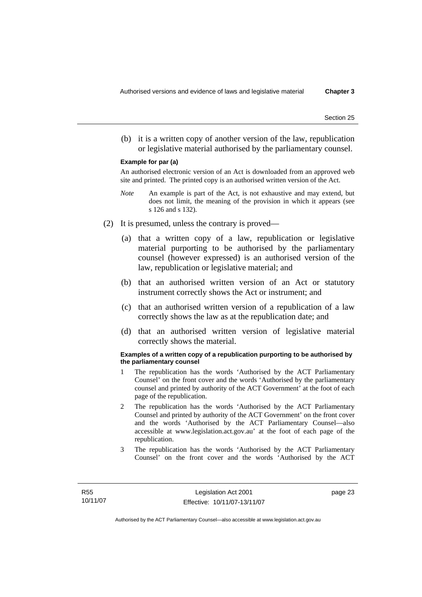(b) it is a written copy of another version of the law, republication or legislative material authorised by the parliamentary counsel.

#### **Example for par (a)**

An authorised electronic version of an Act is downloaded from an approved web site and printed. The printed copy is an authorised written version of the Act.

- *Note* An example is part of the Act, is not exhaustive and may extend, but does not limit, the meaning of the provision in which it appears (see s 126 and s 132).
- (2) It is presumed, unless the contrary is proved—
	- (a) that a written copy of a law, republication or legislative material purporting to be authorised by the parliamentary counsel (however expressed) is an authorised version of the law, republication or legislative material; and
	- (b) that an authorised written version of an Act or statutory instrument correctly shows the Act or instrument; and
	- (c) that an authorised written version of a republication of a law correctly shows the law as at the republication date; and
	- (d) that an authorised written version of legislative material correctly shows the material.

#### **Examples of a written copy of a republication purporting to be authorised by the parliamentary counsel**

- 1 The republication has the words 'Authorised by the ACT Parliamentary Counsel' on the front cover and the words 'Authorised by the parliamentary counsel and printed by authority of the ACT Government' at the foot of each page of the republication.
- 2 The republication has the words 'Authorised by the ACT Parliamentary Counsel and printed by authority of the ACT Government' on the front cover and the words 'Authorised by the ACT Parliamentary Counsel—also accessible at www.legislation.act.gov.au' at the foot of each page of the republication.
- 3 The republication has the words 'Authorised by the ACT Parliamentary Counsel' on the front cover and the words 'Authorised by the ACT

page 23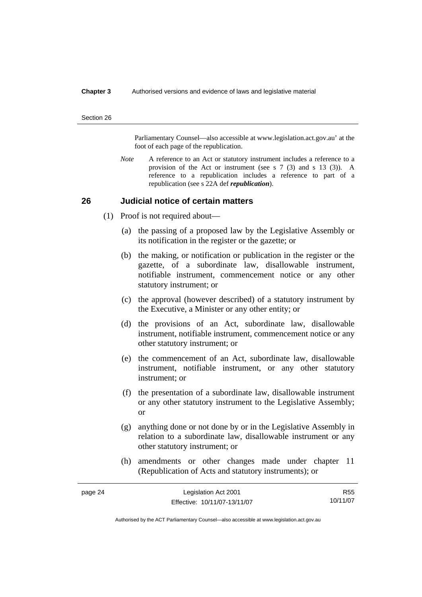#### **Chapter 3** Authorised versions and evidence of laws and legislative material

#### Section 26

Parliamentary Counsel—also accessible at www.legislation.act.gov.au' at the foot of each page of the republication.

*Note* A reference to an Act or statutory instrument includes a reference to a provision of the Act or instrument (see s 7 (3) and s 13 (3)). A reference to a republication includes a reference to part of a republication (see s 22A def *republication*).

### **26 Judicial notice of certain matters**

- (1) Proof is not required about—
	- (a) the passing of a proposed law by the Legislative Assembly or its notification in the register or the gazette; or
	- (b) the making, or notification or publication in the register or the gazette, of a subordinate law, disallowable instrument, notifiable instrument, commencement notice or any other statutory instrument; or
	- (c) the approval (however described) of a statutory instrument by the Executive, a Minister or any other entity; or
	- (d) the provisions of an Act, subordinate law, disallowable instrument, notifiable instrument, commencement notice or any other statutory instrument; or
	- (e) the commencement of an Act, subordinate law, disallowable instrument, notifiable instrument, or any other statutory instrument; or
	- (f) the presentation of a subordinate law, disallowable instrument or any other statutory instrument to the Legislative Assembly; or
	- (g) anything done or not done by or in the Legislative Assembly in relation to a subordinate law, disallowable instrument or any other statutory instrument; or
	- (h) amendments or other changes made under chapter 11 (Republication of Acts and statutory instruments); or

| page 24 | Legislation Act 2001         | R <sub>55</sub> |
|---------|------------------------------|-----------------|
|         | Effective: 10/11/07-13/11/07 | 10/11/07        |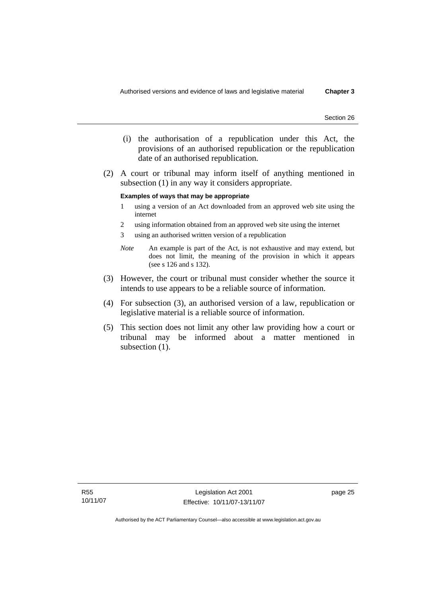- (i) the authorisation of a republication under this Act, the provisions of an authorised republication or the republication date of an authorised republication.
- (2) A court or tribunal may inform itself of anything mentioned in subsection (1) in any way it considers appropriate.

#### **Examples of ways that may be appropriate**

- 1 using a version of an Act downloaded from an approved web site using the internet
- 2 using information obtained from an approved web site using the internet
- 3 using an authorised written version of a republication
- *Note* An example is part of the Act, is not exhaustive and may extend, but does not limit, the meaning of the provision in which it appears (see s 126 and s 132).
- (3) However, the court or tribunal must consider whether the source it intends to use appears to be a reliable source of information.
- (4) For subsection (3), an authorised version of a law, republication or legislative material is a reliable source of information.
- (5) This section does not limit any other law providing how a court or tribunal may be informed about a matter mentioned in subsection  $(1)$ .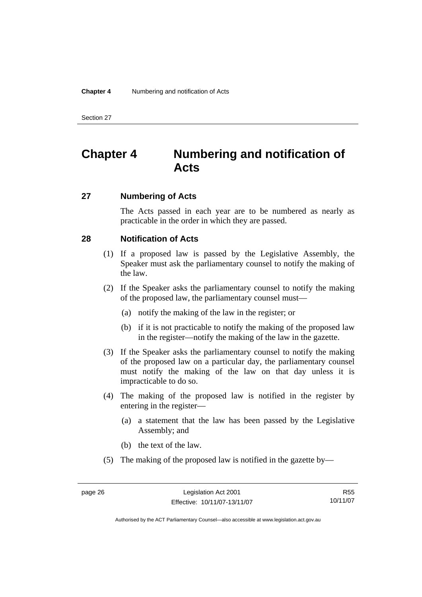# **Chapter 4 Numbering and notification of Acts**

# **27 Numbering of Acts**

The Acts passed in each year are to be numbered as nearly as practicable in the order in which they are passed.

# **28 Notification of Acts**

- (1) If a proposed law is passed by the Legislative Assembly, the Speaker must ask the parliamentary counsel to notify the making of the law.
- (2) If the Speaker asks the parliamentary counsel to notify the making of the proposed law, the parliamentary counsel must—
	- (a) notify the making of the law in the register; or
	- (b) if it is not practicable to notify the making of the proposed law in the register—notify the making of the law in the gazette.
- (3) If the Speaker asks the parliamentary counsel to notify the making of the proposed law on a particular day, the parliamentary counsel must notify the making of the law on that day unless it is impracticable to do so.
- (4) The making of the proposed law is notified in the register by entering in the register—
	- (a) a statement that the law has been passed by the Legislative Assembly; and
	- (b) the text of the law.
- (5) The making of the proposed law is notified in the gazette by—

R55 10/11/07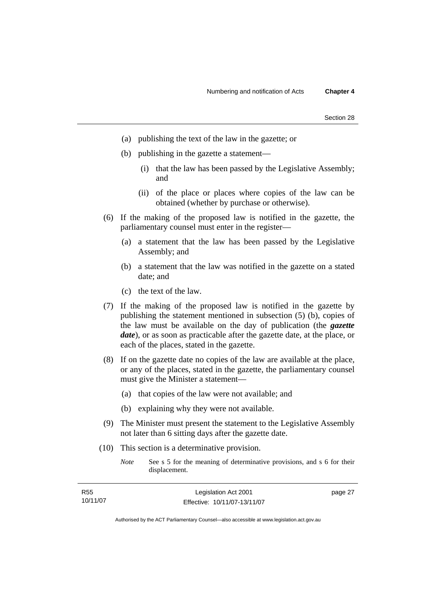- (a) publishing the text of the law in the gazette; or
- (b) publishing in the gazette a statement—
	- (i) that the law has been passed by the Legislative Assembly; and
	- (ii) of the place or places where copies of the law can be obtained (whether by purchase or otherwise).
- (6) If the making of the proposed law is notified in the gazette, the parliamentary counsel must enter in the register—
	- (a) a statement that the law has been passed by the Legislative Assembly; and
	- (b) a statement that the law was notified in the gazette on a stated date; and
	- (c) the text of the law.
- (7) If the making of the proposed law is notified in the gazette by publishing the statement mentioned in subsection (5) (b), copies of the law must be available on the day of publication (the *gazette date*), or as soon as practicable after the gazette date, at the place, or each of the places, stated in the gazette.
- (8) If on the gazette date no copies of the law are available at the place, or any of the places, stated in the gazette, the parliamentary counsel must give the Minister a statement—
	- (a) that copies of the law were not available; and
	- (b) explaining why they were not available.
- (9) The Minister must present the statement to the Legislative Assembly not later than 6 sitting days after the gazette date.
- (10) This section is a determinative provision.
	- *Note* See s 5 for the meaning of determinative provisions, and s 6 for their displacement.

| R55      | Legislation Act 2001         | page 27 |
|----------|------------------------------|---------|
| 10/11/07 | Effective: 10/11/07-13/11/07 |         |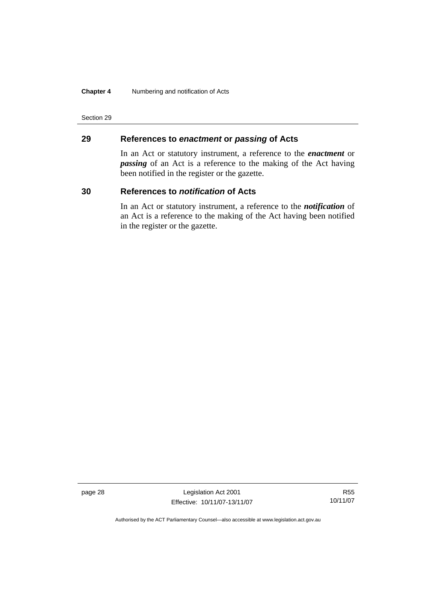### **Chapter 4** Numbering and notification of Acts

Section 29

# **29 References to** *enactment* **or** *passing* **of Acts**

In an Act or statutory instrument, a reference to the *enactment* or *passing* of an Act is a reference to the making of the Act having been notified in the register or the gazette.

## **30 References to** *notification* **of Acts**

In an Act or statutory instrument, a reference to the *notification* of an Act is a reference to the making of the Act having been notified in the register or the gazette.

page 28 Legislation Act 2001 Effective: 10/11/07-13/11/07

R55 10/11/07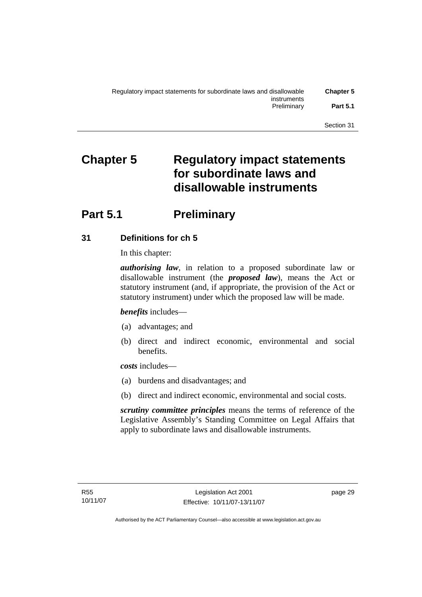# **Chapter 5 Regulatory impact statements for subordinate laws and disallowable instruments**

# **Part 5.1** Preliminary

# **31 Definitions for ch 5**

In this chapter:

*authorising law*, in relation to a proposed subordinate law or disallowable instrument (the *proposed law*), means the Act or statutory instrument (and, if appropriate, the provision of the Act or statutory instrument) under which the proposed law will be made.

*benefits* includes—

- (a) advantages; and
- (b) direct and indirect economic, environmental and social benefits.

*costs* includes—

- (a) burdens and disadvantages; and
- (b) direct and indirect economic, environmental and social costs.

*scrutiny committee principles* means the terms of reference of the Legislative Assembly's Standing Committee on Legal Affairs that apply to subordinate laws and disallowable instruments.

page 29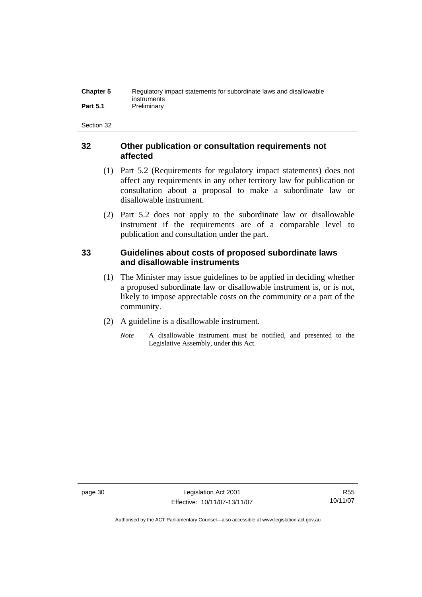| <b>Chapter 5</b> | Regulatory impact statements for subordinate laws and disallowable |
|------------------|--------------------------------------------------------------------|
|                  | instruments                                                        |
| <b>Part 5.1</b>  | Preliminary                                                        |

# **32 Other publication or consultation requirements not affected**

- (1) Part 5.2 (Requirements for regulatory impact statements) does not affect any requirements in any other territory law for publication or consultation about a proposal to make a subordinate law or disallowable instrument.
- (2) Part 5.2 does not apply to the subordinate law or disallowable instrument if the requirements are of a comparable level to publication and consultation under the part.

# **33 Guidelines about costs of proposed subordinate laws and disallowable instruments**

- (1) The Minister may issue guidelines to be applied in deciding whether a proposed subordinate law or disallowable instrument is, or is not, likely to impose appreciable costs on the community or a part of the community.
- (2) A guideline is a disallowable instrument.
	- *Note* A disallowable instrument must be notified, and presented to the Legislative Assembly, under this Act.

page 30 Legislation Act 2001 Effective: 10/11/07-13/11/07

R55 10/11/07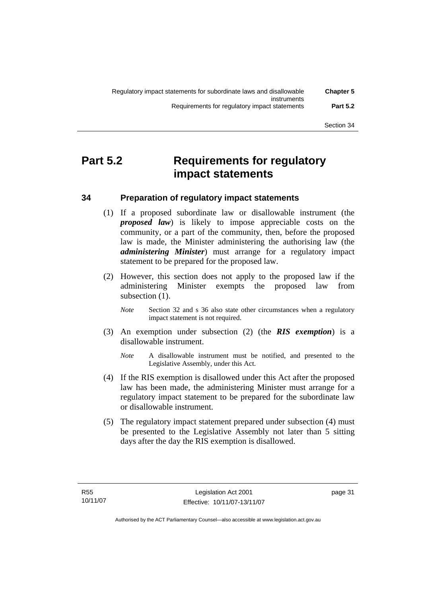# **Part 5.2 Requirements for regulatory impact statements**

# **34 Preparation of regulatory impact statements**

- (1) If a proposed subordinate law or disallowable instrument (the *proposed law*) is likely to impose appreciable costs on the community, or a part of the community, then, before the proposed law is made, the Minister administering the authorising law (the *administering Minister*) must arrange for a regulatory impact statement to be prepared for the proposed law.
- (2) However, this section does not apply to the proposed law if the administering Minister exempts the proposed law from subsection  $(1)$ .
	- *Note* Section 32 and s 36 also state other circumstances when a regulatory impact statement is not required.
- (3) An exemption under subsection (2) (the *RIS exemption*) is a disallowable instrument.
	- *Note* A disallowable instrument must be notified, and presented to the Legislative Assembly, under this Act.
- (4) If the RIS exemption is disallowed under this Act after the proposed law has been made, the administering Minister must arrange for a regulatory impact statement to be prepared for the subordinate law or disallowable instrument.
- (5) The regulatory impact statement prepared under subsection (4) must be presented to the Legislative Assembly not later than 5 sitting days after the day the RIS exemption is disallowed.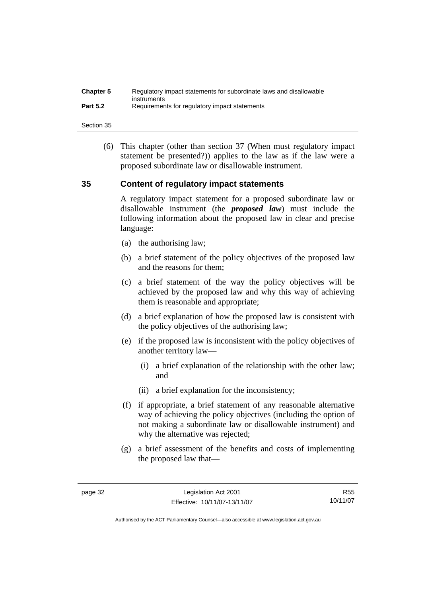| <b>Chapter 5</b> | Regulatory impact statements for subordinate laws and disallowable |
|------------------|--------------------------------------------------------------------|
| <b>Part 5.2</b>  | instruments<br>Requirements for regulatory impact statements       |

 (6) This chapter (other than section 37 (When must regulatory impact statement be presented?)) applies to the law as if the law were a proposed subordinate law or disallowable instrument.

# **35 Content of regulatory impact statements**

A regulatory impact statement for a proposed subordinate law or disallowable instrument (the *proposed law*) must include the following information about the proposed law in clear and precise language:

- (a) the authorising law;
- (b) a brief statement of the policy objectives of the proposed law and the reasons for them;
- (c) a brief statement of the way the policy objectives will be achieved by the proposed law and why this way of achieving them is reasonable and appropriate;
- (d) a brief explanation of how the proposed law is consistent with the policy objectives of the authorising law;
- (e) if the proposed law is inconsistent with the policy objectives of another territory law—
	- (i) a brief explanation of the relationship with the other law; and
	- (ii) a brief explanation for the inconsistency;
- (f) if appropriate, a brief statement of any reasonable alternative way of achieving the policy objectives (including the option of not making a subordinate law or disallowable instrument) and why the alternative was rejected;
- (g) a brief assessment of the benefits and costs of implementing the proposed law that—

R55 10/11/07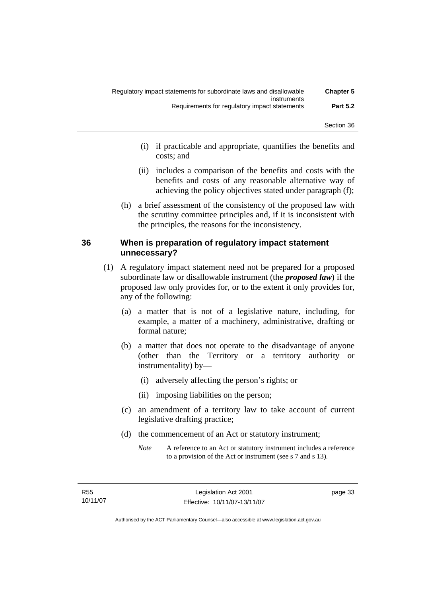- (i) if practicable and appropriate, quantifies the benefits and costs; and
- (ii) includes a comparison of the benefits and costs with the benefits and costs of any reasonable alternative way of achieving the policy objectives stated under paragraph (f);
- (h) a brief assessment of the consistency of the proposed law with the scrutiny committee principles and, if it is inconsistent with the principles, the reasons for the inconsistency.

# **36 When is preparation of regulatory impact statement unnecessary?**

- (1) A regulatory impact statement need not be prepared for a proposed subordinate law or disallowable instrument (the *proposed law*) if the proposed law only provides for, or to the extent it only provides for, any of the following:
	- (a) a matter that is not of a legislative nature, including, for example, a matter of a machinery, administrative, drafting or formal nature;
	- (b) a matter that does not operate to the disadvantage of anyone (other than the Territory or a territory authority or instrumentality) by—
		- (i) adversely affecting the person's rights; or
		- (ii) imposing liabilities on the person;
	- (c) an amendment of a territory law to take account of current legislative drafting practice;
	- (d) the commencement of an Act or statutory instrument;
		- *Note* A reference to an Act or statutory instrument includes a reference to a provision of the Act or instrument (see s 7 and s 13).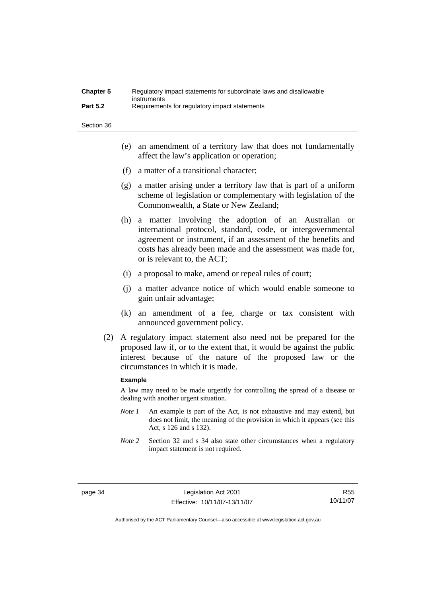| <b>Chapter 5</b> | Regulatory impact statements for subordinate laws and disallowable |
|------------------|--------------------------------------------------------------------|
|                  | instruments                                                        |
| <b>Part 5.2</b>  | Requirements for regulatory impact statements                      |

- (e) an amendment of a territory law that does not fundamentally affect the law's application or operation;
- (f) a matter of a transitional character;
- (g) a matter arising under a territory law that is part of a uniform scheme of legislation or complementary with legislation of the Commonwealth, a State or New Zealand;
- (h) a matter involving the adoption of an Australian or international protocol, standard, code, or intergovernmental agreement or instrument, if an assessment of the benefits and costs has already been made and the assessment was made for, or is relevant to, the ACT;
- (i) a proposal to make, amend or repeal rules of court;
- (j) a matter advance notice of which would enable someone to gain unfair advantage;
- (k) an amendment of a fee, charge or tax consistent with announced government policy.
- (2) A regulatory impact statement also need not be prepared for the proposed law if, or to the extent that, it would be against the public interest because of the nature of the proposed law or the circumstances in which it is made.

#### **Example**

A law may need to be made urgently for controlling the spread of a disease or dealing with another urgent situation.

- *Note 1* An example is part of the Act, is not exhaustive and may extend, but does not limit, the meaning of the provision in which it appears (see this Act, s 126 and s 132).
- *Note* 2 Section 32 and s 34 also state other circumstances when a regulatory impact statement is not required.

R55 10/11/07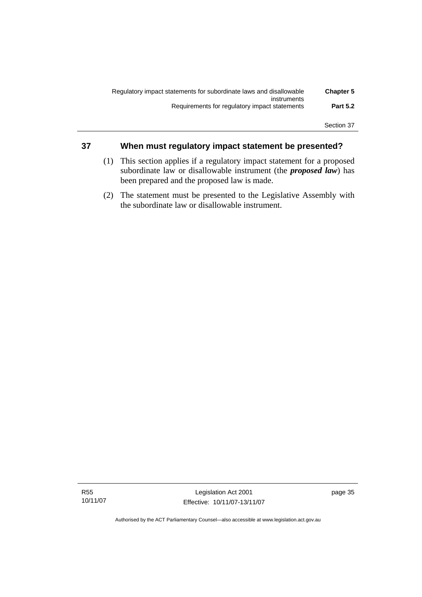| <b>Chapter 5</b> | Regulatory impact statements for subordinate laws and disallowable |
|------------------|--------------------------------------------------------------------|
|                  | instruments                                                        |
| <b>Part 5.2</b>  | Requirements for regulatory impact statements                      |
|                  |                                                                    |

# **37 When must regulatory impact statement be presented?**

- (1) This section applies if a regulatory impact statement for a proposed subordinate law or disallowable instrument (the *proposed law*) has been prepared and the proposed law is made.
- (2) The statement must be presented to the Legislative Assembly with the subordinate law or disallowable instrument.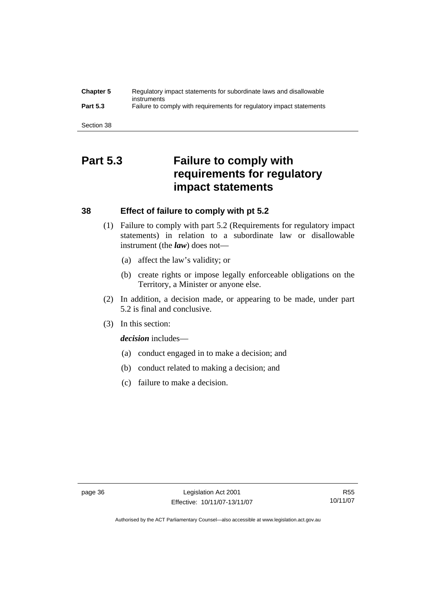| <b>Chapter 5</b> | Regulatory impact statements for subordinate laws and disallowable<br>instruments |
|------------------|-----------------------------------------------------------------------------------|
| <b>Part 5.3</b>  | Failure to comply with requirements for regulatory impact statements              |
|                  |                                                                                   |
| Section 38       |                                                                                   |

# **Part 5.3 Failure to comply with requirements for regulatory impact statements**

## **38 Effect of failure to comply with pt 5.2**

- (1) Failure to comply with part 5.2 (Requirements for regulatory impact statements) in relation to a subordinate law or disallowable instrument (the *law*) does not—
	- (a) affect the law's validity; or
	- (b) create rights or impose legally enforceable obligations on the Territory, a Minister or anyone else.
- (2) In addition, a decision made, or appearing to be made, under part 5.2 is final and conclusive.
- (3) In this section:

*decision* includes—

- (a) conduct engaged in to make a decision; and
- (b) conduct related to making a decision; and
- (c) failure to make a decision.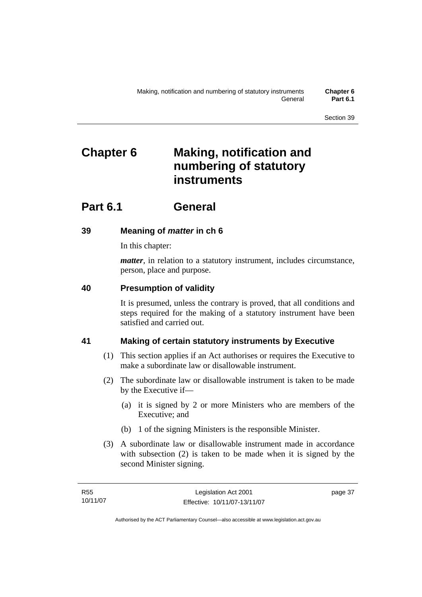# **Chapter 6 Making, notification and numbering of statutory instruments**

# **Part 6.1 General**

# **39 Meaning of** *matter* **in ch 6**

In this chapter:

*matter*, in relation to a statutory instrument, includes circumstance, person, place and purpose.

# **40 Presumption of validity**

It is presumed, unless the contrary is proved, that all conditions and steps required for the making of a statutory instrument have been satisfied and carried out.

# **41 Making of certain statutory instruments by Executive**

- (1) This section applies if an Act authorises or requires the Executive to make a subordinate law or disallowable instrument.
- (2) The subordinate law or disallowable instrument is taken to be made by the Executive if—
	- (a) it is signed by 2 or more Ministers who are members of the Executive; and
	- (b) 1 of the signing Ministers is the responsible Minister.
- (3) A subordinate law or disallowable instrument made in accordance with subsection (2) is taken to be made when it is signed by the second Minister signing.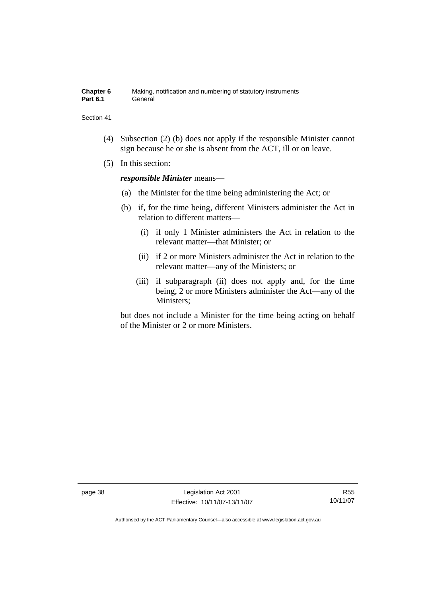| <b>Chapter 6</b> | Making, notification and numbering of statutory instruments |
|------------------|-------------------------------------------------------------|
| Part 6.1         | General                                                     |

- (4) Subsection (2) (b) does not apply if the responsible Minister cannot sign because he or she is absent from the ACT, ill or on leave.
- (5) In this section:

*responsible Minister* means—

- (a) the Minister for the time being administering the Act; or
- (b) if, for the time being, different Ministers administer the Act in relation to different matters—
	- (i) if only 1 Minister administers the Act in relation to the relevant matter—that Minister; or
	- (ii) if 2 or more Ministers administer the Act in relation to the relevant matter—any of the Ministers; or
	- (iii) if subparagraph (ii) does not apply and, for the time being, 2 or more Ministers administer the Act—any of the Ministers;

but does not include a Minister for the time being acting on behalf of the Minister or 2 or more Ministers.

page 38 Legislation Act 2001 Effective: 10/11/07-13/11/07

R55 10/11/07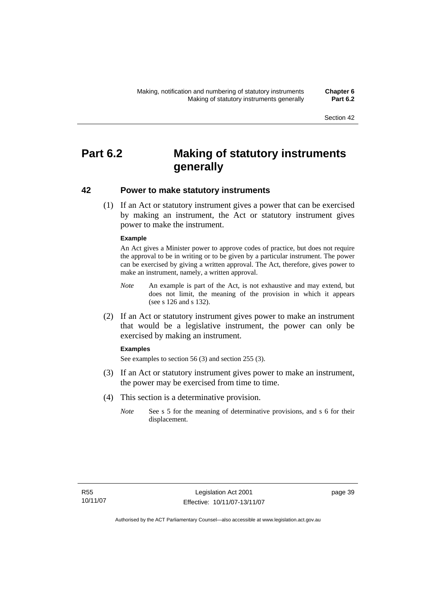# **Part 6.2 Making of statutory instruments generally**

# **42 Power to make statutory instruments**

 (1) If an Act or statutory instrument gives a power that can be exercised by making an instrument, the Act or statutory instrument gives power to make the instrument.

#### **Example**

An Act gives a Minister power to approve codes of practice, but does not require the approval to be in writing or to be given by a particular instrument. The power can be exercised by giving a written approval. The Act, therefore, gives power to make an instrument, namely, a written approval.

- *Note* An example is part of the Act, is not exhaustive and may extend, but does not limit, the meaning of the provision in which it appears (see s 126 and s 132).
- (2) If an Act or statutory instrument gives power to make an instrument that would be a legislative instrument, the power can only be exercised by making an instrument.

#### **Examples**

See examples to section 56 (3) and section 255 (3).

- (3) If an Act or statutory instrument gives power to make an instrument, the power may be exercised from time to time.
- (4) This section is a determinative provision.
	- *Note* See s 5 for the meaning of determinative provisions, and s 6 for their displacement.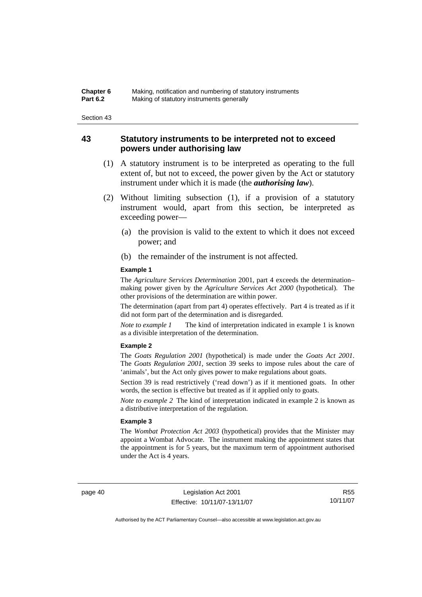# **43 Statutory instruments to be interpreted not to exceed powers under authorising law**

- (1) A statutory instrument is to be interpreted as operating to the full extent of, but not to exceed, the power given by the Act or statutory instrument under which it is made (the *authorising law*).
- (2) Without limiting subsection (1), if a provision of a statutory instrument would, apart from this section, be interpreted as exceeding power—
	- (a) the provision is valid to the extent to which it does not exceed power; and
	- (b) the remainder of the instrument is not affected.

#### **Example 1**

The *Agriculture Services Determination* 2001, part 4 exceeds the determination– making power given by the *Agriculture Services Act 2000* (hypothetical). The other provisions of the determination are within power.

The determination (apart from part 4) operates effectively. Part 4 is treated as if it did not form part of the determination and is disregarded.

*Note to example 1* The kind of interpretation indicated in example 1 is known as a divisible interpretation of the determination.

#### **Example 2**

The *Goats Regulation 2001* (hypothetical) is made under the *Goats Act 2001*. The *Goats Regulation 2001*, section 39 seeks to impose rules about the care of 'animals', but the Act only gives power to make regulations about goats.

Section 39 is read restrictively ('read down') as if it mentioned goats. In other words, the section is effective but treated as if it applied only to goats.

*Note to example 2* The kind of interpretation indicated in example 2 is known as a distributive interpretation of the regulation.

#### **Example 3**

The *Wombat Protection Act 2003* (hypothetical) provides that the Minister may appoint a Wombat Advocate. The instrument making the appointment states that the appointment is for 5 years, but the maximum term of appointment authorised under the Act is 4 years.

page 40 Legislation Act 2001 Effective: 10/11/07-13/11/07

R55 10/11/07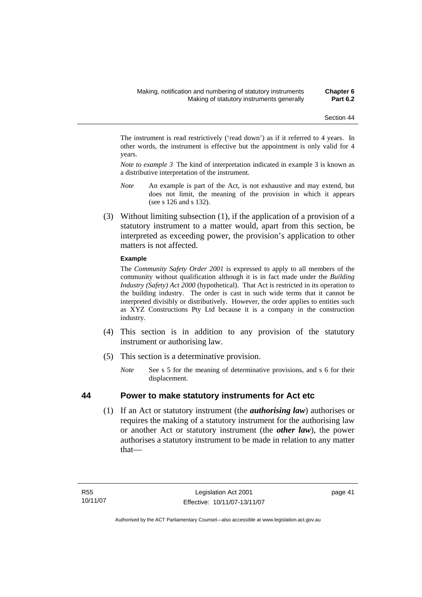The instrument is read restrictively ('read down') as if it referred to 4 years. In other words, the instrument is effective but the appointment is only valid for 4 years.

*Note to example 3* The kind of interpretation indicated in example 3 is known as a distributive interpretation of the instrument.

- *Note* An example is part of the Act, is not exhaustive and may extend, but does not limit, the meaning of the provision in which it appears (see s 126 and s 132).
- (3) Without limiting subsection (1), if the application of a provision of a statutory instrument to a matter would, apart from this section, be interpreted as exceeding power, the provision's application to other matters is not affected.

#### **Example**

The *Community Safety Order 2001* is expressed to apply to all members of the community without qualification although it is in fact made under the *Building Industry (Safety) Act 2000* (hypothetical). That Act is restricted in its operation to the building industry. The order is cast in such wide terms that it cannot be interpreted divisibly or distributively. However, the order applies to entities such as XYZ Constructions Pty Ltd because it is a company in the construction industry.

- (4) This section is in addition to any provision of the statutory instrument or authorising law.
- (5) This section is a determinative provision.
	- *Note* See s 5 for the meaning of determinative provisions, and s 6 for their displacement.

## **44 Power to make statutory instruments for Act etc**

 (1) If an Act or statutory instrument (the *authorising law*) authorises or requires the making of a statutory instrument for the authorising law or another Act or statutory instrument (the *other law*), the power authorises a statutory instrument to be made in relation to any matter that—

page 41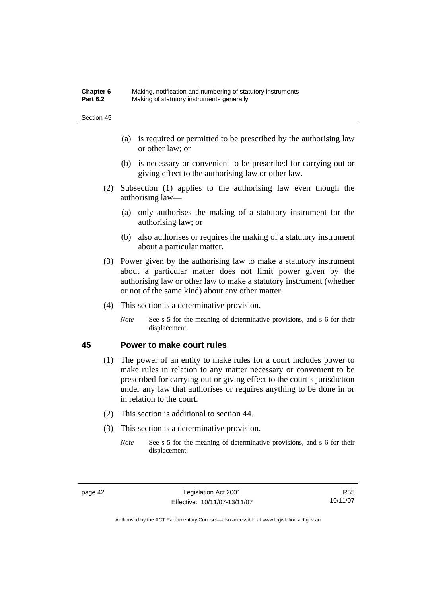| Chapter 6       | Making, notification and numbering of statutory instruments |
|-----------------|-------------------------------------------------------------|
| <b>Part 6.2</b> | Making of statutory instruments generally                   |

- (a) is required or permitted to be prescribed by the authorising law or other law; or
- (b) is necessary or convenient to be prescribed for carrying out or giving effect to the authorising law or other law.
- (2) Subsection (1) applies to the authorising law even though the authorising law—
	- (a) only authorises the making of a statutory instrument for the authorising law; or
	- (b) also authorises or requires the making of a statutory instrument about a particular matter.
- (3) Power given by the authorising law to make a statutory instrument about a particular matter does not limit power given by the authorising law or other law to make a statutory instrument (whether or not of the same kind) about any other matter.
- (4) This section is a determinative provision.
	- *Note* See s 5 for the meaning of determinative provisions, and s 6 for their displacement.

## **45 Power to make court rules**

- (1) The power of an entity to make rules for a court includes power to make rules in relation to any matter necessary or convenient to be prescribed for carrying out or giving effect to the court's jurisdiction under any law that authorises or requires anything to be done in or in relation to the court.
- (2) This section is additional to section 44.
- (3) This section is a determinative provision.
	- *Note* See s 5 for the meaning of determinative provisions, and s 6 for their displacement.

R55 10/11/07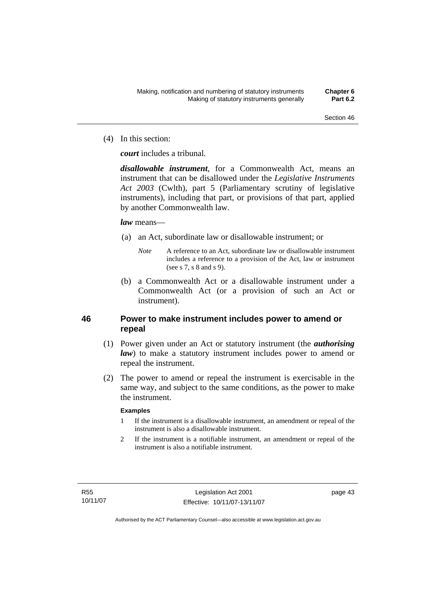(4) In this section:

*court* includes a tribunal*.*

*disallowable instrument*, for a Commonwealth Act, means an instrument that can be disallowed under the *Legislative Instruments Act 2003* (Cwlth), part 5 (Parliamentary scrutiny of legislative instruments), including that part, or provisions of that part, applied by another Commonwealth law.

## *law* means—

- (a) an Act, subordinate law or disallowable instrument; or
	- *Note* A reference to an Act, subordinate law or disallowable instrument includes a reference to a provision of the Act, law or instrument (see s 7, s 8 and s 9).
- (b) a Commonwealth Act or a disallowable instrument under a Commonwealth Act (or a provision of such an Act or instrument).

# **46 Power to make instrument includes power to amend or repeal**

- (1) Power given under an Act or statutory instrument (the *authorising law*) to make a statutory instrument includes power to amend or repeal the instrument.
- (2) The power to amend or repeal the instrument is exercisable in the same way, and subject to the same conditions, as the power to make the instrument.

## **Examples**

- 1 If the instrument is a disallowable instrument, an amendment or repeal of the instrument is also a disallowable instrument.
- 2 If the instrument is a notifiable instrument, an amendment or repeal of the instrument is also a notifiable instrument.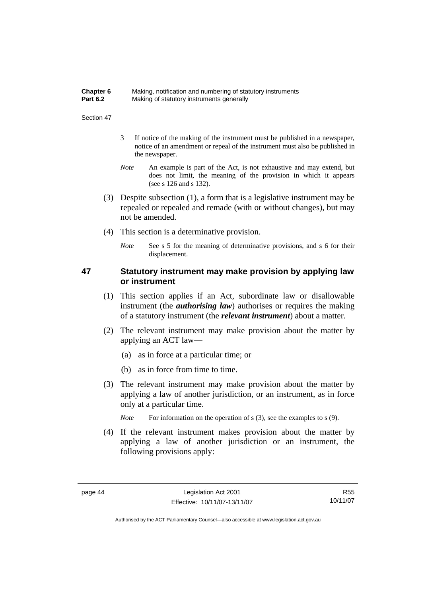| Chapter 6       | Making, notification and numbering of statutory instruments |
|-----------------|-------------------------------------------------------------|
| <b>Part 6.2</b> | Making of statutory instruments generally                   |

- 3 If notice of the making of the instrument must be published in a newspaper, notice of an amendment or repeal of the instrument must also be published in the newspaper.
- *Note* An example is part of the Act, is not exhaustive and may extend, but does not limit, the meaning of the provision in which it appears (see s 126 and s 132).
- (3) Despite subsection (1), a form that is a legislative instrument may be repealed or repealed and remade (with or without changes), but may not be amended.
- (4) This section is a determinative provision.
	- *Note* See s 5 for the meaning of determinative provisions, and s 6 for their displacement.

# **47 Statutory instrument may make provision by applying law or instrument**

- (1) This section applies if an Act, subordinate law or disallowable instrument (the *authorising law*) authorises or requires the making of a statutory instrument (the *relevant instrument*) about a matter.
- (2) The relevant instrument may make provision about the matter by applying an ACT law—
	- (a) as in force at a particular time; or
	- (b) as in force from time to time.
- (3) The relevant instrument may make provision about the matter by applying a law of another jurisdiction, or an instrument, as in force only at a particular time.

*Note* For information on the operation of s (3), see the examples to s (9).

 (4) If the relevant instrument makes provision about the matter by applying a law of another jurisdiction or an instrument, the following provisions apply:

R55 10/11/07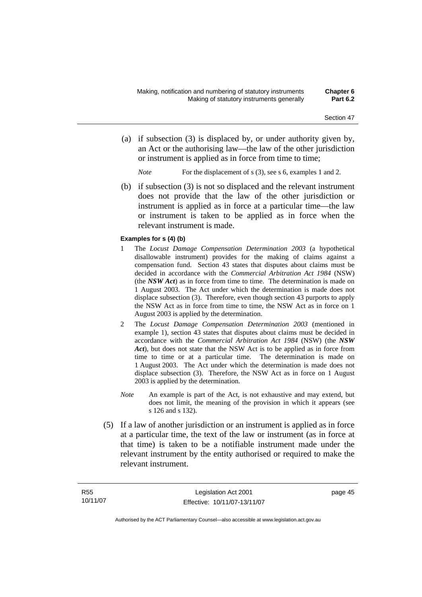- (a) if subsection (3) is displaced by, or under authority given by, an Act or the authorising law—the law of the other jurisdiction or instrument is applied as in force from time to time;
	- *Note* For the displacement of s (3), see s 6, examples 1 and 2.
- (b) if subsection (3) is not so displaced and the relevant instrument does not provide that the law of the other jurisdiction or instrument is applied as in force at a particular time—the law or instrument is taken to be applied as in force when the relevant instrument is made.

#### **Examples for s (4) (b)**

- 1 The *Locust Damage Compensation Determination 2003* (a hypothetical disallowable instrument) provides for the making of claims against a compensation fund. Section 43 states that disputes about claims must be decided in accordance with the *Commercial Arbitration Act 1984* (NSW) (the *NSW Act*) as in force from time to time. The determination is made on 1 August 2003. The Act under which the determination is made does not displace subsection (3). Therefore, even though section 43 purports to apply the NSW Act as in force from time to time, the NSW Act as in force on 1 August 2003 is applied by the determination.
- 2 The *Locust Damage Compensation Determination 2003* (mentioned in example 1), section 43 states that disputes about claims must be decided in accordance with the *Commercial Arbitration Act 1984* (NSW) (the *NSW Act*), but does not state that the NSW Act is to be applied as in force from time to time or at a particular time. The determination is made on 1 August 2003. The Act under which the determination is made does not displace subsection (3). Therefore, the NSW Act as in force on 1 August 2003 is applied by the determination.
- *Note* An example is part of the Act, is not exhaustive and may extend, but does not limit, the meaning of the provision in which it appears (see s 126 and s 132).
- (5) If a law of another jurisdiction or an instrument is applied as in force at a particular time, the text of the law or instrument (as in force at that time) is taken to be a notifiable instrument made under the relevant instrument by the entity authorised or required to make the relevant instrument.

page 45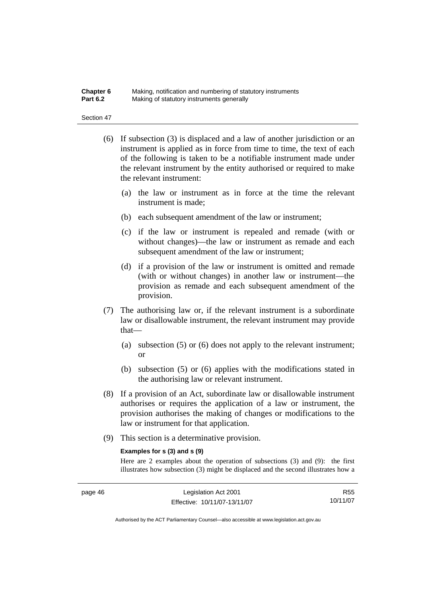#### **Chapter 6** Making, notification and numbering of statutory instruments<br>**Part 6.2** Making of statutory instruments generally **Making of statutory instruments generally**

#### Section 47

- (6) If subsection (3) is displaced and a law of another jurisdiction or an instrument is applied as in force from time to time, the text of each of the following is taken to be a notifiable instrument made under the relevant instrument by the entity authorised or required to make the relevant instrument:
	- (a) the law or instrument as in force at the time the relevant instrument is made;
	- (b) each subsequent amendment of the law or instrument;
	- (c) if the law or instrument is repealed and remade (with or without changes)—the law or instrument as remade and each subsequent amendment of the law or instrument;
	- (d) if a provision of the law or instrument is omitted and remade (with or without changes) in another law or instrument—the provision as remade and each subsequent amendment of the provision.
- (7) The authorising law or, if the relevant instrument is a subordinate law or disallowable instrument, the relevant instrument may provide that—
	- (a) subsection (5) or (6) does not apply to the relevant instrument; or
	- (b) subsection (5) or (6) applies with the modifications stated in the authorising law or relevant instrument.
- (8) If a provision of an Act, subordinate law or disallowable instrument authorises or requires the application of a law or instrument, the provision authorises the making of changes or modifications to the law or instrument for that application.
- (9) This section is a determinative provision.

#### **Examples for s (3) and s (9)**

Here are 2 examples about the operation of subsections (3) and (9): the first illustrates how subsection (3) might be displaced and the second illustrates how a

R55 10/11/07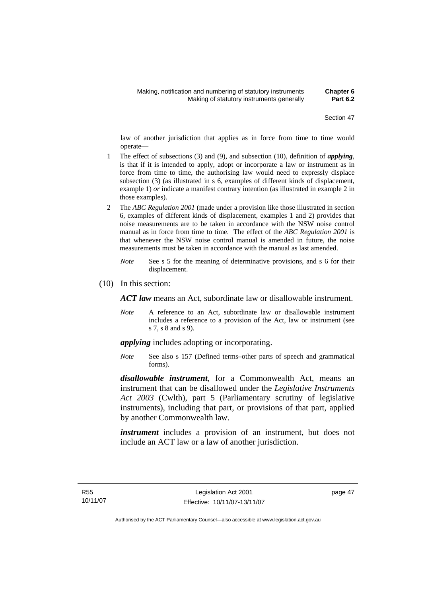law of another jurisdiction that applies as in force from time to time would operate—

- 1 The effect of subsections (3) and (9), and subsection (10), definition of *applying*, is that if it is intended to apply, adopt or incorporate a law or instrument as in force from time to time, the authorising law would need to expressly displace subsection (3) (as illustrated in s 6, examples of different kinds of displacement, example 1) *or* indicate a manifest contrary intention (as illustrated in example 2 in those examples).
- 2 The *ABC Regulation 2001* (made under a provision like those illustrated in section 6, examples of different kinds of displacement, examples 1 and 2) provides that noise measurements are to be taken in accordance with the NSW noise control manual as in force from time to time. The effect of the *ABC Regulation 2001* is that whenever the NSW noise control manual is amended in future, the noise measurements must be taken in accordance with the manual as last amended.
	- *Note* See s 5 for the meaning of determinative provisions, and s 6 for their displacement.
- (10) In this section:

*ACT law* means an Act, subordinate law or disallowable instrument.

*Note* A reference to an Act, subordinate law or disallowable instrument includes a reference to a provision of the Act, law or instrument (see s 7, s 8 and s 9).

*applying* includes adopting or incorporating.

*Note* See also s 157 (Defined terms–other parts of speech and grammatical forms).

*disallowable instrument*, for a Commonwealth Act, means an instrument that can be disallowed under the *Legislative Instruments Act 2003* (Cwlth), part 5 (Parliamentary scrutiny of legislative instruments), including that part, or provisions of that part, applied by another Commonwealth law.

*instrument* includes a provision of an instrument, but does not include an ACT law or a law of another jurisdiction.

page 47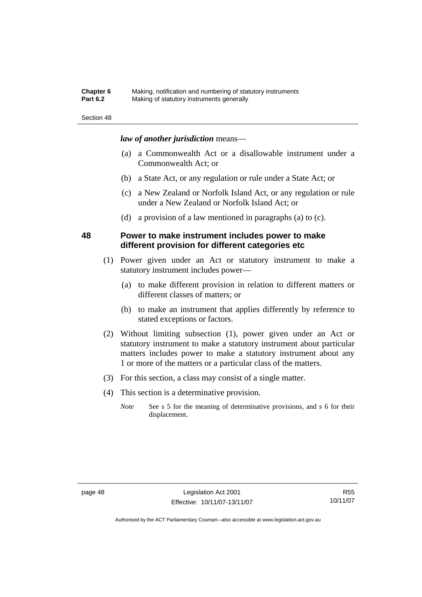### **Chapter 6** Making, notification and numbering of statutory instruments<br>**Part 6.2** Making of statutory instruments generally **Making of statutory instruments generally**

#### Section 48

# *law of another jurisdiction* means—

- (a) a Commonwealth Act or a disallowable instrument under a Commonwealth Act; or
- (b) a State Act, or any regulation or rule under a State Act; or
- (c) a New Zealand or Norfolk Island Act, or any regulation or rule under a New Zealand or Norfolk Island Act; or
- (d) a provision of a law mentioned in paragraphs (a) to (c).

## **48 Power to make instrument includes power to make different provision for different categories etc**

- (1) Power given under an Act or statutory instrument to make a statutory instrument includes power—
	- (a) to make different provision in relation to different matters or different classes of matters; or
	- (b) to make an instrument that applies differently by reference to stated exceptions or factors.
- (2) Without limiting subsection (1), power given under an Act or statutory instrument to make a statutory instrument about particular matters includes power to make a statutory instrument about any 1 or more of the matters or a particular class of the matters.
- (3) For this section, a class may consist of a single matter.
- (4) This section is a determinative provision.
	- *Note* See s 5 for the meaning of determinative provisions, and s 6 for their displacement.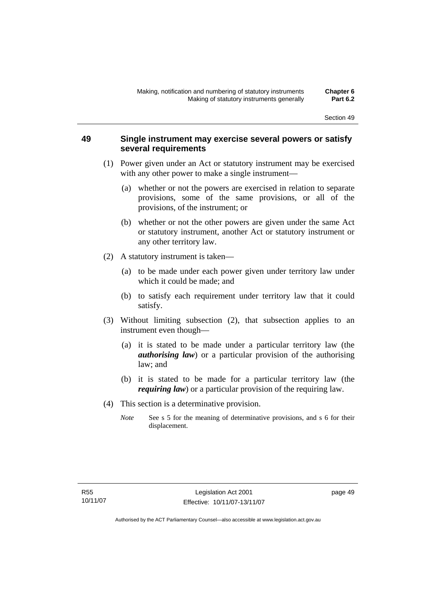# **49 Single instrument may exercise several powers or satisfy several requirements**

- (1) Power given under an Act or statutory instrument may be exercised with any other power to make a single instrument—
	- (a) whether or not the powers are exercised in relation to separate provisions, some of the same provisions, or all of the provisions, of the instrument; or
	- (b) whether or not the other powers are given under the same Act or statutory instrument, another Act or statutory instrument or any other territory law.
- (2) A statutory instrument is taken—
	- (a) to be made under each power given under territory law under which it could be made; and
	- (b) to satisfy each requirement under territory law that it could satisfy.
- (3) Without limiting subsection (2), that subsection applies to an instrument even though—
	- (a) it is stated to be made under a particular territory law (the *authorising law*) or a particular provision of the authorising law; and
	- (b) it is stated to be made for a particular territory law (the *requiring law*) or a particular provision of the requiring law.
- (4) This section is a determinative provision.
	- *Note* See s 5 for the meaning of determinative provisions, and s 6 for their displacement.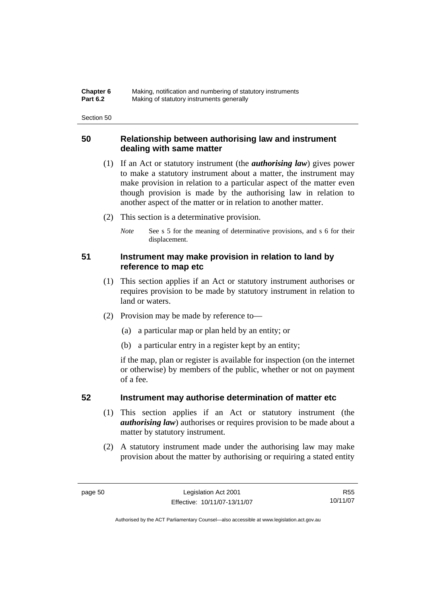| Chapter 6       | Making, notification and numbering of statutory instruments |
|-----------------|-------------------------------------------------------------|
| <b>Part 6.2</b> | Making of statutory instruments generally                   |

# **50 Relationship between authorising law and instrument dealing with same matter**

- (1) If an Act or statutory instrument (the *authorising law*) gives power to make a statutory instrument about a matter, the instrument may make provision in relation to a particular aspect of the matter even though provision is made by the authorising law in relation to another aspect of the matter or in relation to another matter.
- (2) This section is a determinative provision.
	- *Note* See s 5 for the meaning of determinative provisions, and s 6 for their displacement.

# **51 Instrument may make provision in relation to land by reference to map etc**

- (1) This section applies if an Act or statutory instrument authorises or requires provision to be made by statutory instrument in relation to land or waters.
- (2) Provision may be made by reference to—
	- (a) a particular map or plan held by an entity; or
	- (b) a particular entry in a register kept by an entity;

if the map, plan or register is available for inspection (on the internet or otherwise) by members of the public, whether or not on payment of a fee.

# **52 Instrument may authorise determination of matter etc**

- (1) This section applies if an Act or statutory instrument (the *authorising law*) authorises or requires provision to be made about a matter by statutory instrument.
- (2) A statutory instrument made under the authorising law may make provision about the matter by authorising or requiring a stated entity

R55 10/11/07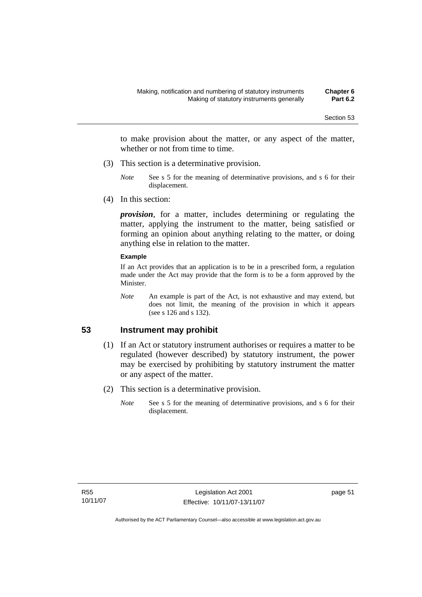to make provision about the matter, or any aspect of the matter, whether or not from time to time.

- (3) This section is a determinative provision.
	- *Note* See s 5 for the meaning of determinative provisions, and s 6 for their displacement.
- (4) In this section:

*provision*, for a matter, includes determining or regulating the matter, applying the instrument to the matter, being satisfied or forming an opinion about anything relating to the matter, or doing anything else in relation to the matter.

#### **Example**

If an Act provides that an application is to be in a prescribed form, a regulation made under the Act may provide that the form is to be a form approved by the Minister.

*Note* An example is part of the Act, is not exhaustive and may extend, but does not limit, the meaning of the provision in which it appears (see s 126 and s 132).

# **53 Instrument may prohibit**

- (1) If an Act or statutory instrument authorises or requires a matter to be regulated (however described) by statutory instrument, the power may be exercised by prohibiting by statutory instrument the matter or any aspect of the matter.
- (2) This section is a determinative provision.
	- *Note* See s 5 for the meaning of determinative provisions, and s 6 for their displacement.

page 51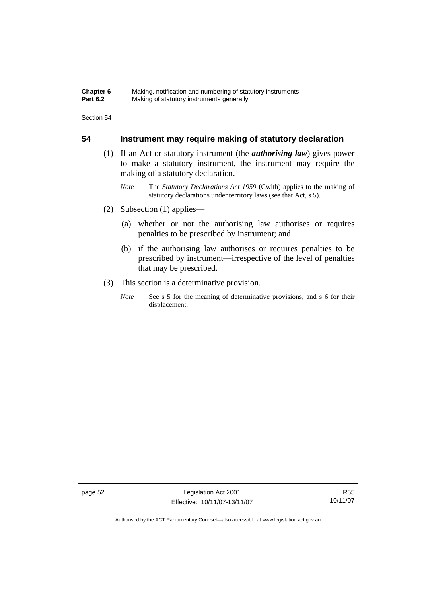#### **Chapter 6** Making, notification and numbering of statutory instruments<br>**Part 6.2** Making of statutory instruments generally **Making of statutory instruments generally**

Section 54

# **54 Instrument may require making of statutory declaration**

- (1) If an Act or statutory instrument (the *authorising law*) gives power to make a statutory instrument, the instrument may require the making of a statutory declaration.
	- *Note* The *Statutory Declarations Act 1959* (Cwlth) applies to the making of statutory declarations under territory laws (see that Act, s 5).
- (2) Subsection (1) applies—
	- (a) whether or not the authorising law authorises or requires penalties to be prescribed by instrument; and
	- (b) if the authorising law authorises or requires penalties to be prescribed by instrument—irrespective of the level of penalties that may be prescribed.
- (3) This section is a determinative provision.
	- *Note* See s 5 for the meaning of determinative provisions, and s 6 for their displacement.

page 52 Legislation Act 2001 Effective: 10/11/07-13/11/07

R55 10/11/07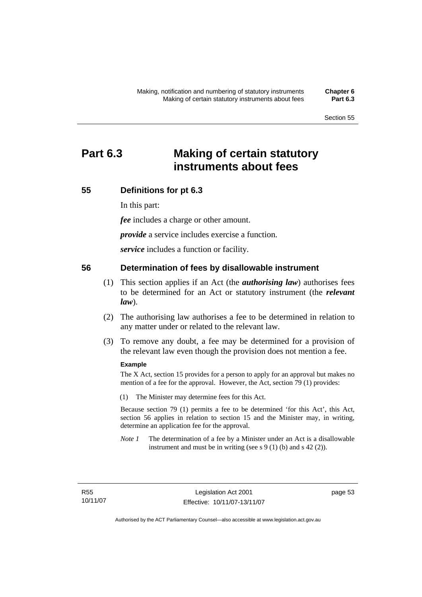# **Part 6.3 Making of certain statutory instruments about fees**

# **55 Definitions for pt 6.3**

In this part:

*fee* includes a charge or other amount.

*provide* a service includes exercise a function.

*service* includes a function or facility.

## **56 Determination of fees by disallowable instrument**

- (1) This section applies if an Act (the *authorising law*) authorises fees to be determined for an Act or statutory instrument (the *relevant law*).
- (2) The authorising law authorises a fee to be determined in relation to any matter under or related to the relevant law.
- (3) To remove any doubt, a fee may be determined for a provision of the relevant law even though the provision does not mention a fee.

#### **Example**

The X Act, section 15 provides for a person to apply for an approval but makes no mention of a fee for the approval. However, the Act, section 79 (1) provides:

(1) The Minister may determine fees for this Act.

Because section 79 (1) permits a fee to be determined 'for this Act', this Act, section 56 applies in relation to section 15 and the Minister may, in writing, determine an application fee for the approval.

*Note 1* The determination of a fee by a Minister under an Act is a disallowable instrument and must be in writing (see s  $9(1)$  (b) and s  $42(2)$ ).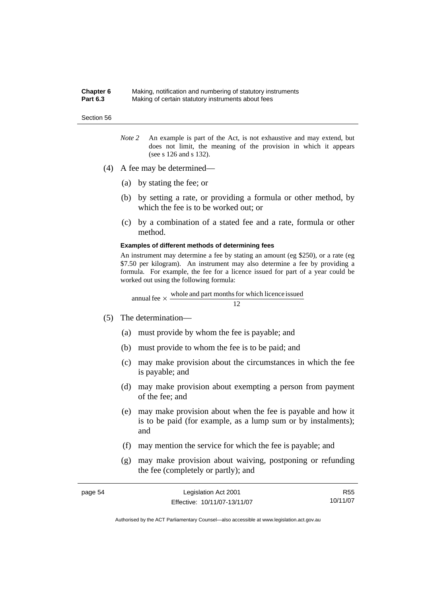#### **Chapter 6** Making, notification and numbering of statutory instruments **Part 6.3** Making of certain statutory instruments about fees

#### Section 56

- *Note 2* An example is part of the Act, is not exhaustive and may extend, but does not limit, the meaning of the provision in which it appears (see s 126 and s 132).
- (4) A fee may be determined—
	- (a) by stating the fee; or
	- (b) by setting a rate, or providing a formula or other method, by which the fee is to be worked out; or
	- (c) by a combination of a stated fee and a rate, formula or other method.

#### **Examples of different methods of determining fees**

An instrument may determine a fee by stating an amount (eg \$250), or a rate (eg \$7.50 per kilogram). An instrument may also determine a fee by providing a formula. For example, the fee for a licence issued for part of a year could be worked out using the following formula:

12 annual fee  $\times$  whole and part months for which licence issued

- (5) The determination—
	- (a) must provide by whom the fee is payable; and
	- (b) must provide to whom the fee is to be paid; and
	- (c) may make provision about the circumstances in which the fee is payable; and
	- (d) may make provision about exempting a person from payment of the fee; and
	- (e) may make provision about when the fee is payable and how it is to be paid (for example, as a lump sum or by instalments); and
	- (f) may mention the service for which the fee is payable; and
	- (g) may make provision about waiving, postponing or refunding the fee (completely or partly); and

| page 54 | Legislation Act 2001         | R55.     |
|---------|------------------------------|----------|
|         | Effective: 10/11/07-13/11/07 | 10/11/07 |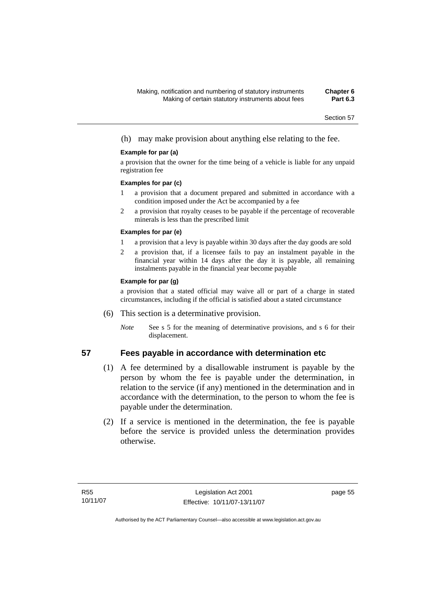(h) may make provision about anything else relating to the fee.

#### **Example for par (a)**

a provision that the owner for the time being of a vehicle is liable for any unpaid registration fee

#### **Examples for par (c)**

- 1 a provision that a document prepared and submitted in accordance with a condition imposed under the Act be accompanied by a fee
- 2 a provision that royalty ceases to be payable if the percentage of recoverable minerals is less than the prescribed limit

#### **Examples for par (e)**

- 1 a provision that a levy is payable within 30 days after the day goods are sold
- 2 a provision that, if a licensee fails to pay an instalment payable in the financial year within 14 days after the day it is payable, all remaining instalments payable in the financial year become payable

#### **Example for par (g)**

a provision that a stated official may waive all or part of a charge in stated circumstances, including if the official is satisfied about a stated circumstance

- (6) This section is a determinative provision.
	- *Note* See s 5 for the meaning of determinative provisions, and s 6 for their displacement.

## **57 Fees payable in accordance with determination etc**

- (1) A fee determined by a disallowable instrument is payable by the person by whom the fee is payable under the determination, in relation to the service (if any) mentioned in the determination and in accordance with the determination, to the person to whom the fee is payable under the determination.
- (2) If a service is mentioned in the determination, the fee is payable before the service is provided unless the determination provides otherwise.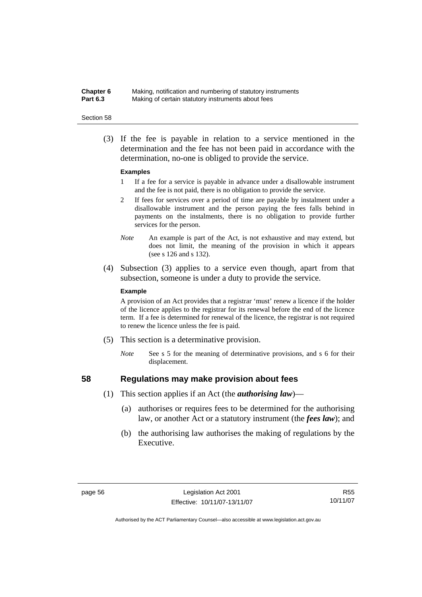### **Chapter 6** Making, notification and numbering of statutory instruments<br>**Part 6.3** Making of certain statutory instruments about fees Making of certain statutory instruments about fees

#### Section 58

 (3) If the fee is payable in relation to a service mentioned in the determination and the fee has not been paid in accordance with the determination, no-one is obliged to provide the service.

#### **Examples**

- 1 If a fee for a service is payable in advance under a disallowable instrument and the fee is not paid, there is no obligation to provide the service.
- 2 If fees for services over a period of time are payable by instalment under a disallowable instrument and the person paying the fees falls behind in payments on the instalments, there is no obligation to provide further services for the person.
- *Note* An example is part of the Act, is not exhaustive and may extend, but does not limit, the meaning of the provision in which it appears (see s 126 and s 132).
- (4) Subsection (3) applies to a service even though, apart from that subsection, someone is under a duty to provide the service.

#### **Example**

A provision of an Act provides that a registrar 'must' renew a licence if the holder of the licence applies to the registrar for its renewal before the end of the licence term. If a fee is determined for renewal of the licence, the registrar is not required to renew the licence unless the fee is paid.

- (5) This section is a determinative provision.
	- *Note* See s 5 for the meaning of determinative provisions, and s 6 for their displacement.

- **58 Regulations may make provision about fees** 
	- (1) This section applies if an Act (the *authorising law*)—
		- (a) authorises or requires fees to be determined for the authorising law, or another Act or a statutory instrument (the *fees law*); and
		- (b) the authorising law authorises the making of regulations by the Executive.

R55 10/11/07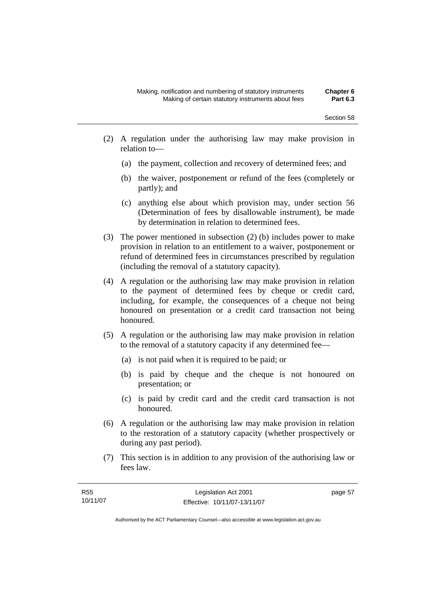- (2) A regulation under the authorising law may make provision in relation to—
	- (a) the payment, collection and recovery of determined fees; and
	- (b) the waiver, postponement or refund of the fees (completely or partly); and
	- (c) anything else about which provision may, under section 56 (Determination of fees by disallowable instrument), be made by determination in relation to determined fees.
- (3) The power mentioned in subsection (2) (b) includes power to make provision in relation to an entitlement to a waiver, postponement or refund of determined fees in circumstances prescribed by regulation (including the removal of a statutory capacity).
- (4) A regulation or the authorising law may make provision in relation to the payment of determined fees by cheque or credit card, including, for example, the consequences of a cheque not being honoured on presentation or a credit card transaction not being honoured.
- (5) A regulation or the authorising law may make provision in relation to the removal of a statutory capacity if any determined fee—
	- (a) is not paid when it is required to be paid; or
	- (b) is paid by cheque and the cheque is not honoured on presentation; or
	- (c) is paid by credit card and the credit card transaction is not honoured.
- (6) A regulation or the authorising law may make provision in relation to the restoration of a statutory capacity (whether prospectively or during any past period).
- (7) This section is in addition to any provision of the authorising law or fees law.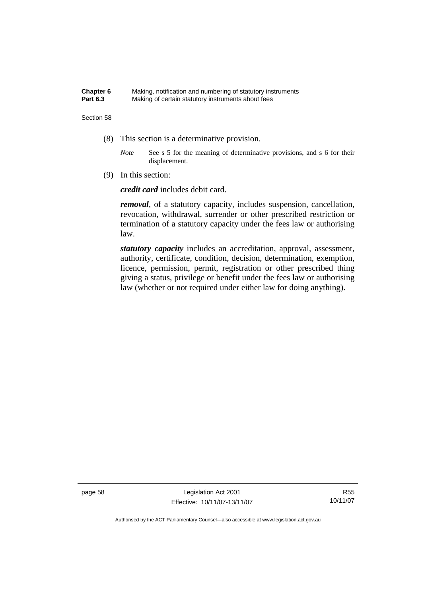#### **Chapter 6** Making, notification and numbering of statutory instruments<br>**Part 6.3** Making of certain statutory instruments about fees Making of certain statutory instruments about fees

#### Section 58

- (8) This section is a determinative provision.
	- *Note* See s 5 for the meaning of determinative provisions, and s 6 for their displacement.
- (9) In this section:

*credit card* includes debit card.

*removal*, of a statutory capacity, includes suspension, cancellation, revocation, withdrawal, surrender or other prescribed restriction or termination of a statutory capacity under the fees law or authorising law.

*statutory capacity* includes an accreditation, approval, assessment, authority, certificate, condition, decision, determination, exemption, licence, permission, permit, registration or other prescribed thing giving a status, privilege or benefit under the fees law or authorising law (whether or not required under either law for doing anything).

page 58 Legislation Act 2001 Effective: 10/11/07-13/11/07

R55 10/11/07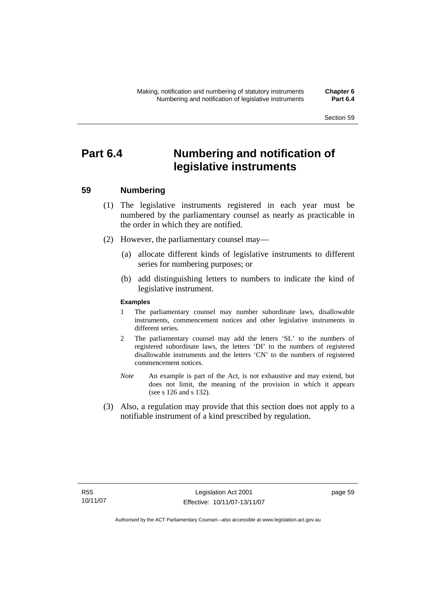# **Part 6.4 Numbering and notification of legislative instruments**

## **59 Numbering**

- (1) The legislative instruments registered in each year must be numbered by the parliamentary counsel as nearly as practicable in the order in which they are notified.
- (2) However, the parliamentary counsel may—
	- (a) allocate different kinds of legislative instruments to different series for numbering purposes; or
	- (b) add distinguishing letters to numbers to indicate the kind of legislative instrument.

#### **Examples**

- 1 The parliamentary counsel may number subordinate laws, disallowable instruments, commencement notices and other legislative instruments in different series.
- 2 The parliamentary counsel may add the letters 'SL' to the numbers of registered subordinate laws, the letters 'DI' to the numbers of registered disallowable instruments and the letters 'CN' to the numbers of registered commencement notices.
- *Note* An example is part of the Act, is not exhaustive and may extend, but does not limit, the meaning of the provision in which it appears (see s 126 and s 132).
- (3) Also, a regulation may provide that this section does not apply to a notifiable instrument of a kind prescribed by regulation.

page 59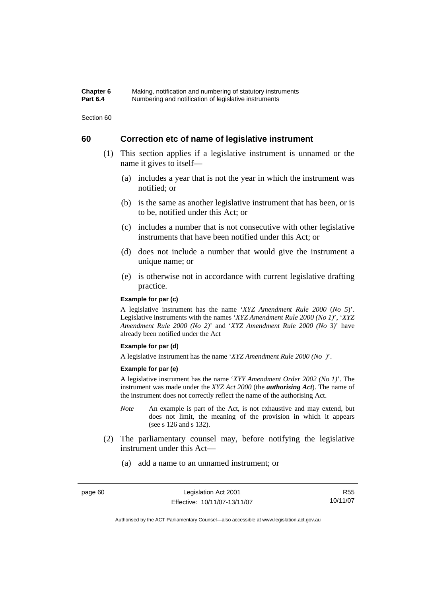#### **Chapter 6** Making, notification and numbering of statutory instruments<br>**Part 6.4** Mumbering and notification of legislative instruments **Part 6.4** Numbering and notification of legislative instruments

Section 60

## **60 Correction etc of name of legislative instrument**

- (1) This section applies if a legislative instrument is unnamed or the name it gives to itself—
	- (a) includes a year that is not the year in which the instrument was notified; or
	- (b) is the same as another legislative instrument that has been, or is to be, notified under this Act; or
	- (c) includes a number that is not consecutive with other legislative instruments that have been notified under this Act; or
	- (d) does not include a number that would give the instrument a unique name; or
	- (e) is otherwise not in accordance with current legislative drafting practice.

## **Example for par (c)**

A legislative instrument has the name '*XYZ Amendment Rule 2000* (*No 5*)'. Legislative instruments with the names '*XYZ Amendment Rule 2000 (No 1)*', '*XYZ Amendment Rule 2000 (No 2)*' and '*XYZ Amendment Rule 2000 (No 3)*' have already been notified under the Act

#### **Example for par (d)**

A legislative instrument has the name '*XYZ Amendment Rule 2000 (No )*'.

#### **Example for par (e)**

A legislative instrument has the name '*XYY Amendment Order 2002 (No 1)*'. The instrument was made under the *XYZ Act 2000* (the *authorising Act*). The name of the instrument does not correctly reflect the name of the authorising Act.

- *Note* An example is part of the Act, is not exhaustive and may extend, but does not limit, the meaning of the provision in which it appears (see s 126 and s 132).
- (2) The parliamentary counsel may, before notifying the legislative instrument under this Act—
	- (a) add a name to an unnamed instrument; or

R55 10/11/07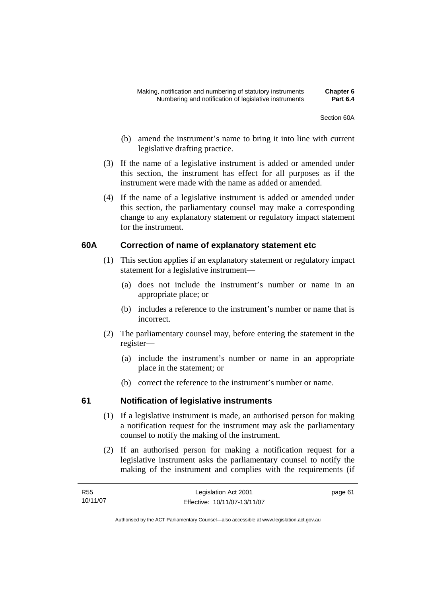- (b) amend the instrument's name to bring it into line with current legislative drafting practice.
- (3) If the name of a legislative instrument is added or amended under this section, the instrument has effect for all purposes as if the instrument were made with the name as added or amended.
- (4) If the name of a legislative instrument is added or amended under this section, the parliamentary counsel may make a corresponding change to any explanatory statement or regulatory impact statement for the instrument.

## **60A Correction of name of explanatory statement etc**

- (1) This section applies if an explanatory statement or regulatory impact statement for a legislative instrument—
	- (a) does not include the instrument's number or name in an appropriate place; or
	- (b) includes a reference to the instrument's number or name that is incorrect.
- (2) The parliamentary counsel may, before entering the statement in the register—
	- (a) include the instrument's number or name in an appropriate place in the statement; or
	- (b) correct the reference to the instrument's number or name.

## **61 Notification of legislative instruments**

- (1) If a legislative instrument is made, an authorised person for making a notification request for the instrument may ask the parliamentary counsel to notify the making of the instrument.
- (2) If an authorised person for making a notification request for a legislative instrument asks the parliamentary counsel to notify the making of the instrument and complies with the requirements (if

| R55      | Legislation Act 2001         | page 61 |
|----------|------------------------------|---------|
| 10/11/07 | Effective: 10/11/07-13/11/07 |         |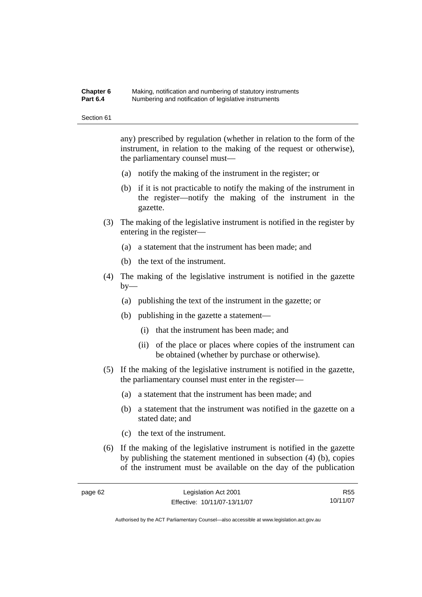#### **Chapter 6** Making, notification and numbering of statutory instruments<br>**Part 6.4** Mumbering and notification of legislative instruments **Part 6.4** Numbering and notification of legislative instruments

Section 61

any) prescribed by regulation (whether in relation to the form of the instrument, in relation to the making of the request or otherwise), the parliamentary counsel must—

- (a) notify the making of the instrument in the register; or
- (b) if it is not practicable to notify the making of the instrument in the register—notify the making of the instrument in the gazette.
- (3) The making of the legislative instrument is notified in the register by entering in the register—
	- (a) a statement that the instrument has been made; and
	- (b) the text of the instrument.
- (4) The making of the legislative instrument is notified in the gazette by—
	- (a) publishing the text of the instrument in the gazette; or
	- (b) publishing in the gazette a statement—
		- (i) that the instrument has been made; and
		- (ii) of the place or places where copies of the instrument can be obtained (whether by purchase or otherwise).
- (5) If the making of the legislative instrument is notified in the gazette, the parliamentary counsel must enter in the register—
	- (a) a statement that the instrument has been made; and
	- (b) a statement that the instrument was notified in the gazette on a stated date; and
	- (c) the text of the instrument.
- (6) If the making of the legislative instrument is notified in the gazette by publishing the statement mentioned in subsection (4) (b), copies of the instrument must be available on the day of the publication

R55 10/11/07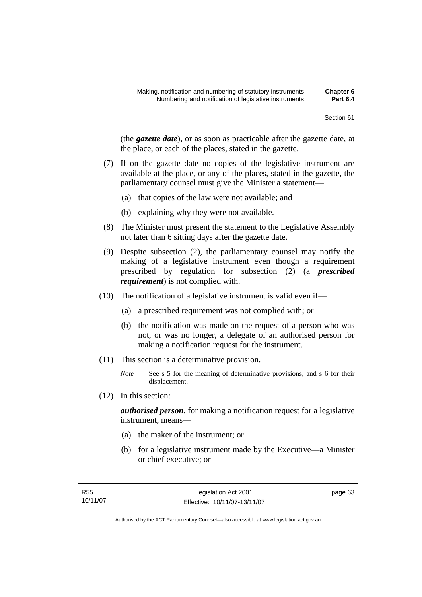(the *gazette date*), or as soon as practicable after the gazette date, at the place, or each of the places, stated in the gazette.

- (7) If on the gazette date no copies of the legislative instrument are available at the place, or any of the places, stated in the gazette, the parliamentary counsel must give the Minister a statement—
	- (a) that copies of the law were not available; and
	- (b) explaining why they were not available.
- (8) The Minister must present the statement to the Legislative Assembly not later than 6 sitting days after the gazette date.
- (9) Despite subsection (2), the parliamentary counsel may notify the making of a legislative instrument even though a requirement prescribed by regulation for subsection (2) (a *prescribed requirement*) is not complied with.
- (10) The notification of a legislative instrument is valid even if—
	- (a) a prescribed requirement was not complied with; or
	- (b) the notification was made on the request of a person who was not, or was no longer, a delegate of an authorised person for making a notification request for the instrument.
- (11) This section is a determinative provision.
	- *Note* See s 5 for the meaning of determinative provisions, and s 6 for their displacement.
- (12) In this section:

*authorised person*, for making a notification request for a legislative instrument, means—

- (a) the maker of the instrument; or
- (b) for a legislative instrument made by the Executive—a Minister or chief executive; or

page 63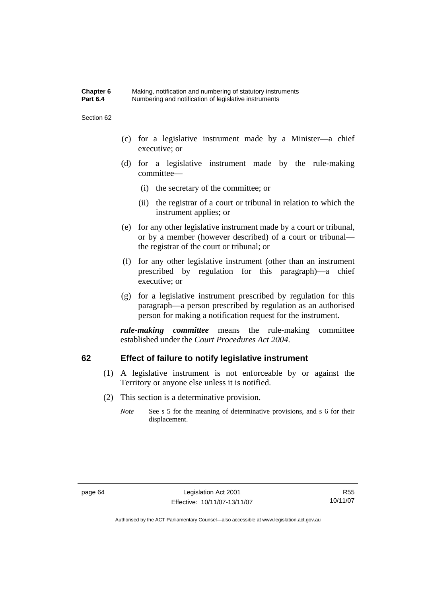#### **Chapter 6** Making, notification and numbering of statutory instruments<br>**Part 6.4** Mumbering and notification of legislative instruments **Part 6.4** Numbering and notification of legislative instruments

Section 62

- (c) for a legislative instrument made by a Minister—a chief executive; or
- (d) for a legislative instrument made by the rule-making committee—
	- (i) the secretary of the committee; or
	- (ii) the registrar of a court or tribunal in relation to which the instrument applies; or
- (e) for any other legislative instrument made by a court or tribunal, or by a member (however described) of a court or tribunal the registrar of the court or tribunal; or
- (f) for any other legislative instrument (other than an instrument prescribed by regulation for this paragraph)—a chief executive; or
- (g) for a legislative instrument prescribed by regulation for this paragraph—a person prescribed by regulation as an authorised person for making a notification request for the instrument.

*rule-making committee* means the rule-making committee established under the *Court Procedures Act 2004*.

## **62 Effect of failure to notify legislative instrument**

- (1) A legislative instrument is not enforceable by or against the Territory or anyone else unless it is notified.
- (2) This section is a determinative provision.
	- *Note* See s 5 for the meaning of determinative provisions, and s 6 for their displacement.

R55 10/11/07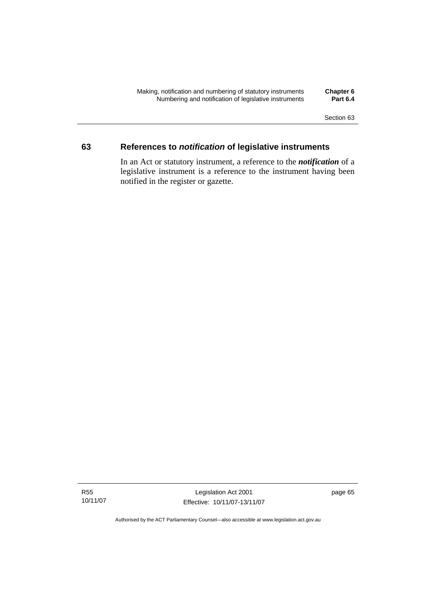Section 63

## **63 References to** *notification* **of legislative instruments**

In an Act or statutory instrument, a reference to the *notification* of a legislative instrument is a reference to the instrument having been notified in the register or gazette.

R55 10/11/07

Legislation Act 2001 Effective: 10/11/07-13/11/07 page 65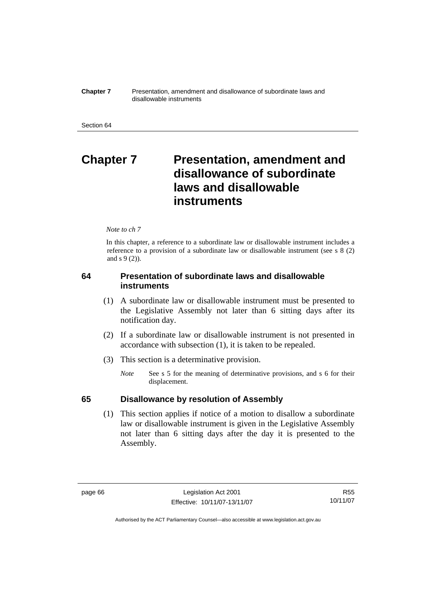**Chapter 7** Presentation, amendment and disallowance of subordinate laws and disallowable instruments

# **Chapter 7** Presentation, amendment and **disallowance of subordinate laws and disallowable instruments**

#### *Note to ch 7*

In this chapter, a reference to a subordinate law or disallowable instrument includes a reference to a provision of a subordinate law or disallowable instrument (see s 8 (2) and s 9 (2)).

## **64 Presentation of subordinate laws and disallowable instruments**

- (1) A subordinate law or disallowable instrument must be presented to the Legislative Assembly not later than 6 sitting days after its notification day.
- (2) If a subordinate law or disallowable instrument is not presented in accordance with subsection (1), it is taken to be repealed.
- (3) This section is a determinative provision.
	- *Note* See s 5 for the meaning of determinative provisions, and s 6 for their displacement.

## **65 Disallowance by resolution of Assembly**

 (1) This section applies if notice of a motion to disallow a subordinate law or disallowable instrument is given in the Legislative Assembly not later than 6 sitting days after the day it is presented to the Assembly.

R55 10/11/07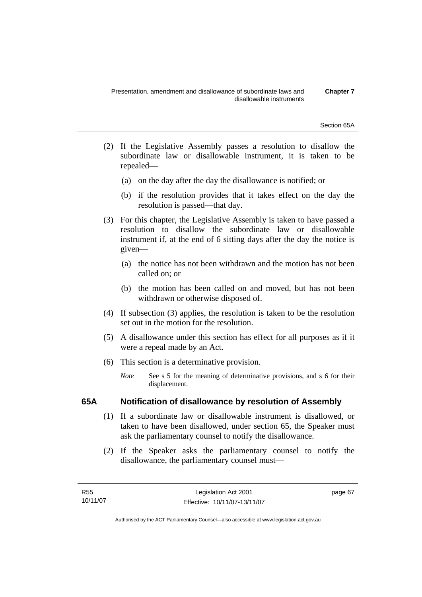Section 65A

- (2) If the Legislative Assembly passes a resolution to disallow the subordinate law or disallowable instrument, it is taken to be repealed—
	- (a) on the day after the day the disallowance is notified; or
	- (b) if the resolution provides that it takes effect on the day the resolution is passed—that day.
- (3) For this chapter, the Legislative Assembly is taken to have passed a resolution to disallow the subordinate law or disallowable instrument if, at the end of 6 sitting days after the day the notice is given—
	- (a) the notice has not been withdrawn and the motion has not been called on; or
	- (b) the motion has been called on and moved, but has not been withdrawn or otherwise disposed of.
- (4) If subsection (3) applies, the resolution is taken to be the resolution set out in the motion for the resolution.
- (5) A disallowance under this section has effect for all purposes as if it were a repeal made by an Act.
- (6) This section is a determinative provision.
	- *Note* See s 5 for the meaning of determinative provisions, and s 6 for their displacement.

## **65A Notification of disallowance by resolution of Assembly**

- (1) If a subordinate law or disallowable instrument is disallowed, or taken to have been disallowed, under section 65, the Speaker must ask the parliamentary counsel to notify the disallowance.
- (2) If the Speaker asks the parliamentary counsel to notify the disallowance, the parliamentary counsel must—

page 67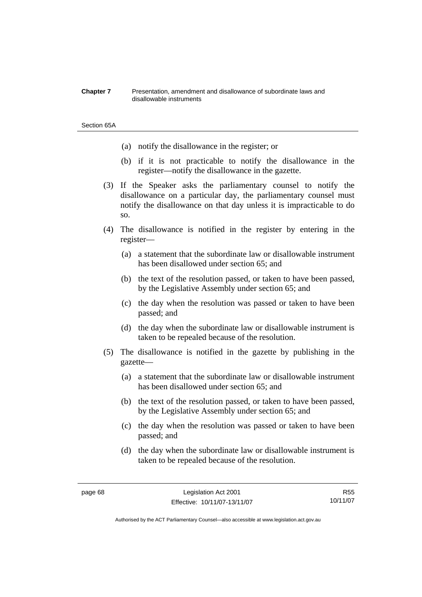#### **Chapter 7** Presentation, amendment and disallowance of subordinate laws and disallowable instruments

#### Section 65A

- (a) notify the disallowance in the register; or
- (b) if it is not practicable to notify the disallowance in the register—notify the disallowance in the gazette.
- (3) If the Speaker asks the parliamentary counsel to notify the disallowance on a particular day, the parliamentary counsel must notify the disallowance on that day unless it is impracticable to do so.
- (4) The disallowance is notified in the register by entering in the register—
	- (a) a statement that the subordinate law or disallowable instrument has been disallowed under section 65; and
	- (b) the text of the resolution passed, or taken to have been passed, by the Legislative Assembly under section 65; and
	- (c) the day when the resolution was passed or taken to have been passed; and
	- (d) the day when the subordinate law or disallowable instrument is taken to be repealed because of the resolution.
- (5) The disallowance is notified in the gazette by publishing in the gazette—
	- (a) a statement that the subordinate law or disallowable instrument has been disallowed under section 65; and
	- (b) the text of the resolution passed, or taken to have been passed, by the Legislative Assembly under section 65; and
	- (c) the day when the resolution was passed or taken to have been passed; and
	- (d) the day when the subordinate law or disallowable instrument is taken to be repealed because of the resolution.

R55 10/11/07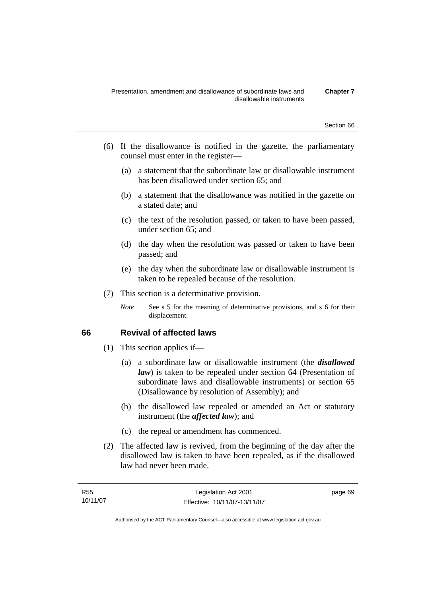- (6) If the disallowance is notified in the gazette, the parliamentary counsel must enter in the register—
	- (a) a statement that the subordinate law or disallowable instrument has been disallowed under section 65; and
	- (b) a statement that the disallowance was notified in the gazette on a stated date; and
	- (c) the text of the resolution passed, or taken to have been passed, under section 65; and
	- (d) the day when the resolution was passed or taken to have been passed; and
	- (e) the day when the subordinate law or disallowable instrument is taken to be repealed because of the resolution.
- (7) This section is a determinative provision.
	- *Note* See s 5 for the meaning of determinative provisions, and s 6 for their displacement.

## **66 Revival of affected laws**

- (1) This section applies if—
	- (a) a subordinate law or disallowable instrument (the *disallowed law*) is taken to be repealed under section 64 (Presentation of subordinate laws and disallowable instruments) or section 65 (Disallowance by resolution of Assembly); and
	- (b) the disallowed law repealed or amended an Act or statutory instrument (the *affected law*); and
	- (c) the repeal or amendment has commenced.
- (2) The affected law is revived, from the beginning of the day after the disallowed law is taken to have been repealed, as if the disallowed law had never been made.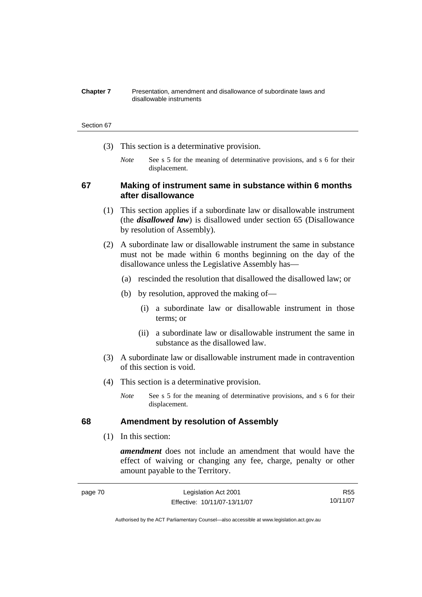#### **Chapter 7** Presentation, amendment and disallowance of subordinate laws and disallowable instruments

#### Section 67

- (3) This section is a determinative provision.
	- *Note* See s 5 for the meaning of determinative provisions, and s 6 for their displacement.

## **67 Making of instrument same in substance within 6 months after disallowance**

- (1) This section applies if a subordinate law or disallowable instrument (the *disallowed law*) is disallowed under section 65 (Disallowance by resolution of Assembly).
- (2) A subordinate law or disallowable instrument the same in substance must not be made within 6 months beginning on the day of the disallowance unless the Legislative Assembly has—
	- (a) rescinded the resolution that disallowed the disallowed law; or
	- (b) by resolution, approved the making of—
		- (i) a subordinate law or disallowable instrument in those terms; or
		- (ii) a subordinate law or disallowable instrument the same in substance as the disallowed law.
- (3) A subordinate law or disallowable instrument made in contravention of this section is void.
- (4) This section is a determinative provision.
	- *Note* See s 5 for the meaning of determinative provisions, and s 6 for their displacement.

## **68 Amendment by resolution of Assembly**

(1) In this section:

*amendment* does not include an amendment that would have the effect of waiving or changing any fee, charge, penalty or other amount payable to the Territory.

| page 70 | Legislation Act 2001         | R55      |
|---------|------------------------------|----------|
|         | Effective: 10/11/07-13/11/07 | 10/11/07 |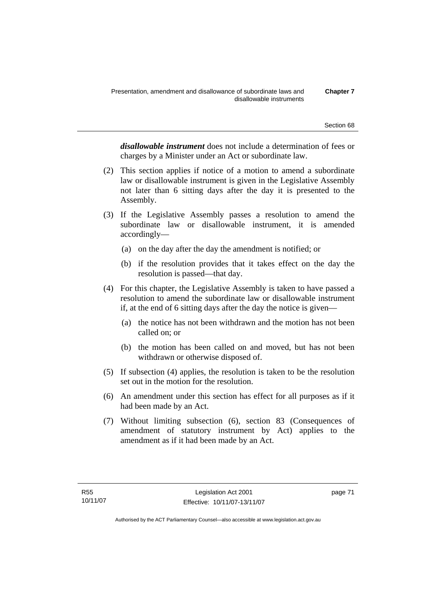*disallowable instrument* does not include a determination of fees or charges by a Minister under an Act or subordinate law.

- (2) This section applies if notice of a motion to amend a subordinate law or disallowable instrument is given in the Legislative Assembly not later than 6 sitting days after the day it is presented to the Assembly.
- (3) If the Legislative Assembly passes a resolution to amend the subordinate law or disallowable instrument, it is amended accordingly—
	- (a) on the day after the day the amendment is notified; or
	- (b) if the resolution provides that it takes effect on the day the resolution is passed—that day.
- (4) For this chapter, the Legislative Assembly is taken to have passed a resolution to amend the subordinate law or disallowable instrument if, at the end of 6 sitting days after the day the notice is given—
	- (a) the notice has not been withdrawn and the motion has not been called on; or
	- (b) the motion has been called on and moved, but has not been withdrawn or otherwise disposed of.
- (5) If subsection (4) applies, the resolution is taken to be the resolution set out in the motion for the resolution.
- (6) An amendment under this section has effect for all purposes as if it had been made by an Act.
- (7) Without limiting subsection (6), section 83 (Consequences of amendment of statutory instrument by Act) applies to the amendment as if it had been made by an Act.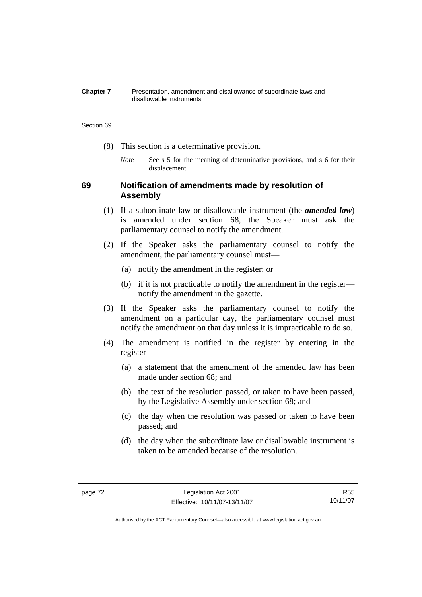#### **Chapter 7** Presentation, amendment and disallowance of subordinate laws and disallowable instruments

#### Section 69

- (8) This section is a determinative provision.
	- *Note* See s 5 for the meaning of determinative provisions, and s 6 for their displacement.

## **69 Notification of amendments made by resolution of Assembly**

- (1) If a subordinate law or disallowable instrument (the *amended law*) is amended under section 68, the Speaker must ask the parliamentary counsel to notify the amendment.
- (2) If the Speaker asks the parliamentary counsel to notify the amendment, the parliamentary counsel must—
	- (a) notify the amendment in the register; or
	- (b) if it is not practicable to notify the amendment in the register notify the amendment in the gazette.
- (3) If the Speaker asks the parliamentary counsel to notify the amendment on a particular day, the parliamentary counsel must notify the amendment on that day unless it is impracticable to do so.
- (4) The amendment is notified in the register by entering in the register—
	- (a) a statement that the amendment of the amended law has been made under section 68; and
	- (b) the text of the resolution passed, or taken to have been passed, by the Legislative Assembly under section 68; and
	- (c) the day when the resolution was passed or taken to have been passed; and
	- (d) the day when the subordinate law or disallowable instrument is taken to be amended because of the resolution.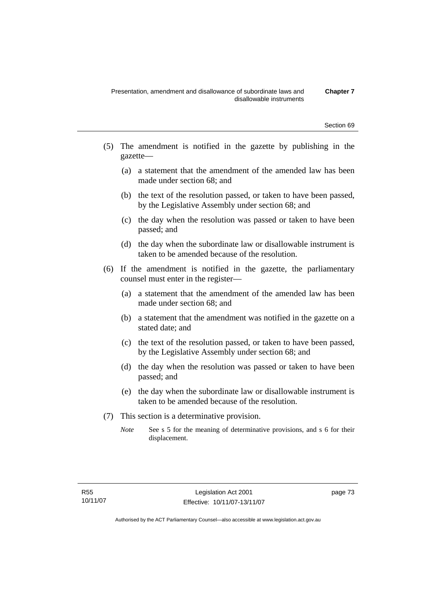- (5) The amendment is notified in the gazette by publishing in the gazette—
	- (a) a statement that the amendment of the amended law has been made under section 68; and
	- (b) the text of the resolution passed, or taken to have been passed, by the Legislative Assembly under section 68; and
	- (c) the day when the resolution was passed or taken to have been passed; and
	- (d) the day when the subordinate law or disallowable instrument is taken to be amended because of the resolution.
- (6) If the amendment is notified in the gazette, the parliamentary counsel must enter in the register—
	- (a) a statement that the amendment of the amended law has been made under section 68; and
	- (b) a statement that the amendment was notified in the gazette on a stated date; and
	- (c) the text of the resolution passed, or taken to have been passed, by the Legislative Assembly under section 68; and
	- (d) the day when the resolution was passed or taken to have been passed; and
	- (e) the day when the subordinate law or disallowable instrument is taken to be amended because of the resolution.
- (7) This section is a determinative provision.
	- *Note* See s 5 for the meaning of determinative provisions, and s 6 for their displacement.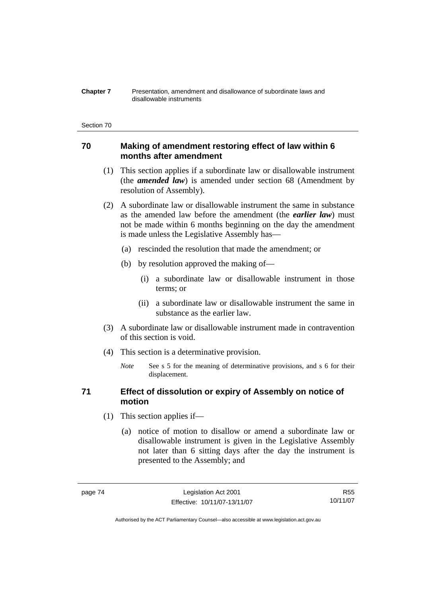#### **Chapter 7** Presentation, amendment and disallowance of subordinate laws and disallowable instruments

#### Section 70

## **70 Making of amendment restoring effect of law within 6 months after amendment**

- (1) This section applies if a subordinate law or disallowable instrument (the *amended law*) is amended under section 68 (Amendment by resolution of Assembly).
- (2) A subordinate law or disallowable instrument the same in substance as the amended law before the amendment (the *earlier law*) must not be made within 6 months beginning on the day the amendment is made unless the Legislative Assembly has—
	- (a) rescinded the resolution that made the amendment; or
	- (b) by resolution approved the making of—
		- (i) a subordinate law or disallowable instrument in those terms; or
		- (ii) a subordinate law or disallowable instrument the same in substance as the earlier law.
- (3) A subordinate law or disallowable instrument made in contravention of this section is void.
- (4) This section is a determinative provision.
	- *Note* See s 5 for the meaning of determinative provisions, and s 6 for their displacement.

## **71 Effect of dissolution or expiry of Assembly on notice of motion**

- (1) This section applies if—
	- (a) notice of motion to disallow or amend a subordinate law or disallowable instrument is given in the Legislative Assembly not later than 6 sitting days after the day the instrument is presented to the Assembly; and

R55 10/11/07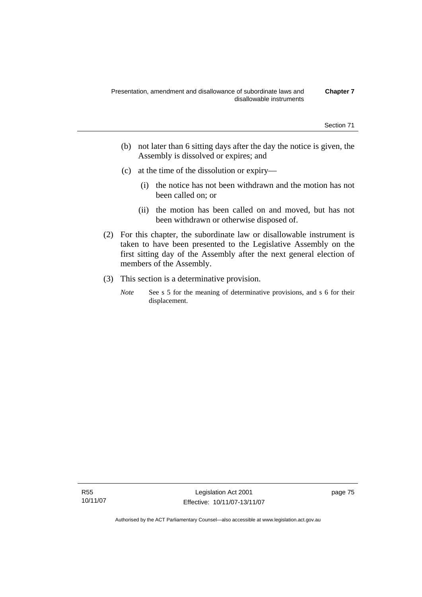- (b) not later than 6 sitting days after the day the notice is given, the Assembly is dissolved or expires; and
- (c) at the time of the dissolution or expiry—
	- (i) the notice has not been withdrawn and the motion has not been called on; or
	- (ii) the motion has been called on and moved, but has not been withdrawn or otherwise disposed of.
- (2) For this chapter, the subordinate law or disallowable instrument is taken to have been presented to the Legislative Assembly on the first sitting day of the Assembly after the next general election of members of the Assembly.
- (3) This section is a determinative provision.
	- *Note* See s 5 for the meaning of determinative provisions, and s 6 for their displacement.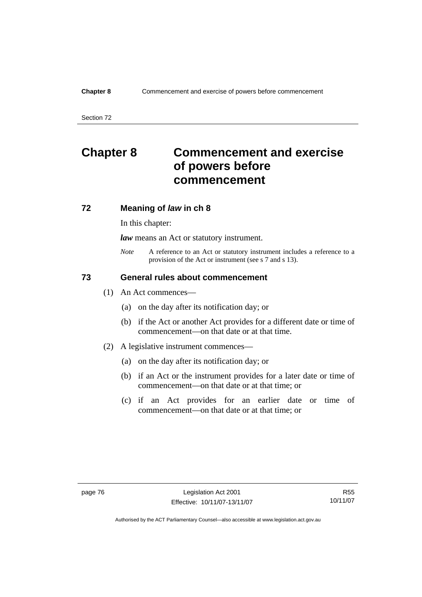Section 72

# **Chapter 8 Commencement and exercise of powers before commencement**

## **72 Meaning of** *law* **in ch 8**

In this chapter:

*law* means an Act or statutory instrument.

*Note* A reference to an Act or statutory instrument includes a reference to a provision of the Act or instrument (see s 7 and s 13).

## **73 General rules about commencement**

- (1) An Act commences—
	- (a) on the day after its notification day; or
	- (b) if the Act or another Act provides for a different date or time of commencement—on that date or at that time.
- (2) A legislative instrument commences—
	- (a) on the day after its notification day; or
	- (b) if an Act or the instrument provides for a later date or time of commencement—on that date or at that time; or
	- (c) if an Act provides for an earlier date or time of commencement—on that date or at that time; or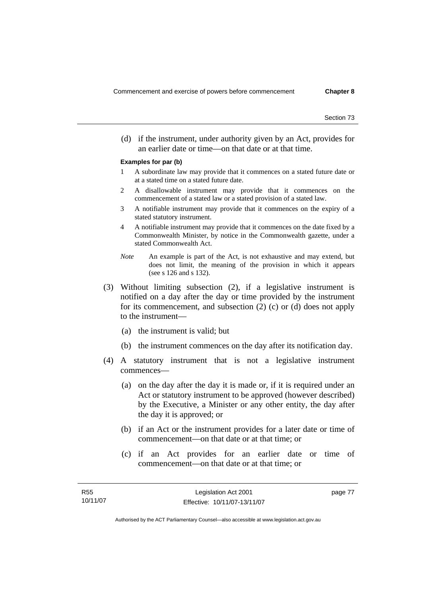(d) if the instrument, under authority given by an Act, provides for an earlier date or time—on that date or at that time.

#### **Examples for par (b)**

- 1 A subordinate law may provide that it commences on a stated future date or at a stated time on a stated future date.
- 2 A disallowable instrument may provide that it commences on the commencement of a stated law or a stated provision of a stated law.
- 3 A notifiable instrument may provide that it commences on the expiry of a stated statutory instrument.
- 4 A notifiable instrument may provide that it commences on the date fixed by a Commonwealth Minister, by notice in the Commonwealth gazette, under a stated Commonwealth Act.
- *Note* An example is part of the Act, is not exhaustive and may extend, but does not limit, the meaning of the provision in which it appears (see s 126 and s 132).
- (3) Without limiting subsection (2), if a legislative instrument is notified on a day after the day or time provided by the instrument for its commencement, and subsection (2) (c) or (d) does not apply to the instrument—
	- (a) the instrument is valid; but
	- (b) the instrument commences on the day after its notification day.
- (4) A statutory instrument that is not a legislative instrument commences—
	- (a) on the day after the day it is made or, if it is required under an Act or statutory instrument to be approved (however described) by the Executive, a Minister or any other entity, the day after the day it is approved; or
	- (b) if an Act or the instrument provides for a later date or time of commencement—on that date or at that time; or
	- (c) if an Act provides for an earlier date or time of commencement—on that date or at that time; or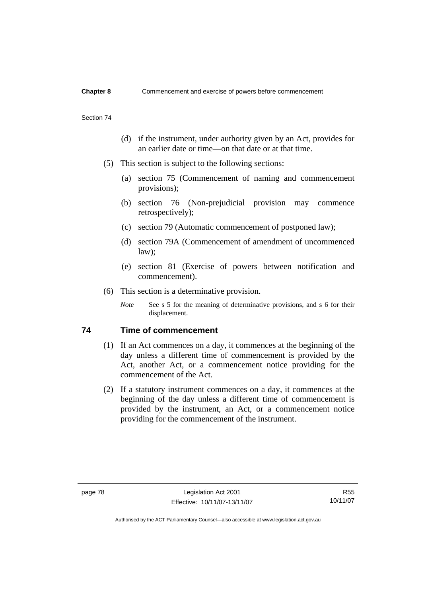#### Section 74

- (d) if the instrument, under authority given by an Act, provides for an earlier date or time—on that date or at that time.
- (5) This section is subject to the following sections:
	- (a) section 75 (Commencement of naming and commencement provisions);
	- (b) section 76 (Non-prejudicial provision may commence retrospectively);
	- (c) section 79 (Automatic commencement of postponed law);
	- (d) section 79A (Commencement of amendment of uncommenced law);
	- (e) section 81 (Exercise of powers between notification and commencement).
- (6) This section is a determinative provision.
	- *Note* See s 5 for the meaning of determinative provisions, and s 6 for their displacement.

## **74 Time of commencement**

- (1) If an Act commences on a day, it commences at the beginning of the day unless a different time of commencement is provided by the Act, another Act, or a commencement notice providing for the commencement of the Act.
- (2) If a statutory instrument commences on a day, it commences at the beginning of the day unless a different time of commencement is provided by the instrument, an Act, or a commencement notice providing for the commencement of the instrument.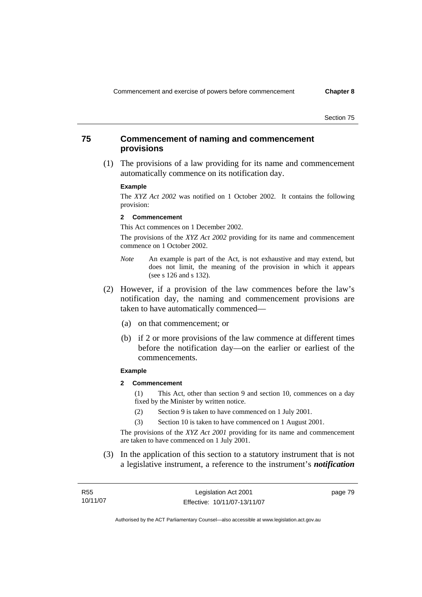Section 75

## **75 Commencement of naming and commencement provisions**

 (1) The provisions of a law providing for its name and commencement automatically commence on its notification day.

#### **Example**

The *XYZ Act 2002* was notified on 1 October 2002. It contains the following provision:

#### **2 Commencement**

This Act commences on 1 December 2002.

The provisions of the *XYZ Act 2002* providing for its name and commencement commence on 1 October 2002.

- *Note* An example is part of the Act, is not exhaustive and may extend, but does not limit, the meaning of the provision in which it appears (see s 126 and s 132).
- (2) However, if a provision of the law commences before the law's notification day, the naming and commencement provisions are taken to have automatically commenced—
	- (a) on that commencement; or
	- (b) if 2 or more provisions of the law commence at different times before the notification day—on the earlier or earliest of the commencements.

#### **Example**

**2 Commencement** 

(1) This Act, other than section 9 and section 10, commences on a day fixed by the Minister by written notice.

- (2) Section 9 is taken to have commenced on 1 July 2001.
- (3) Section 10 is taken to have commenced on 1 August 2001.

The provisions of the *XYZ Act 2001* providing for its name and commencement are taken to have commenced on 1 July 2001.

 (3) In the application of this section to a statutory instrument that is not a legislative instrument, a reference to the instrument's *notification*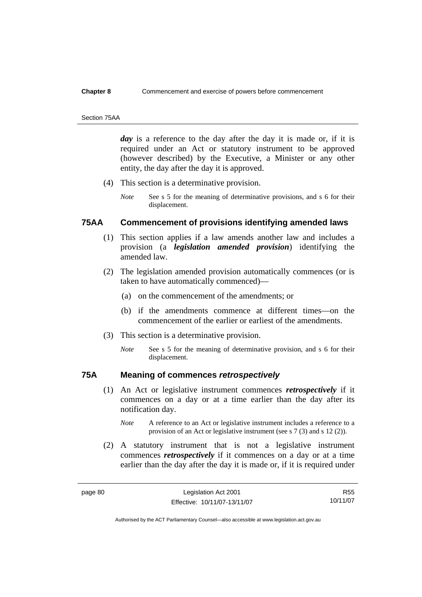#### Section 75AA

day is a reference to the day after the day it is made or, if it is required under an Act or statutory instrument to be approved (however described) by the Executive, a Minister or any other entity, the day after the day it is approved.

- (4) This section is a determinative provision.
	- *Note* See s 5 for the meaning of determinative provisions, and s 6 for their displacement.

## **75AA Commencement of provisions identifying amended laws**

- (1) This section applies if a law amends another law and includes a provision (a *legislation amended provision*) identifying the amended law.
- (2) The legislation amended provision automatically commences (or is taken to have automatically commenced)—
	- (a) on the commencement of the amendments; or
	- (b) if the amendments commence at different times—on the commencement of the earlier or earliest of the amendments.
- (3) This section is a determinative provision.
	- *Note* See s 5 for the meaning of determinative provision, and s 6 for their displacement.

## **75A Meaning of commences** *retrospectively*

- (1) An Act or legislative instrument commences *retrospectively* if it commences on a day or at a time earlier than the day after its notification day.
	- *Note* A reference to an Act or legislative instrument includes a reference to a provision of an Act or legislative instrument (see s 7 (3) and s 12 (2)).
- (2) A statutory instrument that is not a legislative instrument commences *retrospectively* if it commences on a day or at a time earlier than the day after the day it is made or, if it is required under

R55 10/11/07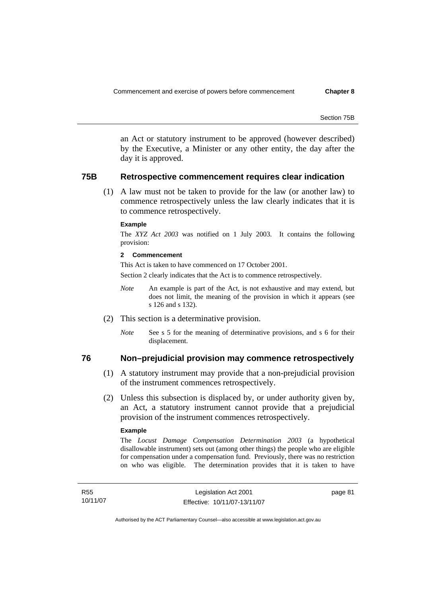Section 75B

an Act or statutory instrument to be approved (however described) by the Executive, a Minister or any other entity, the day after the day it is approved.

## **75B Retrospective commencement requires clear indication**

 (1) A law must not be taken to provide for the law (or another law) to commence retrospectively unless the law clearly indicates that it is to commence retrospectively.

#### **Example**

The *XYZ Act 2003* was notified on 1 July 2003. It contains the following provision:

#### **2 Commencement**

This Act is taken to have commenced on 17 October 2001.

Section 2 clearly indicates that the Act is to commence retrospectively.

- *Note* An example is part of the Act, is not exhaustive and may extend, but does not limit, the meaning of the provision in which it appears (see s 126 and s 132).
- (2) This section is a determinative provision.
	- *Note* See s 5 for the meaning of determinative provisions, and s 6 for their displacement.

#### **76 Non–prejudicial provision may commence retrospectively**

- (1) A statutory instrument may provide that a non-prejudicial provision of the instrument commences retrospectively.
- (2) Unless this subsection is displaced by, or under authority given by, an Act, a statutory instrument cannot provide that a prejudicial provision of the instrument commences retrospectively.

#### **Example**

The *Locust Damage Compensation Determination 2003* (a hypothetical disallowable instrument) sets out (among other things) the people who are eligible for compensation under a compensation fund. Previously, there was no restriction on who was eligible. The determination provides that it is taken to have

page 81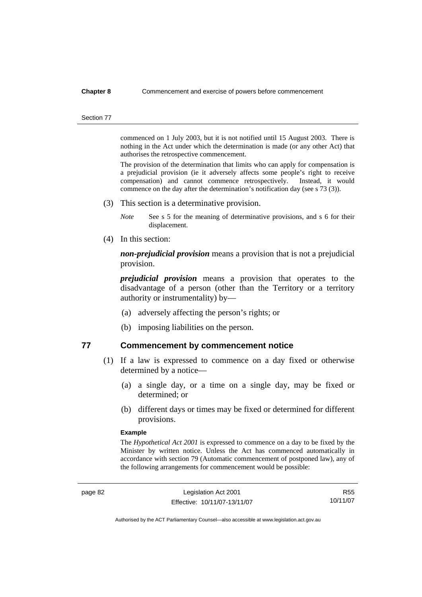#### Section 77

commenced on 1 July 2003, but it is not notified until 15 August 2003. There is nothing in the Act under which the determination is made (or any other Act) that authorises the retrospective commencement.

The provision of the determination that limits who can apply for compensation is a prejudicial provision (ie it adversely affects some people's right to receive compensation) and cannot commence retrospectively. Instead, it would commence on the day after the determination's notification day (see s 73 (3)).

- (3) This section is a determinative provision.
	- *Note* See s 5 for the meaning of determinative provisions, and s 6 for their displacement.
- (4) In this section:

*non-prejudicial provision* means a provision that is not a prejudicial provision.

*prejudicial provision* means a provision that operates to the disadvantage of a person (other than the Territory or a territory authority or instrumentality) by—

- (a) adversely affecting the person's rights; or
- (b) imposing liabilities on the person.

## **77 Commencement by commencement notice**

- (1) If a law is expressed to commence on a day fixed or otherwise determined by a notice—
	- (a) a single day, or a time on a single day, may be fixed or determined; or
	- (b) different days or times may be fixed or determined for different provisions.

#### **Example**

The *Hypothetical Act 2001* is expressed to commence on a day to be fixed by the Minister by written notice. Unless the Act has commenced automatically in accordance with section 79 (Automatic commencement of postponed law), any of the following arrangements for commencement would be possible:

R55 10/11/07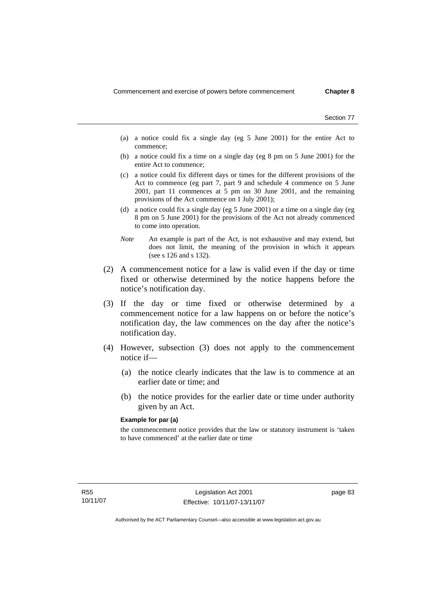Section 77

- (a) a notice could fix a single day (eg 5 June 2001) for the entire Act to commence;
- (b) a notice could fix a time on a single day (eg 8 pm on 5 June 2001) for the entire Act to commence;
- (c) a notice could fix different days or times for the different provisions of the Act to commence (eg part 7, part 9 and schedule 4 commence on 5 June 2001, part 11 commences at 5 pm on 30 June 2001, and the remaining provisions of the Act commence on 1 July 2001);
- (d) a notice could fix a single day (eg 5 June 2001) or a time on a single day (eg 8 pm on 5 June 2001) for the provisions of the Act not already commenced to come into operation.
- *Note* An example is part of the Act, is not exhaustive and may extend, but does not limit, the meaning of the provision in which it appears (see s 126 and s 132).
- (2) A commencement notice for a law is valid even if the day or time fixed or otherwise determined by the notice happens before the notice's notification day.
- (3) If the day or time fixed or otherwise determined by a commencement notice for a law happens on or before the notice's notification day, the law commences on the day after the notice's notification day.
- (4) However, subsection (3) does not apply to the commencement notice if—
	- (a) the notice clearly indicates that the law is to commence at an earlier date or time; and
	- (b) the notice provides for the earlier date or time under authority given by an Act.

#### **Example for par (a)**

the commencement notice provides that the law or statutory instrument is 'taken to have commenced' at the earlier date or time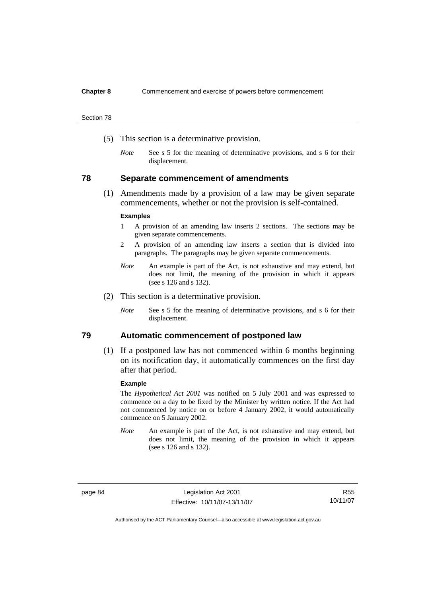Section 78

- (5) This section is a determinative provision.
	- *Note* See s 5 for the meaning of determinative provisions, and s 6 for their displacement.

## **78 Separate commencement of amendments**

 (1) Amendments made by a provision of a law may be given separate commencements, whether or not the provision is self-contained.

#### **Examples**

- 1 A provision of an amending law inserts 2 sections. The sections may be given separate commencements.
- 2 A provision of an amending law inserts a section that is divided into paragraphs. The paragraphs may be given separate commencements.
- *Note* An example is part of the Act, is not exhaustive and may extend, but does not limit, the meaning of the provision in which it appears (see s 126 and s 132).
- (2) This section is a determinative provision.
	- *Note* See s 5 for the meaning of determinative provisions, and s 6 for their displacement.

## **79 Automatic commencement of postponed law**

 (1) If a postponed law has not commenced within 6 months beginning on its notification day, it automatically commences on the first day after that period.

#### **Example**

The *Hypothetical Act 2001* was notified on 5 July 2001 and was expressed to commence on a day to be fixed by the Minister by written notice. If the Act had not commenced by notice on or before 4 January 2002, it would automatically commence on 5 January 2002.

*Note* An example is part of the Act, is not exhaustive and may extend, but does not limit, the meaning of the provision in which it appears (see s 126 and s 132).

page 84 Legislation Act 2001 Effective: 10/11/07-13/11/07

R55 10/11/07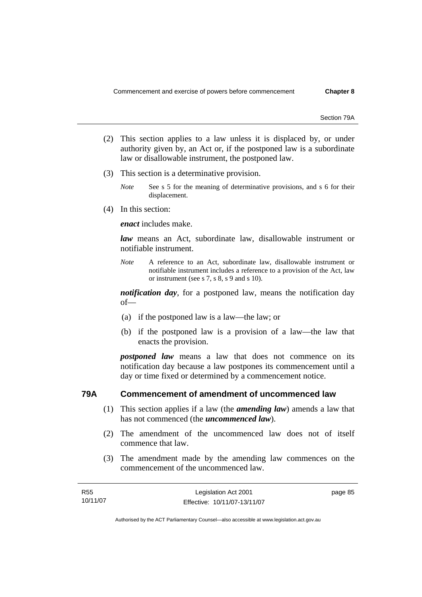Section 79A

- (2) This section applies to a law unless it is displaced by, or under authority given by, an Act or, if the postponed law is a subordinate law or disallowable instrument, the postponed law.
- (3) This section is a determinative provision.
	- *Note* See s 5 for the meaning of determinative provisions, and s 6 for their displacement.
- (4) In this section:

*enact* includes make.

*law* means an Act, subordinate law, disallowable instrument or notifiable instrument.

*Note* A reference to an Act, subordinate law, disallowable instrument or notifiable instrument includes a reference to a provision of the Act, law or instrument (see s 7, s 8, s 9 and s 10).

*notification day*, for a postponed law, means the notification day of—

- (a) if the postponed law is a law—the law; or
- (b) if the postponed law is a provision of a law—the law that enacts the provision.

*postponed law* means a law that does not commence on its notification day because a law postpones its commencement until a day or time fixed or determined by a commencement notice.

## **79A Commencement of amendment of uncommenced law**

- (1) This section applies if a law (the *amending law*) amends a law that has not commenced (the *uncommenced law*).
- (2) The amendment of the uncommenced law does not of itself commence that law.
- (3) The amendment made by the amending law commences on the commencement of the uncommenced law.

| R55      | Legislation Act 2001         | page 85 |
|----------|------------------------------|---------|
| 10/11/07 | Effective: 10/11/07-13/11/07 |         |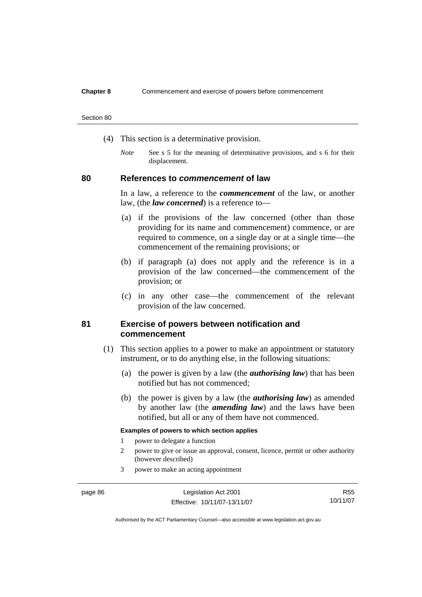#### Section 80

- (4) This section is a determinative provision.
	- *Note* See s 5 for the meaning of determinative provisions, and s 6 for their displacement.

## **80 References to** *commencement* **of law**

In a law, a reference to the *commencement* of the law, or another law, (the *law concerned*) is a reference to—

- (a) if the provisions of the law concerned (other than those providing for its name and commencement) commence, or are required to commence, on a single day or at a single time—the commencement of the remaining provisions; or
- (b) if paragraph (a) does not apply and the reference is in a provision of the law concerned—the commencement of the provision; or
- (c) in any other case—the commencement of the relevant provision of the law concerned.

## **81 Exercise of powers between notification and commencement**

- (1) This section applies to a power to make an appointment or statutory instrument, or to do anything else, in the following situations:
	- (a) the power is given by a law (the *authorising law*) that has been notified but has not commenced;
	- (b) the power is given by a law (the *authorising law*) as amended by another law (the *amending law*) and the laws have been notified, but all or any of them have not commenced.

#### **Examples of powers to which section applies**

- 1 power to delegate a function
- 2 power to give or issue an approval, consent, licence, permit or other authority (however described)
- 3 power to make an acting appointment

R55 10/11/07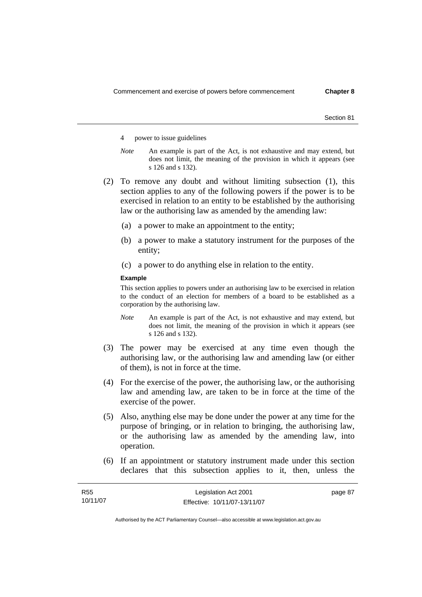Section 81

- 4 power to issue guidelines
- *Note* An example is part of the Act, is not exhaustive and may extend, but does not limit, the meaning of the provision in which it appears (see s 126 and s 132).
- (2) To remove any doubt and without limiting subsection (1), this section applies to any of the following powers if the power is to be exercised in relation to an entity to be established by the authorising law or the authorising law as amended by the amending law:
	- (a) a power to make an appointment to the entity;
	- (b) a power to make a statutory instrument for the purposes of the entity;
	- (c) a power to do anything else in relation to the entity.

#### **Example**

This section applies to powers under an authorising law to be exercised in relation to the conduct of an election for members of a board to be established as a corporation by the authorising law.

- *Note* An example is part of the Act, is not exhaustive and may extend, but does not limit, the meaning of the provision in which it appears (see s 126 and s 132).
- (3) The power may be exercised at any time even though the authorising law, or the authorising law and amending law (or either of them), is not in force at the time.
- (4) For the exercise of the power, the authorising law, or the authorising law and amending law, are taken to be in force at the time of the exercise of the power.
- (5) Also, anything else may be done under the power at any time for the purpose of bringing, or in relation to bringing, the authorising law, or the authorising law as amended by the amending law, into operation.
- (6) If an appointment or statutory instrument made under this section declares that this subsection applies to it, then, unless the

| <b>R55</b> | Legislation Act 2001         | page 87 |
|------------|------------------------------|---------|
| 10/11/07   | Effective: 10/11/07-13/11/07 |         |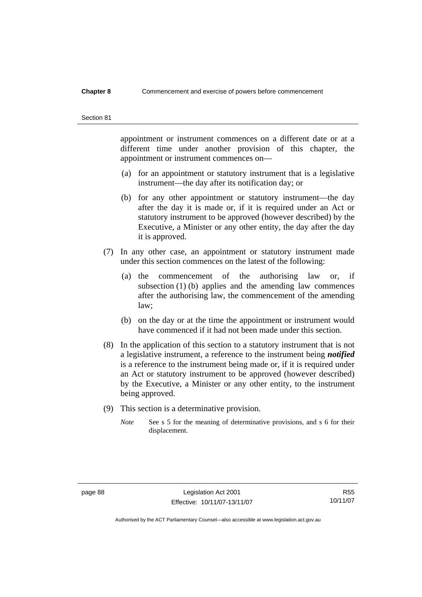#### Section 81

appointment or instrument commences on a different date or at a different time under another provision of this chapter, the appointment or instrument commences on—

- (a) for an appointment or statutory instrument that is a legislative instrument—the day after its notification day; or
- (b) for any other appointment or statutory instrument—the day after the day it is made or, if it is required under an Act or statutory instrument to be approved (however described) by the Executive, a Minister or any other entity, the day after the day it is approved.
- (7) In any other case, an appointment or statutory instrument made under this section commences on the latest of the following:
	- (a) the commencement of the authorising law or, if subsection (1) (b) applies and the amending law commences after the authorising law, the commencement of the amending law;
	- (b) on the day or at the time the appointment or instrument would have commenced if it had not been made under this section.
- (8) In the application of this section to a statutory instrument that is not a legislative instrument, a reference to the instrument being *notified*  is a reference to the instrument being made or, if it is required under an Act or statutory instrument to be approved (however described) by the Executive, a Minister or any other entity, to the instrument being approved.
- (9) This section is a determinative provision.
	- *Note* See s 5 for the meaning of determinative provisions, and s 6 for their displacement.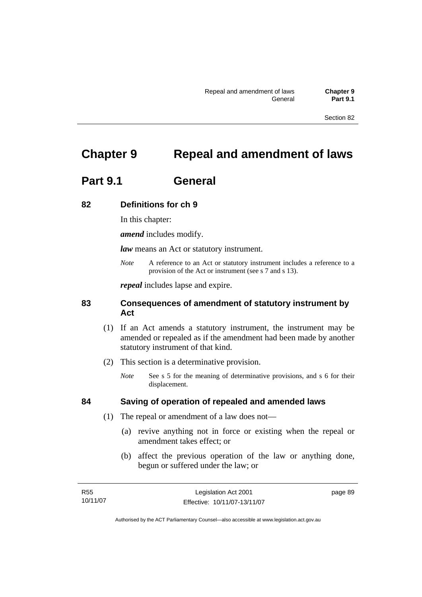Section 82

# **Chapter 9 Repeal and amendment of laws**

# **Part 9.1 General**

## **82 Definitions for ch 9**

In this chapter:

*amend* includes modify.

*law* means an Act or statutory instrument.

*Note* A reference to an Act or statutory instrument includes a reference to a provision of the Act or instrument (see s 7 and s 13).

*repeal* includes lapse and expire.

## **83 Consequences of amendment of statutory instrument by Act**

- (1) If an Act amends a statutory instrument, the instrument may be amended or repealed as if the amendment had been made by another statutory instrument of that kind.
- (2) This section is a determinative provision.
	- *Note* See s 5 for the meaning of determinative provisions, and s 6 for their displacement.

## **84 Saving of operation of repealed and amended laws**

- (1) The repeal or amendment of a law does not—
	- (a) revive anything not in force or existing when the repeal or amendment takes effect; or
	- (b) affect the previous operation of the law or anything done, begun or suffered under the law; or

| R55      | Legislation Act 2001         | page 89 |
|----------|------------------------------|---------|
| 10/11/07 | Effective: 10/11/07-13/11/07 |         |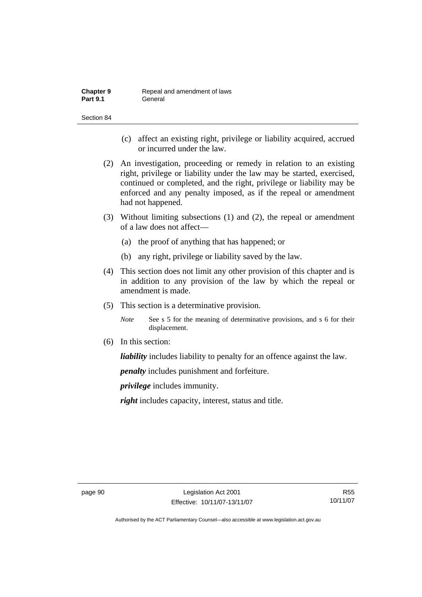| <b>Chapter 9</b> | Repeal and amendment of laws |
|------------------|------------------------------|
| <b>Part 9.1</b>  | General                      |

Section 84

- (c) affect an existing right, privilege or liability acquired, accrued or incurred under the law.
- (2) An investigation, proceeding or remedy in relation to an existing right, privilege or liability under the law may be started, exercised, continued or completed, and the right, privilege or liability may be enforced and any penalty imposed, as if the repeal or amendment had not happened.
- (3) Without limiting subsections (1) and (2), the repeal or amendment of a law does not affect—
	- (a) the proof of anything that has happened; or
	- (b) any right, privilege or liability saved by the law.
- (4) This section does not limit any other provision of this chapter and is in addition to any provision of the law by which the repeal or amendment is made.
- (5) This section is a determinative provision.
	- *Note* See s 5 for the meaning of determinative provisions, and s 6 for their displacement.
- (6) In this section:

*liability* includes liability to penalty for an offence against the law.

*penalty* includes punishment and forfeiture.

*privilege* includes immunity.

*right* includes capacity, interest, status and title.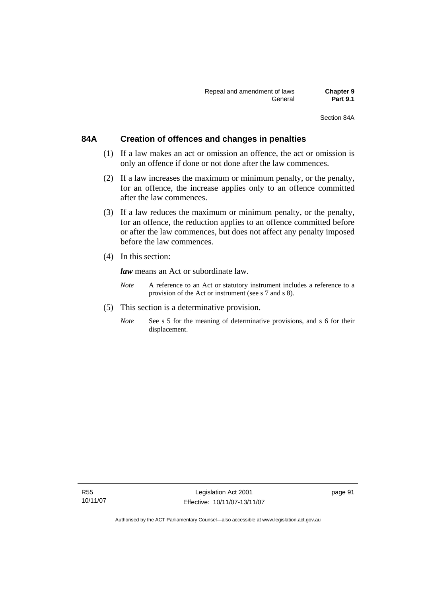## **84A Creation of offences and changes in penalties**

- (1) If a law makes an act or omission an offence, the act or omission is only an offence if done or not done after the law commences.
- (2) If a law increases the maximum or minimum penalty, or the penalty, for an offence, the increase applies only to an offence committed after the law commences.
- (3) If a law reduces the maximum or minimum penalty, or the penalty, for an offence, the reduction applies to an offence committed before or after the law commences, but does not affect any penalty imposed before the law commences.
- (4) In this section:

*law* means an Act or subordinate law.

- *Note* A reference to an Act or statutory instrument includes a reference to a provision of the Act or instrument (see s 7 and s 8).
- (5) This section is a determinative provision.
	- *Note* See s 5 for the meaning of determinative provisions, and s 6 for their displacement.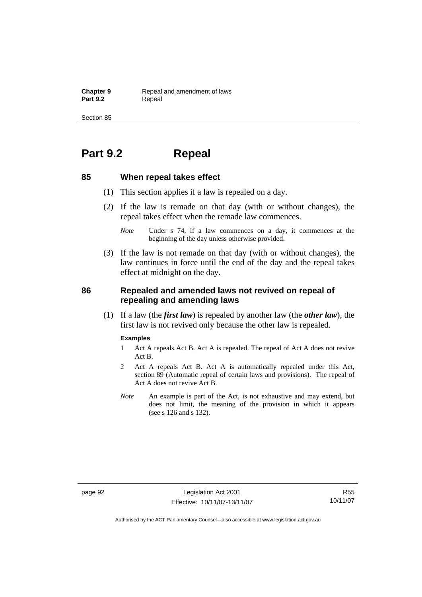**Chapter 9 Repeal and amendment of laws**<br>**Part 9.2 Repeal** Repeal

Section 85

# **Part 9.2 Repeal**

## **85 When repeal takes effect**

- (1) This section applies if a law is repealed on a day.
- (2) If the law is remade on that day (with or without changes), the repeal takes effect when the remade law commences.
	- *Note* Under s 74, if a law commences on a day, it commences at the beginning of the day unless otherwise provided.
- (3) If the law is not remade on that day (with or without changes), the law continues in force until the end of the day and the repeal takes effect at midnight on the day.

## **86 Repealed and amended laws not revived on repeal of repealing and amending laws**

 (1) If a law (the *first law*) is repealed by another law (the *other law*), the first law is not revived only because the other law is repealed.

#### **Examples**

- 1 Act A repeals Act B. Act A is repealed. The repeal of Act A does not revive Act B.
- 2 Act A repeals Act B. Act A is automatically repealed under this Act, section 89 (Automatic repeal of certain laws and provisions). The repeal of Act A does not revive Act B.
- *Note* An example is part of the Act, is not exhaustive and may extend, but does not limit, the meaning of the provision in which it appears (see s 126 and s 132).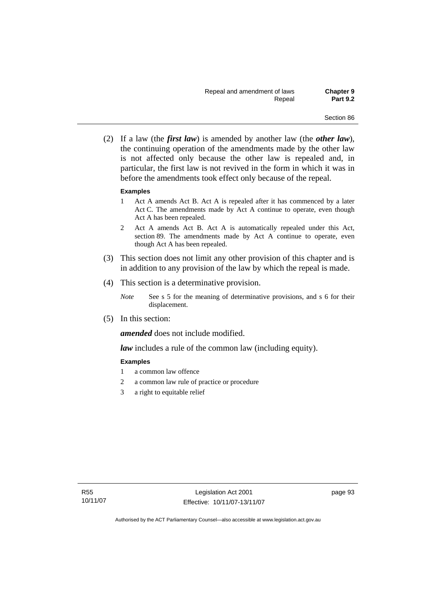(2) If a law (the *first law*) is amended by another law (the *other law*), the continuing operation of the amendments made by the other law is not affected only because the other law is repealed and, in particular, the first law is not revived in the form in which it was in before the amendments took effect only because of the repeal.

#### **Examples**

- 1 Act A amends Act B. Act A is repealed after it has commenced by a later Act C. The amendments made by Act A continue to operate, even though Act A has been repealed.
- 2 Act A amends Act B. Act A is automatically repealed under this Act, section 89. The amendments made by Act A continue to operate, even though Act A has been repealed.
- (3) This section does not limit any other provision of this chapter and is in addition to any provision of the law by which the repeal is made.
- (4) This section is a determinative provision.
	- *Note* See s 5 for the meaning of determinative provisions, and s 6 for their displacement.
- (5) In this section:

*amended* does not include modified.

*law* includes a rule of the common law (including equity).

### **Examples**

- 1 a common law offence
- 2 a common law rule of practice or procedure
- 3 a right to equitable relief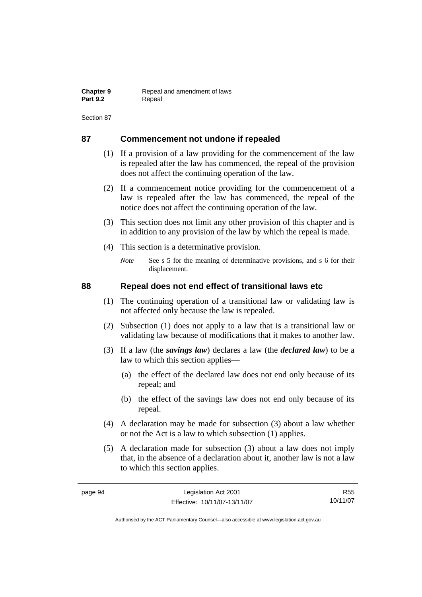| <b>Chapter 9</b> | Repeal and amendment of laws |
|------------------|------------------------------|
| <b>Part 9.2</b>  | Repeal                       |

# **87 Commencement not undone if repealed**

- (1) If a provision of a law providing for the commencement of the law is repealed after the law has commenced, the repeal of the provision does not affect the continuing operation of the law.
- (2) If a commencement notice providing for the commencement of a law is repealed after the law has commenced, the repeal of the notice does not affect the continuing operation of the law.
- (3) This section does not limit any other provision of this chapter and is in addition to any provision of the law by which the repeal is made.
- (4) This section is a determinative provision.
	- *Note* See s 5 for the meaning of determinative provisions, and s 6 for their displacement.

# **88 Repeal does not end effect of transitional laws etc**

- (1) The continuing operation of a transitional law or validating law is not affected only because the law is repealed.
- (2) Subsection (1) does not apply to a law that is a transitional law or validating law because of modifications that it makes to another law.
- (3) If a law (the *savings law*) declares a law (the *declared law*) to be a law to which this section applies—
	- (a) the effect of the declared law does not end only because of its repeal; and
	- (b) the effect of the savings law does not end only because of its repeal.
- (4) A declaration may be made for subsection (3) about a law whether or not the Act is a law to which subsection (1) applies.
- (5) A declaration made for subsection (3) about a law does not imply that, in the absence of a declaration about it, another law is not a law to which this section applies.

R55 10/11/07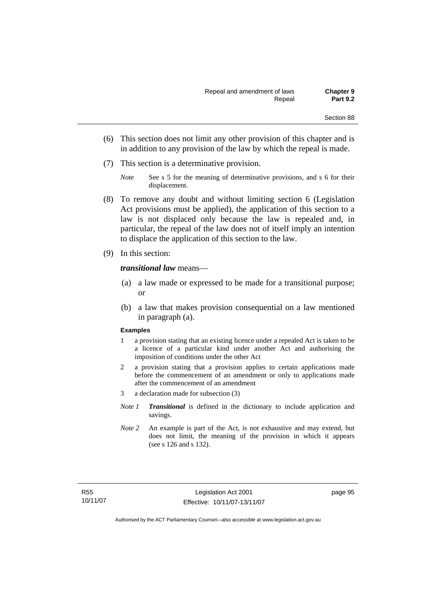- (6) This section does not limit any other provision of this chapter and is in addition to any provision of the law by which the repeal is made.
- (7) This section is a determinative provision.
	- *Note* See s 5 for the meaning of determinative provisions, and s 6 for their displacement.
- (8) To remove any doubt and without limiting section 6 (Legislation Act provisions must be applied), the application of this section to a law is not displaced only because the law is repealed and, in particular, the repeal of the law does not of itself imply an intention to displace the application of this section to the law.
- (9) In this section:

#### *transitional law* means—

- (a) a law made or expressed to be made for a transitional purpose; or
- (b) a law that makes provision consequential on a law mentioned in paragraph (a).

#### **Examples**

- 1 a provision stating that an existing licence under a repealed Act is taken to be a licence of a particular kind under another Act and authorising the imposition of conditions under the other Act
- 2 a provision stating that a provision applies to certain applications made before the commencement of an amendment or only to applications made after the commencement of an amendment
- 3 a declaration made for subsection (3)
- *Note 1 Transitional* is defined in the dictionary to include application and savings.
- *Note 2* An example is part of the Act, is not exhaustive and may extend, but does not limit, the meaning of the provision in which it appears (see s 126 and s 132).

page 95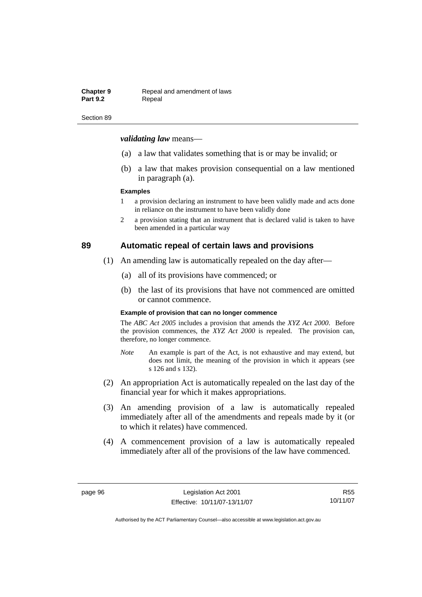#### **Chapter 9 Repeal and amendment of laws**<br>**Part 9.2 Repeal** Repeal

#### Section 89

#### *validating law* means—

- (a) a law that validates something that is or may be invalid; or
- (b) a law that makes provision consequential on a law mentioned in paragraph (a).

#### **Examples**

- 1 a provision declaring an instrument to have been validly made and acts done in reliance on the instrument to have been validly done
- 2 a provision stating that an instrument that is declared valid is taken to have been amended in a particular way

# **89 Automatic repeal of certain laws and provisions**

- (1) An amending law is automatically repealed on the day after—
	- (a) all of its provisions have commenced; or
	- (b) the last of its provisions that have not commenced are omitted or cannot commence.

#### **Example of provision that can no longer commence**

The *ABC Act 2005* includes a provision that amends the *XYZ Act 2000*. Before the provision commences, the *XYZ Act 2000* is repealed. The provision can, therefore, no longer commence.

- *Note* An example is part of the Act, is not exhaustive and may extend, but does not limit, the meaning of the provision in which it appears (see s 126 and s 132).
- (2) An appropriation Act is automatically repealed on the last day of the financial year for which it makes appropriations.
- (3) An amending provision of a law is automatically repealed immediately after all of the amendments and repeals made by it (or to which it relates) have commenced.
- (4) A commencement provision of a law is automatically repealed immediately after all of the provisions of the law have commenced.

R55 10/11/07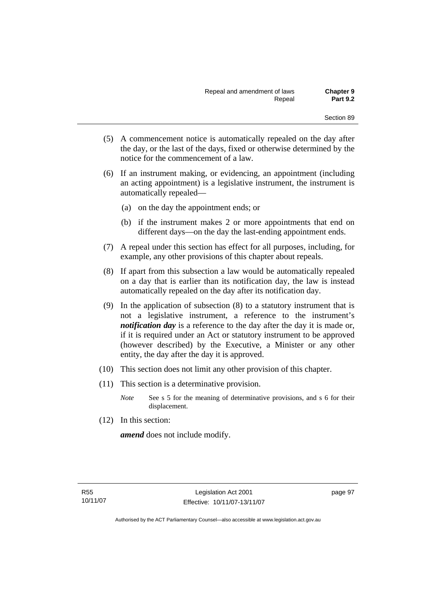- (5) A commencement notice is automatically repealed on the day after the day, or the last of the days, fixed or otherwise determined by the notice for the commencement of a law.
- (6) If an instrument making, or evidencing, an appointment (including an acting appointment) is a legislative instrument, the instrument is automatically repealed—
	- (a) on the day the appointment ends; or
	- (b) if the instrument makes 2 or more appointments that end on different days—on the day the last-ending appointment ends.
- (7) A repeal under this section has effect for all purposes, including, for example, any other provisions of this chapter about repeals.
- (8) If apart from this subsection a law would be automatically repealed on a day that is earlier than its notification day, the law is instead automatically repealed on the day after its notification day.
- (9) In the application of subsection (8) to a statutory instrument that is not a legislative instrument, a reference to the instrument's *notification day* is a reference to the day after the day it is made or, if it is required under an Act or statutory instrument to be approved (however described) by the Executive, a Minister or any other entity, the day after the day it is approved.
- (10) This section does not limit any other provision of this chapter.
- (11) This section is a determinative provision.
	- *Note* See s 5 for the meaning of determinative provisions, and s 6 for their displacement.
- (12) In this section:

*amend* does not include modify.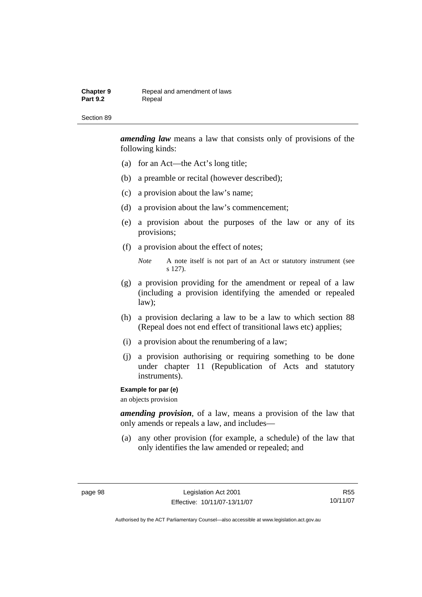#### **Chapter 9 Repeal and amendment of laws**<br>**Part 9.2 Repeal** Repeal

#### Section 89

*amending law* means a law that consists only of provisions of the following kinds:

- (a) for an Act—the Act's long title;
- (b) a preamble or recital (however described);
- (c) a provision about the law's name;
- (d) a provision about the law's commencement;
- (e) a provision about the purposes of the law or any of its provisions;
- (f) a provision about the effect of notes;

*Note* A note itself is not part of an Act or statutory instrument (see s 127).

- (g) a provision providing for the amendment or repeal of a law (including a provision identifying the amended or repealed law);
- (h) a provision declaring a law to be a law to which section 88 (Repeal does not end effect of transitional laws etc) applies;
- (i) a provision about the renumbering of a law;
- (j) a provision authorising or requiring something to be done under chapter 11 (Republication of Acts and statutory instruments).

#### **Example for par (e)**

an objects provision

*amending provision*, of a law, means a provision of the law that only amends or repeals a law, and includes—

 (a) any other provision (for example, a schedule) of the law that only identifies the law amended or repealed; and

R55 10/11/07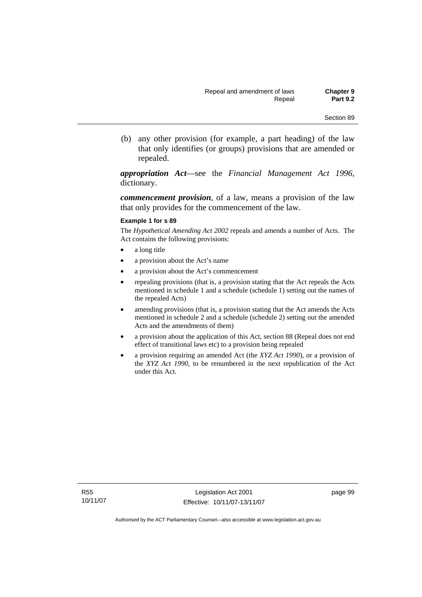(b) any other provision (for example, a part heading) of the law that only identifies (or groups) provisions that are amended or repealed.

*appropriation Act*—see the *Financial Management Act 1996*, dictionary.

*commencement provision*, of a law, means a provision of the law that only provides for the commencement of the law.

#### **Example 1 for s 89**

The *Hypothetical Amending Act 2002* repeals and amends a number of Acts. The Act contains the following provisions:

- a long title
- a provision about the Act's name
- a provision about the Act's commencement
- repealing provisions (that is, a provision stating that the Act repeals the Acts mentioned in schedule 1 and a schedule (schedule 1) setting out the names of the repealed Acts)
- amending provisions (that is, a provision stating that the Act amends the Acts mentioned in schedule 2 and a schedule (schedule 2) setting out the amended Acts and the amendments of them)
- a provision about the application of this Act, section 88 (Repeal does not end effect of transitional laws etc) to a provision being repealed
- a provision requiring an amended Act (the *XYZ Act 1990*), or a provision of the *XYZ Act 1990*, to be renumbered in the next republication of the Act under this Act.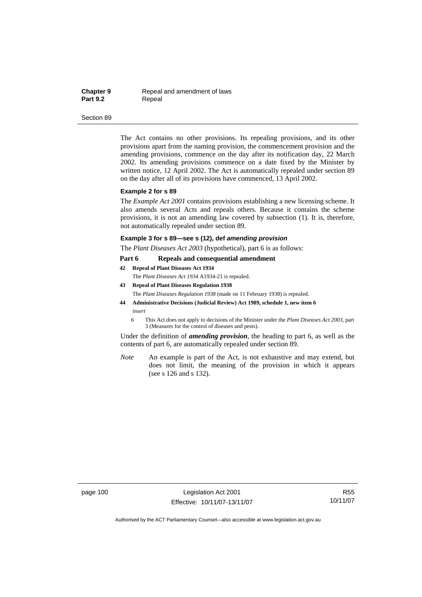**Chapter 9 Repeal and amendment of laws**<br>**Part 9.2 Repeal Repeal** 

#### Section 89

The Act contains no other provisions. Its repealing provisions, and its other provisions apart from the naming provision, the commencement provision and the amending provisions, commence on the day after its notification day, 22 March 2002. Its amending provisions commence on a date fixed by the Minister by written notice, 12 April 2002. The Act is automatically repealed under section 89 on the day after all of its provisions have commenced, 13 April 2002.

#### **Example 2 for s 89**

The *Example Act 2001* contains provisions establishing a new licensing scheme. It also amends several Acts and repeals others. Because it contains the scheme provisions, it is not an amending law covered by subsection (1). It is, therefore, not automatically repealed under section 89.

#### **Example 3 for s 89—see s (12), def** *amending provision*

The *Plant Diseases Act 2003* (hypothetical), part 6 is as follows:

#### **Part 6 Repeals and consequential amendment**

**42 Repeal of Plant Diseases Act 1934**

The *Plant Diseases Act 1934* A1934-21 is repealed.

- **43 Repeal of Plant Diseases Regulation 1938** The *Plant Diseases Regulation 1938* (made on 11 February 1938) is repealed. **44 Administrative Decisions (Judicial Review) Act 1989, schedule 1, new item 6**
- *insert* 
	- 6 This Act does not apply to decisions of the Minister under the *Plant Diseases Act 2003*, part 3 (Measures for the control of diseases and pests).

Under the definition of *amending provision*, the heading to part 6, as well as the contents of part 6, are automatically repealed under section 89.

*Note* An example is part of the Act, is not exhaustive and may extend, but does not limit, the meaning of the provision in which it appears (see s 126 and s 132).

page 100 Legislation Act 2001 Effective: 10/11/07-13/11/07

R55 10/11/07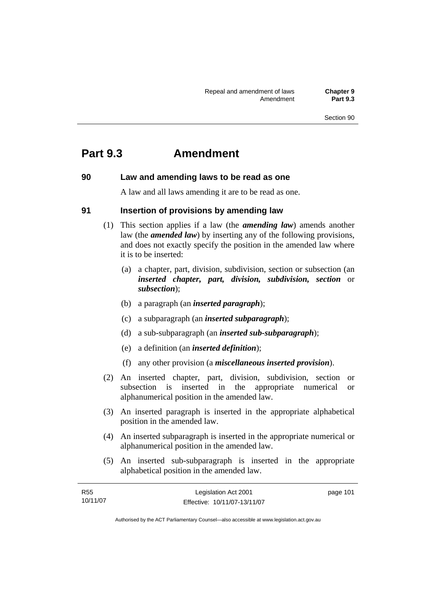# **Part 9.3 Amendment**

# **90 Law and amending laws to be read as one**

A law and all laws amending it are to be read as one.

# **91 Insertion of provisions by amending law**

- (1) This section applies if a law (the *amending law*) amends another law (the *amended law*) by inserting any of the following provisions, and does not exactly specify the position in the amended law where it is to be inserted:
	- (a) a chapter, part, division, subdivision, section or subsection (an *inserted chapter, part, division, subdivision, section* or *subsection*);
	- (b) a paragraph (an *inserted paragraph*);
	- (c) a subparagraph (an *inserted subparagraph*);
	- (d) a sub-subparagraph (an *inserted sub-subparagraph*);
	- (e) a definition (an *inserted definition*);
	- (f) any other provision (a *miscellaneous inserted provision*).
- (2) An inserted chapter, part, division, subdivision, section or subsection is inserted in the appropriate numerical or alphanumerical position in the amended law.
- (3) An inserted paragraph is inserted in the appropriate alphabetical position in the amended law.
- (4) An inserted subparagraph is inserted in the appropriate numerical or alphanumerical position in the amended law.
- (5) An inserted sub-subparagraph is inserted in the appropriate alphabetical position in the amended law.

| R55      | Legislation Act 2001         | page 101 |
|----------|------------------------------|----------|
| 10/11/07 | Effective: 10/11/07-13/11/07 |          |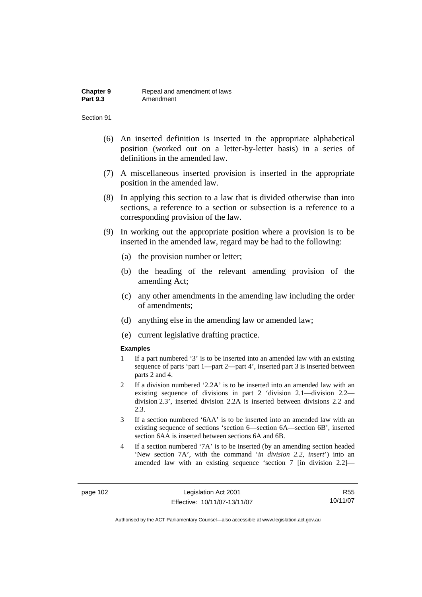- (6) An inserted definition is inserted in the appropriate alphabetical position (worked out on a letter-by-letter basis) in a series of definitions in the amended law.
- (7) A miscellaneous inserted provision is inserted in the appropriate position in the amended law.
- (8) In applying this section to a law that is divided otherwise than into sections, a reference to a section or subsection is a reference to a corresponding provision of the law.
- (9) In working out the appropriate position where a provision is to be inserted in the amended law, regard may be had to the following:
	- (a) the provision number or letter;
	- (b) the heading of the relevant amending provision of the amending Act;
	- (c) any other amendments in the amending law including the order of amendments;
	- (d) anything else in the amending law or amended law;
	- (e) current legislative drafting practice.

#### **Examples**

- 1 If a part numbered '3' is to be inserted into an amended law with an existing sequence of parts 'part 1—part 2—part 4', inserted part 3 is inserted between parts 2 and 4.
- 2 If a division numbered '2.2A' is to be inserted into an amended law with an existing sequence of divisions in part 2 'division 2.1—division 2.2 division 2.3', inserted division 2.2A is inserted between divisions 2.2 and  $2.3$
- 3 If a section numbered '6AA' is to be inserted into an amended law with an existing sequence of sections 'section 6—section 6A—section 6B', inserted section 6AA is inserted between sections 6A and 6B.
- 4 If a section numbered '7A' is to be inserted (by an amending section headed 'New section 7A', with the command '*in division 2.2, insert*') into an amended law with an existing sequence 'section 7 [in division 2.2]—

R55 10/11/07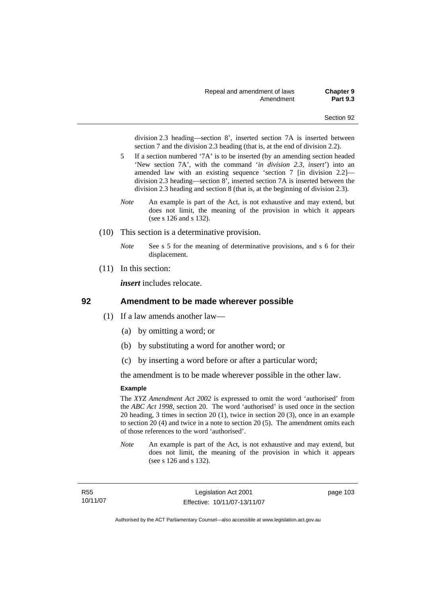division 2.3 heading—section 8', inserted section 7A is inserted between section 7 and the division 2.3 heading (that is, at the end of division 2.2).

- 5 If a section numbered '7A' is to be inserted (by an amending section headed 'New section 7A', with the command '*in division 2.3, insert*') into an amended law with an existing sequence 'section 7 [in division 2.2] division 2.3 heading—section 8', inserted section 7A is inserted between the division 2.3 heading and section 8 (that is, at the beginning of division 2.3).
- *Note* An example is part of the Act, is not exhaustive and may extend, but does not limit, the meaning of the provision in which it appears (see s 126 and s 132).
- (10) This section is a determinative provision.
	- *Note* See s 5 for the meaning of determinative provisions, and s 6 for their displacement.
- (11) In this section:

*insert* includes relocate.

### **92 Amendment to be made wherever possible**

- (1) If a law amends another law—
	- (a) by omitting a word; or
	- (b) by substituting a word for another word; or
	- (c) by inserting a word before or after a particular word;

the amendment is to be made wherever possible in the other law.

#### **Example**

The *XYZ Amendment Act 2002* is expressed to omit the word 'authorised' from the *ABC Act 1998*, section 20. The word 'authorised' is used once in the section 20 heading, 3 times in section 20 (1), twice in section 20 (3), once in an example to section 20 (4) and twice in a note to section 20 (5). The amendment omits each of those references to the word 'authorised'.

*Note* An example is part of the Act, is not exhaustive and may extend, but does not limit, the meaning of the provision in which it appears (see s 126 and s 132).

R55 10/11/07 page 103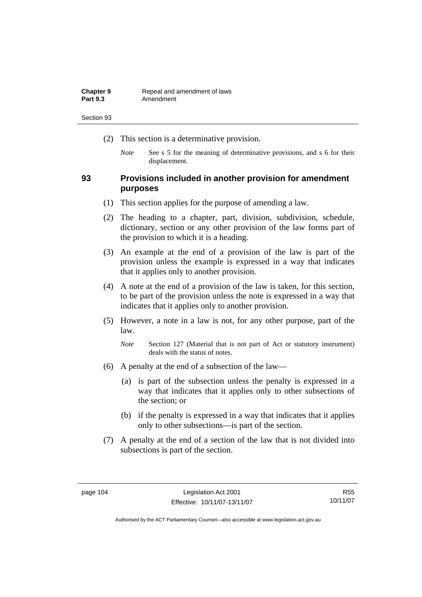| <b>Chapter 9</b> | Repeal and amendment of laws |
|------------------|------------------------------|
| <b>Part 9.3</b>  | Amendment                    |

- (2) This section is a determinative provision.
	- *Note* See s 5 for the meaning of determinative provisions, and s 6 for their displacement.

# **93 Provisions included in another provision for amendment purposes**

- (1) This section applies for the purpose of amending a law.
- (2) The heading to a chapter, part, division, subdivision, schedule, dictionary, section or any other provision of the law forms part of the provision to which it is a heading.
- (3) An example at the end of a provision of the law is part of the provision unless the example is expressed in a way that indicates that it applies only to another provision.
- (4) A note at the end of a provision of the law is taken, for this section, to be part of the provision unless the note is expressed in a way that indicates that it applies only to another provision.
- (5) However, a note in a law is not, for any other purpose, part of the law.

*Note* Section 127 (Material that is not part of Act or statutory instrument) deals with the status of notes.

- (6) A penalty at the end of a subsection of the law—
	- (a) is part of the subsection unless the penalty is expressed in a way that indicates that it applies only to other subsections of the section; or
	- (b) if the penalty is expressed in a way that indicates that it applies only to other subsections—is part of the section.
- (7) A penalty at the end of a section of the law that is not divided into subsections is part of the section.

R55 10/11/07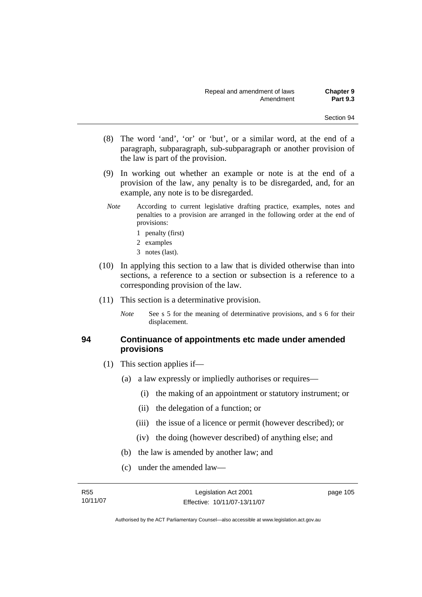- (8) The word 'and', 'or' or 'but', or a similar word, at the end of a paragraph, subparagraph, sub-subparagraph or another provision of the law is part of the provision.
- (9) In working out whether an example or note is at the end of a provision of the law, any penalty is to be disregarded, and, for an example, any note is to be disregarded.
- *Note* According to current legislative drafting practice, examples, notes and penalties to a provision are arranged in the following order at the end of provisions:
	- 1 penalty (first)
	- 2 examples
	- 3 notes (last).
- (10) In applying this section to a law that is divided otherwise than into sections, a reference to a section or subsection is a reference to a corresponding provision of the law.
- (11) This section is a determinative provision.
	- *Note* See s 5 for the meaning of determinative provisions, and s 6 for their displacement.

# **94 Continuance of appointments etc made under amended provisions**

- (1) This section applies if—
	- (a) a law expressly or impliedly authorises or requires—
		- (i) the making of an appointment or statutory instrument; or
		- (ii) the delegation of a function; or
		- (iii) the issue of a licence or permit (however described); or
		- (iv) the doing (however described) of anything else; and
	- (b) the law is amended by another law; and
	- (c) under the amended law—

R55 10/11/07 page 105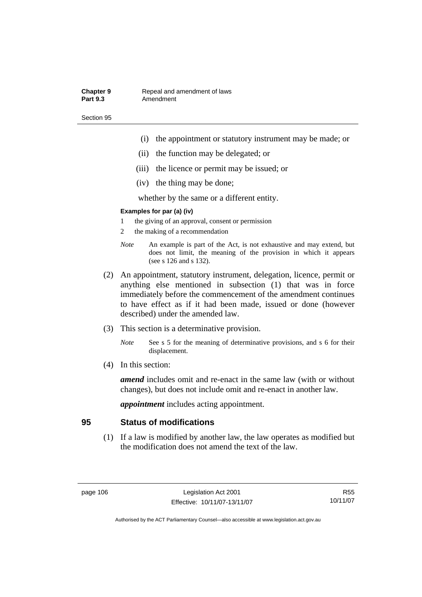#### **Chapter 9 Repeal and amendment of laws**<br>**Part 9.3 Amendment** Amendment

Section 95

- (i) the appointment or statutory instrument may be made; or
- (ii) the function may be delegated; or
- (iii) the licence or permit may be issued; or
- (iv) the thing may be done;

whether by the same or a different entity.

### **Examples for par (a) (iv)**

- 1 the giving of an approval, consent or permission
- 2 the making of a recommendation
- *Note* An example is part of the Act, is not exhaustive and may extend, but does not limit, the meaning of the provision in which it appears (see s 126 and s 132).
- (2) An appointment, statutory instrument, delegation, licence, permit or anything else mentioned in subsection (1) that was in force immediately before the commencement of the amendment continues to have effect as if it had been made, issued or done (however described) under the amended law.
- (3) This section is a determinative provision.
	- *Note* See s 5 for the meaning of determinative provisions, and s 6 for their displacement.
- (4) In this section:

*amend* includes omit and re-enact in the same law (with or without changes), but does not include omit and re-enact in another law.

*appointment* includes acting appointment.

# **95 Status of modifications**

 (1) If a law is modified by another law, the law operates as modified but the modification does not amend the text of the law.

R55 10/11/07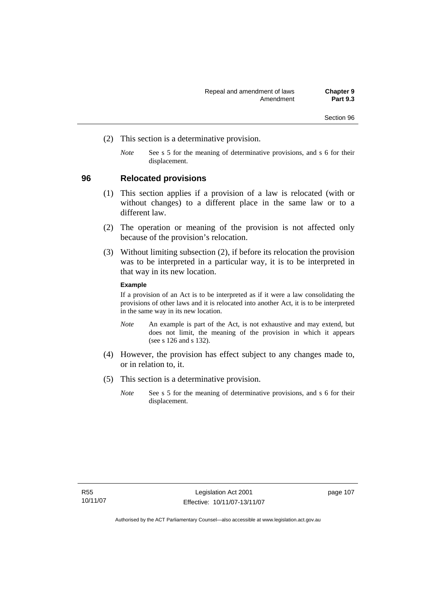- (2) This section is a determinative provision.
	- *Note* See s 5 for the meaning of determinative provisions, and s 6 for their displacement.

# **96 Relocated provisions**

- (1) This section applies if a provision of a law is relocated (with or without changes) to a different place in the same law or to a different law.
- (2) The operation or meaning of the provision is not affected only because of the provision's relocation.
- (3) Without limiting subsection (2), if before its relocation the provision was to be interpreted in a particular way, it is to be interpreted in that way in its new location.

#### **Example**

If a provision of an Act is to be interpreted as if it were a law consolidating the provisions of other laws and it is relocated into another Act, it is to be interpreted in the same way in its new location.

- *Note* An example is part of the Act, is not exhaustive and may extend, but does not limit, the meaning of the provision in which it appears (see s 126 and s 132).
- (4) However, the provision has effect subject to any changes made to, or in relation to, it.
- (5) This section is a determinative provision.
	- *Note* See s 5 for the meaning of determinative provisions, and s 6 for their displacement.

page 107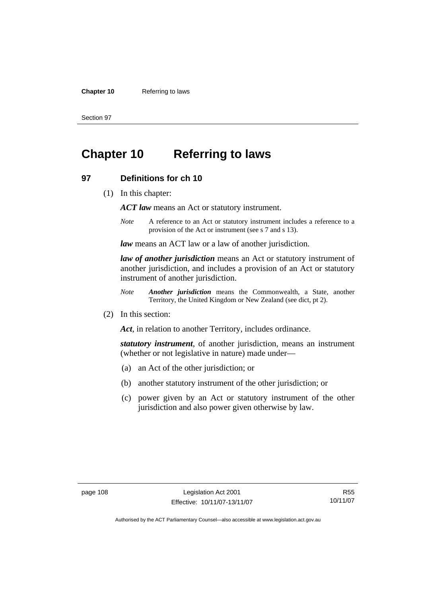#### **Chapter 10** Referring to laws

Section 97

# **Chapter 10 Referring to laws**

# **97 Definitions for ch 10**

(1) In this chapter:

*ACT law* means an Act or statutory instrument.

*Note* A reference to an Act or statutory instrument includes a reference to a provision of the Act or instrument (see s 7 and s 13).

*law* means an ACT law or a law of another jurisdiction.

*law of another jurisdiction* means an Act or statutory instrument of another jurisdiction, and includes a provision of an Act or statutory instrument of another jurisdiction.

- *Note Another jurisdiction* means the Commonwealth, a State, another Territory, the United Kingdom or New Zealand (see dict, pt 2).
- (2) In this section:

*Act*, in relation to another Territory, includes ordinance.

*statutory instrument*, of another jurisdiction, means an instrument (whether or not legislative in nature) made under—

- (a) an Act of the other jurisdiction; or
- (b) another statutory instrument of the other jurisdiction; or
- (c) power given by an Act or statutory instrument of the other jurisdiction and also power given otherwise by law.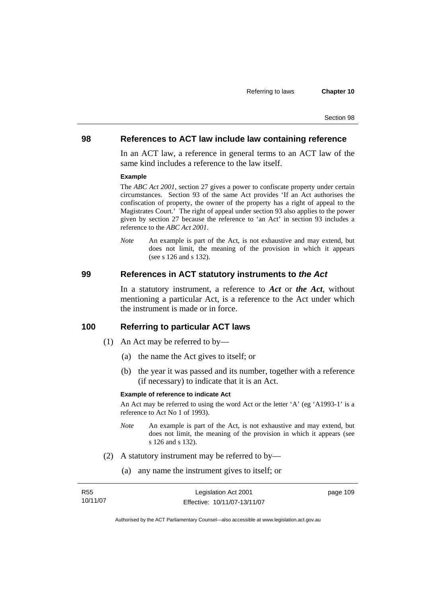### **98 References to ACT law include law containing reference**

In an ACT law, a reference in general terms to an ACT law of the same kind includes a reference to the law itself.

#### **Example**

The *ABC Act 2001*, section 27 gives a power to confiscate property under certain circumstances. Section 93 of the same Act provides 'If an Act authorises the confiscation of property, the owner of the property has a right of appeal to the Magistrates Court.' The right of appeal under section 93 also applies to the power given by section 27 because the reference to 'an Act' in section 93 includes a reference to the *ABC Act 2001*.

*Note* An example is part of the Act, is not exhaustive and may extend, but does not limit, the meaning of the provision in which it appears (see s 126 and s 132).

#### **99 References in ACT statutory instruments to** *the Act*

In a statutory instrument, a reference to *Act* or *the Act*, without mentioning a particular Act, is a reference to the Act under which the instrument is made or in force.

# **100 Referring to particular ACT laws**

- (1) An Act may be referred to by—
	- (a) the name the Act gives to itself; or
	- (b) the year it was passed and its number, together with a reference (if necessary) to indicate that it is an Act.

#### **Example of reference to indicate Act**

An Act may be referred to using the word Act or the letter 'A' (eg 'A1993-1' is a reference to Act No 1 of 1993).

- *Note* An example is part of the Act, is not exhaustive and may extend, but does not limit, the meaning of the provision in which it appears (see s 126 and s 132).
- (2) A statutory instrument may be referred to by—
	- (a) any name the instrument gives to itself; or

| R55      | Legislation Act 2001         | page 109 |
|----------|------------------------------|----------|
| 10/11/07 | Effective: 10/11/07-13/11/07 |          |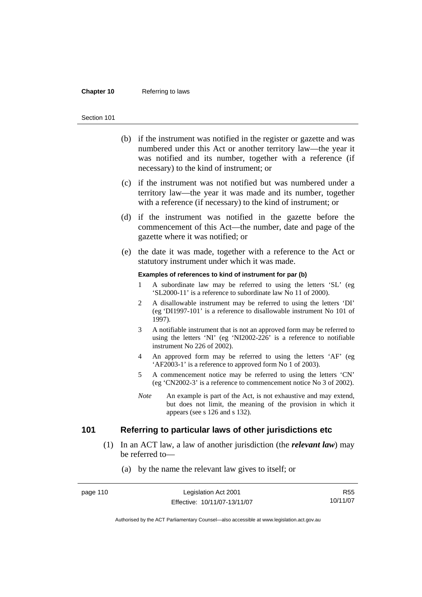#### **Chapter 10** Referring to laws

#### Section 101

- (b) if the instrument was notified in the register or gazette and was numbered under this Act or another territory law—the year it was notified and its number, together with a reference (if necessary) to the kind of instrument; or
- (c) if the instrument was not notified but was numbered under a territory law—the year it was made and its number, together with a reference (if necessary) to the kind of instrument; or
- (d) if the instrument was notified in the gazette before the commencement of this Act—the number, date and page of the gazette where it was notified; or
- (e) the date it was made, together with a reference to the Act or statutory instrument under which it was made.

#### **Examples of references to kind of instrument for par (b)**

- 1 A subordinate law may be referred to using the letters 'SL' (eg 'SL2000-11' is a reference to subordinate law No 11 of 2000).
- 2 A disallowable instrument may be referred to using the letters 'DI' (eg 'DI1997-101' is a reference to disallowable instrument No 101 of 1997).
- 3 A notifiable instrument that is not an approved form may be referred to using the letters 'NI' (eg 'NI2002-226' is a reference to notifiable instrument No 226 of 2002).
- 4 An approved form may be referred to using the letters 'AF' (eg 'AF2003-1' is a reference to approved form No 1 of 2003).
- 5 A commencement notice may be referred to using the letters 'CN' (eg 'CN2002-3' is a reference to commencement notice No 3 of 2002).
- *Note* An example is part of the Act, is not exhaustive and may extend, but does not limit, the meaning of the provision in which it appears (see s 126 and s 132).

# **101 Referring to particular laws of other jurisdictions etc**

 (1) In an ACT law, a law of another jurisdiction (the *relevant law*) may be referred to—

### (a) by the name the relevant law gives to itself; or

| page 110 | Legislation Act 2001         | R <sub>55</sub> |
|----------|------------------------------|-----------------|
|          | Effective: 10/11/07-13/11/07 | 10/11/07        |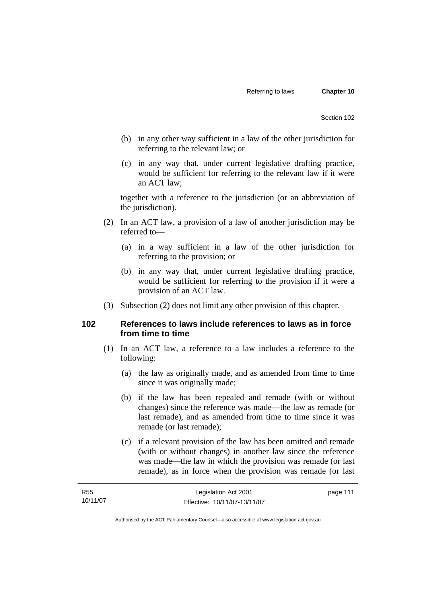- (b) in any other way sufficient in a law of the other jurisdiction for referring to the relevant law; or
- (c) in any way that, under current legislative drafting practice, would be sufficient for referring to the relevant law if it were an ACT law;

together with a reference to the jurisdiction (or an abbreviation of the jurisdiction).

- (2) In an ACT law, a provision of a law of another jurisdiction may be referred to—
	- (a) in a way sufficient in a law of the other jurisdiction for referring to the provision; or
	- (b) in any way that, under current legislative drafting practice, would be sufficient for referring to the provision if it were a provision of an ACT law.
- (3) Subsection (2) does not limit any other provision of this chapter.

# **102 References to laws include references to laws as in force from time to time**

- (1) In an ACT law, a reference to a law includes a reference to the following:
	- (a) the law as originally made, and as amended from time to time since it was originally made;
	- (b) if the law has been repealed and remade (with or without changes) since the reference was made—the law as remade (or last remade), and as amended from time to time since it was remade (or last remade);
	- (c) if a relevant provision of the law has been omitted and remade (with or without changes) in another law since the reference was made—the law in which the provision was remade (or last remade), as in force when the provision was remade (or last

| <b>R55</b> | Legislation Act 2001         | page 111 |
|------------|------------------------------|----------|
| 10/11/07   | Effective: 10/11/07-13/11/07 |          |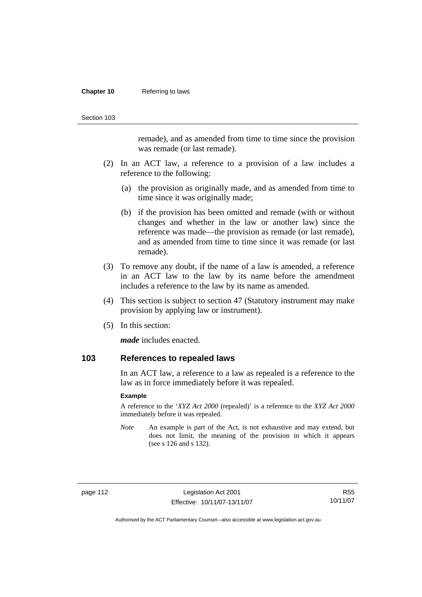#### **Chapter 10** Referring to laws

Section 103

remade), and as amended from time to time since the provision was remade (or last remade).

- (2) In an ACT law, a reference to a provision of a law includes a reference to the following:
	- (a) the provision as originally made, and as amended from time to time since it was originally made;
	- (b) if the provision has been omitted and remade (with or without changes and whether in the law or another law) since the reference was made—the provision as remade (or last remade), and as amended from time to time since it was remade (or last remade).
- (3) To remove any doubt, if the name of a law is amended, a reference in an ACT law to the law by its name before the amendment includes a reference to the law by its name as amended.
- (4) This section is subject to section 47 (Statutory instrument may make provision by applying law or instrument).
- (5) In this section:

*made* includes enacted.

### **103 References to repealed laws**

In an ACT law, a reference to a law as repealed is a reference to the law as in force immediately before it was repealed.

#### **Example**

A reference to the '*XYZ Act 2000* (repealed)' is a reference to the *XYZ Act 2000* immediately before it was repealed.

*Note* An example is part of the Act, is not exhaustive and may extend, but does not limit, the meaning of the provision in which it appears (see s 126 and s 132).

page 112 Legislation Act 2001 Effective: 10/11/07-13/11/07

R55 10/11/07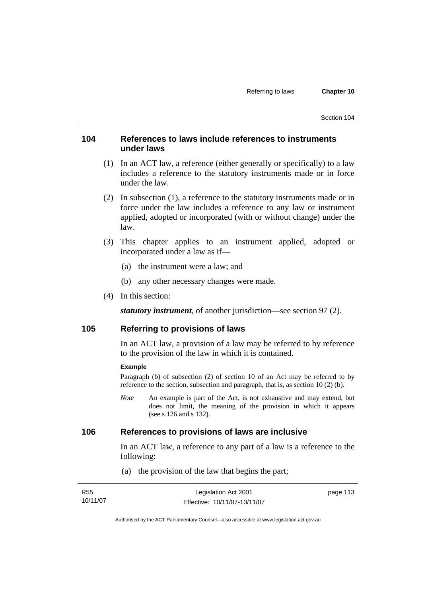# **104 References to laws include references to instruments under laws**

- (1) In an ACT law, a reference (either generally or specifically) to a law includes a reference to the statutory instruments made or in force under the law.
- (2) In subsection (1), a reference to the statutory instruments made or in force under the law includes a reference to any law or instrument applied, adopted or incorporated (with or without change) under the law.
- (3) This chapter applies to an instrument applied, adopted or incorporated under a law as if—
	- (a) the instrument were a law; and
	- (b) any other necessary changes were made.
- (4) In this section:

*statutory instrument*, of another jurisdiction—see section 97 (2).

# **105 Referring to provisions of laws**

In an ACT law, a provision of a law may be referred to by reference to the provision of the law in which it is contained.

#### **Example**

Paragraph (b) of subsection (2) of section 10 of an Act may be referred to by reference to the section, subsection and paragraph, that is, as section 10 (2) (b).

*Note* An example is part of the Act, is not exhaustive and may extend, but does not limit, the meaning of the provision in which it appears (see s 126 and s 132).

# **106 References to provisions of laws are inclusive**

In an ACT law, a reference to any part of a law is a reference to the following:

(a) the provision of the law that begins the part;

| R55      | Legislation Act 2001         | page 113 |
|----------|------------------------------|----------|
| 10/11/07 | Effective: 10/11/07-13/11/07 |          |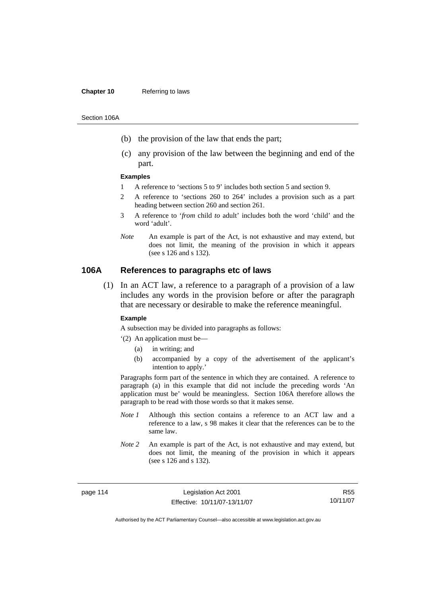#### **Chapter 10** Referring to laws

Section 106A

- (b) the provision of the law that ends the part;
- (c) any provision of the law between the beginning and end of the part.

#### **Examples**

- 1 A reference to 'sections 5 to 9' includes both section 5 and section 9.
- 2 A reference to 'sections 260 to 264' includes a provision such as a part heading between section 260 and section 261.
- 3 A reference to '*from* child *to* adult' includes both the word 'child' and the word 'adult'.
- *Note* An example is part of the Act, is not exhaustive and may extend, but does not limit, the meaning of the provision in which it appears (see s 126 and s 132).

# **106A References to paragraphs etc of laws**

 (1) In an ACT law, a reference to a paragraph of a provision of a law includes any words in the provision before or after the paragraph that are necessary or desirable to make the reference meaningful.

#### **Example**

A subsection may be divided into paragraphs as follows:

'(2) An application must be—

- (a) in writing; and
- (b) accompanied by a copy of the advertisement of the applicant's intention to apply.'

Paragraphs form part of the sentence in which they are contained. A reference to paragraph (a) in this example that did not include the preceding words 'An application must be' would be meaningless. Section 106A therefore allows the paragraph to be read with those words so that it makes sense.

- *Note 1* Although this section contains a reference to an ACT law and a reference to a law, s 98 makes it clear that the references can be to the same law.
- *Note 2* An example is part of the Act, is not exhaustive and may extend, but does not limit, the meaning of the provision in which it appears (see s 126 and s 132).

page 114 Legislation Act 2001 Effective: 10/11/07-13/11/07

R55 10/11/07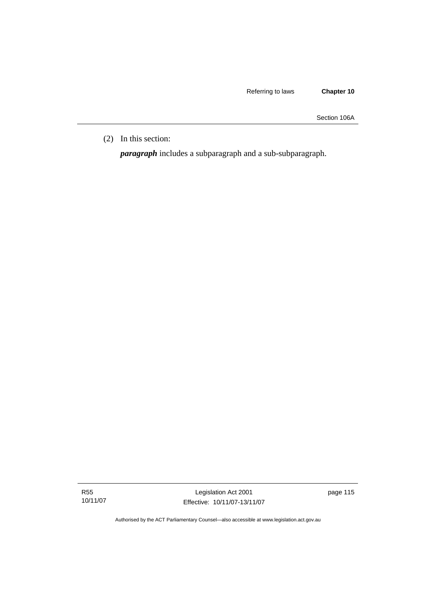Section 106A

(2) In this section:

*paragraph* includes a subparagraph and a sub-subparagraph.

R55 10/11/07

Legislation Act 2001 Effective: 10/11/07-13/11/07 page 115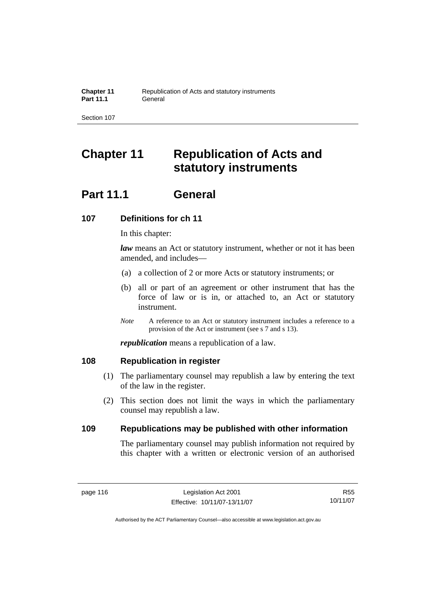# **Chapter 11 Republication of Acts and statutory instruments**

# **Part 11.1 General**

# **107 Definitions for ch 11**

In this chapter:

*law* means an Act or statutory instrument, whether or not it has been amended, and includes—

- (a) a collection of 2 or more Acts or statutory instruments; or
- (b) all or part of an agreement or other instrument that has the force of law or is in, or attached to, an Act or statutory instrument.
- *Note* A reference to an Act or statutory instrument includes a reference to a provision of the Act or instrument (see s 7 and s 13).

*republication* means a republication of a law.

# **108 Republication in register**

- (1) The parliamentary counsel may republish a law by entering the text of the law in the register.
- (2) This section does not limit the ways in which the parliamentary counsel may republish a law.

# **109 Republications may be published with other information**

The parliamentary counsel may publish information not required by this chapter with a written or electronic version of an authorised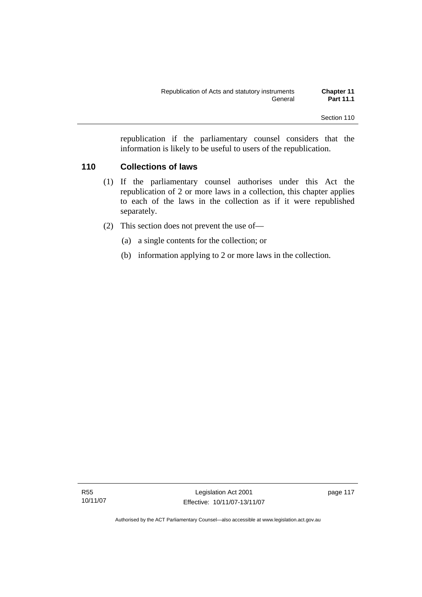republication if the parliamentary counsel considers that the information is likely to be useful to users of the republication.

# **110 Collections of laws**

- (1) If the parliamentary counsel authorises under this Act the republication of 2 or more laws in a collection, this chapter applies to each of the laws in the collection as if it were republished separately.
- (2) This section does not prevent the use of—
	- (a) a single contents for the collection; or
	- (b) information applying to 2 or more laws in the collection.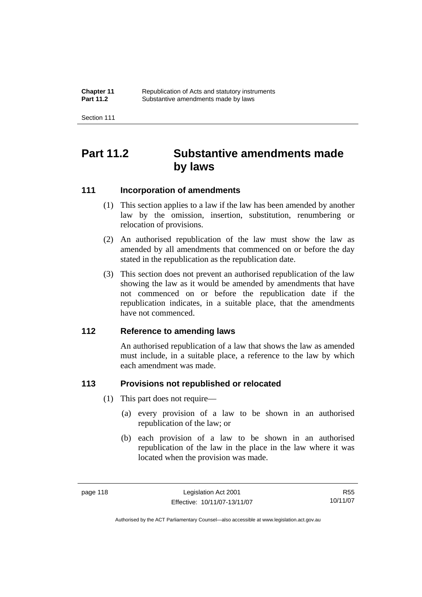| <b>Chapter 11</b> | Republication of Acts and statutory instruments |
|-------------------|-------------------------------------------------|
| <b>Part 11.2</b>  | Substantive amendments made by laws             |

# **Part 11.2 Substantive amendments made by laws**

# **111 Incorporation of amendments**

- (1) This section applies to a law if the law has been amended by another law by the omission, insertion, substitution, renumbering or relocation of provisions.
- (2) An authorised republication of the law must show the law as amended by all amendments that commenced on or before the day stated in the republication as the republication date.
- (3) This section does not prevent an authorised republication of the law showing the law as it would be amended by amendments that have not commenced on or before the republication date if the republication indicates, in a suitable place, that the amendments have not commenced.

# **112 Reference to amending laws**

An authorised republication of a law that shows the law as amended must include, in a suitable place, a reference to the law by which each amendment was made.

# **113 Provisions not republished or relocated**

- (1) This part does not require—
	- (a) every provision of a law to be shown in an authorised republication of the law; or
	- (b) each provision of a law to be shown in an authorised republication of the law in the place in the law where it was located when the provision was made.

R55 10/11/07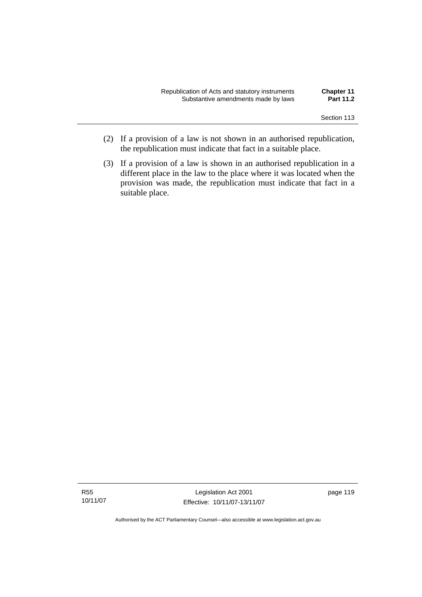| Republication of Acts and statutory instruments | <b>Chapter 11</b> |
|-------------------------------------------------|-------------------|
| Substantive amendments made by laws             | <b>Part 11.2</b>  |

- (2) If a provision of a law is not shown in an authorised republication, the republication must indicate that fact in a suitable place.
- (3) If a provision of a law is shown in an authorised republication in a different place in the law to the place where it was located when the provision was made, the republication must indicate that fact in a suitable place.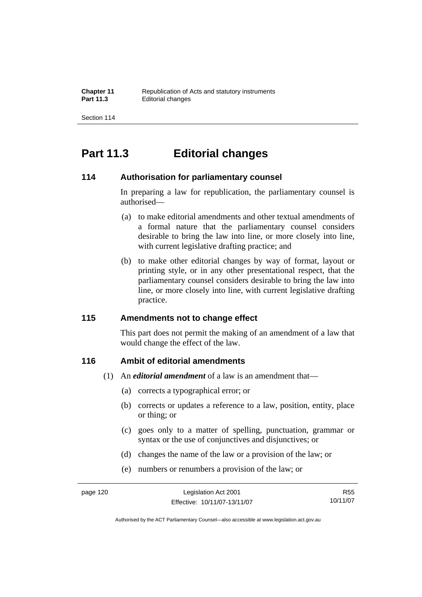# **Part 11.3 Editorial changes**

# **114 Authorisation for parliamentary counsel**

In preparing a law for republication, the parliamentary counsel is authorised—

- (a) to make editorial amendments and other textual amendments of a formal nature that the parliamentary counsel considers desirable to bring the law into line, or more closely into line, with current legislative drafting practice; and
- (b) to make other editorial changes by way of format, layout or printing style, or in any other presentational respect, that the parliamentary counsel considers desirable to bring the law into line, or more closely into line, with current legislative drafting practice.

# **115 Amendments not to change effect**

This part does not permit the making of an amendment of a law that would change the effect of the law.

# **116 Ambit of editorial amendments**

- (1) An *editorial amendment* of a law is an amendment that—
	- (a) corrects a typographical error; or
	- (b) corrects or updates a reference to a law, position, entity, place or thing; or
	- (c) goes only to a matter of spelling, punctuation, grammar or syntax or the use of conjunctives and disjunctives; or
	- (d) changes the name of the law or a provision of the law; or
	- (e) numbers or renumbers a provision of the law; or

R55 10/11/07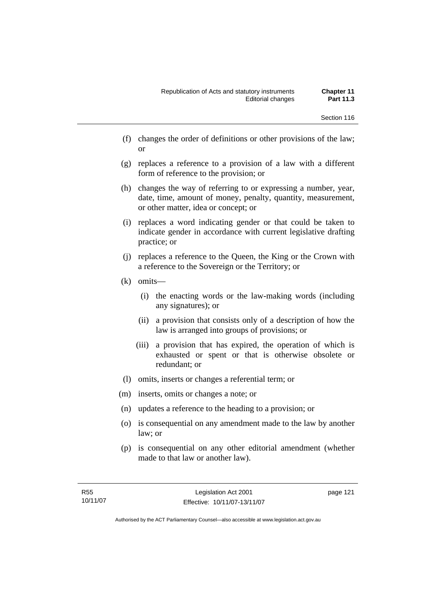- (f) changes the order of definitions or other provisions of the law; or
- (g) replaces a reference to a provision of a law with a different form of reference to the provision; or
- (h) changes the way of referring to or expressing a number, year, date, time, amount of money, penalty, quantity, measurement, or other matter, idea or concept; or
- (i) replaces a word indicating gender or that could be taken to indicate gender in accordance with current legislative drafting practice; or
- (j) replaces a reference to the Queen, the King or the Crown with a reference to the Sovereign or the Territory; or
- (k) omits—
	- (i) the enacting words or the law-making words (including any signatures); or
	- (ii) a provision that consists only of a description of how the law is arranged into groups of provisions; or
	- (iii) a provision that has expired, the operation of which is exhausted or spent or that is otherwise obsolete or redundant; or
- (l) omits, inserts or changes a referential term; or
- (m) inserts, omits or changes a note; or
- (n) updates a reference to the heading to a provision; or
- (o) is consequential on any amendment made to the law by another law; or
- (p) is consequential on any other editorial amendment (whether made to that law or another law).

page 121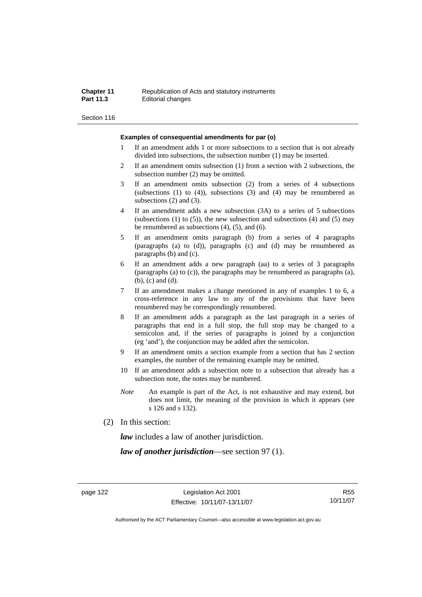#### **Chapter 11 Republication of Acts and statutory instruments**<br>**Part 11.3 Editorial changes Editorial changes**

Section 116

#### **Examples of consequential amendments for par (o)**

- 1 If an amendment adds 1 or more subsections to a section that is not already divided into subsections, the subsection number (1) may be inserted.
- 2 If an amendment omits subsection (1) from a section with 2 subsections, the subsection number (2) may be omitted.
- 3 If an amendment omits subsection (2) from a series of 4 subsections (subsections  $(1)$  to  $(4)$ ), subsections  $(3)$  and  $(4)$  may be renumbered as subsections (2) and (3).
- 4 If an amendment adds a new subsection (3A) to a series of 5 subsections (subsections  $(1)$  to  $(5)$ ), the new subsection and subsections  $(4)$  and  $(5)$  may be renumbered as subsections (4), (5), and (6).
- 5 If an amendment omits paragraph (b) from a series of 4 paragraphs (paragraphs (a) to (d)), paragraphs (c) and (d) may be renumbered as paragraphs (b) and (c).
- 6 If an amendment adds a new paragraph (aa) to a series of 3 paragraphs (paragraphs (a) to (c)), the paragraphs may be renumbered as paragraphs (a), (b), (c) and (d).
- 7 If an amendment makes a change mentioned in any of examples 1 to 6, a cross-reference in any law to any of the provisions that have been renumbered may be correspondingly renumbered.
- 8 If an amendment adds a paragraph as the last paragraph in a series of paragraphs that end in a full stop, the full stop may be changed to a semicolon and, if the series of paragraphs is joined by a conjunction (eg 'and'), the conjunction may be added after the semicolon.
- 9 If an amendment omits a section example from a section that has 2 section examples, the number of the remaining example may be omitted.
- 10 If an amendment adds a subsection note to a subsection that already has a subsection note, the notes may be numbered.
- *Note* An example is part of the Act, is not exhaustive and may extend, but does not limit, the meaning of the provision in which it appears (see s 126 and s 132).
- (2) In this section:

*law* includes a law of another jurisdiction.

*law of another jurisdiction*—see section 97 (1).

R55 10/11/07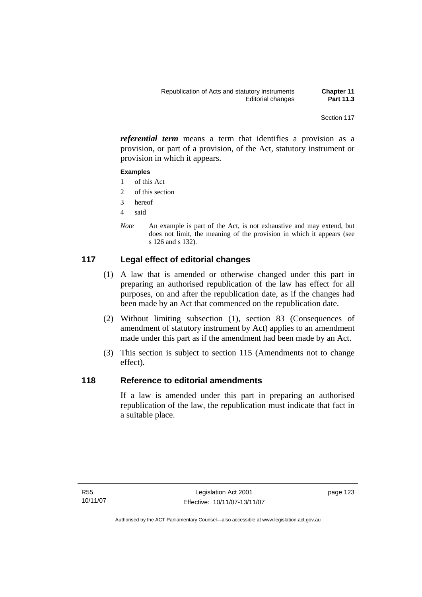*referential term* means a term that identifies a provision as a provision, or part of a provision, of the Act, statutory instrument or provision in which it appears.

### **Examples**

- 1 of this Act
- 2 of this section
- 3 hereof
- 4 said
- *Note* An example is part of the Act, is not exhaustive and may extend, but does not limit, the meaning of the provision in which it appears (see s 126 and s 132).

# **117 Legal effect of editorial changes**

- (1) A law that is amended or otherwise changed under this part in preparing an authorised republication of the law has effect for all purposes, on and after the republication date, as if the changes had been made by an Act that commenced on the republication date.
- (2) Without limiting subsection (1), section 83 (Consequences of amendment of statutory instrument by Act) applies to an amendment made under this part as if the amendment had been made by an Act.
- (3) This section is subject to section 115 (Amendments not to change effect).

# **118 Reference to editorial amendments**

If a law is amended under this part in preparing an authorised republication of the law, the republication must indicate that fact in a suitable place.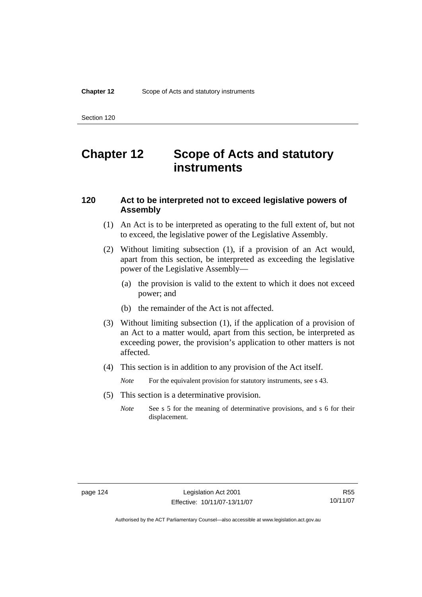# **Chapter 12 Scope of Acts and statutory instruments**

# **120 Act to be interpreted not to exceed legislative powers of Assembly**

- (1) An Act is to be interpreted as operating to the full extent of, but not to exceed, the legislative power of the Legislative Assembly.
- (2) Without limiting subsection (1), if a provision of an Act would, apart from this section, be interpreted as exceeding the legislative power of the Legislative Assembly—
	- (a) the provision is valid to the extent to which it does not exceed power; and
	- (b) the remainder of the Act is not affected.
- (3) Without limiting subsection (1), if the application of a provision of an Act to a matter would, apart from this section, be interpreted as exceeding power, the provision's application to other matters is not affected.
- (4) This section is in addition to any provision of the Act itself.

*Note* For the equivalent provision for statutory instruments, see s 43.

- (5) This section is a determinative provision.
	- *Note* See s 5 for the meaning of determinative provisions, and s 6 for their displacement.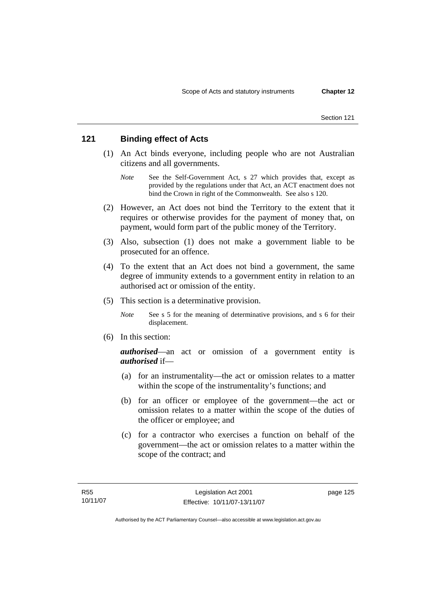# **121 Binding effect of Acts**

- (1) An Act binds everyone, including people who are not Australian citizens and all governments.
	- *Note* See the Self-Government Act, s 27 which provides that, except as provided by the regulations under that Act, an ACT enactment does not bind the Crown in right of the Commonwealth. See also s 120.
- (2) However, an Act does not bind the Territory to the extent that it requires or otherwise provides for the payment of money that, on payment, would form part of the public money of the Territory.
- (3) Also, subsection (1) does not make a government liable to be prosecuted for an offence.
- (4) To the extent that an Act does not bind a government, the same degree of immunity extends to a government entity in relation to an authorised act or omission of the entity.
- (5) This section is a determinative provision.

*Note* See s 5 for the meaning of determinative provisions, and s 6 for their displacement.

(6) In this section:

*authorised*—an act or omission of a government entity is *authorised* if—

- (a) for an instrumentality—the act or omission relates to a matter within the scope of the instrumentality's functions; and
- (b) for an officer or employee of the government—the act or omission relates to a matter within the scope of the duties of the officer or employee; and
- (c) for a contractor who exercises a function on behalf of the government—the act or omission relates to a matter within the scope of the contract; and

page 125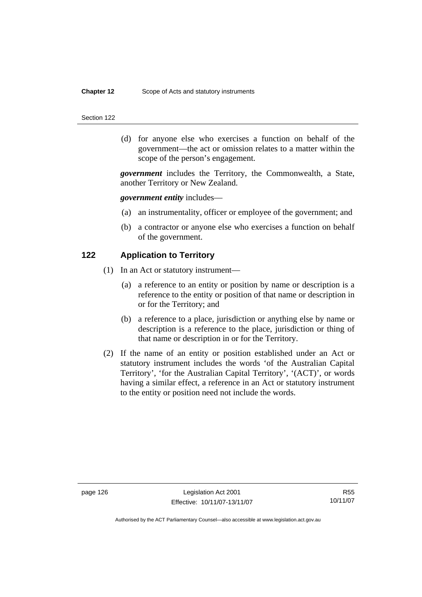#### **Chapter 12** Scope of Acts and statutory instruments

#### Section 122

 (d) for anyone else who exercises a function on behalf of the government—the act or omission relates to a matter within the scope of the person's engagement.

*government* includes the Territory, the Commonwealth, a State, another Territory or New Zealand.

### *government entity* includes—

- (a) an instrumentality, officer or employee of the government; and
- (b) a contractor or anyone else who exercises a function on behalf of the government.

### **122 Application to Territory**

- (1) In an Act or statutory instrument—
	- (a) a reference to an entity or position by name or description is a reference to the entity or position of that name or description in or for the Territory; and
	- (b) a reference to a place, jurisdiction or anything else by name or description is a reference to the place, jurisdiction or thing of that name or description in or for the Territory.
- (2) If the name of an entity or position established under an Act or statutory instrument includes the words 'of the Australian Capital Territory', 'for the Australian Capital Territory', '(ACT)', or words having a similar effect, a reference in an Act or statutory instrument to the entity or position need not include the words.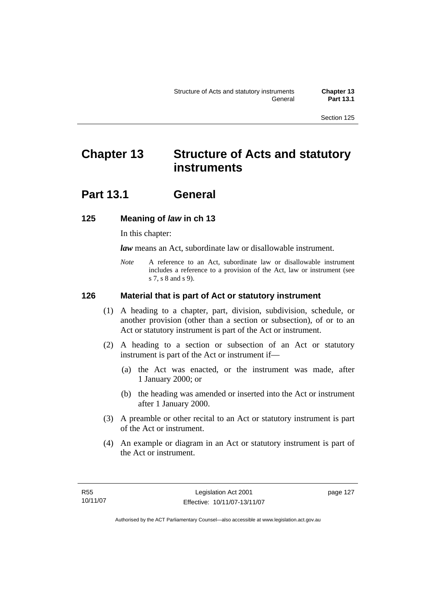# **Chapter 13 Structure of Acts and statutory instruments**

# **Part 13.1 General**

# **125 Meaning of** *law* **in ch 13**

In this chapter:

*law* means an Act, subordinate law or disallowable instrument.

*Note* A reference to an Act, subordinate law or disallowable instrument includes a reference to a provision of the Act, law or instrument (see s 7, s 8 and s 9).

# **126 Material that is part of Act or statutory instrument**

- (1) A heading to a chapter, part, division, subdivision, schedule, or another provision (other than a section or subsection), of or to an Act or statutory instrument is part of the Act or instrument.
- (2) A heading to a section or subsection of an Act or statutory instrument is part of the Act or instrument if—
	- (a) the Act was enacted, or the instrument was made, after 1 January 2000; or
	- (b) the heading was amended or inserted into the Act or instrument after 1 January 2000.
- (3) A preamble or other recital to an Act or statutory instrument is part of the Act or instrument.
- (4) An example or diagram in an Act or statutory instrument is part of the Act or instrument.

page 127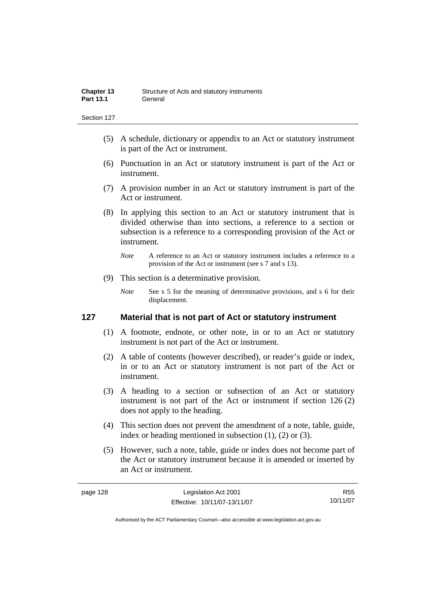- (5) A schedule, dictionary or appendix to an Act or statutory instrument is part of the Act or instrument.
- (6) Punctuation in an Act or statutory instrument is part of the Act or instrument.
- (7) A provision number in an Act or statutory instrument is part of the Act or instrument.
- (8) In applying this section to an Act or statutory instrument that is divided otherwise than into sections, a reference to a section or subsection is a reference to a corresponding provision of the Act or instrument.
	- *Note* A reference to an Act or statutory instrument includes a reference to a provision of the Act or instrument (see s 7 and s 13).
- (9) This section is a determinative provision.
	- *Note* See s 5 for the meaning of determinative provisions, and s 6 for their displacement.

# **127 Material that is not part of Act or statutory instrument**

- (1) A footnote, endnote, or other note, in or to an Act or statutory instrument is not part of the Act or instrument.
- (2) A table of contents (however described), or reader's guide or index, in or to an Act or statutory instrument is not part of the Act or instrument.
- (3) A heading to a section or subsection of an Act or statutory instrument is not part of the Act or instrument if section 126 (2) does not apply to the heading.
- (4) This section does not prevent the amendment of a note, table, guide, index or heading mentioned in subsection (1), (2) or (3).
- (5) However, such a note, table, guide or index does not become part of the Act or statutory instrument because it is amended or inserted by an Act or instrument.

R55 10/11/07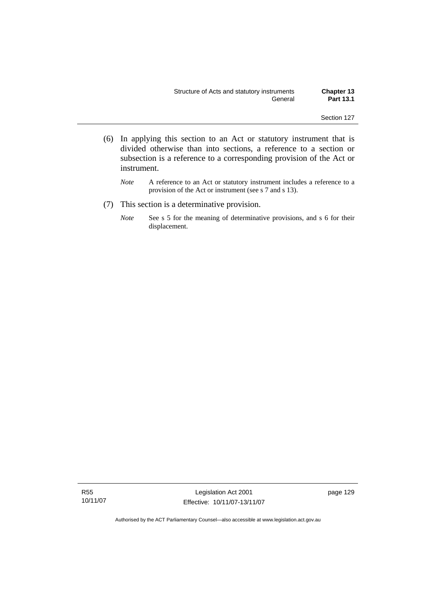- (6) In applying this section to an Act or statutory instrument that is divided otherwise than into sections, a reference to a section or subsection is a reference to a corresponding provision of the Act or instrument.
	- *Note* A reference to an Act or statutory instrument includes a reference to a provision of the Act or instrument (see s 7 and s 13).
- (7) This section is a determinative provision.
	- *Note* See s 5 for the meaning of determinative provisions, and s 6 for their displacement.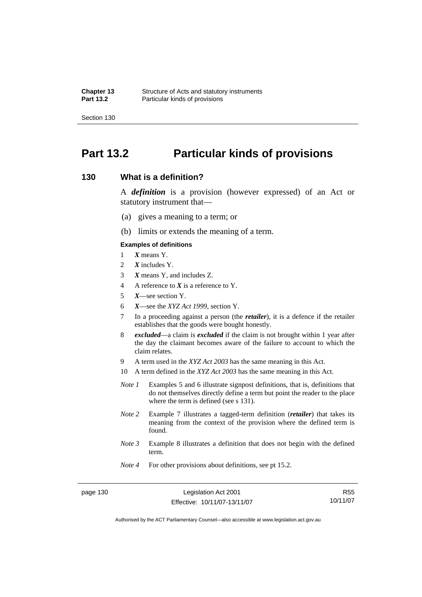# **Part 13.2 Particular kinds of provisions**

## **130 What is a definition?**

A *definition* is a provision (however expressed) of an Act or statutory instrument that—

- (a) gives a meaning to a term; or
- (b) limits or extends the meaning of a term.

#### **Examples of definitions**

- 1 *X* means Y.
- 2 *X* includes Y.
- 3 *X* means Y, and includes Z.
- 4 A reference to *X* is a reference to Y.
- 5 *X*—see section Y.
- 6 *X*—see the *XYZ Act 1999*, section Y.
- 7 In a proceeding against a person (the *retailer*), it is a defence if the retailer establishes that the goods were bought honestly.
- 8 *excluded*—a claim is *excluded* if the claim is not brought within 1 year after the day the claimant becomes aware of the failure to account to which the claim relates.
- 9 A term used in the *XYZ Act 2003* has the same meaning in this Act.
- 10 A term defined in the *XYZ Act 2003* has the same meaning in this Act.
- *Note 1* Examples 5 and 6 illustrate signpost definitions, that is, definitions that do not themselves directly define a term but point the reader to the place where the term is defined (see s 131).
- *Note 2* Example 7 illustrates a tagged-term definition (*retailer*) that takes its meaning from the context of the provision where the defined term is found.
- *Note 3* Example 8 illustrates a definition that does not begin with the defined term.
- *Note 4* For other provisions about definitions, see pt 15.2.

page 130 Legislation Act 2001 Effective: 10/11/07-13/11/07

R55 10/11/07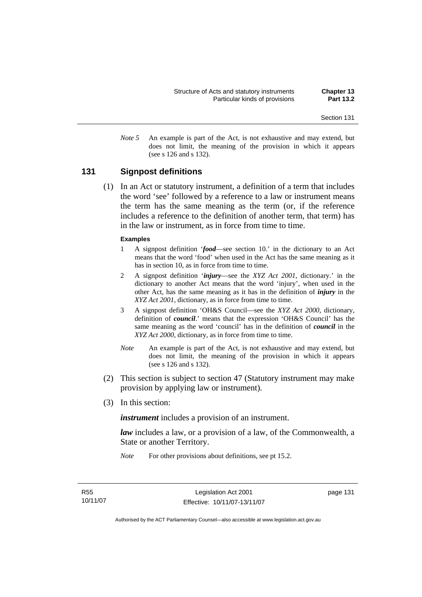*Note 5* An example is part of the Act, is not exhaustive and may extend, but does not limit, the meaning of the provision in which it appears (see s 126 and s 132).

# **131 Signpost definitions**

 (1) In an Act or statutory instrument, a definition of a term that includes the word 'see' followed by a reference to a law or instrument means the term has the same meaning as the term (or, if the reference includes a reference to the definition of another term, that term) has in the law or instrument, as in force from time to time.

#### **Examples**

- 1 A signpost definition '*food*—see section 10.' in the dictionary to an Act means that the word 'food' when used in the Act has the same meaning as it has in section 10, as in force from time to time.
- 2 A signpost definition '*injury*—see the *XYZ Act 2001*, dictionary.' in the dictionary to another Act means that the word 'injury', when used in the other Act, has the same meaning as it has in the definition of *injury* in the *XYZ Act 2001*, dictionary, as in force from time to time.
- 3 A signpost definition 'OH&S Council—see the *XYZ Act 2000*, dictionary, definition of *council*.' means that the expression 'OH&S Council' has the same meaning as the word 'council' has in the definition of *council* in the *XYZ Act 2000*, dictionary, as in force from time to time.
- *Note* An example is part of the Act, is not exhaustive and may extend, but does not limit, the meaning of the provision in which it appears (see s 126 and s 132).
- (2) This section is subject to section 47 (Statutory instrument may make provision by applying law or instrument).
- (3) In this section:

*instrument* includes a provision of an instrument.

*law* includes a law, or a provision of a law, of the Commonwealth, a State or another Territory.

*Note* For other provisions about definitions, see pt 15.2.

page 131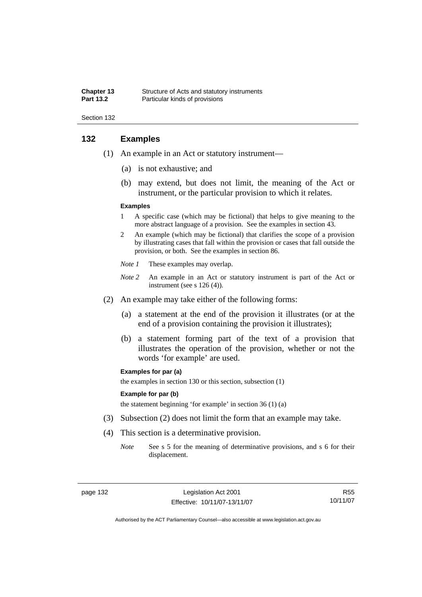| <b>Chapter 13</b> | Structure of Acts and statutory instruments |
|-------------------|---------------------------------------------|
| <b>Part 13.2</b>  | Particular kinds of provisions              |

# **132 Examples**

- (1) An example in an Act or statutory instrument—
	- (a) is not exhaustive; and
	- (b) may extend, but does not limit, the meaning of the Act or instrument, or the particular provision to which it relates.

#### **Examples**

- 1 A specific case (which may be fictional) that helps to give meaning to the more abstract language of a provision. See the examples in section 43.
- 2 An example (which may be fictional) that clarifies the scope of a provision by illustrating cases that fall within the provision or cases that fall outside the provision, or both. See the examples in section 86.
- *Note 1* These examples may overlap.
- *Note 2* An example in an Act or statutory instrument is part of the Act or instrument (see s 126 (4)).
- (2) An example may take either of the following forms:
	- (a) a statement at the end of the provision it illustrates (or at the end of a provision containing the provision it illustrates);
	- (b) a statement forming part of the text of a provision that illustrates the operation of the provision, whether or not the words 'for example' are used.

#### **Examples for par (a)**

the examples in section 130 or this section, subsection (1)

#### **Example for par (b)**

the statement beginning 'for example' in section 36 (1) (a)

- (3) Subsection (2) does not limit the form that an example may take.
- (4) This section is a determinative provision.
	- *Note* See s 5 for the meaning of determinative provisions, and s 6 for their displacement.

R55 10/11/07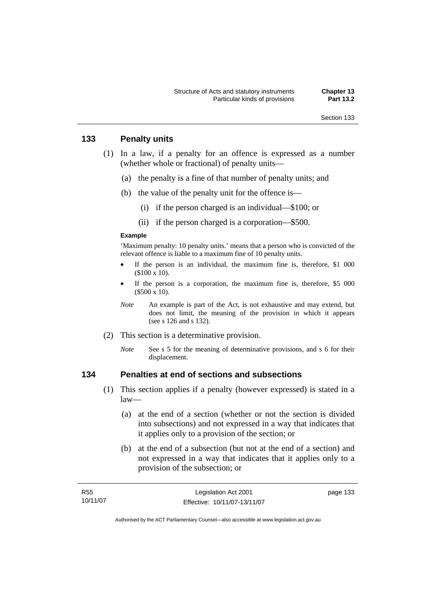# **133 Penalty units**

- (1) In a law, if a penalty for an offence is expressed as a number (whether whole or fractional) of penalty units—
	- (a) the penalty is a fine of that number of penalty units; and
	- (b) the value of the penalty unit for the offence is—
		- (i) if the person charged is an individual—\$100; or
		- (ii) if the person charged is a corporation—\$500.

#### **Example**

'Maximum penalty: 10 penalty units.' means that a person who is convicted of the relevant offence is liable to a maximum fine of 10 penalty units.

- If the person is an individual, the maximum fine is, therefore,  $$1\ 000$ (\$100 x 10).
- If the person is a corporation, the maximum fine is, therefore, \$5 000 (\$500 x 10).
- *Note* An example is part of the Act, is not exhaustive and may extend, but does not limit, the meaning of the provision in which it appears (see s 126 and s 132).
- (2) This section is a determinative provision.
	- *Note* See s 5 for the meaning of determinative provisions, and s 6 for their displacement.

# **134 Penalties at end of sections and subsections**

- (1) This section applies if a penalty (however expressed) is stated in a law—
	- (a) at the end of a section (whether or not the section is divided into subsections) and not expressed in a way that indicates that it applies only to a provision of the section; or
	- (b) at the end of a subsection (but not at the end of a section) and not expressed in a way that indicates that it applies only to a provision of the subsection; or

| R55      | Legislation Act 2001         | page 133 |
|----------|------------------------------|----------|
| 10/11/07 | Effective: 10/11/07-13/11/07 |          |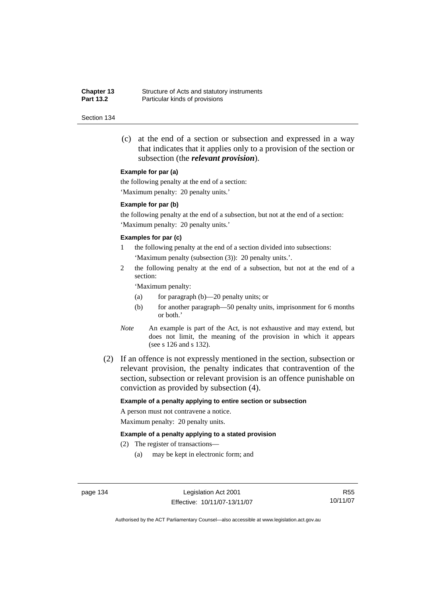**Chapter 13** Structure of Acts and statutory instruments<br>**Part 13.2** Particular kinds of provisions Particular kinds of provisions

#### Section 134

 (c) at the end of a section or subsection and expressed in a way that indicates that it applies only to a provision of the section or subsection (the *relevant provision*).

#### **Example for par (a)**

the following penalty at the end of a section: 'Maximum penalty: 20 penalty units.'

#### **Example for par (b)**

the following penalty at the end of a subsection, but not at the end of a section: 'Maximum penalty: 20 penalty units.'

#### **Examples for par (c)**

- 1 the following penalty at the end of a section divided into subsections: 'Maximum penalty (subsection (3)): 20 penalty units.'.
- 2 the following penalty at the end of a subsection, but not at the end of a section:

'Maximum penalty:

- (a) for paragraph (b)—20 penalty units; or
- (b) for another paragraph—50 penalty units, imprisonment for 6 months or both.'
- *Note* An example is part of the Act, is not exhaustive and may extend, but does not limit, the meaning of the provision in which it appears (see s 126 and s 132).
- (2) If an offence is not expressly mentioned in the section, subsection or relevant provision, the penalty indicates that contravention of the section, subsection or relevant provision is an offence punishable on conviction as provided by subsection (4).

#### **Example of a penalty applying to entire section or subsection**

A person must not contravene a notice. Maximum penalty: 20 penalty units.

#### **Example of a penalty applying to a stated provision**

- (2) The register of transactions—
	- (a) may be kept in electronic form; and

page 134 Legislation Act 2001 Effective: 10/11/07-13/11/07

R55 10/11/07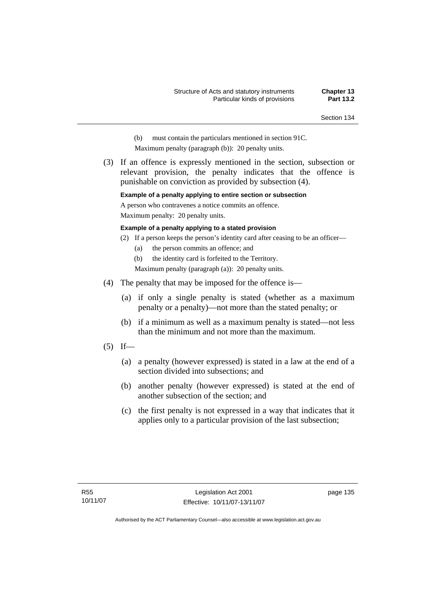- (b) must contain the particulars mentioned in section 91C.
- Maximum penalty (paragraph (b)): 20 penalty units.
- (3) If an offence is expressly mentioned in the section, subsection or relevant provision, the penalty indicates that the offence is punishable on conviction as provided by subsection (4).

#### **Example of a penalty applying to entire section or subsection**

A person who contravenes a notice commits an offence.

Maximum penalty: 20 penalty units.

#### **Example of a penalty applying to a stated provision**

- (2) If a person keeps the person's identity card after ceasing to be an officer—
	- (a) the person commits an offence; and

(b) the identity card is forfeited to the Territory.

Maximum penalty (paragraph (a)): 20 penalty units.

- (4) The penalty that may be imposed for the offence is—
	- (a) if only a single penalty is stated (whether as a maximum penalty or a penalty)—not more than the stated penalty; or
	- (b) if a minimum as well as a maximum penalty is stated—not less than the minimum and not more than the maximum.
- $(5)$  If—
	- (a) a penalty (however expressed) is stated in a law at the end of a section divided into subsections; and
	- (b) another penalty (however expressed) is stated at the end of another subsection of the section; and
	- (c) the first penalty is not expressed in a way that indicates that it applies only to a particular provision of the last subsection;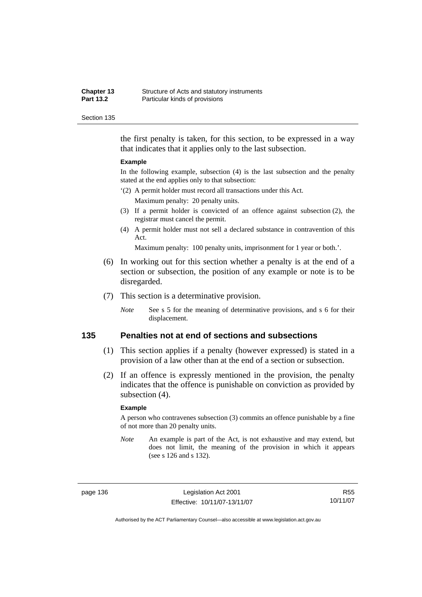| <b>Chapter 13</b> | Structure of Acts and statutory instruments |
|-------------------|---------------------------------------------|
| <b>Part 13.2</b>  | Particular kinds of provisions              |

the first penalty is taken, for this section, to be expressed in a way that indicates that it applies only to the last subsection.

#### **Example**

In the following example, subsection (4) is the last subsection and the penalty stated at the end applies only to that subsection:

'(2) A permit holder must record all transactions under this Act.

Maximum penalty: 20 penalty units.

- (3) If a permit holder is convicted of an offence against subsection (2), the registrar must cancel the permit.
- (4) A permit holder must not sell a declared substance in contravention of this Act.

Maximum penalty: 100 penalty units, imprisonment for 1 year or both.'.

- (6) In working out for this section whether a penalty is at the end of a section or subsection, the position of any example or note is to be disregarded.
- (7) This section is a determinative provision.
	- *Note* See s 5 for the meaning of determinative provisions, and s 6 for their displacement.

## **135 Penalties not at end of sections and subsections**

- (1) This section applies if a penalty (however expressed) is stated in a provision of a law other than at the end of a section or subsection.
- (2) If an offence is expressly mentioned in the provision, the penalty indicates that the offence is punishable on conviction as provided by subsection (4).

#### **Example**

A person who contravenes subsection (3) commits an offence punishable by a fine of not more than 20 penalty units.

*Note* An example is part of the Act, is not exhaustive and may extend, but does not limit, the meaning of the provision in which it appears (see s 126 and s 132).

page 136 Legislation Act 2001 Effective: 10/11/07-13/11/07

R55 10/11/07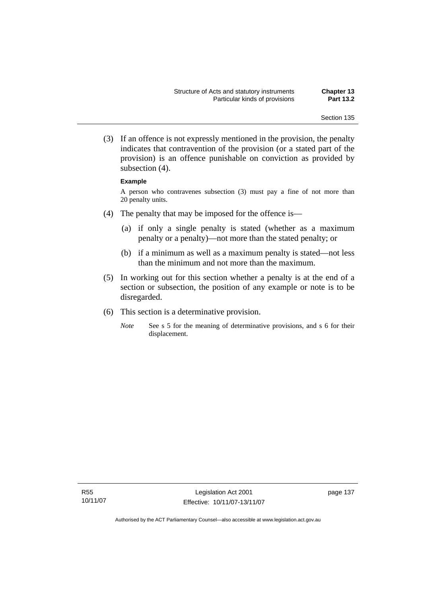(3) If an offence is not expressly mentioned in the provision, the penalty indicates that contravention of the provision (or a stated part of the provision) is an offence punishable on conviction as provided by subsection (4).

#### **Example**

A person who contravenes subsection (3) must pay a fine of not more than 20 penalty units.

- (4) The penalty that may be imposed for the offence is—
	- (a) if only a single penalty is stated (whether as a maximum penalty or a penalty)—not more than the stated penalty; or
	- (b) if a minimum as well as a maximum penalty is stated—not less than the minimum and not more than the maximum.
- (5) In working out for this section whether a penalty is at the end of a section or subsection, the position of any example or note is to be disregarded.
- (6) This section is a determinative provision.
	- *Note* See s 5 for the meaning of determinative provisions, and s 6 for their displacement.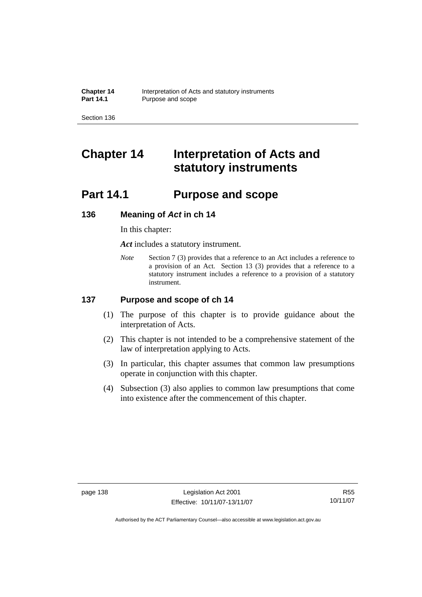# **Chapter 14 Interpretation of Acts and statutory instruments**

# **Part 14.1 Purpose and scope**

# **136 Meaning of** *Act* **in ch 14**

In this chapter:

*Act* includes a statutory instrument.

*Note* Section 7 (3) provides that a reference to an Act includes a reference to a provision of an Act. Section 13 (3) provides that a reference to a statutory instrument includes a reference to a provision of a statutory instrument.

# **137 Purpose and scope of ch 14**

- (1) The purpose of this chapter is to provide guidance about the interpretation of Acts.
- (2) This chapter is not intended to be a comprehensive statement of the law of interpretation applying to Acts.
- (3) In particular, this chapter assumes that common law presumptions operate in conjunction with this chapter.
- (4) Subsection (3) also applies to common law presumptions that come into existence after the commencement of this chapter.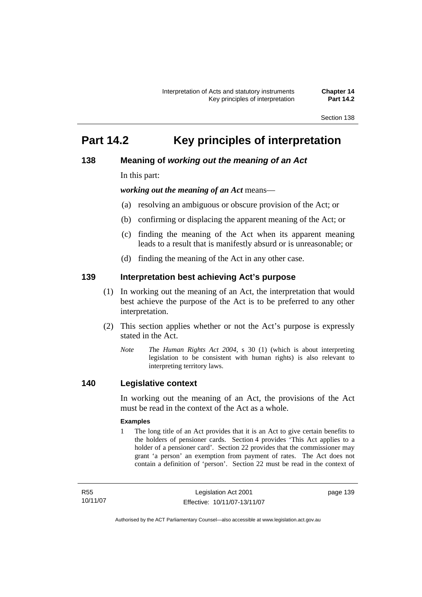# **Part 14.2 Key principles of interpretation**

# **138 Meaning of** *working out the meaning of an Act*

In this part:

*working out the meaning of an Act* means—

- (a) resolving an ambiguous or obscure provision of the Act; or
- (b) confirming or displacing the apparent meaning of the Act; or
- (c) finding the meaning of the Act when its apparent meaning leads to a result that is manifestly absurd or is unreasonable; or
- (d) finding the meaning of the Act in any other case.

# **139 Interpretation best achieving Act's purpose**

- (1) In working out the meaning of an Act, the interpretation that would best achieve the purpose of the Act is to be preferred to any other interpretation.
- (2) This section applies whether or not the Act's purpose is expressly stated in the Act.
	- *Note T*he *Human Rights Act 2004*, s 30 (1) (which is about interpreting legislation to be consistent with human rights) is also relevant to interpreting territory laws.

# **140 Legislative context**

In working out the meaning of an Act, the provisions of the Act must be read in the context of the Act as a whole.

#### **Examples**

1 The long title of an Act provides that it is an Act to give certain benefits to the holders of pensioner cards. Section 4 provides 'This Act applies to a holder of a pensioner card'. Section 22 provides that the commissioner may grant 'a person' an exemption from payment of rates. The Act does not contain a definition of 'person'. Section 22 must be read in the context of

R55 10/11/07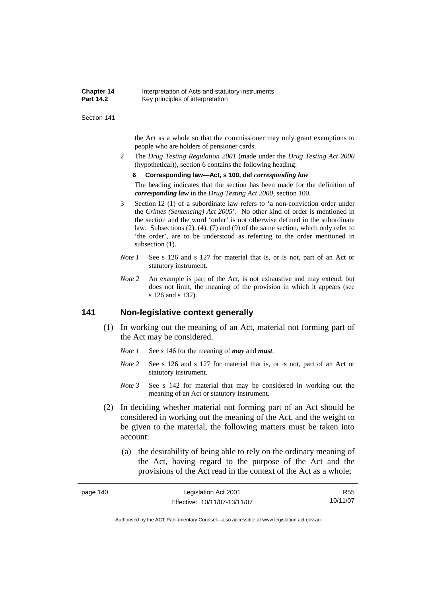| <b>Chapter 14</b> | Interpretation of Acts and statutory instruments |
|-------------------|--------------------------------------------------|
| <b>Part 14.2</b>  | Key principles of interpretation                 |

the Act as a whole so that the commissioner may only grant exemptions to people who are holders of pensioner cards.

2 The *Drug Testing Regulation 2001* (made under the *Drug Testing Act 2000* (hypothetical)), section 6 contains the following heading:

#### **6 Corresponding law—Act, s 100, def** *corresponding law*

The heading indicates that the section has been made for the definition of *corresponding law* in the *Drug Testing Act 2000*, section 100.

- 3 Section 12 (1) of a subordinate law refers to 'a non-conviction order under the *Crimes (Sentencing) Act 2005*'. No other kind of order is mentioned in the section and the word 'order' is not otherwise defined in the subordinate law. Subsections (2), (4), (7) and (9) of the same section, which only refer to 'the order', are to be understood as referring to the order mentioned in subsection  $(1)$ .
- *Note 1* See s 126 and s 127 for material that is, or is not, part of an Act or statutory instrument.
- *Note 2* An example is part of the Act, is not exhaustive and may extend, but does not limit, the meaning of the provision in which it appears (see s 126 and s 132).

# **141 Non-legislative context generally**

- (1) In working out the meaning of an Act, material not forming part of the Act may be considered.
	- *Note 1* See s 146 for the meaning of *may* and *must*.
	- *Note* 2 See s 126 and s 127 for material that is, or is not, part of an Act or statutory instrument.
	- *Note 3* See s 142 for material that may be considered in working out the meaning of an Act or statutory instrument.
- (2) In deciding whether material not forming part of an Act should be considered in working out the meaning of the Act, and the weight to be given to the material, the following matters must be taken into account:
	- (a) the desirability of being able to rely on the ordinary meaning of the Act, having regard to the purpose of the Act and the provisions of the Act read in the context of the Act as a whole;

| page 140 | Legislation Act 2001         | R55      |
|----------|------------------------------|----------|
|          | Effective: 10/11/07-13/11/07 | 10/11/07 |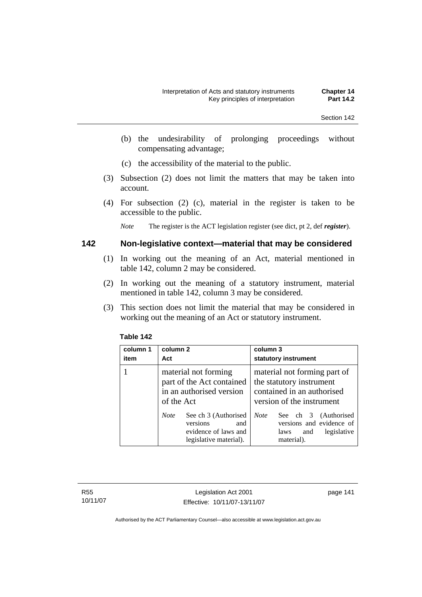- (b) the undesirability of prolonging proceedings without compensating advantage;
- (c) the accessibility of the material to the public.
- (3) Subsection (2) does not limit the matters that may be taken into account.
- (4) For subsection (2) (c), material in the register is taken to be accessible to the public.

*Note* The register is the ACT legislation register (see dict, pt 2, def *register*).

# **142 Non-legislative context—material that may be considered**

- (1) In working out the meaning of an Act, material mentioned in table 142, column 2 may be considered.
- (2) In working out the meaning of a statutory instrument, material mentioned in table 142, column 3 may be considered.
- (3) This section does not limit the material that may be considered in working out the meaning of an Act or statutory instrument.

| column 1<br>item | column 2<br>Act                                                                                          | column 3<br>statutory instrument                                                                                    |
|------------------|----------------------------------------------------------------------------------------------------------|---------------------------------------------------------------------------------------------------------------------|
|                  | material not forming<br>part of the Act contained<br>in an authorised version<br>of the Act              | material not forming part of<br>the statutory instrument<br>contained in an authorised<br>version of the instrument |
|                  | <b>Note</b><br>See ch 3 (Authorised<br>versions<br>and<br>evidence of laws and<br>legislative material). | <b>Note</b><br>See ch 3 (Authorised<br>versions and evidence of<br>legislative<br>and<br>laws<br>material).         |

## **Table 142**

R55 10/11/07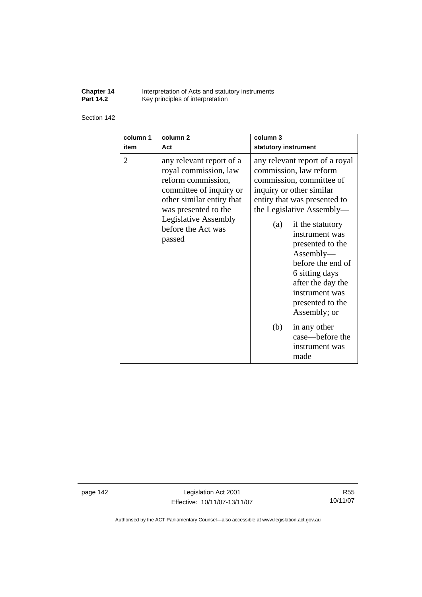**Chapter 14** Interpretation of Acts and statutory instruments **Part 14.2 Key principles of interpretation** 

#### Section 142

| column 1       | column <sub>2</sub>                                                                                                                                                                                                    | column 3                                                                                                                                                                                                                                                                                                                                                                                                                                          |
|----------------|------------------------------------------------------------------------------------------------------------------------------------------------------------------------------------------------------------------------|---------------------------------------------------------------------------------------------------------------------------------------------------------------------------------------------------------------------------------------------------------------------------------------------------------------------------------------------------------------------------------------------------------------------------------------------------|
| item           | Act                                                                                                                                                                                                                    | statutory instrument                                                                                                                                                                                                                                                                                                                                                                                                                              |
| $\overline{2}$ | any relevant report of a<br>royal commission, law<br>reform commission,<br>committee of inquiry or<br>other similar entity that<br>was presented to the<br><b>Legislative Assembly</b><br>before the Act was<br>passed | any relevant report of a royal<br>commission, law reform<br>commission, committee of<br>inquiry or other similar<br>entity that was presented to<br>the Legislative Assembly—<br>if the statutory<br>(a)<br>instrument was<br>presented to the<br>Assently—<br>before the end of<br>6 sitting days<br>after the day the<br>instrument was<br>presented to the<br>Assembly; or<br>(b)<br>in any other<br>case—before the<br>instrument was<br>made |

page 142 Legislation Act 2001 Effective: 10/11/07-13/11/07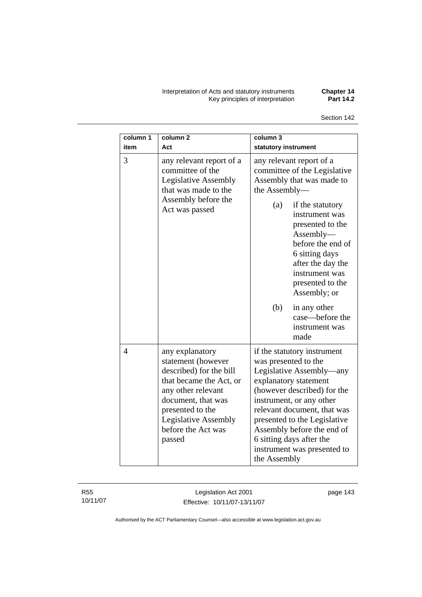Interpretation of Acts and statutory instruments **Chapter 14**  Key principles of interpretation **Part 14.2** 

| column 1       | column <sub>2</sub>                                                                                                                                                                                                        | column 3                                                                                                                                                                                                                                                                                                                                    |  |
|----------------|----------------------------------------------------------------------------------------------------------------------------------------------------------------------------------------------------------------------------|---------------------------------------------------------------------------------------------------------------------------------------------------------------------------------------------------------------------------------------------------------------------------------------------------------------------------------------------|--|
| item           | Act                                                                                                                                                                                                                        | statutory instrument                                                                                                                                                                                                                                                                                                                        |  |
| 3              | any relevant report of a<br>committee of the<br>Legislative Assembly<br>that was made to the<br>Assembly before the<br>Act was passed                                                                                      | any relevant report of a<br>committee of the Legislative<br>Assembly that was made to<br>the Assembly-<br>(a)<br>if the statutory<br>instrument was<br>presented to the<br>Assembly-<br>before the end of<br>6 sitting days<br>after the day the<br>instrument was<br>presented to the<br>Assembly; or                                      |  |
|                |                                                                                                                                                                                                                            | (b)<br>in any other<br>case—before the<br>instrument was<br>made                                                                                                                                                                                                                                                                            |  |
| $\overline{4}$ | any explanatory<br>statement (however<br>described) for the bill<br>that became the Act, or<br>any other relevant<br>document, that was<br>presented to the<br><b>Legislative Assembly</b><br>before the Act was<br>passed | if the statutory instrument<br>was presented to the<br>Legislative Assembly—any<br>explanatory statement<br>(however described) for the<br>instrument, or any other<br>relevant document, that was<br>presented to the Legislative<br>Assembly before the end of<br>6 sitting days after the<br>instrument was presented to<br>the Assembly |  |

R55 10/11/07

Legislation Act 2001 Effective: 10/11/07-13/11/07 page 143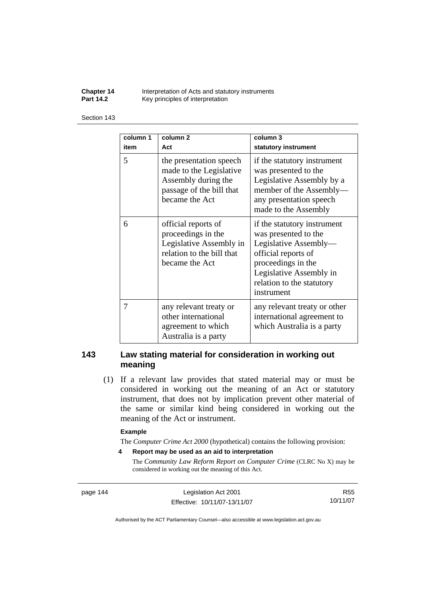**Chapter 14** Interpretation of Acts and statutory instruments<br>**Part 14.2** Key principles of interpretation Key principles of interpretation

#### Section 143

| column 1<br>item | column <sub>2</sub><br>Act                                                                                              | column 3<br>statutory instrument                                                                                                                                                                |
|------------------|-------------------------------------------------------------------------------------------------------------------------|-------------------------------------------------------------------------------------------------------------------------------------------------------------------------------------------------|
| 5                | the presentation speech<br>made to the Legislative<br>Assembly during the<br>passage of the bill that<br>became the Act | if the statutory instrument<br>was presented to the<br>Legislative Assembly by a<br>member of the Assembly-<br>any presentation speech<br>made to the Assembly                                  |
| 6                | official reports of<br>proceedings in the<br>Legislative Assembly in<br>relation to the bill that<br>became the Act     | if the statutory instrument<br>was presented to the<br>Legislative Assembly-<br>official reports of<br>proceedings in the<br>Legislative Assembly in<br>relation to the statutory<br>instrument |
| 7                | any relevant treaty or<br>other international<br>agreement to which<br>Australia is a party                             | any relevant treaty or other<br>international agreement to<br>which Australia is a party                                                                                                        |

# **143 Law stating material for consideration in working out meaning**

 (1) If a relevant law provides that stated material may or must be considered in working out the meaning of an Act or statutory instrument, that does not by implication prevent other material of the same or similar kind being considered in working out the meaning of the Act or instrument.

#### **Example**

The *Computer Crime Act 2000* (hypothetical) contains the following provision:

**4 Report may be used as an aid to interpretation** 

The *Community Law Reform Report on Computer Crime* (CLRC No X) may be considered in working out the meaning of this Act.

page 144 Legislation Act 2001 Effective: 10/11/07-13/11/07

R55 10/11/07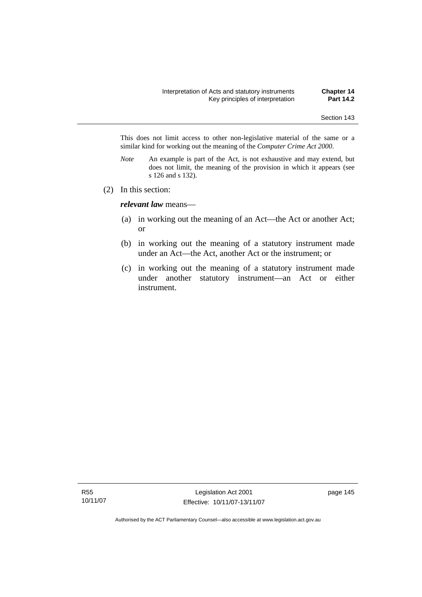This does not limit access to other non-legislative material of the same or a similar kind for working out the meaning of the *Computer Crime Act 2000*.

- *Note* An example is part of the Act, is not exhaustive and may extend, but does not limit, the meaning of the provision in which it appears (see s 126 and s 132).
- (2) In this section:

*relevant law* means—

- (a) in working out the meaning of an Act—the Act or another Act; or
- (b) in working out the meaning of a statutory instrument made under an Act—the Act, another Act or the instrument; or
- (c) in working out the meaning of a statutory instrument made under another statutory instrument—an Act or either instrument.

R55 10/11/07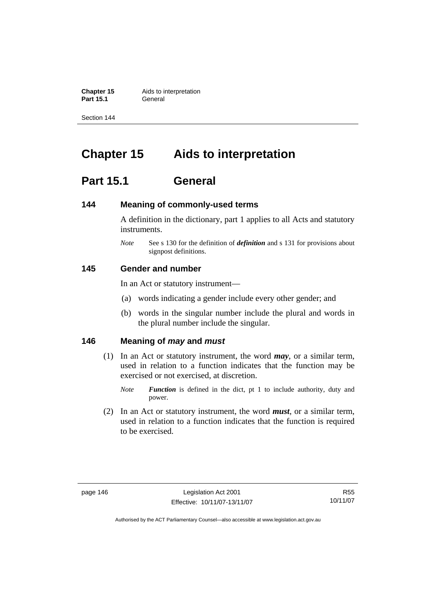**Chapter 15** Aids to interpretation **Part 15.1** General

Section 144

# **Chapter 15 Aids to interpretation**

# **Part 15.1 General**

# **144 Meaning of commonly-used terms**

A definition in the dictionary, part 1 applies to all Acts and statutory instruments.

*Note* See s 130 for the definition of *definition* and s 131 for provisions about signpost definitions.

# **145 Gender and number**

In an Act or statutory instrument—

- (a) words indicating a gender include every other gender; and
- (b) words in the singular number include the plural and words in the plural number include the singular.

# **146 Meaning of** *may* **and** *must*

- (1) In an Act or statutory instrument, the word *may*, or a similar term, used in relation to a function indicates that the function may be exercised or not exercised, at discretion.
	- *Note Function* is defined in the dict, pt 1 to include authority, duty and power.
- (2) In an Act or statutory instrument, the word *must*, or a similar term, used in relation to a function indicates that the function is required to be exercised.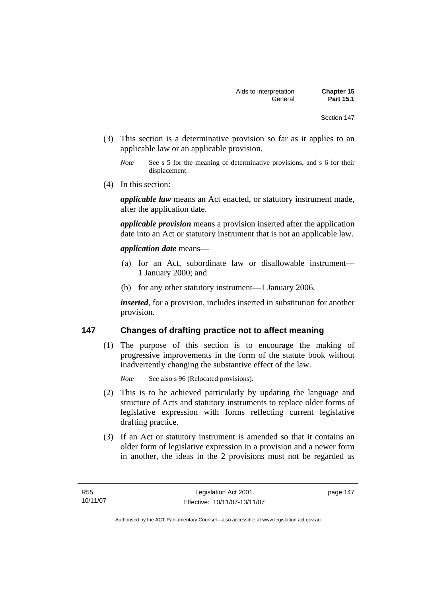- (3) This section is a determinative provision so far as it applies to an applicable law or an applicable provision.
	- *Note* See s 5 for the meaning of determinative provisions, and s 6 for their displacement.
- (4) In this section:

*applicable law* means an Act enacted, or statutory instrument made, after the application date.

*applicable provision* means a provision inserted after the application date into an Act or statutory instrument that is not an applicable law.

# *application date* means—

- (a) for an Act, subordinate law or disallowable instrument— 1 January 2000; and
- (b) for any other statutory instrument—1 January 2006.

*inserted*, for a provision, includes inserted in substitution for another provision.

# **147 Changes of drafting practice not to affect meaning**

 (1) The purpose of this section is to encourage the making of progressive improvements in the form of the statute book without inadvertently changing the substantive effect of the law.

*Note* See also s 96 (Relocated provisions).

- (2) This is to be achieved particularly by updating the language and structure of Acts and statutory instruments to replace older forms of legislative expression with forms reflecting current legislative drafting practice.
- (3) If an Act or statutory instrument is amended so that it contains an older form of legislative expression in a provision and a newer form in another, the ideas in the 2 provisions must not be regarded as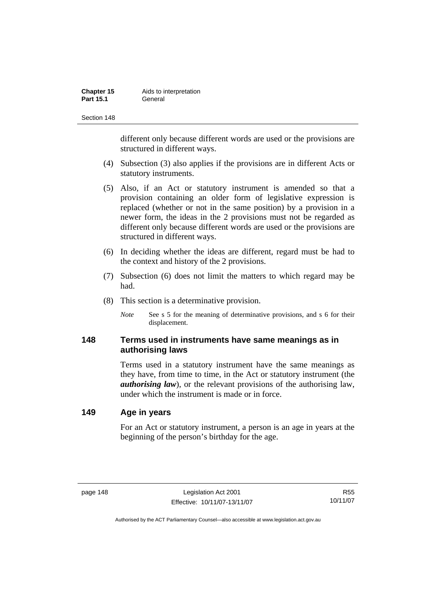| Chapter 15       | Aids to interpretation |
|------------------|------------------------|
| <b>Part 15.1</b> | General                |

different only because different words are used or the provisions are structured in different ways.

- (4) Subsection (3) also applies if the provisions are in different Acts or statutory instruments.
- (5) Also, if an Act or statutory instrument is amended so that a provision containing an older form of legislative expression is replaced (whether or not in the same position) by a provision in a newer form, the ideas in the 2 provisions must not be regarded as different only because different words are used or the provisions are structured in different ways.
- (6) In deciding whether the ideas are different, regard must be had to the context and history of the 2 provisions.
- (7) Subsection (6) does not limit the matters to which regard may be had.
- (8) This section is a determinative provision.
	- *Note* See s 5 for the meaning of determinative provisions, and s 6 for their displacement.

# **148 Terms used in instruments have same meanings as in authorising laws**

Terms used in a statutory instrument have the same meanings as they have, from time to time, in the Act or statutory instrument (the *authorising law*), or the relevant provisions of the authorising law, under which the instrument is made or in force.

# **149 Age in years**

For an Act or statutory instrument, a person is an age in years at the beginning of the person's birthday for the age.

R55 10/11/07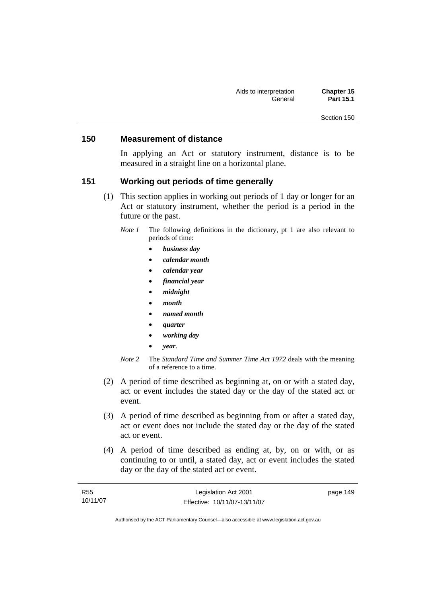# **150 Measurement of distance**

In applying an Act or statutory instrument, distance is to be measured in a straight line on a horizontal plane.

# **151 Working out periods of time generally**

- (1) This section applies in working out periods of 1 day or longer for an Act or statutory instrument, whether the period is a period in the future or the past.
	- *Note 1* The following definitions in the dictionary, pt 1 are also relevant to periods of time:
		- *business day*
		- *calendar month*
		- *calendar year*
		- *financial year*
		- *midnight*
		- *month*
		- *named month*
		- *quarter*
		- *working day*
		- *year*.
	- *Note 2* The *Standard Time and Summer Time Act 1972* deals with the meaning of a reference to a time.
- (2) A period of time described as beginning at, on or with a stated day, act or event includes the stated day or the day of the stated act or event.
- (3) A period of time described as beginning from or after a stated day, act or event does not include the stated day or the day of the stated act or event.
- (4) A period of time described as ending at, by, on or with, or as continuing to or until, a stated day, act or event includes the stated day or the day of the stated act or event.

| <b>R55</b> | Legislation Act 2001         | page 149 |
|------------|------------------------------|----------|
| 10/11/07   | Effective: 10/11/07-13/11/07 |          |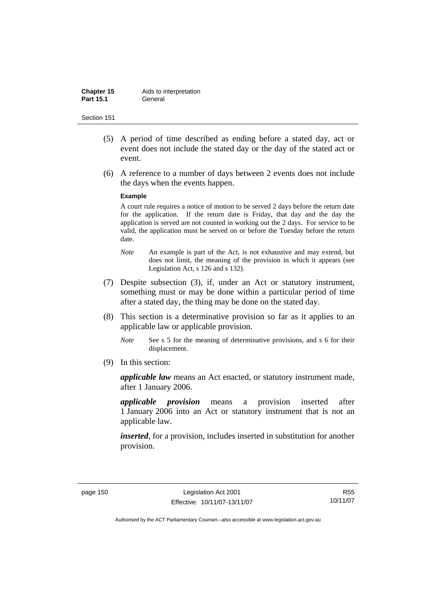| Chapter 15       | Aids to interpretation |
|------------------|------------------------|
| <b>Part 15.1</b> | General                |

- (5) A period of time described as ending before a stated day, act or event does not include the stated day or the day of the stated act or event.
- (6) A reference to a number of days between 2 events does not include the days when the events happen.

#### **Example**

A court rule requires a notice of motion to be served 2 days before the return date for the application. If the return date is Friday, that day and the day the application is served are not counted in working out the 2 days. For service to be valid, the application must be served on or before the Tuesday before the return date.

- *Note* An example is part of the Act, is not exhaustive and may extend, but does not limit, the meaning of the provision in which it appears (see Legislation Act, s 126 and s 132).
- (7) Despite subsection (3), if, under an Act or statutory instrument, something must or may be done within a particular period of time after a stated day, the thing may be done on the stated day.
- (8) This section is a determinative provision so far as it applies to an applicable law or applicable provision.
	- *Note* See s 5 for the meaning of determinative provisions, and s 6 for their displacement.
- (9) In this section:

*applicable law* means an Act enacted, or statutory instrument made, after 1 January 2006.

*applicable provision* means a provision inserted after 1 January 2006 into an Act or statutory instrument that is not an applicable law.

*inserted*, for a provision, includes inserted in substitution for another provision.

R55 10/11/07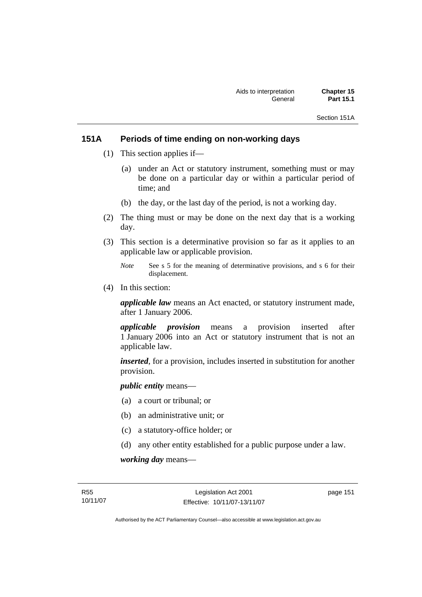Section 151A

# **151A Periods of time ending on non-working days**

- (1) This section applies if—
	- (a) under an Act or statutory instrument, something must or may be done on a particular day or within a particular period of time; and
	- (b) the day, or the last day of the period, is not a working day.
- (2) The thing must or may be done on the next day that is a working day.
- (3) This section is a determinative provision so far as it applies to an applicable law or applicable provision.
	- *Note* See s 5 for the meaning of determinative provisions, and s 6 for their displacement.
- (4) In this section:

*applicable law* means an Act enacted, or statutory instrument made, after 1 January 2006.

*applicable provision* means a provision inserted after 1 January 2006 into an Act or statutory instrument that is not an applicable law.

*inserted*, for a provision, includes inserted in substitution for another provision.

*public entity* means—

- (a) a court or tribunal; or
- (b) an administrative unit; or
- (c) a statutory-office holder; or
- (d) any other entity established for a public purpose under a law.

*working day* means—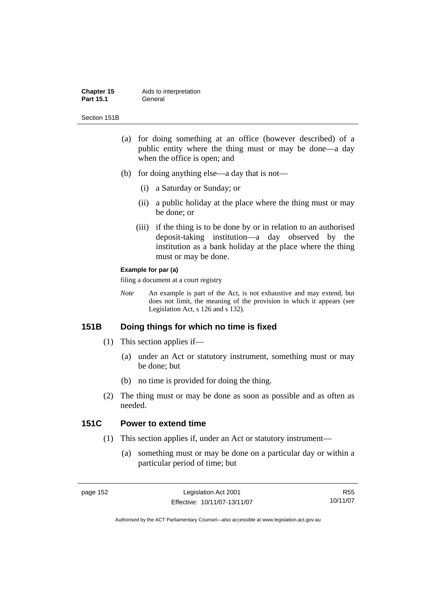#### **Chapter 15** Aids to interpretation Part 15.1 **General**

Section 151B

- (a) for doing something at an office (however described) of a public entity where the thing must or may be done—a day when the office is open; and
- (b) for doing anything else—a day that is not—
	- (i) a Saturday or Sunday; or
	- (ii) a public holiday at the place where the thing must or may be done; or
	- (iii) if the thing is to be done by or in relation to an authorised deposit-taking institution—a day observed by the institution as a bank holiday at the place where the thing must or may be done.

#### **Example for par (a)**

filing a document at a court registry

*Note* An example is part of the Act, is not exhaustive and may extend, but does not limit, the meaning of the provision in which it appears (see Legislation Act, s 126 and s 132).

# **151B Doing things for which no time is fixed**

- (1) This section applies if—
	- (a) under an Act or statutory instrument, something must or may be done; but
	- (b) no time is provided for doing the thing.
- (2) The thing must or may be done as soon as possible and as often as needed.

# **151C Power to extend time**

- (1) This section applies if, under an Act or statutory instrument—
	- (a) something must or may be done on a particular day or within a particular period of time; but

R55 10/11/07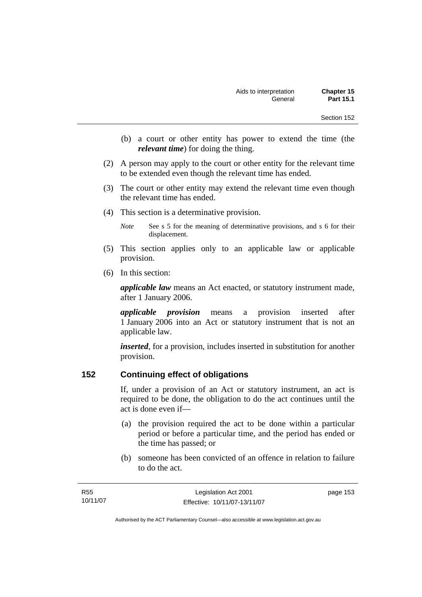- (b) a court or other entity has power to extend the time (the *relevant time*) for doing the thing.
- (2) A person may apply to the court or other entity for the relevant time to be extended even though the relevant time has ended.
- (3) The court or other entity may extend the relevant time even though the relevant time has ended.
- (4) This section is a determinative provision.

*Note* See s 5 for the meaning of determinative provisions, and s 6 for their displacement.

- (5) This section applies only to an applicable law or applicable provision.
- (6) In this section:

*applicable law* means an Act enacted, or statutory instrument made, after 1 January 2006.

*applicable provision* means a provision inserted after 1 January 2006 into an Act or statutory instrument that is not an applicable law.

*inserted*, for a provision, includes inserted in substitution for another provision.

# **152 Continuing effect of obligations**

If, under a provision of an Act or statutory instrument, an act is required to be done, the obligation to do the act continues until the act is done even if—

- (a) the provision required the act to be done within a particular period or before a particular time, and the period has ended or the time has passed; or
- (b) someone has been convicted of an offence in relation to failure to do the act.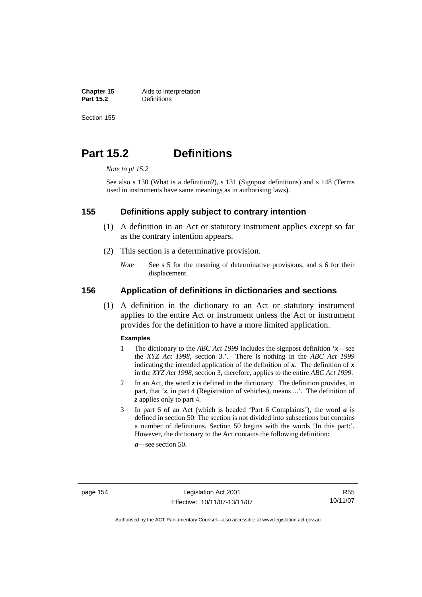**Chapter 15** Aids to interpretation<br>**Part 15.2 Definitions Definitions** 

Section 155

# **Part 15.2 Definitions**

*Note to pt 15.2* 

See also s 130 (What is a definition?), s 131 (Signpost definitions) and s 148 (Terms used in instruments have same meanings as in authorising laws).

# **155 Definitions apply subject to contrary intention**

- (1) A definition in an Act or statutory instrument applies except so far as the contrary intention appears.
- (2) This section is a determinative provision.
	- *Note* See s 5 for the meaning of determinative provisions, and s 6 for their displacement.

# **156 Application of definitions in dictionaries and sections**

 (1) A definition in the dictionary to an Act or statutory instrument applies to the entire Act or instrument unless the Act or instrument provides for the definition to have a more limited application.

#### **Examples**

- 1 The dictionary to the *ABC Act 1999* includes the signpost definition '*x*—see the *XYZ Act 1998*, section 3.'. There is nothing in the *ABC Act 1999* indicating the intended application of the definition of  $x$ . The definition of  $x$ in the *XYZ Act 1998*, section 3, therefore, applies to the entire *ABC Act 1999*.
- 2 In an Act, the word *z* is defined in the dictionary. The definition provides, in part, that '*z*, in part 4 (Registration of vehicles), means ...'. The definition of *z* applies only to part 4.
- 3 In part 6 of an Act (which is headed 'Part 6 Complaints'), the word *a* is defined in section 50. The section is not divided into subsections but contains a number of definitions. Section 50 begins with the words 'In this part:'. However, the dictionary to the Act contains the following definition:

*a*—see section 50.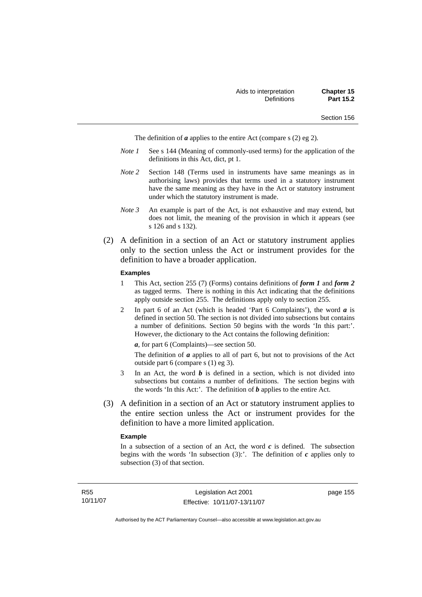The definition of *a* applies to the entire Act (compare s (2) eg 2).

- *Note 1* See s 144 (Meaning of commonly-used terms) for the application of the definitions in this Act, dict, pt 1.
- *Note 2* Section 148 (Terms used in instruments have same meanings as in authorising laws) provides that terms used in a statutory instrument have the same meaning as they have in the Act or statutory instrument under which the statutory instrument is made.
- *Note 3* An example is part of the Act, is not exhaustive and may extend, but does not limit, the meaning of the provision in which it appears (see s 126 and s 132).
- (2) A definition in a section of an Act or statutory instrument applies only to the section unless the Act or instrument provides for the definition to have a broader application.

#### **Examples**

- 1 This Act, section 255 (7) (Forms) contains definitions of *form 1* and *form 2* as tagged terms. There is nothing in this Act indicating that the definitions apply outside section 255. The definitions apply only to section 255.
- 2 In part 6 of an Act (which is headed 'Part 6 Complaints'), the word *a* is defined in section 50. The section is not divided into subsections but contains a number of definitions. Section 50 begins with the words 'In this part:'. However, the dictionary to the Act contains the following definition:

*a*, for part 6 (Complaints)—see section 50.

The definition of *a* applies to all of part 6, but not to provisions of the Act outside part 6 (compare s (1) eg 3).

- 3 In an Act, the word *b* is defined in a section, which is not divided into subsections but contains a number of definitions. The section begins with the words 'In this Act:'. The definition of *b* applies to the entire Act.
- (3) A definition in a section of an Act or statutory instrument applies to the entire section unless the Act or instrument provides for the definition to have a more limited application.

#### **Example**

In a subsection of a section of an Act, the word  $c$  is defined. The subsection begins with the words 'In subsection  $(3)$ :'. The definition of  $c$  applies only to subsection (3) of that section.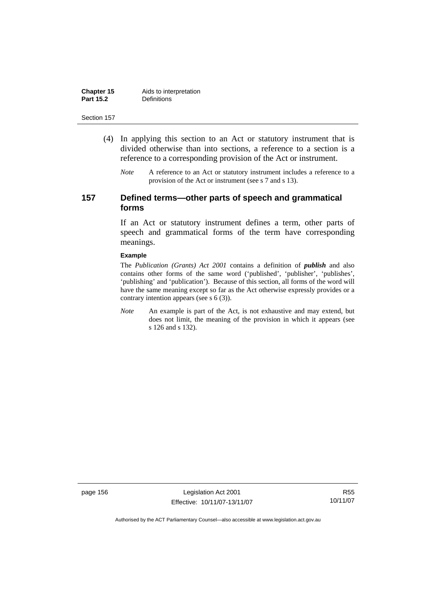| Chapter 15       | Aids to interpretation |
|------------------|------------------------|
| <b>Part 15.2</b> | <b>Definitions</b>     |

- (4) In applying this section to an Act or statutory instrument that is divided otherwise than into sections, a reference to a section is a reference to a corresponding provision of the Act or instrument.
	- *Note* A reference to an Act or statutory instrument includes a reference to a provision of the Act or instrument (see s 7 and s 13).

# **157 Defined terms—other parts of speech and grammatical forms**

If an Act or statutory instrument defines a term, other parts of speech and grammatical forms of the term have corresponding meanings.

#### **Example**

The *Publication (Grants) Act 2001* contains a definition of *publish* and also contains other forms of the same word ('published', 'publisher', 'publishes', 'publishing' and 'publication'). Because of this section, all forms of the word will have the same meaning except so far as the Act otherwise expressly provides or a contrary intention appears (see s 6 (3)).

*Note* An example is part of the Act, is not exhaustive and may extend, but does not limit, the meaning of the provision in which it appears (see s 126 and s 132).

page 156 Legislation Act 2001 Effective: 10/11/07-13/11/07

R55 10/11/07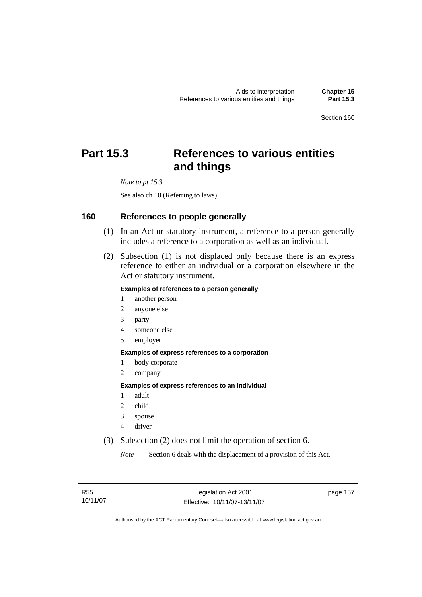# **Part 15.3 References to various entities and things**

*Note to pt 15.3* 

See also ch 10 (Referring to laws).

# **160 References to people generally**

- (1) In an Act or statutory instrument, a reference to a person generally includes a reference to a corporation as well as an individual.
- (2) Subsection (1) is not displaced only because there is an express reference to either an individual or a corporation elsewhere in the Act or statutory instrument.

### **Examples of references to a person generally**

- 1 another person
- 2 anyone else
- 3 party
- 4 someone else
- 5 employer

#### **Examples of express references to a corporation**

- 1 body corporate
- 2 company

#### **Examples of express references to an individual**

- 1 adult
- 2 child
- 3 spouse
- 4 driver
- (3) Subsection (2) does not limit the operation of section 6.

*Note* Section 6 deals with the displacement of a provision of this Act.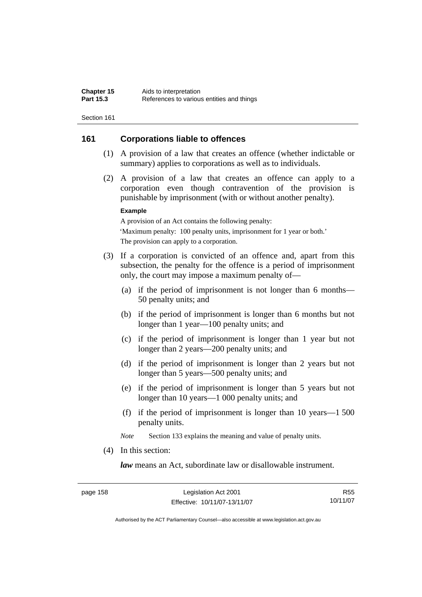# **161 Corporations liable to offences**

- (1) A provision of a law that creates an offence (whether indictable or summary) applies to corporations as well as to individuals.
- (2) A provision of a law that creates an offence can apply to a corporation even though contravention of the provision is punishable by imprisonment (with or without another penalty).

#### **Example**

A provision of an Act contains the following penalty: 'Maximum penalty: 100 penalty units, imprisonment for 1 year or both.' The provision can apply to a corporation.

- (3) If a corporation is convicted of an offence and, apart from this subsection, the penalty for the offence is a period of imprisonment only, the court may impose a maximum penalty of—
	- (a) if the period of imprisonment is not longer than 6 months— 50 penalty units; and
	- (b) if the period of imprisonment is longer than 6 months but not longer than 1 year—100 penalty units; and
	- (c) if the period of imprisonment is longer than 1 year but not longer than 2 years—200 penalty units; and
	- (d) if the period of imprisonment is longer than 2 years but not longer than 5 years—500 penalty units; and
	- (e) if the period of imprisonment is longer than 5 years but not longer than 10 years—1 000 penalty units; and
	- (f) if the period of imprisonment is longer than 10 years—1 500 penalty units.

*Note* Section 133 explains the meaning and value of penalty units.

(4) In this section:

*law* means an Act, subordinate law or disallowable instrument.

R55 10/11/07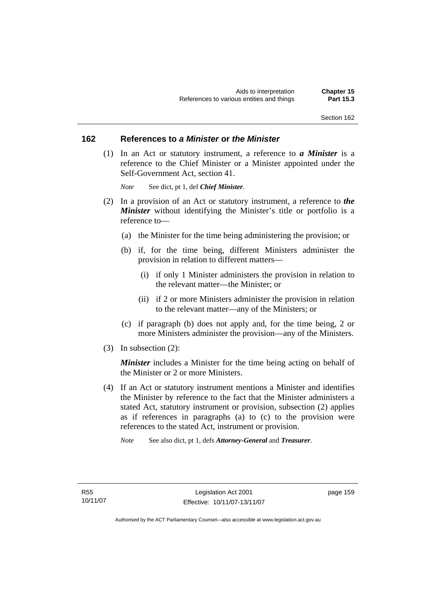# **162 References to** *a Minister* **or** *the Minister*

 (1) In an Act or statutory instrument, a reference to *a Minister* is a reference to the Chief Minister or a Minister appointed under the Self-Government Act, section 41.

*Note* See dict, pt 1, def *Chief Minister*.

- (2) In a provision of an Act or statutory instrument, a reference to *the Minister* without identifying the Minister's title or portfolio is a reference to—
	- (a) the Minister for the time being administering the provision; or
	- (b) if, for the time being, different Ministers administer the provision in relation to different matters—
		- (i) if only 1 Minister administers the provision in relation to the relevant matter—the Minister; or
		- (ii) if 2 or more Ministers administer the provision in relation to the relevant matter—any of the Ministers; or
	- (c) if paragraph (b) does not apply and, for the time being, 2 or more Ministers administer the provision—any of the Ministers.
- (3) In subsection (2):

*Minister* includes a Minister for the time being acting on behalf of the Minister or 2 or more Ministers.

- (4) If an Act or statutory instrument mentions a Minister and identifies the Minister by reference to the fact that the Minister administers a stated Act, statutory instrument or provision, subsection (2) applies as if references in paragraphs (a) to (c) to the provision were references to the stated Act, instrument or provision.
	- *Note* See also dict, pt 1, defs *Attorney-General* and *Treasurer*.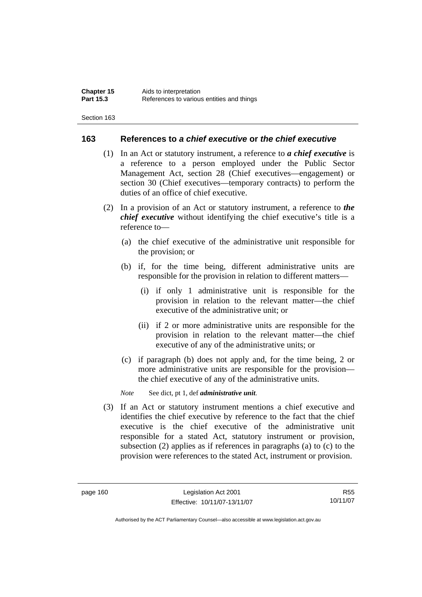## **163 References to** *a chief executive* **or** *the chief executive*

- (1) In an Act or statutory instrument, a reference to *a chief executive* is a reference to a person employed under the Public Sector Management Act, section 28 (Chief executives—engagement) or section 30 (Chief executives—temporary contracts) to perform the duties of an office of chief executive.
- (2) In a provision of an Act or statutory instrument, a reference to *the chief executive* without identifying the chief executive's title is a reference to—
	- (a) the chief executive of the administrative unit responsible for the provision; or
	- (b) if, for the time being, different administrative units are responsible for the provision in relation to different matters—
		- (i) if only 1 administrative unit is responsible for the provision in relation to the relevant matter—the chief executive of the administrative unit; or
		- (ii) if 2 or more administrative units are responsible for the provision in relation to the relevant matter—the chief executive of any of the administrative units; or
	- (c) if paragraph (b) does not apply and, for the time being, 2 or more administrative units are responsible for the provision the chief executive of any of the administrative units.

*Note* See dict, pt 1, def *administrative unit*.

 (3) If an Act or statutory instrument mentions a chief executive and identifies the chief executive by reference to the fact that the chief executive is the chief executive of the administrative unit responsible for a stated Act, statutory instrument or provision, subsection (2) applies as if references in paragraphs (a) to (c) to the provision were references to the stated Act, instrument or provision.

R55 10/11/07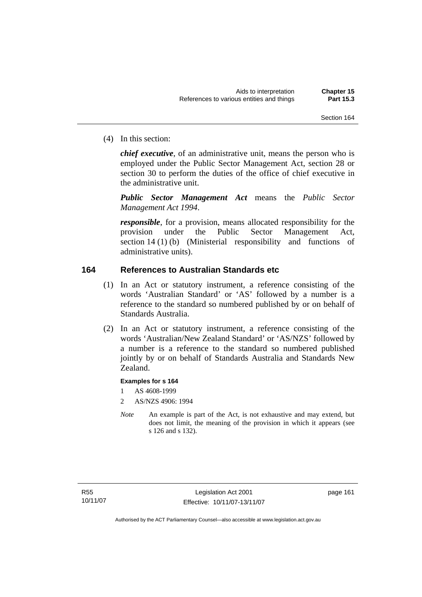(4) In this section:

*chief executive*, of an administrative unit, means the person who is employed under the Public Sector Management Act, section 28 or section 30 to perform the duties of the office of chief executive in the administrative unit.

*Public Sector Management Act* means the *Public Sector Management Act 1994*.

*responsible*, for a provision, means allocated responsibility for the provision under the Public Sector Management Act, section 14 (1) (b) (Ministerial responsibility and functions of administrative units).

# **164 References to Australian Standards etc**

- (1) In an Act or statutory instrument, a reference consisting of the words 'Australian Standard' or 'AS' followed by a number is a reference to the standard so numbered published by or on behalf of Standards Australia.
- (2) In an Act or statutory instrument, a reference consisting of the words 'Australian/New Zealand Standard' or 'AS/NZS' followed by a number is a reference to the standard so numbered published jointly by or on behalf of Standards Australia and Standards New Zealand.

## **Examples for s 164**

- 1 AS 4608-1999
- 2 AS/NZS 4906: 1994
- *Note* An example is part of the Act, is not exhaustive and may extend, but does not limit, the meaning of the provision in which it appears (see s 126 and s 132).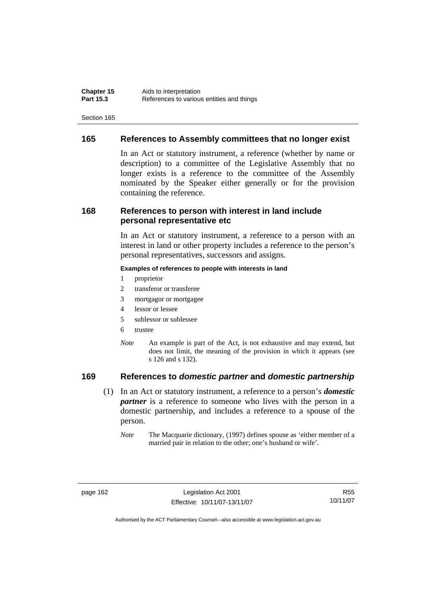# **165 References to Assembly committees that no longer exist**

In an Act or statutory instrument, a reference (whether by name or description) to a committee of the Legislative Assembly that no longer exists is a reference to the committee of the Assembly nominated by the Speaker either generally or for the provision containing the reference.

# **168 References to person with interest in land include personal representative etc**

In an Act or statutory instrument, a reference to a person with an interest in land or other property includes a reference to the person's personal representatives, successors and assigns.

#### **Examples of references to people with interests in land**

- 1 proprietor
- 2 transferor or transferee
- 3 mortgagor or mortgagee
- 4 lessor or lessee
- 5 sublessor or sublessee
- 6 trustee
- *Note* An example is part of the Act, is not exhaustive and may extend, but does not limit, the meaning of the provision in which it appears (see s 126 and s 132).

# **169 References to** *domestic partner* **and** *domestic partnership*

- (1) In an Act or statutory instrument, a reference to a person's *domestic partner* is a reference to someone who lives with the person in a domestic partnership, and includes a reference to a spouse of the person.
	- *Note* The Macquarie dictionary, (1997) defines spouse as 'either member of a married pair in relation to the other; one's husband or wife'.

page 162 Legislation Act 2001 Effective: 10/11/07-13/11/07

R55 10/11/07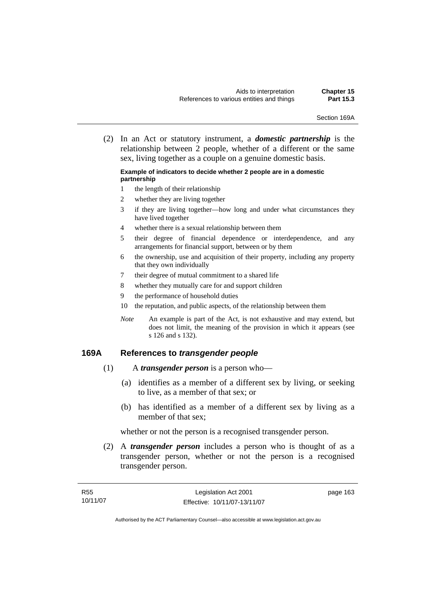Section 169A

 (2) In an Act or statutory instrument, a *domestic partnership* is the relationship between 2 people, whether of a different or the same sex, living together as a couple on a genuine domestic basis.

#### **Example of indicators to decide whether 2 people are in a domestic partnership**

- 1 the length of their relationship
- 2 whether they are living together
- 3 if they are living together—how long and under what circumstances they have lived together
- 4 whether there is a sexual relationship between them
- 5 their degree of financial dependence or interdependence, and any arrangements for financial support, between or by them
- 6 the ownership, use and acquisition of their property, including any property that they own individually
- 7 their degree of mutual commitment to a shared life
- 8 whether they mutually care for and support children
- 9 the performance of household duties
- 10 the reputation, and public aspects, of the relationship between them
- *Note* An example is part of the Act, is not exhaustive and may extend, but does not limit, the meaning of the provision in which it appears (see s 126 and s 132).

## **169A References to** *transgender people*

- (1) A *transgender person* is a person who—
	- (a) identifies as a member of a different sex by living, or seeking to live, as a member of that sex; or
	- (b) has identified as a member of a different sex by living as a member of that sex;

whether or not the person is a recognised transgender person.

 (2) A *transgender person* includes a person who is thought of as a transgender person, whether or not the person is a recognised transgender person.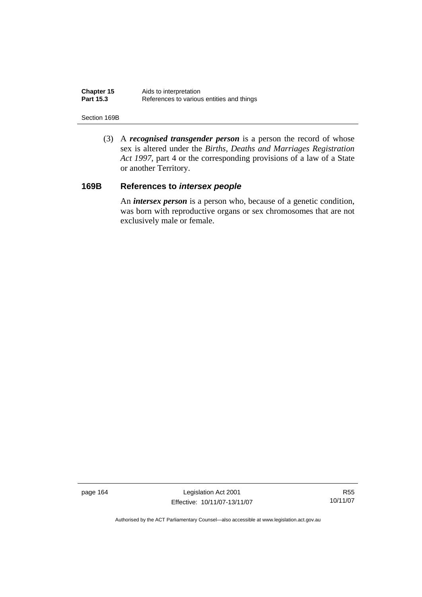| Chapter 15       | Aids to interpretation                    |
|------------------|-------------------------------------------|
| <b>Part 15.3</b> | References to various entities and things |

#### Section 169B

 (3) A *recognised transgender person* is a person the record of whose sex is altered under the *Births, Deaths and Marriages Registration Act 1997*, part 4 or the corresponding provisions of a law of a State or another Territory.

# **169B References to** *intersex people*

 An *intersex person* is a person who, because of a genetic condition, was born with reproductive organs or sex chromosomes that are not exclusively male or female.

page 164 Legislation Act 2001 Effective: 10/11/07-13/11/07

R55 10/11/07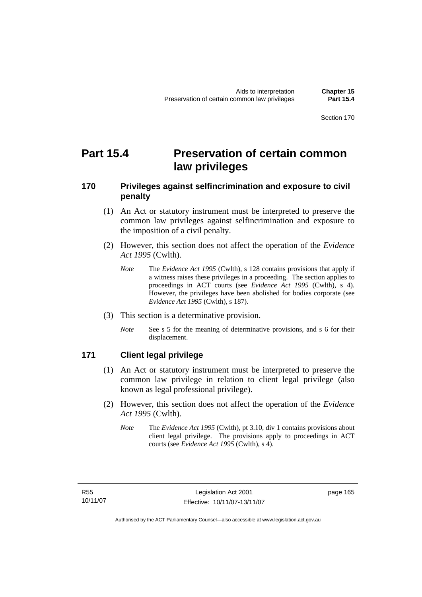# **Part 15.4** Preservation of certain common **law privileges**

# **170 Privileges against selfincrimination and exposure to civil penalty**

- (1) An Act or statutory instrument must be interpreted to preserve the common law privileges against selfincrimination and exposure to the imposition of a civil penalty.
- (2) However, this section does not affect the operation of the *Evidence Act 1995* (Cwlth).
	- *Note* The *Evidence Act 1995* (Cwlth), s 128 contains provisions that apply if a witness raises these privileges in a proceeding. The section applies to proceedings in ACT courts (see *Evidence Act 1995* (Cwlth), s 4). However, the privileges have been abolished for bodies corporate (see *Evidence Act 1995* (Cwlth), s 187).
- (3) This section is a determinative provision.
	- *Note* See s 5 for the meaning of determinative provisions, and s 6 for their displacement.

### **171 Client legal privilege**

- (1) An Act or statutory instrument must be interpreted to preserve the common law privilege in relation to client legal privilege (also known as legal professional privilege).
- (2) However, this section does not affect the operation of the *Evidence Act 1995* (Cwlth).
	- *Note* The *Evidence Act 1995* (Cwlth), pt 3.10, div 1 contains provisions about client legal privilege. The provisions apply to proceedings in ACT courts (see *Evidence Act 1995* (Cwlth), s 4).

page 165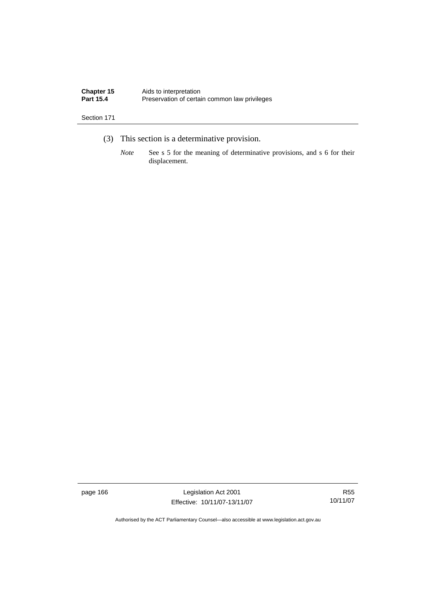| Chapter 15       | Aids to interpretation                        |
|------------------|-----------------------------------------------|
| <b>Part 15.4</b> | Preservation of certain common law privileges |

- (3) This section is a determinative provision.
	- *Note* See s 5 for the meaning of determinative provisions, and s 6 for their displacement.

page 166 Legislation Act 2001 Effective: 10/11/07-13/11/07

R55 10/11/07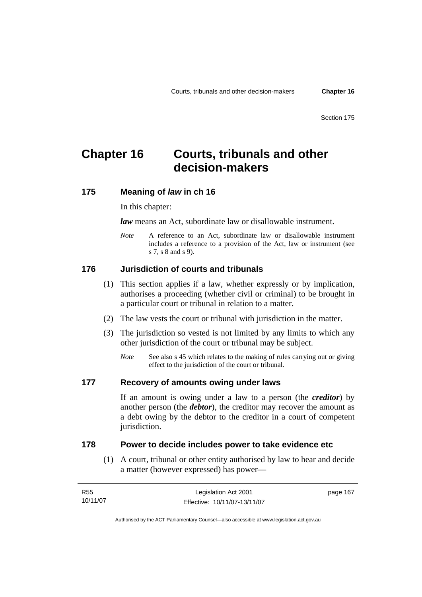# **Chapter 16 Courts, tribunals and other decision-makers**

### **175 Meaning of** *law* **in ch 16**

#### In this chapter:

*law* means an Act, subordinate law or disallowable instrument.

*Note* A reference to an Act, subordinate law or disallowable instrument includes a reference to a provision of the Act, law or instrument (see s 7, s 8 and s 9).

#### **176 Jurisdiction of courts and tribunals**

- (1) This section applies if a law, whether expressly or by implication, authorises a proceeding (whether civil or criminal) to be brought in a particular court or tribunal in relation to a matter.
- (2) The law vests the court or tribunal with jurisdiction in the matter.
- (3) The jurisdiction so vested is not limited by any limits to which any other jurisdiction of the court or tribunal may be subject.
	- *Note* See also s 45 which relates to the making of rules carrying out or giving effect to the jurisdiction of the court or tribunal.

#### **177 Recovery of amounts owing under laws**

If an amount is owing under a law to a person (the *creditor*) by another person (the *debtor*), the creditor may recover the amount as a debt owing by the debtor to the creditor in a court of competent jurisdiction.

### **178 Power to decide includes power to take evidence etc**

 (1) A court, tribunal or other entity authorised by law to hear and decide a matter (however expressed) has power—

| R55      | Legislation Act 2001         | page 167 |
|----------|------------------------------|----------|
| 10/11/07 | Effective: 10/11/07-13/11/07 |          |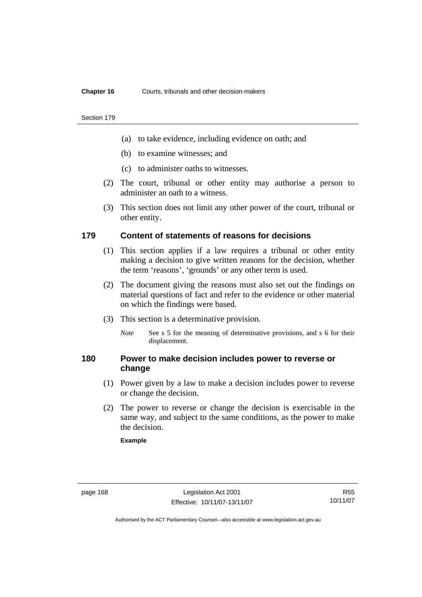#### **Chapter 16** Courts, tribunals and other decision-makers

#### Section 179

- (a) to take evidence, including evidence on oath; and
- (b) to examine witnesses; and
- (c) to administer oaths to witnesses.
- (2) The court, tribunal or other entity may authorise a person to administer an oath to a witness.
- (3) This section does not limit any other power of the court, tribunal or other entity.

#### **179 Content of statements of reasons for decisions**

- (1) This section applies if a law requires a tribunal or other entity making a decision to give written reasons for the decision, whether the term 'reasons', 'grounds' or any other term is used.
- (2) The document giving the reasons must also set out the findings on material questions of fact and refer to the evidence or other material on which the findings were based.
- (3) This section is a determinative provision.
	- *Note* See s 5 for the meaning of determinative provisions, and s 6 for their displacement.

### **180 Power to make decision includes power to reverse or change**

- (1) Power given by a law to make a decision includes power to reverse or change the decision.
- (2) The power to reverse or change the decision is exercisable in the same way, and subject to the same conditions, as the power to make the decision.

#### **Example**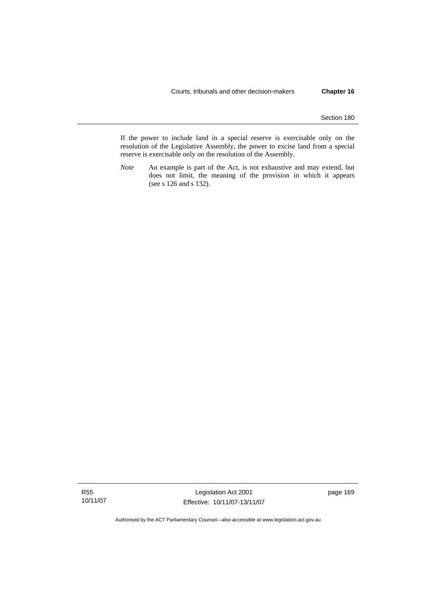If the power to include land in a special reserve is exercisable only on the resolution of the Legislative Assembly, the power to excise land from a special reserve is exercisable only on the resolution of the Assembly.

*Note* An example is part of the Act, is not exhaustive and may extend, but does not limit, the meaning of the provision in which it appears (see s 126 and s 132).

R55 10/11/07

Legislation Act 2001 Effective: 10/11/07-13/11/07 page 169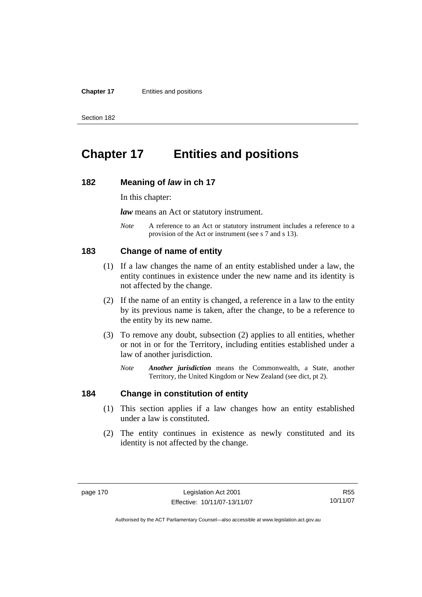#### **Chapter 17** Entities and positions

Section 182

# **Chapter 17 Entities and positions**

#### **182 Meaning of** *law* **in ch 17**

In this chapter:

*law* means an Act or statutory instrument.

*Note* A reference to an Act or statutory instrument includes a reference to a provision of the Act or instrument (see s 7 and s 13).

#### **183 Change of name of entity**

- (1) If a law changes the name of an entity established under a law, the entity continues in existence under the new name and its identity is not affected by the change.
- (2) If the name of an entity is changed, a reference in a law to the entity by its previous name is taken, after the change, to be a reference to the entity by its new name.
- (3) To remove any doubt, subsection (2) applies to all entities, whether or not in or for the Territory, including entities established under a law of another jurisdiction.
	- *Note Another jurisdiction* means the Commonwealth, a State, another Territory, the United Kingdom or New Zealand (see dict, pt 2).

# **184 Change in constitution of entity**

- (1) This section applies if a law changes how an entity established under a law is constituted.
- (2) The entity continues in existence as newly constituted and its identity is not affected by the change.

R55 10/11/07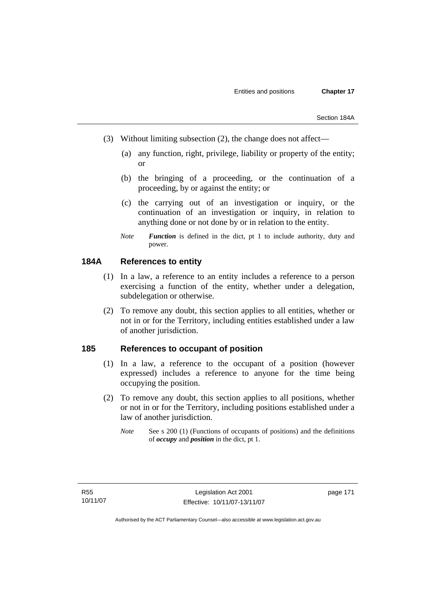- (3) Without limiting subsection (2), the change does not affect—
	- (a) any function, right, privilege, liability or property of the entity; or
	- (b) the bringing of a proceeding, or the continuation of a proceeding, by or against the entity; or
	- (c) the carrying out of an investigation or inquiry, or the continuation of an investigation or inquiry, in relation to anything done or not done by or in relation to the entity.
	- *Note Function* is defined in the dict, pt 1 to include authority, duty and power.

# **184A References to entity**

- (1) In a law, a reference to an entity includes a reference to a person exercising a function of the entity, whether under a delegation, subdelegation or otherwise.
- (2) To remove any doubt, this section applies to all entities, whether or not in or for the Territory, including entities established under a law of another jurisdiction.

### **185 References to occupant of position**

- (1) In a law, a reference to the occupant of a position (however expressed) includes a reference to anyone for the time being occupying the position.
- (2) To remove any doubt, this section applies to all positions, whether or not in or for the Territory, including positions established under a law of another jurisdiction.
	- *Note* See s 200 (1) (Functions of occupants of positions) and the definitions of *occupy* and *position* in the dict, pt 1.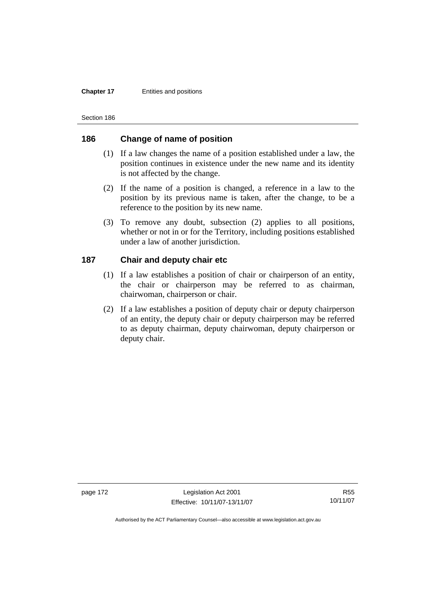#### **Chapter 17** Entities and positions

Section 186

# **186 Change of name of position**

- (1) If a law changes the name of a position established under a law, the position continues in existence under the new name and its identity is not affected by the change.
- (2) If the name of a position is changed, a reference in a law to the position by its previous name is taken, after the change, to be a reference to the position by its new name.
- (3) To remove any doubt, subsection (2) applies to all positions, whether or not in or for the Territory, including positions established under a law of another jurisdiction.

# **187 Chair and deputy chair etc**

- (1) If a law establishes a position of chair or chairperson of an entity, the chair or chairperson may be referred to as chairman, chairwoman, chairperson or chair.
- (2) If a law establishes a position of deputy chair or deputy chairperson of an entity, the deputy chair or deputy chairperson may be referred to as deputy chairman, deputy chairwoman, deputy chairperson or deputy chair.

page 172 Legislation Act 2001 Effective: 10/11/07-13/11/07

R55 10/11/07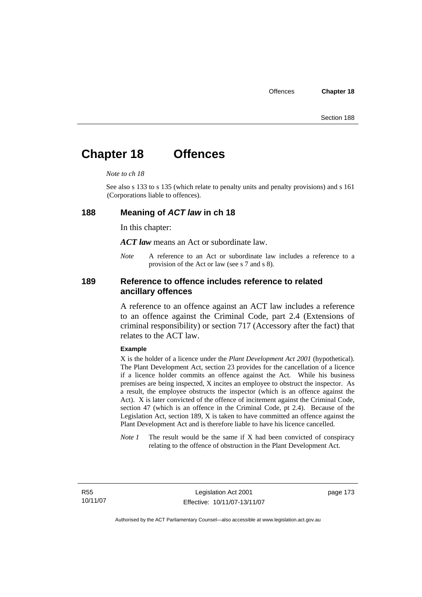# **Chapter 18 Offences**

#### *Note to ch 18*

See also s 133 to s 135 (which relate to penalty units and penalty provisions) and s 161 (Corporations liable to offences).

#### **188 Meaning of** *ACT law* **in ch 18**

In this chapter:

*ACT law* means an Act or subordinate law.

*Note* A reference to an Act or subordinate law includes a reference to a provision of the Act or law (see s 7 and s 8).

### **189 Reference to offence includes reference to related ancillary offences**

A reference to an offence against an ACT law includes a reference to an offence against the Criminal Code, part 2.4 (Extensions of criminal responsibility) or section 717 (Accessory after the fact) that relates to the ACT law.

#### **Example**

X is the holder of a licence under the *Plant Development Act 2001* (hypothetical). The Plant Development Act, section 23 provides for the cancellation of a licence if a licence holder commits an offence against the Act. While his business premises are being inspected, X incites an employee to obstruct the inspector. As a result, the employee obstructs the inspector (which is an offence against the Act). X is later convicted of the offence of incitement against the Criminal Code, section 47 (which is an offence in the Criminal Code, pt 2.4). Because of the Legislation Act, section 189, X is taken to have committed an offence against the Plant Development Act and is therefore liable to have his licence cancelled.

*Note 1* The result would be the same if X had been convicted of conspiracy relating to the offence of obstruction in the Plant Development Act.

R55 10/11/07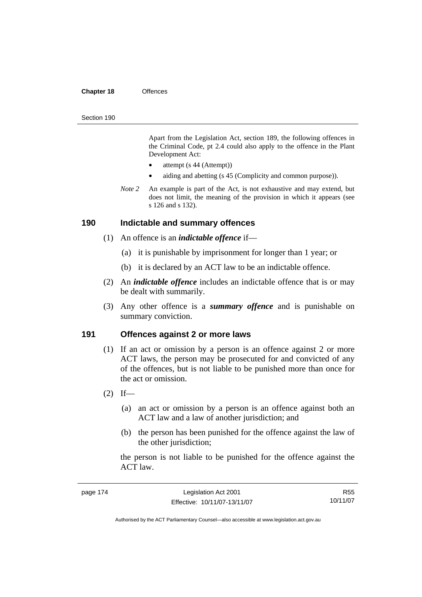#### **Chapter 18** Offences

#### Section 190

Apart from the Legislation Act, section 189, the following offences in the Criminal Code*,* pt 2.4 could also apply to the offence in the Plant Development Act:

- attempt (s 44 (Attempt))
- aiding and abetting (s 45 (Complicity and common purpose)).
- *Note 2* An example is part of the Act, is not exhaustive and may extend, but does not limit, the meaning of the provision in which it appears (see s 126 and s 132).

#### **190 Indictable and summary offences**

- (1) An offence is an *indictable offence* if—
	- (a) it is punishable by imprisonment for longer than 1 year; or
	- (b) it is declared by an ACT law to be an indictable offence.
- (2) An *indictable offence* includes an indictable offence that is or may be dealt with summarily.
- (3) Any other offence is a *summary offence* and is punishable on summary conviction.

#### **191 Offences against 2 or more laws**

- (1) If an act or omission by a person is an offence against 2 or more ACT laws, the person may be prosecuted for and convicted of any of the offences, but is not liable to be punished more than once for the act or omission.
- $(2)$  If—
	- (a) an act or omission by a person is an offence against both an ACT law and a law of another jurisdiction; and
	- (b) the person has been punished for the offence against the law of the other jurisdiction;

the person is not liable to be punished for the offence against the ACT law.

| page 174 | Legislation Act 2001         | R <sub>55</sub> |
|----------|------------------------------|-----------------|
|          | Effective: 10/11/07-13/11/07 | 10/11/07        |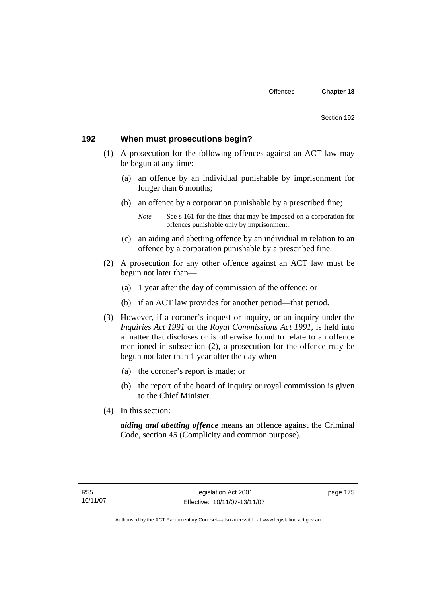#### **192 When must prosecutions begin?**

- (1) A prosecution for the following offences against an ACT law may be begun at any time:
	- (a) an offence by an individual punishable by imprisonment for longer than 6 months;
	- (b) an offence by a corporation punishable by a prescribed fine;

- (c) an aiding and abetting offence by an individual in relation to an offence by a corporation punishable by a prescribed fine.
- (2) A prosecution for any other offence against an ACT law must be begun not later than—
	- (a) 1 year after the day of commission of the offence; or
	- (b) if an ACT law provides for another period—that period.
- (3) However, if a coroner's inquest or inquiry, or an inquiry under the *Inquiries Act 1991* or the *Royal Commissions Act 1991*, is held into a matter that discloses or is otherwise found to relate to an offence mentioned in subsection (2), a prosecution for the offence may be begun not later than 1 year after the day when—
	- (a) the coroner's report is made; or
	- (b) the report of the board of inquiry or royal commission is given to the Chief Minister.
- (4) In this section:

*aiding and abetting offence* means an offence against the Criminal Code, section 45 (Complicity and common purpose).

*Note* See s 161 for the fines that may be imposed on a corporation for offences punishable only by imprisonment.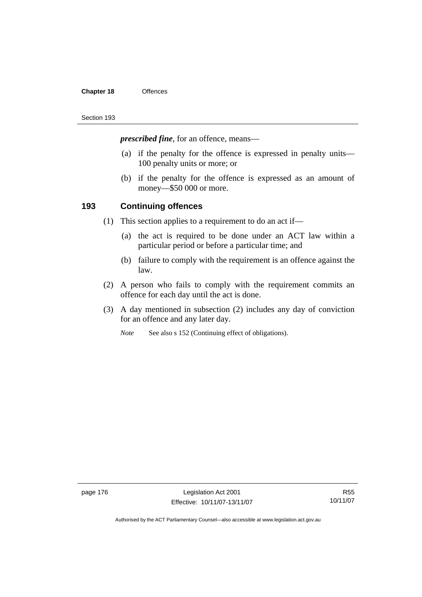#### **Chapter 18** Offences

#### Section 193

*prescribed fine*, for an offence, means—

- (a) if the penalty for the offence is expressed in penalty units— 100 penalty units or more; or
- (b) if the penalty for the offence is expressed as an amount of money—\$50 000 or more.

## **193 Continuing offences**

- (1) This section applies to a requirement to do an act if—
	- (a) the act is required to be done under an ACT law within a particular period or before a particular time; and
	- (b) failure to comply with the requirement is an offence against the law.
- (2) A person who fails to comply with the requirement commits an offence for each day until the act is done.
- (3) A day mentioned in subsection (2) includes any day of conviction for an offence and any later day.
	- *Note* See also s 152 (Continuing effect of obligations).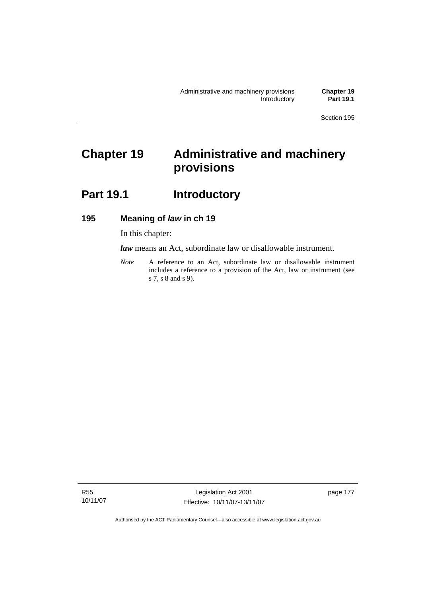# **Chapter 19 Administrative and machinery provisions**

# Part 19.1 **Introductory**

# **195 Meaning of** *law* **in ch 19**

In this chapter:

*law* means an Act, subordinate law or disallowable instrument.

*Note* A reference to an Act, subordinate law or disallowable instrument includes a reference to a provision of the Act, law or instrument (see s 7, s 8 and s 9).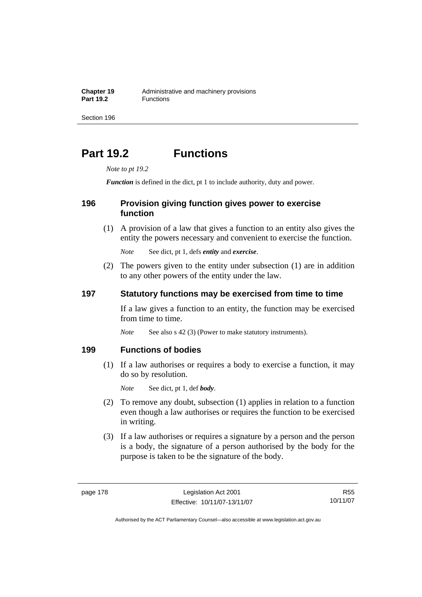**Chapter 19** Administrative and machinery provisions<br>**Part 19.2 Eunctions Part 19.2** Functions

Section 196

# **Part 19.2 Functions**

*Note to pt 19.2* 

*Function* is defined in the dict, pt 1 to include authority, duty and power.

### **196 Provision giving function gives power to exercise function**

 (1) A provision of a law that gives a function to an entity also gives the entity the powers necessary and convenient to exercise the function.

*Note* See dict, pt 1, defs *entity* and *exercise*.

 (2) The powers given to the entity under subsection (1) are in addition to any other powers of the entity under the law.

### **197 Statutory functions may be exercised from time to time**

If a law gives a function to an entity, the function may be exercised from time to time.

*Note* See also s 42 (3) (Power to make statutory instruments).

#### **199 Functions of bodies**

 (1) If a law authorises or requires a body to exercise a function, it may do so by resolution.

*Note* See dict, pt 1, def *body*.

- (2) To remove any doubt, subsection (1) applies in relation to a function even though a law authorises or requires the function to be exercised in writing.
- (3) If a law authorises or requires a signature by a person and the person is a body, the signature of a person authorised by the body for the purpose is taken to be the signature of the body.

R55 10/11/07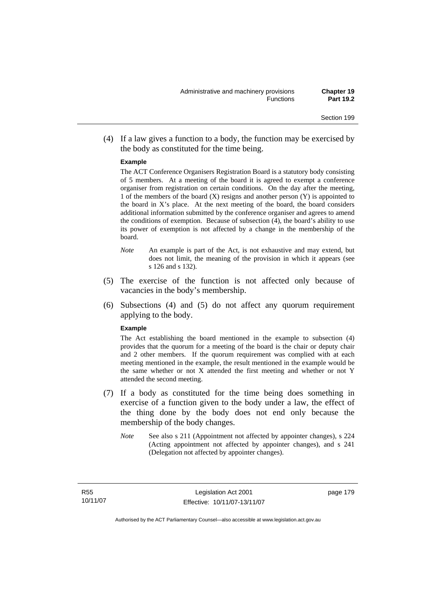(4) If a law gives a function to a body, the function may be exercised by the body as constituted for the time being.

#### **Example**

The ACT Conference Organisers Registration Board is a statutory body consisting of 5 members. At a meeting of the board it is agreed to exempt a conference organiser from registration on certain conditions. On the day after the meeting, 1 of the members of the board  $(X)$  resigns and another person  $(Y)$  is appointed to the board in  $X$ 's place. At the next meeting of the board, the board considers additional information submitted by the conference organiser and agrees to amend the conditions of exemption. Because of subsection (4), the board's ability to use its power of exemption is not affected by a change in the membership of the board.

- *Note* An example is part of the Act, is not exhaustive and may extend, but does not limit, the meaning of the provision in which it appears (see s 126 and s 132).
- (5) The exercise of the function is not affected only because of vacancies in the body's membership.
- (6) Subsections (4) and (5) do not affect any quorum requirement applying to the body.

#### **Example**

The Act establishing the board mentioned in the example to subsection (4) provides that the quorum for a meeting of the board is the chair or deputy chair and 2 other members. If the quorum requirement was complied with at each meeting mentioned in the example, the result mentioned in the example would be the same whether or not X attended the first meeting and whether or not Y attended the second meeting.

- (7) If a body as constituted for the time being does something in exercise of a function given to the body under a law, the effect of the thing done by the body does not end only because the membership of the body changes.
	- *Note* See also s 211 (Appointment not affected by appointer changes), s 224 (Acting appointment not affected by appointer changes), and s 241 (Delegation not affected by appointer changes).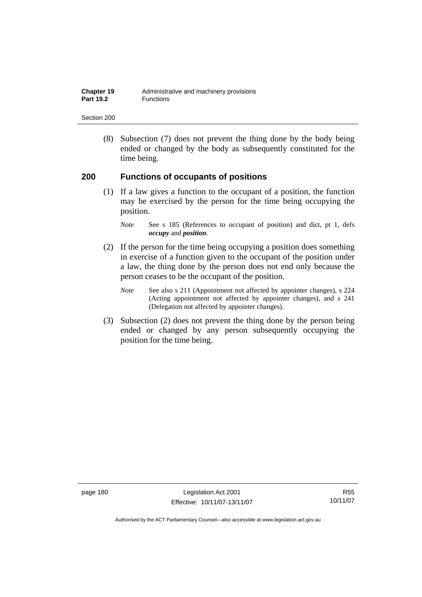| Chapter 19       | Administrative and machinery provisions |
|------------------|-----------------------------------------|
| <b>Part 19.2</b> | Functions                               |

 (8) Subsection (7) does not prevent the thing done by the body being ended or changed by the body as subsequently constituted for the time being.

### **200 Functions of occupants of positions**

 (1) If a law gives a function to the occupant of a position, the function may be exercised by the person for the time being occupying the position.

- (2) If the person for the time being occupying a position does something in exercise of a function given to the occupant of the position under a law, the thing done by the person does not end only because the person ceases to be the occupant of the position.
	- *Note* See also s 211 (Appointment not affected by appointer changes), s 224 (Acting appointment not affected by appointer changes), and s 241 (Delegation not affected by appointer changes).
- (3) Subsection (2) does not prevent the thing done by the person being ended or changed by any person subsequently occupying the position for the time being.

page 180 Legislation Act 2001 Effective: 10/11/07-13/11/07

R55 10/11/07

*Note* See s 185 (References to occupant of position) and dict, pt 1, defs *occupy* and *position*.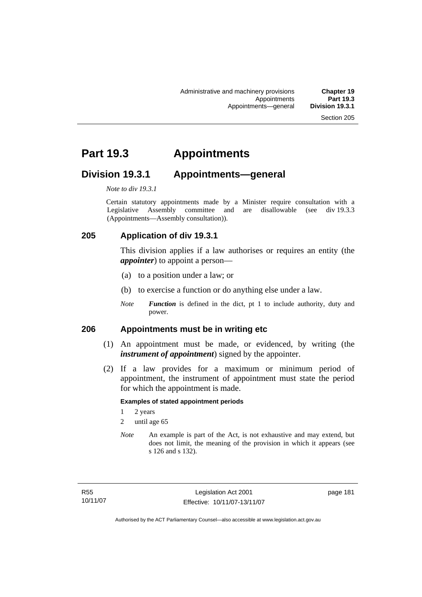# **Part 19.3 Appointments**

# **Division 19.3.1 Appointments—general**

*Note to div 19.3.1* 

Certain statutory appointments made by a Minister require consultation with a Legislative Assembly committee and are disallowable (see div 19.3.3) (Appointments—Assembly consultation)).

# **205 Application of div 19.3.1**

This division applies if a law authorises or requires an entity (the *appointer*) to appoint a person—

- (a) to a position under a law; or
- (b) to exercise a function or do anything else under a law.
- *Note Function* is defined in the dict, pt 1 to include authority, duty and power.

### **206 Appointments must be in writing etc**

- (1) An appointment must be made, or evidenced, by writing (the *instrument of appointment*) signed by the appointer.
- (2) If a law provides for a maximum or minimum period of appointment, the instrument of appointment must state the period for which the appointment is made.

#### **Examples of stated appointment periods**

- 1 2 years
- 2 until age 65
- *Note* An example is part of the Act, is not exhaustive and may extend, but does not limit, the meaning of the provision in which it appears (see s 126 and s 132).

page 181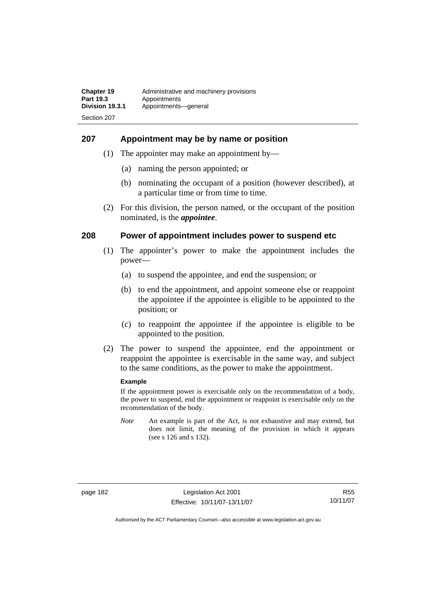#### **207 Appointment may be by name or position**

- (1) The appointer may make an appointment by—
	- (a) naming the person appointed; or
	- (b) nominating the occupant of a position (however described), at a particular time or from time to time.
- (2) For this division, the person named, or the occupant of the position nominated, is the *appointee*.

#### **208 Power of appointment includes power to suspend etc**

- (1) The appointer's power to make the appointment includes the power—
	- (a) to suspend the appointee, and end the suspension; or
	- (b) to end the appointment, and appoint someone else or reappoint the appointee if the appointee is eligible to be appointed to the position; or
	- (c) to reappoint the appointee if the appointee is eligible to be appointed to the position.
- (2) The power to suspend the appointee, end the appointment or reappoint the appointee is exercisable in the same way, and subject to the same conditions, as the power to make the appointment.

#### **Example**

If the appointment power is exercisable only on the recommendation of a body, the power to suspend, end the appointment or reappoint is exercisable only on the recommendation of the body.

*Note* An example is part of the Act, is not exhaustive and may extend, but does not limit, the meaning of the provision in which it appears (see s 126 and s 132).

R55 10/11/07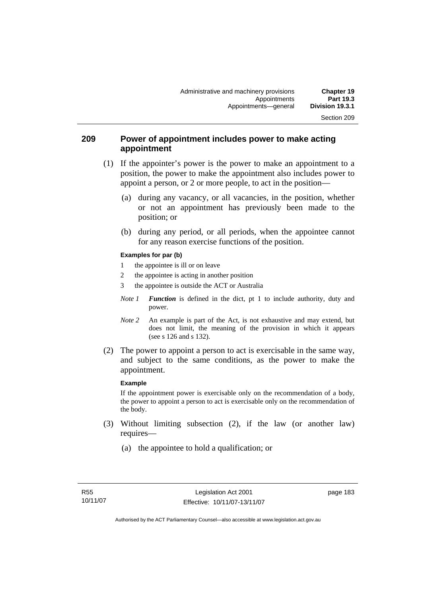### **209 Power of appointment includes power to make acting appointment**

- (1) If the appointer's power is the power to make an appointment to a position, the power to make the appointment also includes power to appoint a person, or 2 or more people, to act in the position—
	- (a) during any vacancy, or all vacancies, in the position, whether or not an appointment has previously been made to the position; or
	- (b) during any period, or all periods, when the appointee cannot for any reason exercise functions of the position.

#### **Examples for par (b)**

- 1 the appointee is ill or on leave
- 2 the appointee is acting in another position
- 3 the appointee is outside the ACT or Australia
- *Note 1 Function* is defined in the dict, pt 1 to include authority, duty and power.
- *Note* 2 An example is part of the Act, is not exhaustive and may extend, but does not limit, the meaning of the provision in which it appears (see s 126 and s 132).
- (2) The power to appoint a person to act is exercisable in the same way, and subject to the same conditions, as the power to make the appointment.

#### **Example**

If the appointment power is exercisable only on the recommendation of a body, the power to appoint a person to act is exercisable only on the recommendation of the body.

- (3) Without limiting subsection (2), if the law (or another law) requires—
	- (a) the appointee to hold a qualification; or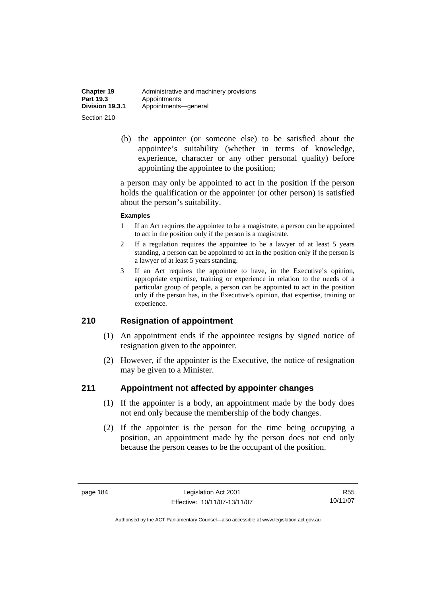| <b>Chapter 19</b> | Administrative and machinery provisions |
|-------------------|-----------------------------------------|
| <b>Part 19.3</b>  | Appointments                            |
| Division 19.3.1   | Appointments-qeneral                    |
| Section 210       |                                         |

 (b) the appointer (or someone else) to be satisfied about the appointee's suitability (whether in terms of knowledge, experience, character or any other personal quality) before appointing the appointee to the position;

a person may only be appointed to act in the position if the person holds the qualification or the appointer (or other person) is satisfied about the person's suitability.

#### **Examples**

- 1 If an Act requires the appointee to be a magistrate, a person can be appointed to act in the position only if the person is a magistrate.
- 2 If a regulation requires the appointee to be a lawyer of at least 5 years standing, a person can be appointed to act in the position only if the person is a lawyer of at least 5 years standing.
- 3 If an Act requires the appointee to have, in the Executive's opinion, appropriate expertise, training or experience in relation to the needs of a particular group of people, a person can be appointed to act in the position only if the person has, in the Executive's opinion, that expertise, training or experience.

### **210 Resignation of appointment**

- (1) An appointment ends if the appointee resigns by signed notice of resignation given to the appointer.
- (2) However, if the appointer is the Executive, the notice of resignation may be given to a Minister.

### **211 Appointment not affected by appointer changes**

- (1) If the appointer is a body, an appointment made by the body does not end only because the membership of the body changes.
- (2) If the appointer is the person for the time being occupying a position, an appointment made by the person does not end only because the person ceases to be the occupant of the position.

R55 10/11/07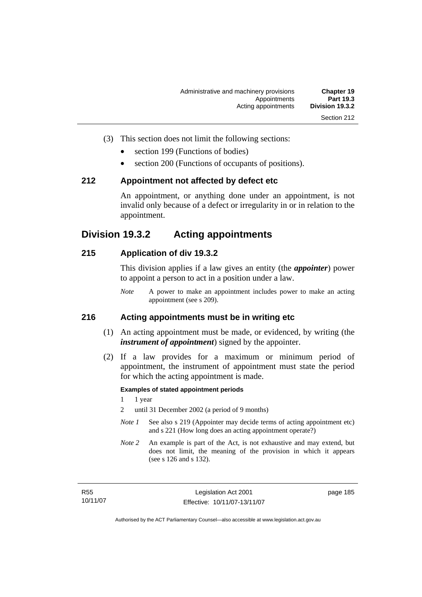- 
- (3) This section does not limit the following sections:
	- section 199 (Functions of bodies)
	- section 200 (Functions of occupants of positions).

#### **212 Appointment not affected by defect etc**

An appointment, or anything done under an appointment, is not invalid only because of a defect or irregularity in or in relation to the appointment.

# **Division 19.3.2 Acting appointments**

### **215 Application of div 19.3.2**

This division applies if a law gives an entity (the *appointer*) power to appoint a person to act in a position under a law.

*Note* A power to make an appointment includes power to make an acting appointment (see s 209).

# **216 Acting appointments must be in writing etc**

- (1) An acting appointment must be made, or evidenced, by writing (the *instrument of appointment*) signed by the appointer.
- (2) If a law provides for a maximum or minimum period of appointment, the instrument of appointment must state the period for which the acting appointment is made.

#### **Examples of stated appointment periods**

- 1 1 year
- 2 until 31 December 2002 (a period of 9 months)
- *Note 1* See also s 219 (Appointer may decide terms of acting appointment etc) and s 221 (How long does an acting appointment operate?)
- *Note 2* An example is part of the Act, is not exhaustive and may extend, but does not limit, the meaning of the provision in which it appears (see s 126 and s 132).

page 185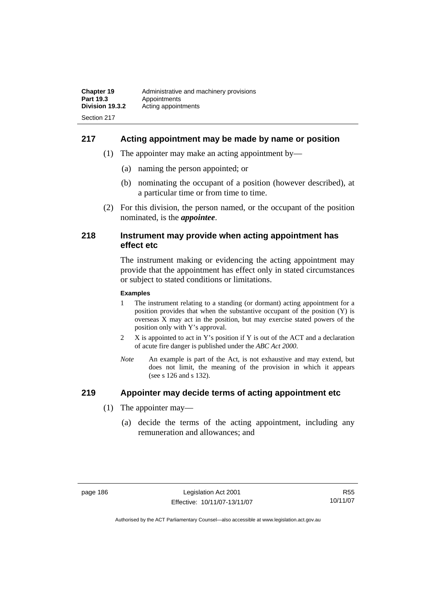# **217 Acting appointment may be made by name or position**

- (1) The appointer may make an acting appointment by—
	- (a) naming the person appointed; or
	- (b) nominating the occupant of a position (however described), at a particular time or from time to time.
- (2) For this division, the person named, or the occupant of the position nominated, is the *appointee*.

#### **218 Instrument may provide when acting appointment has effect etc**

The instrument making or evidencing the acting appointment may provide that the appointment has effect only in stated circumstances or subject to stated conditions or limitations.

#### **Examples**

- 1 The instrument relating to a standing (or dormant) acting appointment for a position provides that when the substantive occupant of the position (Y) is overseas X may act in the position, but may exercise stated powers of the position only with Y's approval.
- 2 X is appointed to act in Y's position if Y is out of the ACT and a declaration of acute fire danger is published under the *ABC Act 2000*.
- *Note* An example is part of the Act, is not exhaustive and may extend, but does not limit, the meaning of the provision in which it appears (see s 126 and s 132).

### **219 Appointer may decide terms of acting appointment etc**

- (1) The appointer may—
	- (a) decide the terms of the acting appointment, including any remuneration and allowances; and

R55 10/11/07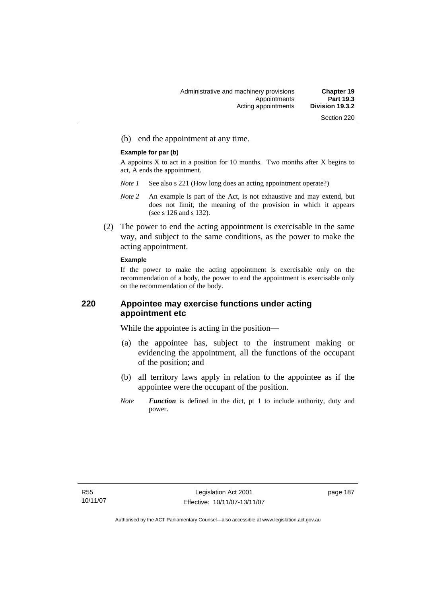(b) end the appointment at any time.

#### **Example for par (b)**

A appoints  $X$  to act in a position for 10 months. Two months after  $X$  begins to act, A ends the appointment.

- *Note 1* See also s 221 (How long does an acting appointment operate?)
- *Note 2* An example is part of the Act, is not exhaustive and may extend, but does not limit, the meaning of the provision in which it appears (see s 126 and s 132).
- (2) The power to end the acting appointment is exercisable in the same way, and subject to the same conditions, as the power to make the acting appointment.

#### **Example**

If the power to make the acting appointment is exercisable only on the recommendation of a body, the power to end the appointment is exercisable only on the recommendation of the body.

# **220 Appointee may exercise functions under acting appointment etc**

While the appointee is acting in the position—

- (a) the appointee has, subject to the instrument making or evidencing the appointment, all the functions of the occupant of the position; and
- (b) all territory laws apply in relation to the appointee as if the appointee were the occupant of the position.
- *Note Function* is defined in the dict, pt 1 to include authority, duty and power.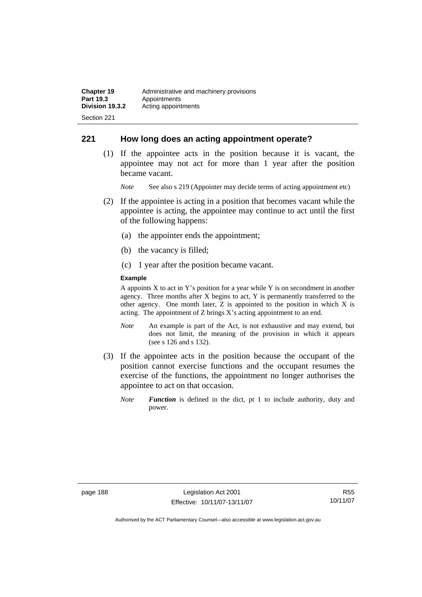### **221 How long does an acting appointment operate?**

 (1) If the appointee acts in the position because it is vacant, the appointee may not act for more than 1 year after the position became vacant.

*Note* See also s 219 (Appointer may decide terms of acting appointment etc)

- (2) If the appointee is acting in a position that becomes vacant while the appointee is acting, the appointee may continue to act until the first of the following happens:
	- (a) the appointer ends the appointment;
	- (b) the vacancy is filled;
	- (c) 1 year after the position became vacant.

#### **Example**

A appoints  $X$  to act in Y's position for a year while Y is on secondment in another agency. Three months after X begins to act, Y is permanently transferred to the other agency. One month later, Z is appointed to the position in which X is acting. The appointment of Z brings X's acting appointment to an end.

- *Note* An example is part of the Act, is not exhaustive and may extend, but does not limit, the meaning of the provision in which it appears (see s 126 and s 132).
- (3) If the appointee acts in the position because the occupant of the position cannot exercise functions and the occupant resumes the exercise of the functions, the appointment no longer authorises the appointee to act on that occasion.
	- *Note Function* is defined in the dict, pt 1 to include authority, duty and power.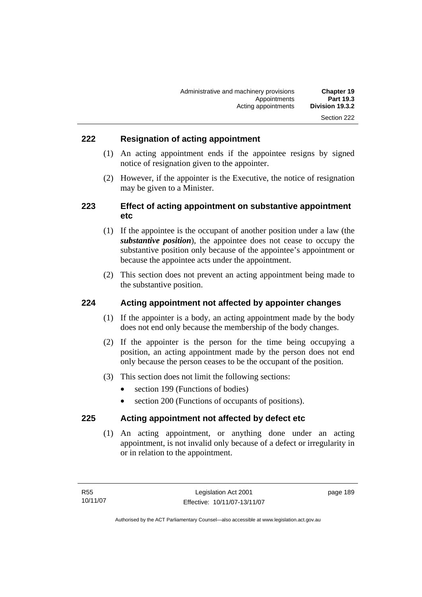# **222 Resignation of acting appointment**

- (1) An acting appointment ends if the appointee resigns by signed notice of resignation given to the appointer.
- (2) However, if the appointer is the Executive, the notice of resignation may be given to a Minister.

# **223 Effect of acting appointment on substantive appointment etc**

- (1) If the appointee is the occupant of another position under a law (the *substantive position*), the appointee does not cease to occupy the substantive position only because of the appointee's appointment or because the appointee acts under the appointment.
- (2) This section does not prevent an acting appointment being made to the substantive position.

### **224 Acting appointment not affected by appointer changes**

- (1) If the appointer is a body, an acting appointment made by the body does not end only because the membership of the body changes.
- (2) If the appointer is the person for the time being occupying a position, an acting appointment made by the person does not end only because the person ceases to be the occupant of the position.
- (3) This section does not limit the following sections:
	- section 199 (Functions of bodies)
	- section 200 (Functions of occupants of positions).

### **225 Acting appointment not affected by defect etc**

 (1) An acting appointment, or anything done under an acting appointment, is not invalid only because of a defect or irregularity in or in relation to the appointment.

page 189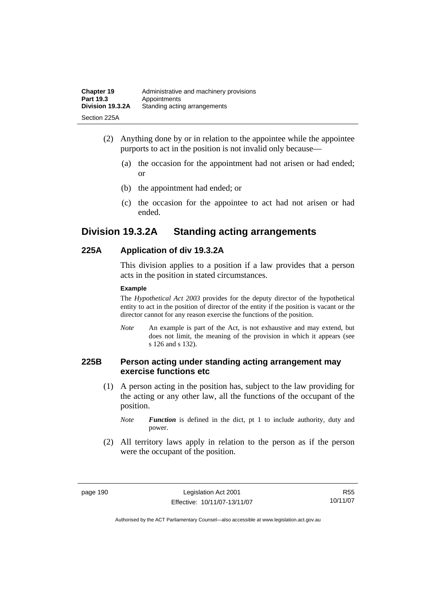| <b>Chapter 19</b> | Administrative and machinery provisions |
|-------------------|-----------------------------------------|
| Part 19.3         | Appointments                            |
| Division 19.3.2A  | Standing acting arrangements            |
| Section 225A      |                                         |

- (2) Anything done by or in relation to the appointee while the appointee purports to act in the position is not invalid only because—
	- (a) the occasion for the appointment had not arisen or had ended; or
	- (b) the appointment had ended; or
	- (c) the occasion for the appointee to act had not arisen or had ended.

# **Division 19.3.2A Standing acting arrangements**

# **225A Application of div 19.3.2A**

This division applies to a position if a law provides that a person acts in the position in stated circumstances.

#### **Example**

The *Hypothetical Act 2003* provides for the deputy director of the hypothetical entity to act in the position of director of the entity if the position is vacant or the director cannot for any reason exercise the functions of the position.

*Note* An example is part of the Act, is not exhaustive and may extend, but does not limit, the meaning of the provision in which it appears (see s 126 and s 132).

## **225B Person acting under standing acting arrangement may exercise functions etc**

 (1) A person acting in the position has, subject to the law providing for the acting or any other law, all the functions of the occupant of the position.

*Note Function* is defined in the dict, pt 1 to include authority, duty and power.

 (2) All territory laws apply in relation to the person as if the person were the occupant of the position.

R55 10/11/07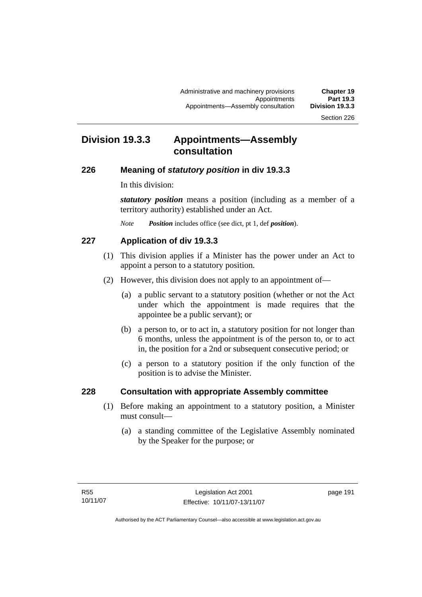# **Division 19.3.3 Appointments—Assembly consultation**

# **226 Meaning of** *statutory position* **in div 19.3.3**

In this division:

*statutory position* means a position (including as a member of a territory authority) established under an Act.

*Note Position* includes office (see dict, pt 1, def *position*).

# **227 Application of div 19.3.3**

- (1) This division applies if a Minister has the power under an Act to appoint a person to a statutory position.
- (2) However, this division does not apply to an appointment of—
	- (a) a public servant to a statutory position (whether or not the Act under which the appointment is made requires that the appointee be a public servant); or
	- (b) a person to, or to act in, a statutory position for not longer than 6 months, unless the appointment is of the person to, or to act in, the position for a 2nd or subsequent consecutive period; or
	- (c) a person to a statutory position if the only function of the position is to advise the Minister.

# **228 Consultation with appropriate Assembly committee**

- (1) Before making an appointment to a statutory position, a Minister must consult—
	- (a) a standing committee of the Legislative Assembly nominated by the Speaker for the purpose; or

page 191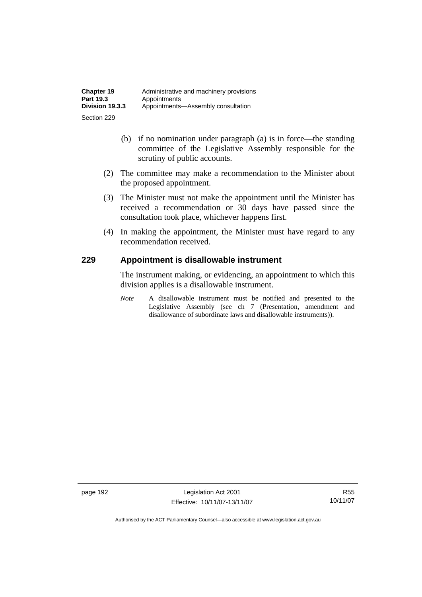- (b) if no nomination under paragraph (a) is in force—the standing committee of the Legislative Assembly responsible for the scrutiny of public accounts.
- (2) The committee may make a recommendation to the Minister about the proposed appointment.
- (3) The Minister must not make the appointment until the Minister has received a recommendation or 30 days have passed since the consultation took place, whichever happens first.
- (4) In making the appointment, the Minister must have regard to any recommendation received.

# **229 Appointment is disallowable instrument**

The instrument making, or evidencing, an appointment to which this division applies is a disallowable instrument.

*Note* A disallowable instrument must be notified and presented to the Legislative Assembly (see ch 7 (Presentation, amendment and disallowance of subordinate laws and disallowable instruments)).

page 192 Legislation Act 2001 Effective: 10/11/07-13/11/07

R55 10/11/07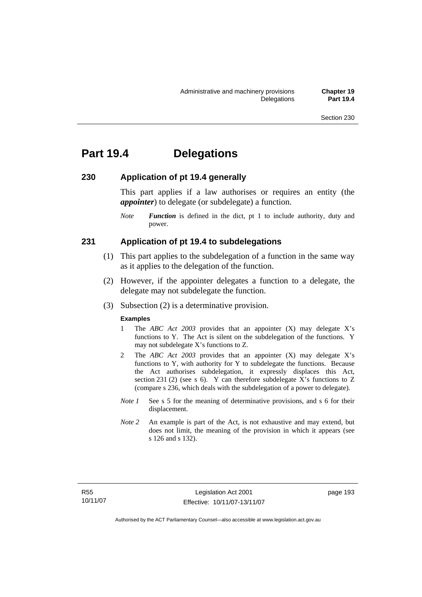# **Part 19.4 Delegations**

### **230 Application of pt 19.4 generally**

This part applies if a law authorises or requires an entity (the *appointer*) to delegate (or subdelegate) a function.

*Note Function* is defined in the dict, pt 1 to include authority, duty and power.

#### **231 Application of pt 19.4 to subdelegations**

- (1) This part applies to the subdelegation of a function in the same way as it applies to the delegation of the function.
- (2) However, if the appointer delegates a function to a delegate, the delegate may not subdelegate the function.
- (3) Subsection (2) is a determinative provision.

#### **Examples**

- 1 The *ABC Act 2003* provides that an appointer (X) may delegate X's functions to Y. The Act is silent on the subdelegation of the functions. Y may not subdelegate X's functions to Z.
- 2 The *ABC Act 2003* provides that an appointer (X) may delegate X's functions to Y, with authority for Y to subdelegate the functions. Because the Act authorises subdelegation, it expressly displaces this Act, section 231 (2) (see s 6). Y can therefore subdelegate X's functions to  $Z$ (compare s 236, which deals with the subdelegation of a power to delegate)*.*
- *Note 1* See s 5 for the meaning of determinative provisions, and s 6 for their displacement.
- *Note 2* An example is part of the Act, is not exhaustive and may extend, but does not limit, the meaning of the provision in which it appears (see s 126 and s 132).

page 193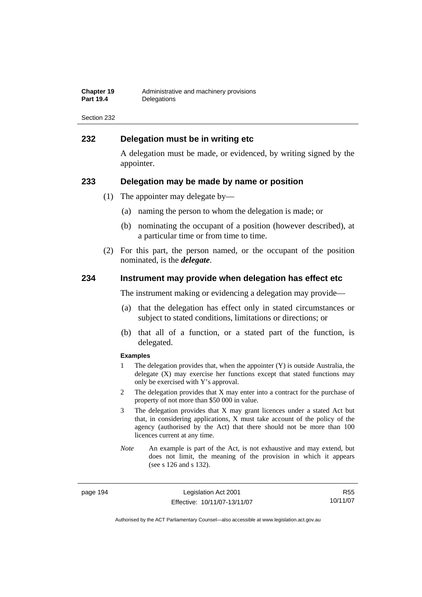| <b>Chapter 19</b> | Administrative and machinery provisions |
|-------------------|-----------------------------------------|
| <b>Part 19.4</b>  | Delegations                             |

### **232 Delegation must be in writing etc**

A delegation must be made, or evidenced, by writing signed by the appointer.

#### **233 Delegation may be made by name or position**

- (1) The appointer may delegate by—
	- (a) naming the person to whom the delegation is made; or
	- (b) nominating the occupant of a position (however described), at a particular time or from time to time.
- (2) For this part, the person named, or the occupant of the position nominated, is the *delegate*.

#### **234 Instrument may provide when delegation has effect etc**

The instrument making or evidencing a delegation may provide—

- (a) that the delegation has effect only in stated circumstances or subject to stated conditions, limitations or directions; or
- (b) that all of a function, or a stated part of the function, is delegated.

#### **Examples**

- 1 The delegation provides that, when the appointer (Y) is outside Australia, the delegate (X) may exercise her functions except that stated functions may only be exercised with Y's approval.
- 2 The delegation provides that X may enter into a contract for the purchase of property of not more than \$50 000 in value.
- 3 The delegation provides that X may grant licences under a stated Act but that, in considering applications, X must take account of the policy of the agency (authorised by the Act) that there should not be more than 100 licences current at any time.
- *Note* An example is part of the Act, is not exhaustive and may extend, but does not limit, the meaning of the provision in which it appears (see s 126 and s 132).

page 194 Legislation Act 2001 Effective: 10/11/07-13/11/07

R55 10/11/07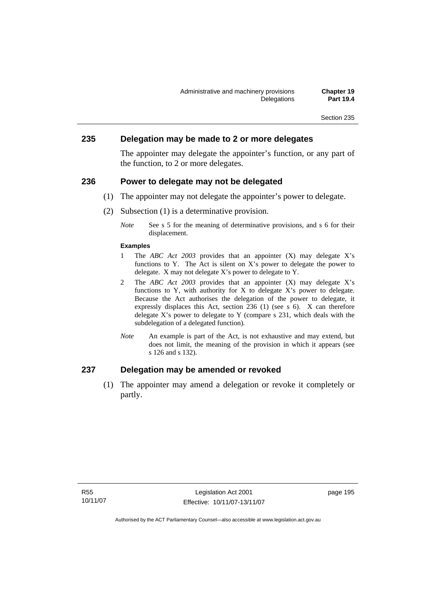#### **235 Delegation may be made to 2 or more delegates**

The appointer may delegate the appointer's function, or any part of the function, to 2 or more delegates.

#### **236 Power to delegate may not be delegated**

- (1) The appointer may not delegate the appointer's power to delegate.
- (2) Subsection (1) is a determinative provision.
	- *Note* See s 5 for the meaning of determinative provisions, and s 6 for their displacement.

#### **Examples**

- 1 The *ABC Act 2003* provides that an appointer (X) may delegate X's functions to Y. The Act is silent on X's power to delegate the power to delegate. X may not delegate X's power to delegate to Y.
- 2 The *ABC Act 2003* provides that an appointer (X) may delegate X's functions to Y, with authority for X to delegate X's power to delegate. Because the Act authorises the delegation of the power to delegate, it expressly displaces this Act, section 236 (1) (see s 6). X can therefore delegate  $X$ 's power to delegate to  $Y$  (compare s 231, which deals with the subdelegation of a delegated function)*.*
- *Note* An example is part of the Act, is not exhaustive and may extend, but does not limit, the meaning of the provision in which it appears (see s 126 and s 132).

# **237 Delegation may be amended or revoked**

 (1) The appointer may amend a delegation or revoke it completely or partly.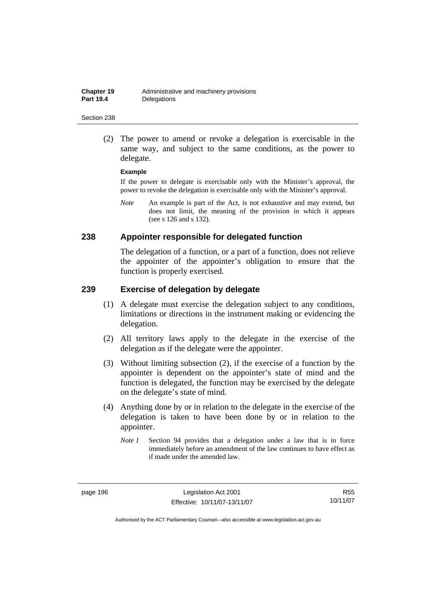(2) The power to amend or revoke a delegation is exercisable in the same way, and subject to the same conditions, as the power to delegate.

#### **Example**

If the power to delegate is exercisable only with the Minister's approval, the power to revoke the delegation is exercisable only with the Minister's approval.

*Note* An example is part of the Act, is not exhaustive and may extend, but does not limit, the meaning of the provision in which it appears (see s 126 and s 132).

#### **238 Appointer responsible for delegated function**

The delegation of a function, or a part of a function, does not relieve the appointer of the appointer's obligation to ensure that the function is properly exercised.

#### **239 Exercise of delegation by delegate**

- (1) A delegate must exercise the delegation subject to any conditions, limitations or directions in the instrument making or evidencing the delegation.
- (2) All territory laws apply to the delegate in the exercise of the delegation as if the delegate were the appointer.
- (3) Without limiting subsection (2), if the exercise of a function by the appointer is dependent on the appointer's state of mind and the function is delegated, the function may be exercised by the delegate on the delegate's state of mind.
- (4) Anything done by or in relation to the delegate in the exercise of the delegation is taken to have been done by or in relation to the appointer.
	- *Note 1* Section 94 provides that a delegation under a law that is in force immediately before an amendment of the law continues to have effect as if made under the amended law.

R55 10/11/07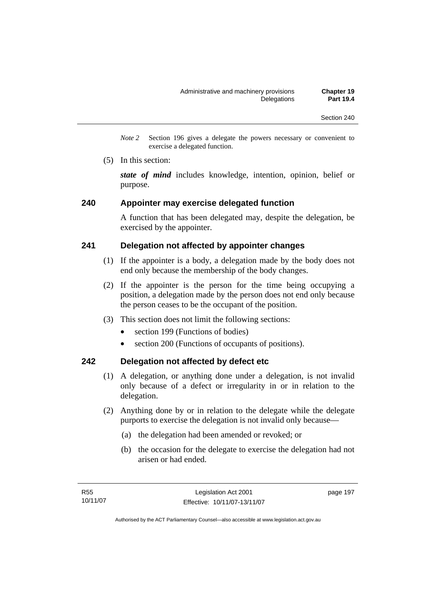*Note 2* Section 196 gives a delegate the powers necessary or convenient to exercise a delegated function.

(5) In this section:

*state of mind* includes knowledge, intention, opinion, belief or purpose.

#### **240 Appointer may exercise delegated function**

A function that has been delegated may, despite the delegation, be exercised by the appointer.

### **241 Delegation not affected by appointer changes**

- (1) If the appointer is a body, a delegation made by the body does not end only because the membership of the body changes.
- (2) If the appointer is the person for the time being occupying a position, a delegation made by the person does not end only because the person ceases to be the occupant of the position.
- (3) This section does not limit the following sections:
	- section 199 (Functions of bodies)
	- section 200 (Functions of occupants of positions).

### **242 Delegation not affected by defect etc**

- (1) A delegation, or anything done under a delegation, is not invalid only because of a defect or irregularity in or in relation to the delegation.
- (2) Anything done by or in relation to the delegate while the delegate purports to exercise the delegation is not invalid only because—
	- (a) the delegation had been amended or revoked; or
	- (b) the occasion for the delegate to exercise the delegation had not arisen or had ended.

page 197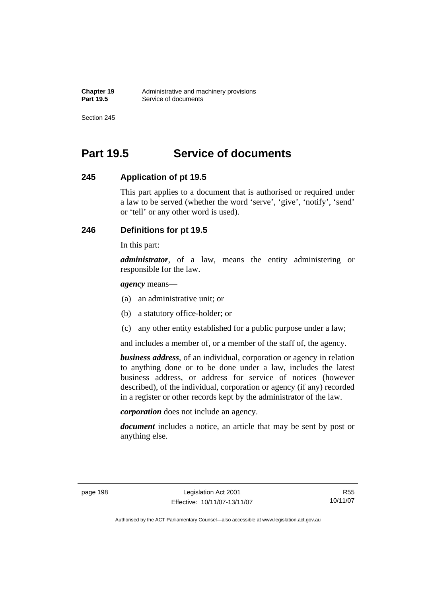# **Part 19.5 Service of documents**

# **245 Application of pt 19.5**

This part applies to a document that is authorised or required under a law to be served (whether the word 'serve', 'give', 'notify', 'send' or 'tell' or any other word is used).

# **246 Definitions for pt 19.5**

In this part:

*administrator*, of a law, means the entity administering or responsible for the law.

*agency* means—

- (a) an administrative unit; or
- (b) a statutory office-holder; or
- (c) any other entity established for a public purpose under a law;

and includes a member of, or a member of the staff of, the agency.

*business address*, of an individual, corporation or agency in relation to anything done or to be done under a law, includes the latest business address, or address for service of notices (however described), of the individual, corporation or agency (if any) recorded in a register or other records kept by the administrator of the law.

*corporation* does not include an agency.

*document* includes a notice, an article that may be sent by post or anything else.

R55 10/11/07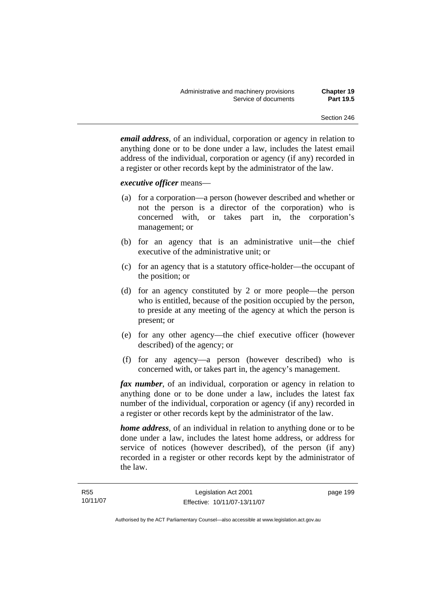*email address*, of an individual, corporation or agency in relation to anything done or to be done under a law, includes the latest email address of the individual, corporation or agency (if any) recorded in a register or other records kept by the administrator of the law.

#### *executive officer* means—

- (a) for a corporation—a person (however described and whether or not the person is a director of the corporation) who is concerned with, or takes part in, the corporation's management; or
- (b) for an agency that is an administrative unit—the chief executive of the administrative unit; or
- (c) for an agency that is a statutory office-holder—the occupant of the position; or
- (d) for an agency constituted by 2 or more people—the person who is entitled, because of the position occupied by the person, to preside at any meeting of the agency at which the person is present; or
- (e) for any other agency—the chief executive officer (however described) of the agency; or
- (f) for any agency—a person (however described) who is concerned with, or takes part in, the agency's management.

*fax number*, of an individual, corporation or agency in relation to anything done or to be done under a law, includes the latest fax number of the individual, corporation or agency (if any) recorded in a register or other records kept by the administrator of the law.

*home address*, of an individual in relation to anything done or to be done under a law, includes the latest home address, or address for service of notices (however described), of the person (if any) recorded in a register or other records kept by the administrator of the law.

page 199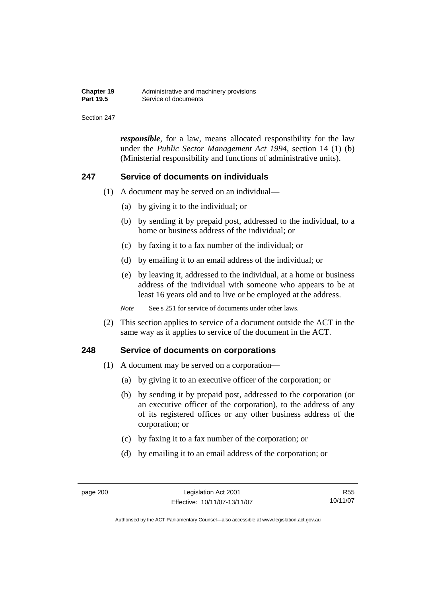| <b>Chapter 19</b> | Administrative and machinery provisions |
|-------------------|-----------------------------------------|
| <b>Part 19.5</b>  | Service of documents                    |

*responsible*, for a law, means allocated responsibility for the law under the *Public Sector Management Act 1994*, section 14 (1) (b) (Ministerial responsibility and functions of administrative units).

#### **247 Service of documents on individuals**

- (1) A document may be served on an individual—
	- (a) by giving it to the individual; or
	- (b) by sending it by prepaid post, addressed to the individual, to a home or business address of the individual; or
	- (c) by faxing it to a fax number of the individual; or
	- (d) by emailing it to an email address of the individual; or
	- (e) by leaving it, addressed to the individual, at a home or business address of the individual with someone who appears to be at least 16 years old and to live or be employed at the address.

*Note* See s 251 for service of documents under other laws.

 (2) This section applies to service of a document outside the ACT in the same way as it applies to service of the document in the ACT.

#### **248 Service of documents on corporations**

- (1) A document may be served on a corporation—
	- (a) by giving it to an executive officer of the corporation; or
	- (b) by sending it by prepaid post, addressed to the corporation (or an executive officer of the corporation), to the address of any of its registered offices or any other business address of the corporation; or
	- (c) by faxing it to a fax number of the corporation; or
	- (d) by emailing it to an email address of the corporation; or

R55 10/11/07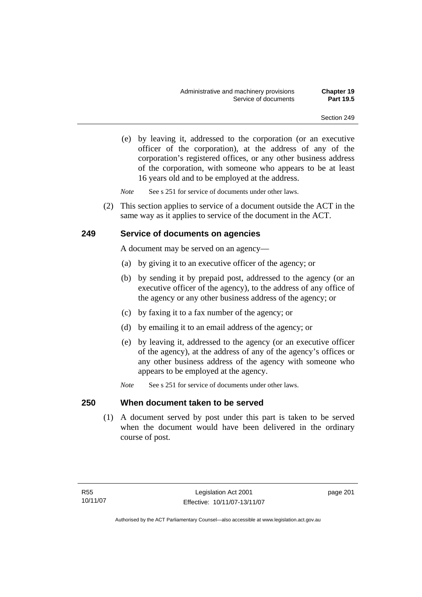(e) by leaving it, addressed to the corporation (or an executive officer of the corporation), at the address of any of the corporation's registered offices, or any other business address of the corporation, with someone who appears to be at least 16 years old and to be employed at the address.

*Note* See s 251 for service of documents under other laws.

 (2) This section applies to service of a document outside the ACT in the same way as it applies to service of the document in the ACT.

### **249 Service of documents on agencies**

A document may be served on an agency—

- (a) by giving it to an executive officer of the agency; or
- (b) by sending it by prepaid post, addressed to the agency (or an executive officer of the agency), to the address of any office of the agency or any other business address of the agency; or
- (c) by faxing it to a fax number of the agency; or
- (d) by emailing it to an email address of the agency; or
- (e) by leaving it, addressed to the agency (or an executive officer of the agency), at the address of any of the agency's offices or any other business address of the agency with someone who appears to be employed at the agency.
- *Note* See s 251 for service of documents under other laws.

### **250 When document taken to be served**

 (1) A document served by post under this part is taken to be served when the document would have been delivered in the ordinary course of post.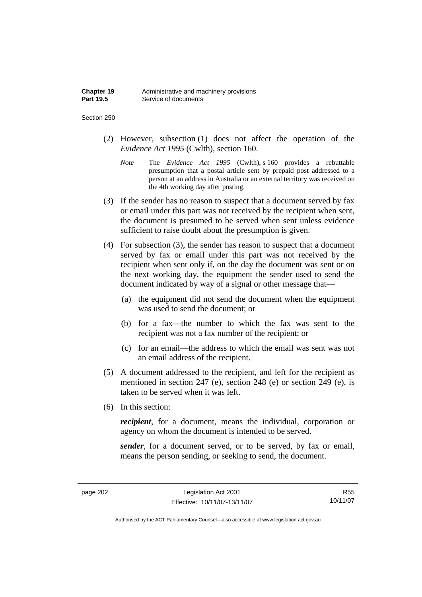| Chapter 19       | Administrative and machinery provisions |
|------------------|-----------------------------------------|
| <b>Part 19.5</b> | Service of documents                    |

#### Section 250

- (2) However, subsection (1) does not affect the operation of the *Evidence Act 1995* (Cwlth), section 160.
	- *Note* The *Evidence Act 1995* (Cwlth), s 160 provides a rebuttable presumption that a postal article sent by prepaid post addressed to a person at an address in Australia or an external territory was received on the 4th working day after posting.
- (3) If the sender has no reason to suspect that a document served by fax or email under this part was not received by the recipient when sent, the document is presumed to be served when sent unless evidence sufficient to raise doubt about the presumption is given.
- (4) For subsection (3), the sender has reason to suspect that a document served by fax or email under this part was not received by the recipient when sent only if, on the day the document was sent or on the next working day, the equipment the sender used to send the document indicated by way of a signal or other message that—
	- (a) the equipment did not send the document when the equipment was used to send the document; or
	- (b) for a fax—the number to which the fax was sent to the recipient was not a fax number of the recipient; or
	- (c) for an email—the address to which the email was sent was not an email address of the recipient.
- (5) A document addressed to the recipient, and left for the recipient as mentioned in section 247 (e), section 248 (e) or section 249 (e), is taken to be served when it was left.
- (6) In this section:

*recipient*, for a document, means the individual, corporation or agency on whom the document is intended to be served.

*sender*, for a document served, or to be served, by fax or email, means the person sending, or seeking to send, the document.

R55 10/11/07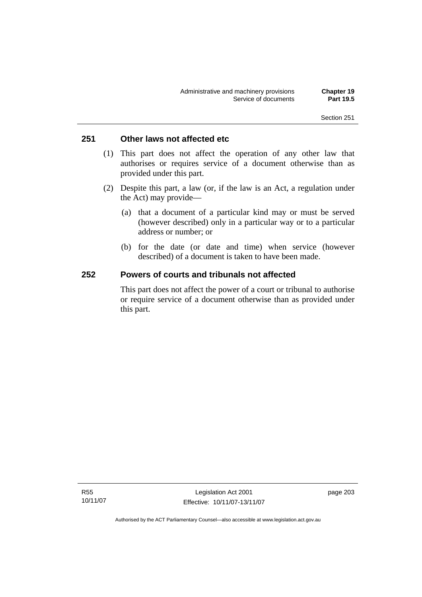## **251 Other laws not affected etc**

- (1) This part does not affect the operation of any other law that authorises or requires service of a document otherwise than as provided under this part.
- (2) Despite this part, a law (or, if the law is an Act, a regulation under the Act) may provide—
	- (a) that a document of a particular kind may or must be served (however described) only in a particular way or to a particular address or number; or
	- (b) for the date (or date and time) when service (however described) of a document is taken to have been made.

## **252 Powers of courts and tribunals not affected**

This part does not affect the power of a court or tribunal to authorise or require service of a document otherwise than as provided under this part.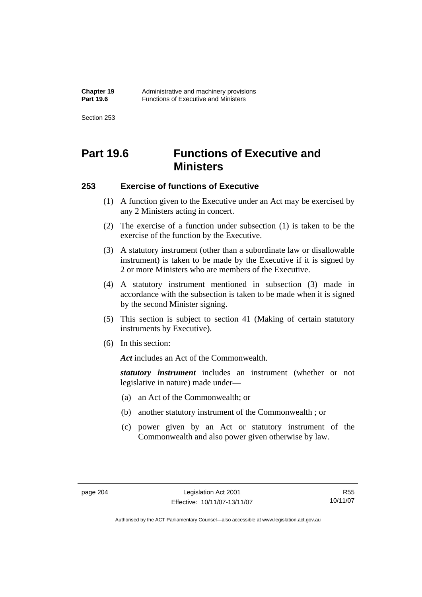Section 253

# **Part 19.6 Functions of Executive and Ministers**

## **253 Exercise of functions of Executive**

- (1) A function given to the Executive under an Act may be exercised by any 2 Ministers acting in concert.
- (2) The exercise of a function under subsection (1) is taken to be the exercise of the function by the Executive.
- (3) A statutory instrument (other than a subordinate law or disallowable instrument) is taken to be made by the Executive if it is signed by 2 or more Ministers who are members of the Executive.
- (4) A statutory instrument mentioned in subsection (3) made in accordance with the subsection is taken to be made when it is signed by the second Minister signing.
- (5) This section is subject to section 41 (Making of certain statutory instruments by Executive).
- (6) In this section:

Act includes an Act of the Commonwealth.

*statutory instrument* includes an instrument (whether or not legislative in nature) made under—

- (a) an Act of the Commonwealth; or
- (b) another statutory instrument of the Commonwealth ; or
- (c) power given by an Act or statutory instrument of the Commonwealth and also power given otherwise by law.

R55 10/11/07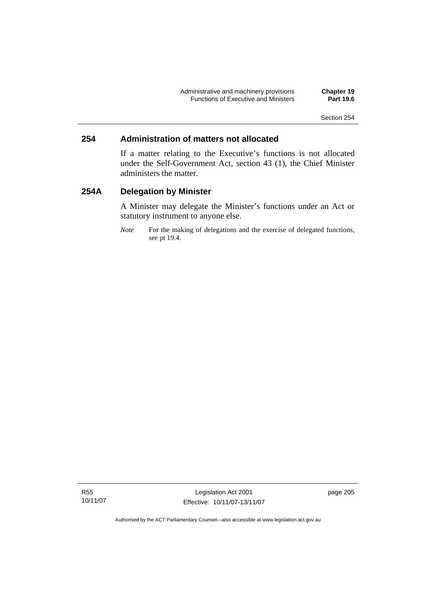## **254 Administration of matters not allocated**

If a matter relating to the Executive's functions is not allocated under the Self-Government Act, section 43 (1), the Chief Minister administers the matter.

## **254A Delegation by Minister**

A Minister may delegate the Minister's functions under an Act or statutory instrument to anyone else.

*Note* For the making of delegations and the exercise of delegated functions, see pt 19.4.

Legislation Act 2001 Effective: 10/11/07-13/11/07 page 205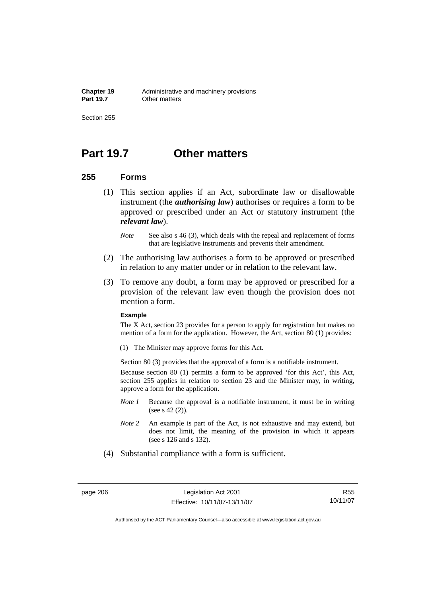Section 255

# **Part 19.7 Other matters**

### **255 Forms**

- (1) This section applies if an Act, subordinate law or disallowable instrument (the *authorising law*) authorises or requires a form to be approved or prescribed under an Act or statutory instrument (the *relevant law*).
	- *Note* See also s 46 (3), which deals with the repeal and replacement of forms that are legislative instruments and prevents their amendment.
- (2) The authorising law authorises a form to be approved or prescribed in relation to any matter under or in relation to the relevant law.
- (3) To remove any doubt, a form may be approved or prescribed for a provision of the relevant law even though the provision does not mention a form.

#### **Example**

The X Act, section 23 provides for a person to apply for registration but makes no mention of a form for the application. However, the Act, section 80 (1) provides:

(1) The Minister may approve forms for this Act.

Section 80 (3) provides that the approval of a form is a notifiable instrument.

Because section 80 (1) permits a form to be approved 'for this Act', this Act, section 255 applies in relation to section 23 and the Minister may, in writing, approve a form for the application.

- *Note 1* Because the approval is a notifiable instrument, it must be in writing (see s 42 (2)).
- *Note 2* An example is part of the Act, is not exhaustive and may extend, but does not limit, the meaning of the provision in which it appears (see s 126 and s 132).
- (4) Substantial compliance with a form is sufficient.

R55 10/11/07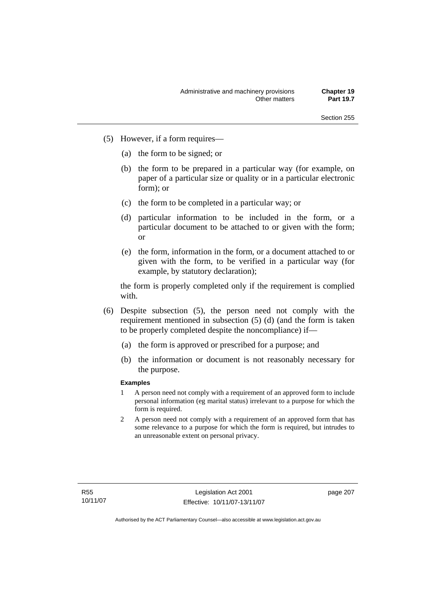- (5) However, if a form requires—
	- (a) the form to be signed; or
	- (b) the form to be prepared in a particular way (for example, on paper of a particular size or quality or in a particular electronic form); or
	- (c) the form to be completed in a particular way; or
	- (d) particular information to be included in the form, or a particular document to be attached to or given with the form; or
	- (e) the form, information in the form, or a document attached to or given with the form, to be verified in a particular way (for example, by statutory declaration);

the form is properly completed only if the requirement is complied with.

- (6) Despite subsection (5), the person need not comply with the requirement mentioned in subsection (5) (d) (and the form is taken to be properly completed despite the noncompliance) if—
	- (a) the form is approved or prescribed for a purpose; and
	- (b) the information or document is not reasonably necessary for the purpose.

#### **Examples**

- 1 A person need not comply with a requirement of an approved form to include personal information (eg marital status) irrelevant to a purpose for which the form is required.
- 2 A person need not comply with a requirement of an approved form that has some relevance to a purpose for which the form is required, but intrudes to an unreasonable extent on personal privacy.

page 207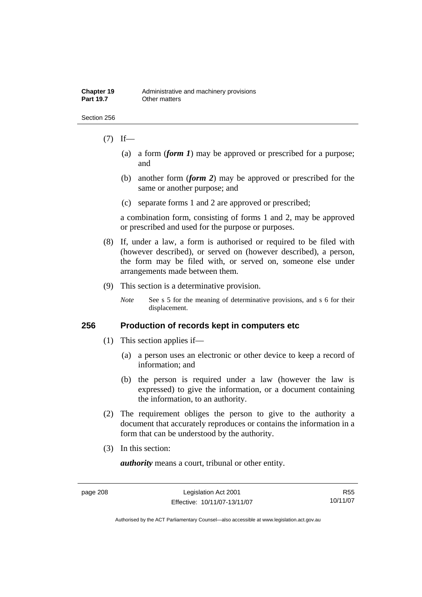#### Section 256

## $(7)$  If—

- (a) a form (*form 1*) may be approved or prescribed for a purpose; and
- (b) another form (*form 2*) may be approved or prescribed for the same or another purpose; and
- (c) separate forms 1 and 2 are approved or prescribed;

a combination form, consisting of forms 1 and 2, may be approved or prescribed and used for the purpose or purposes.

- (8) If, under a law, a form is authorised or required to be filed with (however described), or served on (however described), a person, the form may be filed with, or served on, someone else under arrangements made between them.
- (9) This section is a determinative provision.

*Note* See s 5 for the meaning of determinative provisions, and s 6 for their displacement.

## **256 Production of records kept in computers etc**

- (1) This section applies if—
	- (a) a person uses an electronic or other device to keep a record of information; and
	- (b) the person is required under a law (however the law is expressed) to give the information, or a document containing the information, to an authority.
- (2) The requirement obliges the person to give to the authority a document that accurately reproduces or contains the information in a form that can be understood by the authority.
- (3) In this section:

*authority* means a court, tribunal or other entity.

R55 10/11/07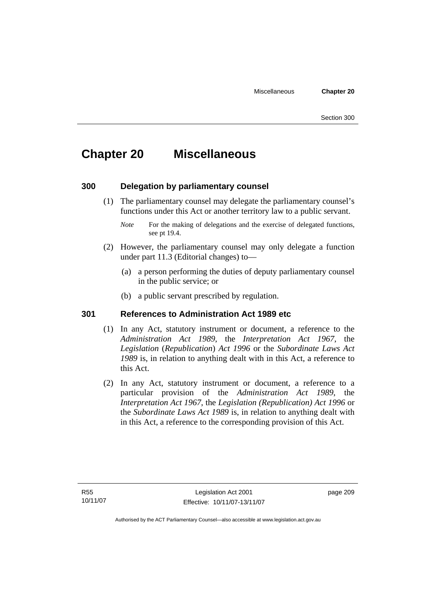# **Chapter 20 Miscellaneous**

## **300 Delegation by parliamentary counsel**

 (1) The parliamentary counsel may delegate the parliamentary counsel's functions under this Act or another territory law to a public servant.

- (2) However, the parliamentary counsel may only delegate a function under part 11.3 (Editorial changes) to—
	- (a) a person performing the duties of deputy parliamentary counsel in the public service; or
	- (b) a public servant prescribed by regulation.

## **301 References to Administration Act 1989 etc**

- (1) In any Act, statutory instrument or document, a reference to the *Administration Act 1989*, the *Interpretation Act 1967*, the *Legislation* (*Republication*) *Act 1996* or the *Subordinate Laws Act 1989* is, in relation to anything dealt with in this Act, a reference to this Act.
- (2) In any Act, statutory instrument or document, a reference to a particular provision of the *Administration Act 1989*, the *Interpretation Act 1967*, the *Legislation (Republication) Act 1996* or the *Subordinate Laws Act 1989* is, in relation to anything dealt with in this Act, a reference to the corresponding provision of this Act.

*Note* For the making of delegations and the exercise of delegated functions, see pt 19.4.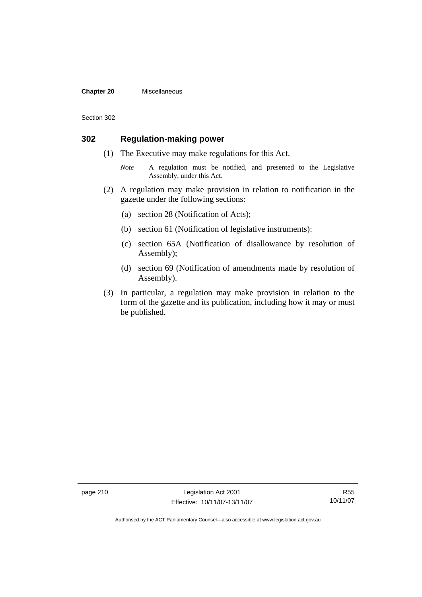#### **Chapter 20** Miscellaneous

Section 302

## **302 Regulation-making power**

- (1) The Executive may make regulations for this Act.
	- *Note* A regulation must be notified, and presented to the Legislative Assembly, under this Act.
- (2) A regulation may make provision in relation to notification in the gazette under the following sections:
	- (a) section 28 (Notification of Acts);
	- (b) section 61 (Notification of legislative instruments):
	- (c) section 65A (Notification of disallowance by resolution of Assembly);
	- (d) section 69 (Notification of amendments made by resolution of Assembly).
- (3) In particular, a regulation may make provision in relation to the form of the gazette and its publication, including how it may or must be published.

page 210 Legislation Act 2001 Effective: 10/11/07-13/11/07

R55 10/11/07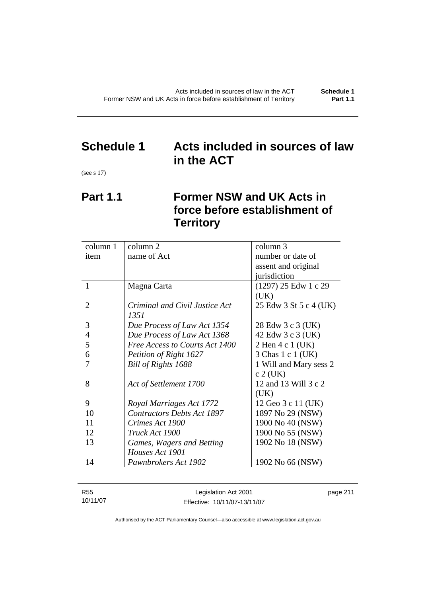# **Schedule 1 Acts included in sources of law in the ACT**

(see s 17)

# **Part 1.1 Former NSW and UK Acts in force before establishment of Territory**

| column 1       | column 2                          | column 3               |
|----------------|-----------------------------------|------------------------|
| item           | name of Act                       | number or date of      |
|                |                                   | assent and original    |
|                |                                   | jurisdiction           |
| 1              | Magna Carta                       | $(1297)$ 25 Edw 1 c 29 |
|                |                                   | (UK)                   |
| 2              | Criminal and Civil Justice Act    | 25 Edw 3 St 5 c 4 (UK) |
|                | 1351                              |                        |
| 3              | Due Process of Law Act 1354       | 28 Edw 3 c 3 (UK)      |
| $\overline{4}$ | Due Process of Law Act 1368       | 42 Edw 3 c 3 (UK)      |
| 5              | Free Access to Courts Act 1400    | 2 Hen 4 c 1 (UK)       |
| 6              | Petition of Right 1627            | 3 Chas 1 c 1 (UK)      |
|                | Bill of Rights 1688               | 1 Will and Mary sess 2 |
|                |                                   | $c$ 2 (UK)             |
| 8              | Act of Settlement 1700            | 12 and 13 Will 3 c 2   |
|                |                                   | (UK)                   |
| 9              | Royal Marriages Act 1772          | 12 Geo 3 c 11 (UK)     |
| 10             | <b>Contractors Debts Act 1897</b> | 1897 No 29 (NSW)       |
| 11             | Crimes Act 1900                   | 1900 No 40 (NSW)       |
| 12             | Truck Act 1900                    | 1900 No 55 (NSW)       |
| 13             | Games, Wagers and Betting         | 1902 No 18 (NSW)       |
|                | Houses Act 1901                   |                        |
| 14             | Pawnbrokers Act 1902              | 1902 No 66 (NSW)       |
|                |                                   |                        |

| R55      | Legislation Act 2001         | page 211 |
|----------|------------------------------|----------|
| 10/11/07 | Effective: 10/11/07-13/11/07 |          |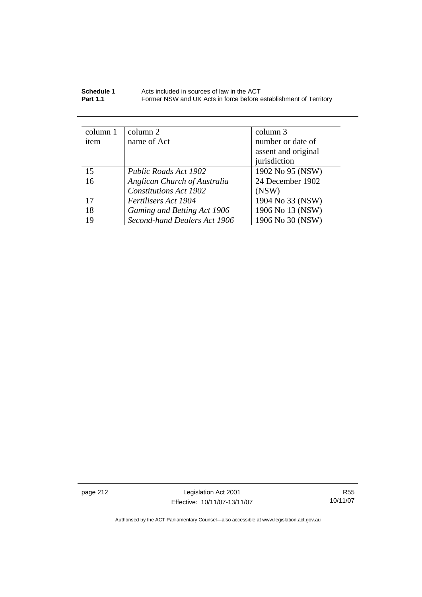| Schedule 1      | Acts included in sources of law in the ACT                        |
|-----------------|-------------------------------------------------------------------|
| <b>Part 1.1</b> | Former NSW and UK Acts in force before establishment of Territory |

| column 1 | column 2                      | column 3            |
|----------|-------------------------------|---------------------|
| item     | name of Act                   | number or date of   |
|          |                               | assent and original |
|          |                               | jurisdiction        |
| 15       | <b>Public Roads Act 1902</b>  | 1902 No 95 (NSW)    |
| 16       | Anglican Church of Australia  | 24 December 1902    |
|          | <b>Constitutions Act 1902</b> | (NSW)               |
| 17       | Fertilisers Act 1904          | 1904 No 33 (NSW)    |
| 18       | Gaming and Betting Act 1906   | 1906 No 13 (NSW)    |
| 19       | Second-hand Dealers Act 1906  | 1906 No 30 (NSW)    |

page 212 Legislation Act 2001 Effective: 10/11/07-13/11/07

R55 10/11/07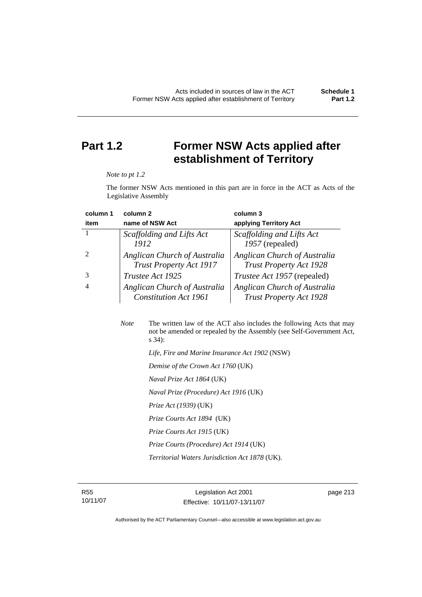# **Part 1.2 Former NSW Acts applied after establishment of Territory**

#### *Note to pt 1.2*

The former NSW Acts mentioned in this part are in force in the ACT as Acts of the Legislative Assembly

| column 1 | column 2                       | column 3                           |
|----------|--------------------------------|------------------------------------|
| item     | name of NSW Act                | applying Territory Act             |
|          | Scaffolding and Lifts Act      | Scaffolding and Lifts Act          |
|          | 1912                           | 1957 (repealed)                    |
|          | Anglican Church of Australia   | Anglican Church of Australia       |
|          | <b>Trust Property Act 1917</b> | <b>Trust Property Act 1928</b>     |
|          | Trustee Act 1925               | <i>Trustee Act 1957</i> (repealed) |
|          | Anglican Church of Australia   | Anglican Church of Australia       |
|          | <b>Constitution Act 1961</b>   | <b>Trust Property Act 1928</b>     |

| <b>Note</b> | The written law of the ACT also includes the following Acts that may<br>not be amended or repealed by the Assembly (see Self-Government Act,<br>$s\,34$ : |
|-------------|-----------------------------------------------------------------------------------------------------------------------------------------------------------|
|             | Life, Fire and Marine Insurance Act 1902 (NSW)                                                                                                            |
|             | Demise of the Crown Act 1760 (UK)                                                                                                                         |
|             | <i>Naval Prize Act 1864</i> (UK)                                                                                                                          |
|             | Naval Prize (Procedure) Act 1916 (UK)                                                                                                                     |
|             | <i>Prize Act (1939)</i> (UK)                                                                                                                              |
|             | <i>Prize Courts Act 1894</i> (UK)                                                                                                                         |
|             | Prize Courts Act 1915 (UK)                                                                                                                                |
|             | Prize Courts (Procedure) Act 1914 (UK)                                                                                                                    |
|             | <i>Territorial Waters Jurisdiction Act 1878 (UK).</i>                                                                                                     |
|             |                                                                                                                                                           |

R55 10/11/07

Legislation Act 2001 Effective: 10/11/07-13/11/07 page 213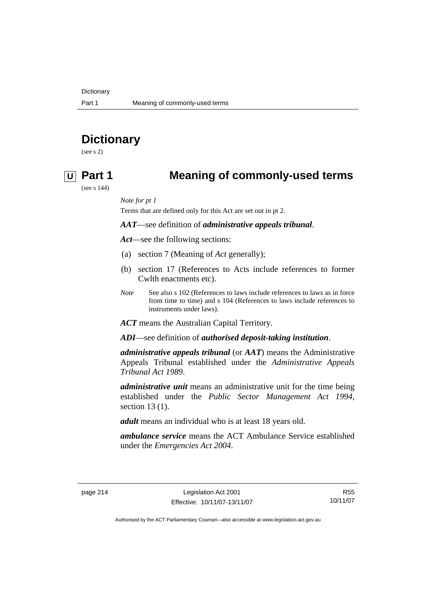**Dictionary** 

# **Dictionary**

(see s 2)

## **U Part 1 Meaning of commonly-used terms**

(see s 144)

*Note for pt 1* 

Terms that are defined only for this Act are set out in pt 2.

### *AAT*—see definition of *administrative appeals tribunal*.

*Act*—see the following sections:

- (a) section 7 (Meaning of *Act* generally);
- (b) section 17 (References to Acts include references to former Cwlth enactments etc).
- *Note* See also s 102 (References to laws include references to laws as in force from time to time) and s 104 (References to laws include references to instruments under laws).

*ACT* means the Australian Capital Territory.

*ADI*—see definition of *authorised deposit-taking institution*.

*administrative appeals tribunal* (or *AAT*) means the Administrative Appeals Tribunal established under the *Administrative Appeals Tribunal Act 1989*.

*administrative unit* means an administrative unit for the time being established under the *Public Sector Management Act 1994*, section 13 (1).

*adult* means an individual who is at least 18 years old.

*ambulance service* means the ACT Ambulance Service established under the *Emergencies Act 2004*.

R55 10/11/07

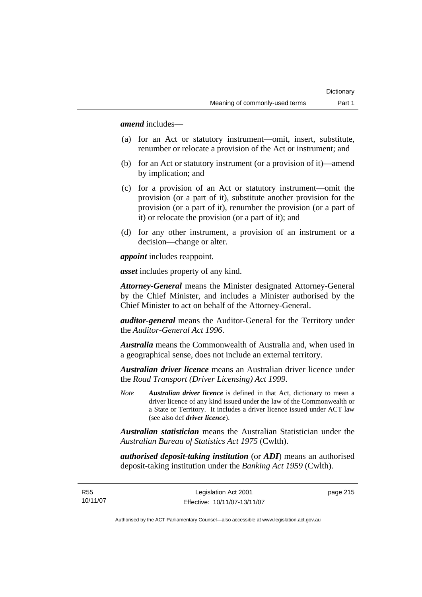*amend* includes—

- (a) for an Act or statutory instrument—omit, insert, substitute, renumber or relocate a provision of the Act or instrument; and
- (b) for an Act or statutory instrument (or a provision of it)—amend by implication; and
- (c) for a provision of an Act or statutory instrument—omit the provision (or a part of it), substitute another provision for the provision (or a part of it), renumber the provision (or a part of it) or relocate the provision (or a part of it); and
- (d) for any other instrument, a provision of an instrument or a decision—change or alter.

*appoint* includes reappoint.

*asset* includes property of any kind.

*Attorney-General* means the Minister designated Attorney-General by the Chief Minister, and includes a Minister authorised by the Chief Minister to act on behalf of the Attorney-General.

*auditor-general* means the Auditor-General for the Territory under the *Auditor-General Act 1996*.

*Australia* means the Commonwealth of Australia and, when used in a geographical sense, does not include an external territory.

*Australian driver licence* means an Australian driver licence under the *Road Transport (Driver Licensing) Act 1999*.

*Note Australian driver licence* is defined in that Act, dictionary to mean a driver licence of any kind issued under the law of the Commonwealth or a State or Territory. It includes a driver licence issued under ACT law (see also def *driver licence*).

*Australian statistician* means the Australian Statistician under the *Australian Bureau of Statistics Act 1975* (Cwlth).

*authorised deposit-taking institution* (or *ADI*) means an authorised deposit-taking institution under the *Banking Act 1959* (Cwlth).

R55 10/11/07 page 215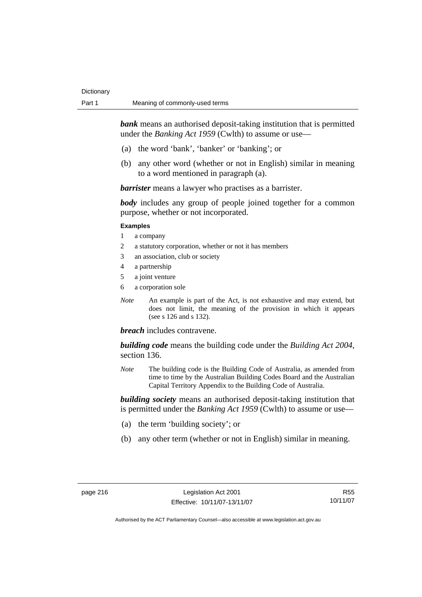*bank* means an authorised deposit-taking institution that is permitted under the *Banking Act 1959* (Cwlth) to assume or use-

- (a) the word 'bank', 'banker' or 'banking'; or
- (b) any other word (whether or not in English) similar in meaning to a word mentioned in paragraph (a).

*barrister* means a lawyer who practises as a barrister.

*body* includes any group of people joined together for a common purpose, whether or not incorporated.

#### **Examples**

- 1 a company
- 2 a statutory corporation, whether or not it has members
- 3 an association, club or society
- 4 a partnership
- 5 a joint venture
- 6 a corporation sole
- *Note* An example is part of the Act, is not exhaustive and may extend, but does not limit, the meaning of the provision in which it appears (see s 126 and s 132).

### *breach* includes contravene.

*building code* means the building code under the *Building Act 2004*, section 136.

*Note* The building code is the Building Code of Australia, as amended from time to time by the Australian Building Codes Board and the Australian Capital Territory Appendix to the Building Code of Australia.

*building society* means an authorised deposit-taking institution that is permitted under the *Banking Act 1959* (Cwlth) to assume or use—

- (a) the term 'building society'; or
- (b) any other term (whether or not in English) similar in meaning.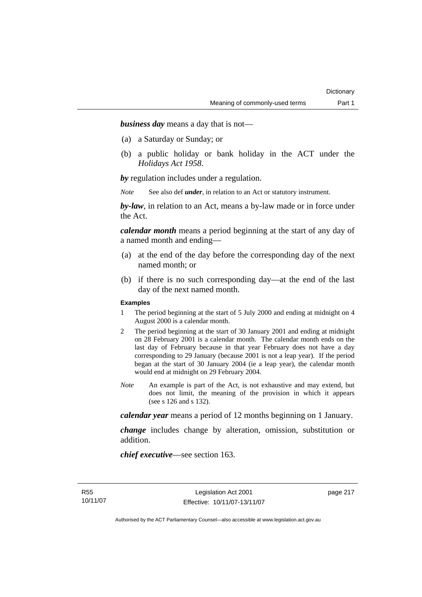*business day* means a day that is not—

- (a) a Saturday or Sunday; or
- (b) a public holiday or bank holiday in the ACT under the *Holidays Act 1958*.

*by* regulation includes under a regulation.

*Note* See also def *under*, in relation to an Act or statutory instrument.

*by-law*, in relation to an Act, means a by-law made or in force under the Act.

*calendar month* means a period beginning at the start of any day of a named month and ending—

- (a) at the end of the day before the corresponding day of the next named month; or
- (b) if there is no such corresponding day—at the end of the last day of the next named month.

#### **Examples**

- 1 The period beginning at the start of 5 July 2000 and ending at midnight on 4 August 2000 is a calendar month.
- 2 The period beginning at the start of 30 January 2001 and ending at midnight on 28 February 2001 is a calendar month. The calendar month ends on the last day of February because in that year February does not have a day corresponding to 29 January (because 2001 is not a leap year). If the period began at the start of 30 January 2004 (ie a leap year), the calendar month would end at midnight on 29 February 2004.
- *Note* An example is part of the Act, is not exhaustive and may extend, but does not limit, the meaning of the provision in which it appears (see s 126 and s 132).

*calendar year* means a period of 12 months beginning on 1 January.

*change* includes change by alteration, omission, substitution or addition.

*chief executive*—see section 163.

page 217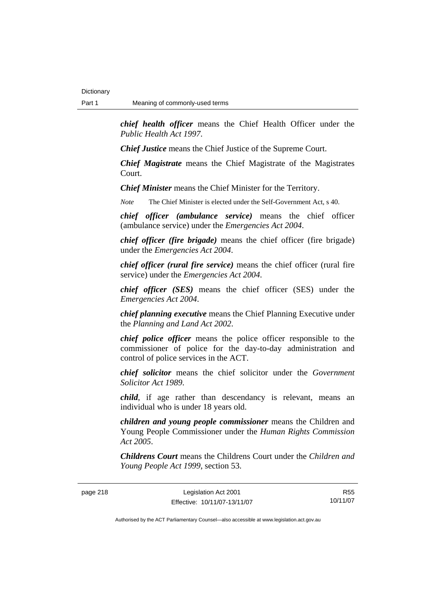*chief health officer* means the Chief Health Officer under the *Public Health Act 1997*.

*Chief Justice* means the Chief Justice of the Supreme Court.

*Chief Magistrate* means the Chief Magistrate of the Magistrates Court.

*Chief Minister* means the Chief Minister for the Territory.

*Note* The Chief Minister is elected under the Self-Government Act, s 40.

*chief officer (ambulance service)* means the chief officer (ambulance service) under the *Emergencies Act 2004*.

*chief officer (fire brigade)* means the chief officer (fire brigade) under the *Emergencies Act 2004*.

*chief officer (rural fire service)* means the chief officer (rural fire service) under the *Emergencies Act 2004*.

*chief officer (SES)* means the chief officer (SES) under the *Emergencies Act 2004*.

*chief planning executive* means the Chief Planning Executive under the *Planning and Land Act 2002*.

*chief police officer* means the police officer responsible to the commissioner of police for the day-to-day administration and control of police services in the ACT.

*chief solicitor* means the chief solicitor under the *Government Solicitor Act 1989*.

*child*, if age rather than descendancy is relevant, means an individual who is under 18 years old.

*children and young people commissioner* means the Children and Young People Commissioner under the *Human Rights Commission Act 2005*.

*Childrens Court* means the Childrens Court under the *Children and Young People Act 1999*, section 53.

page 218 Legislation Act 2001 Effective: 10/11/07-13/11/07

R55 10/11/07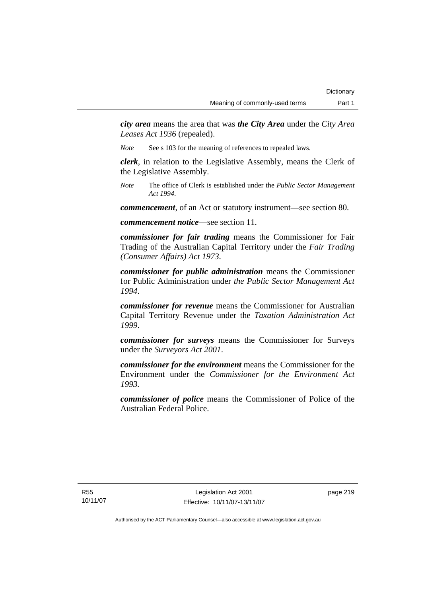*city area* means the area that was *the City Area* under the *City Area Leases Act 1936* (repealed).

*Note* See s 103 for the meaning of references to repealed laws.

*clerk*, in relation to the Legislative Assembly, means the Clerk of the Legislative Assembly.

*Note* The office of Clerk is established under the *Public Sector Management Act 1994*.

*commencement*, of an Act or statutory instrument—see section 80.

*commencement notice*—see section 11.

*commissioner for fair trading* means the Commissioner for Fair Trading of the Australian Capital Territory under the *Fair Trading (Consumer Affairs) Act 1973*.

*commissioner for public administration* means the Commissioner for Public Administration under *the Public Sector Management Act 1994*.

*commissioner for revenue* means the Commissioner for Australian Capital Territory Revenue under the *Taxation Administration Act 1999*.

*commissioner for surveys* means the Commissioner for Surveys under the *Surveyors Act 2001*.

*commissioner for the environment* means the Commissioner for the Environment under the *Commissioner for the Environment Act 1993.* 

*commissioner of police* means the Commissioner of Police of the Australian Federal Police.

R55 10/11/07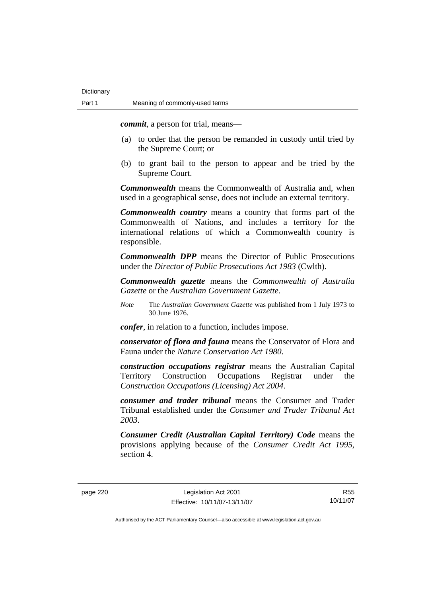*commit*, a person for trial, means—

- (a) to order that the person be remanded in custody until tried by the Supreme Court; or
- (b) to grant bail to the person to appear and be tried by the Supreme Court.

*Commonwealth* means the Commonwealth of Australia and, when used in a geographical sense, does not include an external territory.

*Commonwealth country* means a country that forms part of the Commonwealth of Nations, and includes a territory for the international relations of which a Commonwealth country is responsible.

*Commonwealth DPP* means the Director of Public Prosecutions under the *Director of Public Prosecutions Act 1983* (Cwlth).

*Commonwealth gazette* means the *Commonwealth of Australia Gazette* or the *Australian Government Gazette*.

*Note* The *Australian Government Gazette* was published from 1 July 1973 to 30 June 1976.

*confer*, in relation to a function, includes impose.

*conservator of flora and fauna* means the Conservator of Flora and Fauna under the *Nature Conservation Act 1980*.

*construction occupations registrar* means the Australian Capital Territory Construction Occupations Registrar under the *Construction Occupations (Licensing) Act 2004*.

*consumer and trader tribunal* means the Consumer and Trader Tribunal established under the *Consumer and Trader Tribunal Act 2003*.

*Consumer Credit (Australian Capital Territory) Code* means the provisions applying because of the *Consumer Credit Act 1995*, section 4.

R55 10/11/07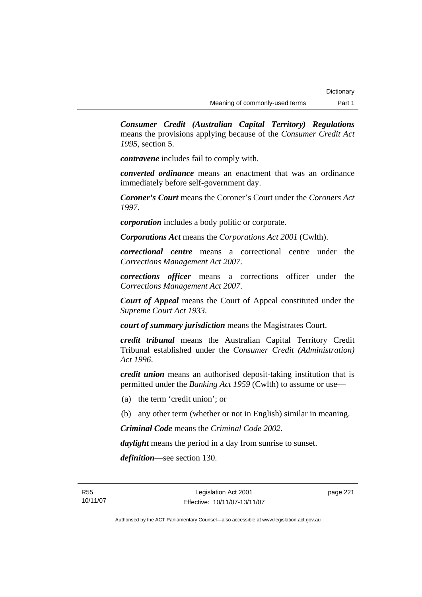*Consumer Credit (Australian Capital Territory) Regulations* means the provisions applying because of the *Consumer Credit Act 1995*, section 5.

*contravene* includes fail to comply with.

*converted ordinance* means an enactment that was an ordinance immediately before self-government day.

*Coroner's Court* means the Coroner's Court under the *Coroners Act 1997*.

*corporation* includes a body politic or corporate.

*Corporations Act* means the *Corporations Act 2001* (Cwlth).

*correctional centre* means a correctional centre under the *Corrections Management Act 2007*.

*corrections officer* means a corrections officer under the *Corrections Management Act 2007*.

*Court of Appeal* means the Court of Appeal constituted under the *Supreme Court Act 1933*.

*court of summary jurisdiction* means the Magistrates Court.

*credit tribunal* means the Australian Capital Territory Credit Tribunal established under the *Consumer Credit (Administration) Act 1996*.

*credit union* means an authorised deposit-taking institution that is permitted under the *Banking Act 1959* (Cwlth) to assume or use—

- (a) the term 'credit union'; or
- (b) any other term (whether or not in English) similar in meaning.

*Criminal Code* means the *Criminal Code 2002*.

*daylight* means the period in a day from sunrise to sunset.

*definition*—see section 130.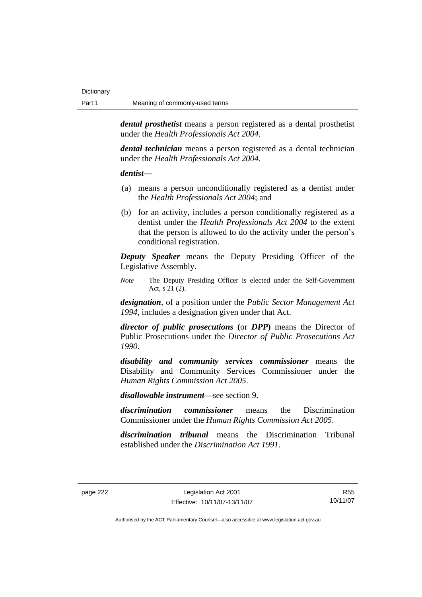*dental prosthetist* means a person registered as a dental prosthetist under the *Health Professionals Act 2004*.

*dental technician* means a person registered as a dental technician under the *Health Professionals Act 2004*.

#### *dentist***—**

- (a) means a person unconditionally registered as a dentist under the *Health Professionals Act 2004*; and
- (b) for an activity, includes a person conditionally registered as a dentist under the *Health Professionals Act 2004* to the extent that the person is allowed to do the activity under the person's conditional registration.

*Deputy Speaker* means the Deputy Presiding Officer of the Legislative Assembly.

*Note* The Deputy Presiding Officer is elected under the Self-Government Act, s 21 (2).

*designation*, of a position under the *Public Sector Management Act 1994*, includes a designation given under that Act.

*director of public prosecutions* **(**or *DPP***)** means the Director of Public Prosecutions under the *Director of Public Prosecutions Act 1990*.

*disability and community services commissioner* means the Disability and Community Services Commissioner under the *Human Rights Commission Act 2005*.

*disallowable instrument*—see section 9.

*discrimination commissioner* means the Discrimination Commissioner under the *Human Rights Commission Act 2005*.

*discrimination tribunal* means the Discrimination Tribunal established under the *Discrimination Act 1991*.

R55 10/11/07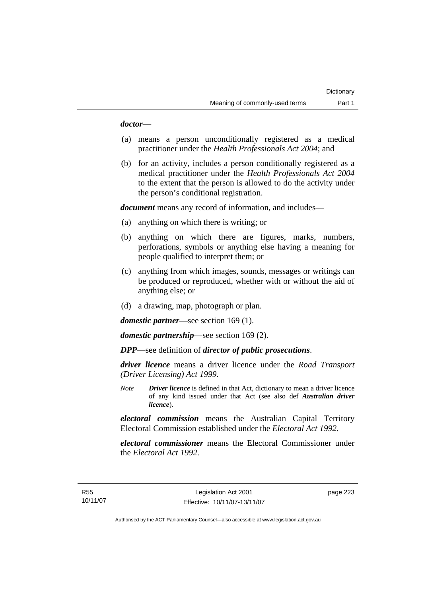### *doctor*—

- (a) means a person unconditionally registered as a medical practitioner under the *Health Professionals Act 2004*; and
- (b) for an activity, includes a person conditionally registered as a medical practitioner under the *Health Professionals Act 2004*  to the extent that the person is allowed to do the activity under the person's conditional registration.

*document* means any record of information, and includes—

- (a) anything on which there is writing; or
- (b) anything on which there are figures, marks, numbers, perforations, symbols or anything else having a meaning for people qualified to interpret them; or
- (c) anything from which images, sounds, messages or writings can be produced or reproduced, whether with or without the aid of anything else; or
- (d) a drawing, map, photograph or plan.

*domestic partner*—see section 169 (1).

*domestic partnership*—see section 169 (2).

*DPP*—see definition of *director of public prosecutions*.

*driver licence* means a driver licence under the *Road Transport (Driver Licensing) Act 1999*.

*Note Driver licence* is defined in that Act, dictionary to mean a driver licence of any kind issued under that Act (see also def *Australian driver licence*).

*electoral commission* means the Australian Capital Territory Electoral Commission established under the *Electoral Act 1992*.

*electoral commissioner* means the Electoral Commissioner under the *Electoral Act 1992*.

page 223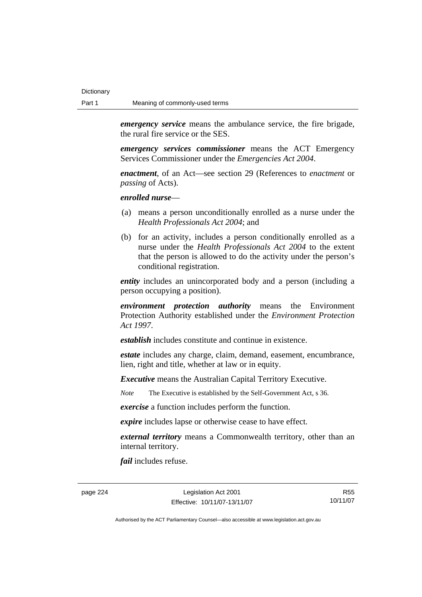*emergency service* means the ambulance service, the fire brigade, the rural fire service or the SES.

*emergency services commissioner* means the ACT Emergency Services Commissioner under the *Emergencies Act 2004*.

*enactment*, of an Act—see section 29 (References to *enactment* or *passing* of Acts).

*enrolled nurse*—

- (a) means a person unconditionally enrolled as a nurse under the *Health Professionals Act 2004*; and
- (b) for an activity, includes a person conditionally enrolled as a nurse under the *Health Professionals Act 2004* to the extent that the person is allowed to do the activity under the person's conditional registration.

*entity* includes an unincorporated body and a person (including a person occupying a position).

*environment protection authority* means the Environment Protection Authority established under the *Environment Protection Act 1997*.

*establish* includes constitute and continue in existence.

*estate* includes any charge, claim, demand, easement, encumbrance, lien, right and title, whether at law or in equity.

*Executive* means the Australian Capital Territory Executive.

*Note* The Executive is established by the Self-Government Act, s 36.

*exercise* a function includes perform the function.

*expire* includes lapse or otherwise cease to have effect.

*external territory* means a Commonwealth territory, other than an internal territory.

*fail* includes refuse.

page 224 Legislation Act 2001 Effective: 10/11/07-13/11/07

R55 10/11/07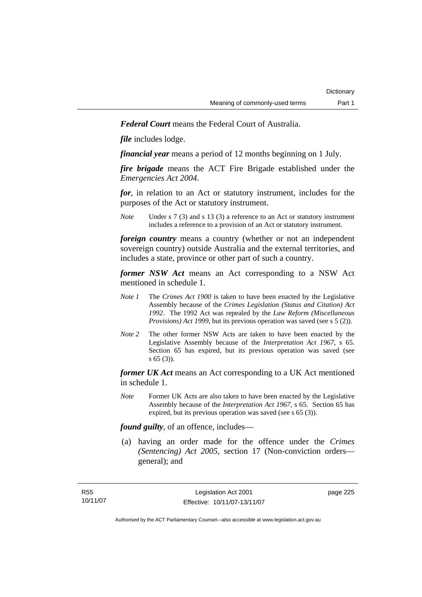*Federal Court* means the Federal Court of Australia.

*file* includes lodge.

*financial year* means a period of 12 months beginning on 1 July.

*fire brigade* means the ACT Fire Brigade established under the *Emergencies Act 2004*.

*for*, in relation to an Act or statutory instrument, includes for the purposes of the Act or statutory instrument.

*Note* Under s 7 (3) and s 13 (3) a reference to an Act or statutory instrument includes a reference to a provision of an Act or statutory instrument.

*foreign country* means a country (whether or not an independent sovereign country) outside Australia and the external territories, and includes a state, province or other part of such a country.

*former NSW Act* means an Act corresponding to a NSW Act mentioned in schedule 1.

- *Note 1* The *Crimes Act 1900* is taken to have been enacted by the Legislative Assembly because of the *Crimes Legislation (Status and Citation) Act 1992*. The 1992 Act was repealed by the *Law Reform (Miscellaneous Provisions) Act 1999*, but its previous operation was saved (see s 5 (2)).
- *Note 2* The other former NSW Acts are taken to have been enacted by the Legislative Assembly because of the *Interpretation Act 1967*, s 65. Section 65 has expired, but its previous operation was saved (see s 65 (3)).

*former UK Act* means an Act corresponding to a UK Act mentioned in schedule 1.

*Note* Former UK Acts are also taken to have been enacted by the Legislative Assembly because of the *Interpretation Act 1967*, s 65. Section 65 has expired, but its previous operation was saved (see s 65 (3)).

*found guilty*, of an offence, includes—

 (a) having an order made for the offence under the *Crimes (Sentencing) Act 2005*, section 17 (Non-conviction orders general); and

page 225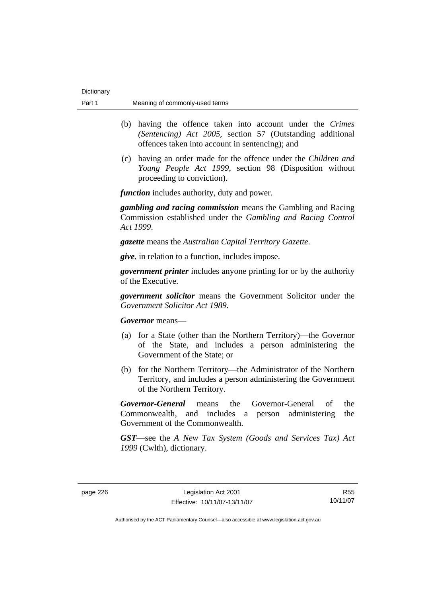- (b) having the offence taken into account under the *Crimes (Sentencing) Act 2005*, section 57 (Outstanding additional offences taken into account in sentencing); and
- (c) having an order made for the offence under the *Children and Young People Act 1999*, section 98 (Disposition without proceeding to conviction).

*function* includes authority, duty and power.

*gambling and racing commission* means the Gambling and Racing Commission established under the *Gambling and Racing Control Act 1999*.

*gazette* means the *Australian Capital Territory Gazette*.

*give*, in relation to a function, includes impose.

*government printer* includes anyone printing for or by the authority of the Executive.

*government solicitor* means the Government Solicitor under the *Government Solicitor Act 1989*.

*Governor* means—

- (a) for a State (other than the Northern Territory)—the Governor of the State, and includes a person administering the Government of the State; or
- (b) for the Northern Territory—the Administrator of the Northern Territory, and includes a person administering the Government of the Northern Territory.

*Governor-General* means the Governor-General of the Commonwealth, and includes a person administering the Government of the Commonwealth.

*GST*—see the *A New Tax System (Goods and Services Tax) Act 1999* (Cwlth), dictionary.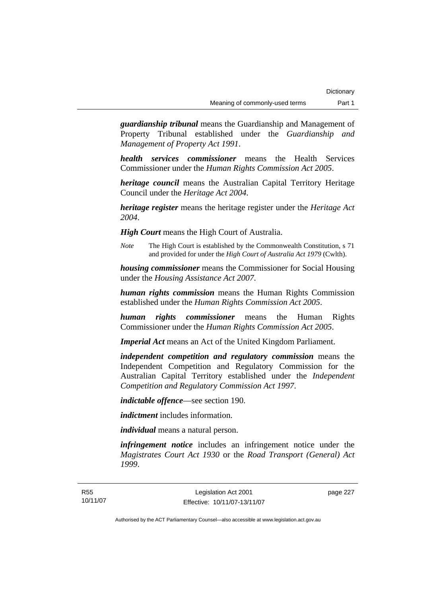*guardianship tribunal* means the Guardianship and Management of Property Tribunal established under the *Guardianship and Management of Property Act 1991*.

*health services commissioner* means the Health Services Commissioner under the *Human Rights Commission Act 2005*.

*heritage council* means the Australian Capital Territory Heritage Council under the *Heritage Act 2004*.

*heritage register* means the heritage register under the *Heritage Act 2004*.

*High Court* means the High Court of Australia.

*Note* The High Court is established by the Commonwealth Constitution, s 71 and provided for under the *High Court of Australia Act 1979* (Cwlth).

*housing commissioner* means the Commissioner for Social Housing under the *Housing Assistance Act 2007*.

*human rights commission* means the Human Rights Commission established under the *Human Rights Commission Act 2005*.

*human rights commissioner* means the Human Rights Commissioner under the *Human Rights Commission Act 2005*.

*Imperial Act* means an Act of the United Kingdom Parliament.

*independent competition and regulatory commission* means the Independent Competition and Regulatory Commission for the Australian Capital Territory established under the *Independent Competition and Regulatory Commission Act 1997*.

*indictable offence*—see section 190.

*indictment* includes information.

*individual* means a natural person.

*infringement notice* includes an infringement notice under the *Magistrates Court Act 1930* or the *Road Transport (General) Act 1999*.

page 227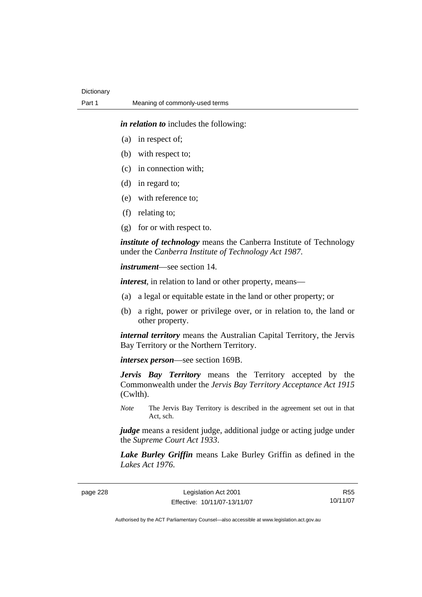*in relation to* includes the following:

- (a) in respect of;
- (b) with respect to;
- (c) in connection with;
- (d) in regard to;
- (e) with reference to;
- (f) relating to;
- (g) for or with respect to.

*institute of technology* means the Canberra Institute of Technology under the *Canberra Institute of Technology Act 1987*.

*instrument*—see section 14.

*interest*, in relation to land or other property, means—

- (a) a legal or equitable estate in the land or other property; or
- (b) a right, power or privilege over, or in relation to, the land or other property.

*internal territory* means the Australian Capital Territory, the Jervis Bay Territory or the Northern Territory.

*intersex person*—see section 169B.

*Jervis Bay Territory* means the Territory accepted by the Commonwealth under the *Jervis Bay Territory Acceptance Act 1915* (Cwlth).

*Note* The Jervis Bay Territory is described in the agreement set out in that Act, sch.

*judge* means a resident judge, additional judge or acting judge under the *Supreme Court Act 1933*.

*Lake Burley Griffin* means Lake Burley Griffin as defined in the *Lakes Act 1976*.

page 228 Legislation Act 2001 Effective: 10/11/07-13/11/07

R55 10/11/07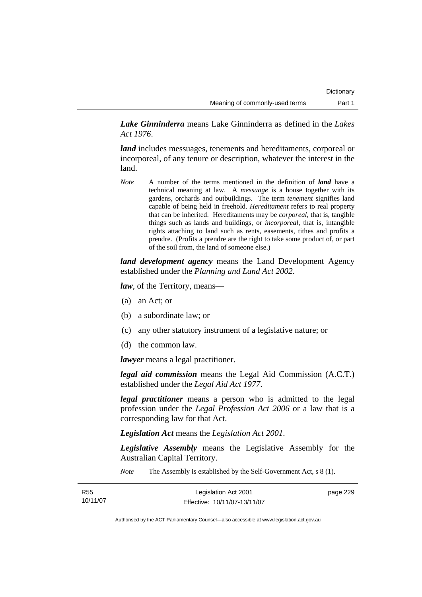*Lake Ginninderra* means Lake Ginninderra as defined in the *Lakes Act 1976*.

*land* includes messuages, tenements and hereditaments, corporeal or incorporeal, of any tenure or description, whatever the interest in the land.

*Note* A number of the terms mentioned in the definition of *land* have a technical meaning at law. A *messuage* is a house together with its gardens, orchards and outbuildings. The term *tenement* signifies land capable of being held in freehold. *Hereditament* refers to real property that can be inherited. Hereditaments may be *corporeal*, that is, tangible things such as lands and buildings, or *incorporeal*, that is, intangible rights attaching to land such as rents, easements, tithes and profits a prendre. (Profits a prendre are the right to take some product of, or part of the soil from, the land of someone else.)

*land development agency* means the Land Development Agency established under the *Planning and Land Act 2002*.

*law*, of the Territory, means—

- (a) an Act; or
- (b) a subordinate law; or
- (c) any other statutory instrument of a legislative nature; or
- (d) the common law.

*lawyer* means a legal practitioner.

*legal aid commission* means the Legal Aid Commission (A.C.T.) established under the *Legal Aid Act 1977*.

*legal practitioner* means a person who is admitted to the legal profession under the *Legal Profession Act 2006* or a law that is a corresponding law for that Act.

*Legislation Act* means the *Legislation Act 2001*.

*Legislative Assembly* means the Legislative Assembly for the Australian Capital Territory.

*Note* The Assembly is established by the Self-Government Act, s 8 (1).

| R55      | Legislation Act 2001         | page 229 |
|----------|------------------------------|----------|
| 10/11/07 | Effective: 10/11/07-13/11/07 |          |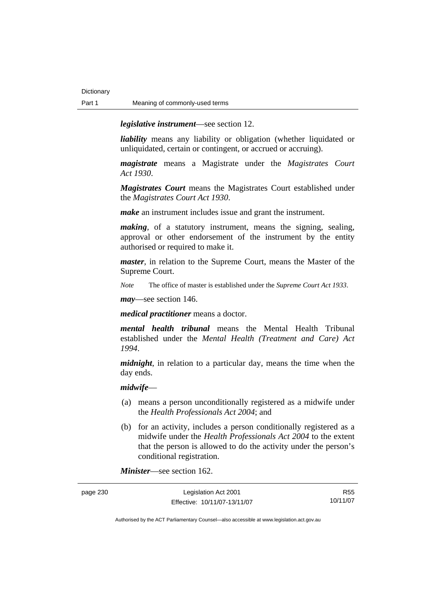*legislative instrument*—see section 12.

*liability* means any liability or obligation (whether liquidated or unliquidated, certain or contingent, or accrued or accruing).

*magistrate* means a Magistrate under the *Magistrates Court Act 1930*.

*Magistrates Court* means the Magistrates Court established under the *Magistrates Court Act 1930*.

*make* an instrument includes issue and grant the instrument.

*making*, of a statutory instrument, means the signing, sealing, approval or other endorsement of the instrument by the entity authorised or required to make it.

*master*, in relation to the Supreme Court, means the Master of the Supreme Court.

*Note* The office of master is established under the *Supreme Court Act 1933*.

*may*—see section 146.

*medical practitioner* means a doctor.

*mental health tribunal* means the Mental Health Tribunal established under the *Mental Health (Treatment and Care) Act 1994*.

*midnight*, in relation to a particular day, means the time when the day ends.

*midwife*—

- (a) means a person unconditionally registered as a midwife under the *Health Professionals Act 2004*; and
- (b) for an activity, includes a person conditionally registered as a midwife under the *Health Professionals Act 2004* to the extent that the person is allowed to do the activity under the person's conditional registration.

*Minister*—see section 162.

| page 230 | Legislation Act 2001         | R55      |
|----------|------------------------------|----------|
|          | Effective: 10/11/07-13/11/07 | 10/11/07 |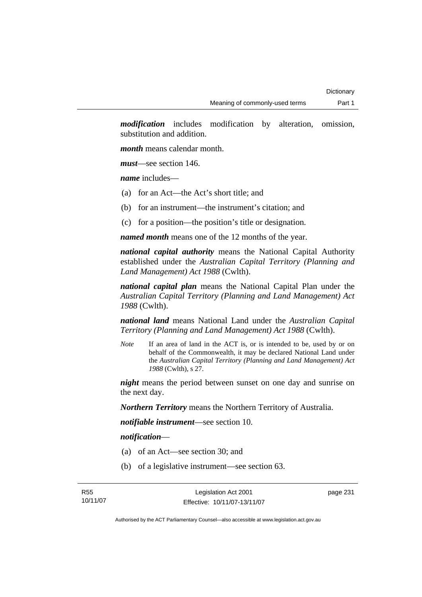*modification* includes modification by alteration, omission, substitution and addition.

*month* means calendar month.

*must*—see section 146.

*name* includes—

- (a) for an Act—the Act's short title; and
- (b) for an instrument—the instrument's citation; and
- (c) for a position—the position's title or designation.

*named month* means one of the 12 months of the year.

*national capital authority* means the National Capital Authority established under the *Australian Capital Territory (Planning and Land Management) Act 1988* (Cwlth).

*national capital plan* means the National Capital Plan under the *Australian Capital Territory (Planning and Land Management) Act 1988* (Cwlth).

*national land* means National Land under the *Australian Capital Territory (Planning and Land Management) Act 1988* (Cwlth).

*Note* If an area of land in the ACT is, or is intended to be, used by or on behalf of the Commonwealth, it may be declared National Land under the *Australian Capital Territory (Planning and Land Management) Act 1988* (Cwlth), s 27.

*night* means the period between sunset on one day and sunrise on the next day.

*Northern Territory* means the Northern Territory of Australia.

*notifiable instrument*—see section 10.

*notification*—

- (a) of an Act—see section 30; and
- (b) of a legislative instrument—see section 63.

page 231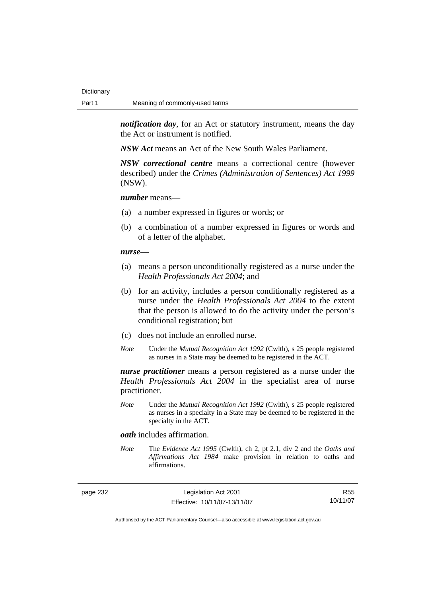*notification day*, for an Act or statutory instrument, means the day the Act or instrument is notified.

*NSW Act* means an Act of the New South Wales Parliament.

*NSW correctional centre* means a correctional centre (however described) under the *Crimes (Administration of Sentences) Act 1999* (NSW).

### *number* means—

- (a) a number expressed in figures or words; or
- (b) a combination of a number expressed in figures or words and of a letter of the alphabet.

#### *nurse***—**

- (a) means a person unconditionally registered as a nurse under the *Health Professionals Act 2004*; and
- (b) for an activity, includes a person conditionally registered as a nurse under the *Health Professionals Act 2004* to the extent that the person is allowed to do the activity under the person's conditional registration; but
- (c) does not include an enrolled nurse.
- *Note* Under the *Mutual Recognition Act 1992* (Cwlth), s 25 people registered as nurses in a State may be deemed to be registered in the ACT.

*nurse practitioner* means a person registered as a nurse under the *Health Professionals Act 2004* in the specialist area of nurse practitioner.

*Note* Under the *Mutual Recognition Act 1992* (Cwlth), s 25 people registered as nurses in a specialty in a State may be deemed to be registered in the specialty in the ACT.

#### *oath* includes affirmation.

*Note* The *Evidence Act 1995* (Cwlth), ch 2, pt 2.1, div 2 and the *Oaths and Affirmations Act 1984* make provision in relation to oaths and affirmations.

page 232 Legislation Act 2001 Effective: 10/11/07-13/11/07

R55 10/11/07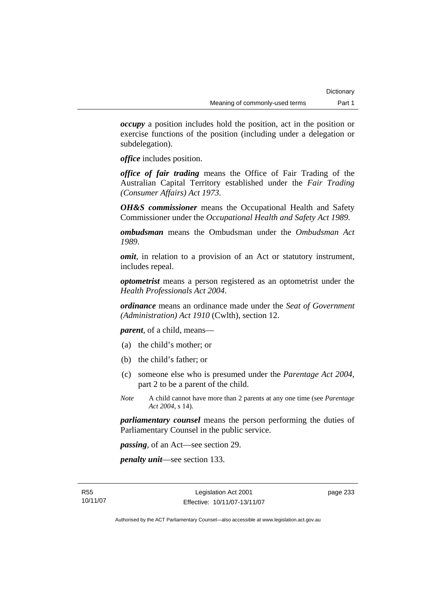*occupy* a position includes hold the position, act in the position or exercise functions of the position (including under a delegation or subdelegation).

*office* includes position.

*office of fair trading* means the Office of Fair Trading of the Australian Capital Territory established under the *Fair Trading (Consumer Affairs) Act 1973*.

*OH&S commissioner* means the Occupational Health and Safety Commissioner under the *Occupational Health and Safety Act 1989*.

*ombudsman* means the Ombudsman under the *Ombudsman Act 1989*.

*omit*, in relation to a provision of an Act or statutory instrument, includes repeal.

*optometrist* means a person registered as an optometrist under the *Health Professionals Act 2004*.

*ordinance* means an ordinance made under the *Seat of Government (Administration) Act 1910* (Cwlth), section 12.

*parent*, of a child, means—

- (a) the child's mother; or
- (b) the child's father; or
- (c) someone else who is presumed under the *Parentage Act 2004*, part 2 to be a parent of the child.
- *Note* A child cannot have more than 2 parents at any one time (see *Parentage Act 2004*, s 14).

*parliamentary counsel* means the person performing the duties of Parliamentary Counsel in the public service.

*passing*, of an Act—see section 29.

*penalty unit*—see section 133.

page 233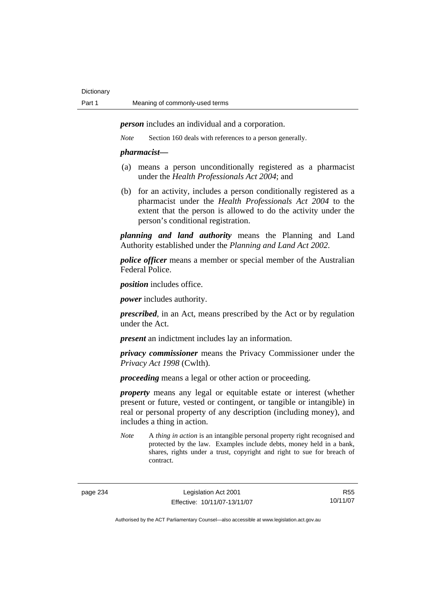*person* includes an individual and a corporation.

*Note* Section 160 deals with references to a person generally.

### *pharmacist***—**

- (a) means a person unconditionally registered as a pharmacist under the *Health Professionals Act 2004*; and
- (b) for an activity, includes a person conditionally registered as a pharmacist under the *Health Professionals Act 2004* to the extent that the person is allowed to do the activity under the person's conditional registration.

*planning and land authority* means the Planning and Land Authority established under the *Planning and Land Act 2002*.

*police officer* means a member or special member of the Australian Federal Police.

*position* includes office.

*power* includes authority.

*prescribed*, in an Act, means prescribed by the Act or by regulation under the Act.

*present* an indictment includes lay an information.

*privacy commissioner* means the Privacy Commissioner under the *Privacy Act 1998* (Cwlth).

*proceeding* means a legal or other action or proceeding.

*property* means any legal or equitable estate or interest (whether present or future, vested or contingent, or tangible or intangible) in real or personal property of any description (including money), and includes a thing in action.

*Note* A *thing in action* is an intangible personal property right recognised and protected by the law. Examples include debts, money held in a bank, shares, rights under a trust, copyright and right to sue for breach of contract.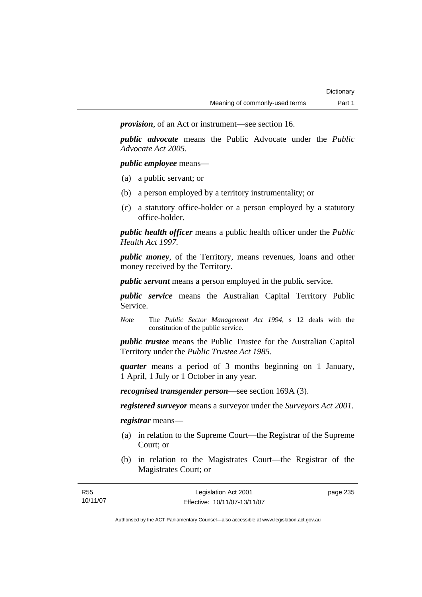*provision*, of an Act or instrument—see section 16.

*public advocate* means the Public Advocate under the *Public Advocate Act 2005*.

*public employee* means—

- (a) a public servant; or
- (b) a person employed by a territory instrumentality; or
- (c) a statutory office-holder or a person employed by a statutory office-holder.

*public health officer* means a public health officer under the *Public Health Act 1997.*

*public money*, of the Territory, means revenues, loans and other money received by the Territory.

*public servant* means a person employed in the public service.

*public service* means the Australian Capital Territory Public Service.

*Note* The *Public Sector Management Act 1994*, s 12 deals with the constitution of the public service.

*public trustee* means the Public Trustee for the Australian Capital Territory under the *Public Trustee Act 1985*.

*quarter* means a period of 3 months beginning on 1 January, 1 April, 1 July or 1 October in any year.

*recognised transgender person*—see section 169A (3).

*registered surveyor* means a surveyor under the *Surveyors Act 2001*.

*registrar* means—

- (a) in relation to the Supreme Court—the Registrar of the Supreme Court; or
- (b) in relation to the Magistrates Court—the Registrar of the Magistrates Court; or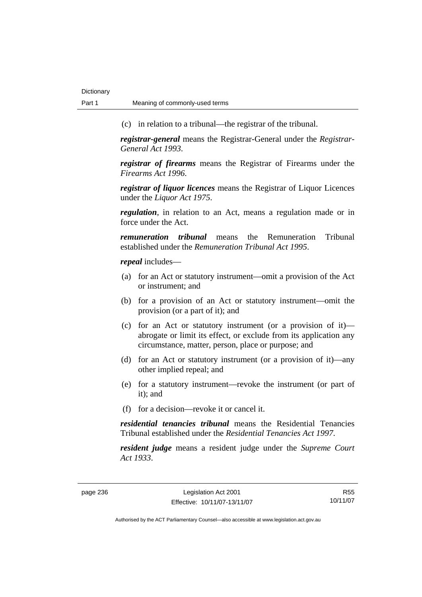(c) in relation to a tribunal—the registrar of the tribunal.

*registrar-general* means the Registrar-General under the *Registrar-General Act 1993*.

*registrar of firearms* means the Registrar of Firearms under the *Firearms Act 1996*.

*registrar of liquor licences* means the Registrar of Liquor Licences under the *Liquor Act 1975*.

*regulation*, in relation to an Act, means a regulation made or in force under the Act.

*remuneration tribunal* means the Remuneration Tribunal established under the *Remuneration Tribunal Act 1995*.

*repeal* includes—

- (a) for an Act or statutory instrument—omit a provision of the Act or instrument; and
- (b) for a provision of an Act or statutory instrument—omit the provision (or a part of it); and
- (c) for an Act or statutory instrument (or a provision of it) abrogate or limit its effect, or exclude from its application any circumstance, matter, person, place or purpose; and
- (d) for an Act or statutory instrument (or a provision of it)—any other implied repeal; and
- (e) for a statutory instrument—revoke the instrument (or part of it); and
- (f) for a decision—revoke it or cancel it.

*residential tenancies tribunal* means the Residential Tenancies Tribunal established under the *Residential Tenancies Act 1997*.

*resident judge* means a resident judge under the *Supreme Court Act 1933*.

page 236 Legislation Act 2001 Effective: 10/11/07-13/11/07

R55 10/11/07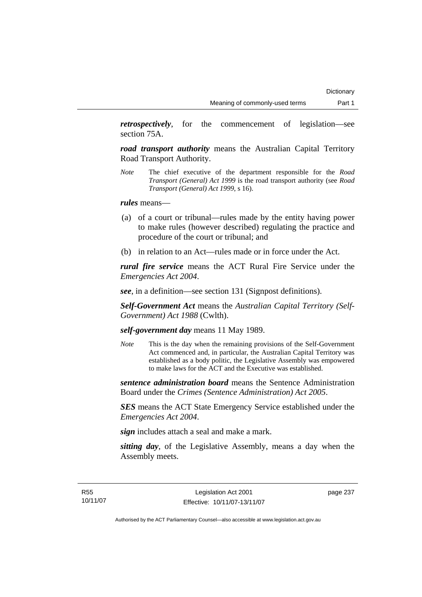*retrospectively*, for the commencement of legislation—see section 75A.

*road transport authority* means the Australian Capital Territory Road Transport Authority.

*Note* The chief executive of the department responsible for the *Road Transport (General) Act 1999* is the road transport authority (see *Road Transport (General) Act 1999*, s 16).

*rules* means—

- (a) of a court or tribunal—rules made by the entity having power to make rules (however described) regulating the practice and procedure of the court or tribunal; and
- (b) in relation to an Act—rules made or in force under the Act.

*rural fire service* means the ACT Rural Fire Service under the *Emergencies Act 2004*.

*see*, in a definition—see section 131 (Signpost definitions).

*Self-Government Act* means the *Australian Capital Territory (Self-Government) Act 1988* (Cwlth).

## *self-government day* means 11 May 1989.

*Note* This is the day when the remaining provisions of the Self-Government Act commenced and, in particular, the Australian Capital Territory was established as a body politic, the Legislative Assembly was empowered to make laws for the ACT and the Executive was established.

*sentence administration board* means the Sentence Administration Board under the *Crimes (Sentence Administration) Act 2005*.

*SES* means the ACT State Emergency Service established under the *Emergencies Act 2004*.

*sign* includes attach a seal and make a mark.

*sitting day*, of the Legislative Assembly, means a day when the Assembly meets.

page 237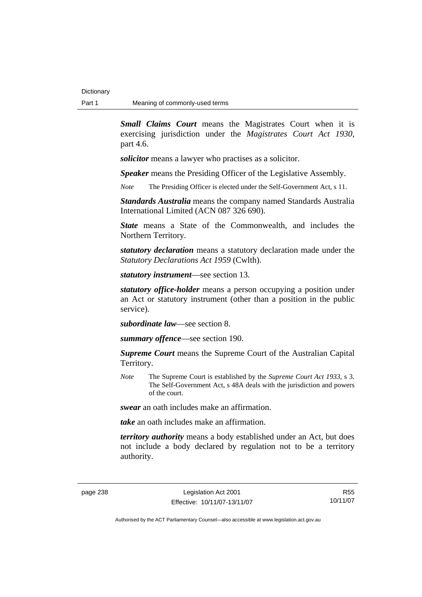*Small Claims Court* means the Magistrates Court when it is exercising jurisdiction under the *Magistrates Court Act 1930*, part 4.6.

*solicitor* means a lawyer who practises as a solicitor.

*Speaker* means the Presiding Officer of the Legislative Assembly.

*Note* The Presiding Officer is elected under the Self-Government Act, s 11.

*Standards Australia* means the company named Standards Australia International Limited (ACN 087 326 690).

*State* means a State of the Commonwealth, and includes the Northern Territory.

*statutory declaration* means a statutory declaration made under the *Statutory Declarations Act 1959* (Cwlth).

*statutory instrument*—see section 13.

*statutory office-holder* means a person occupying a position under an Act or statutory instrument (other than a position in the public service).

*subordinate law*—see section 8.

*summary offence*—see section 190.

*Supreme Court* means the Supreme Court of the Australian Capital Territory.

*Note* The Supreme Court is established by the *Supreme Court Act 1933*, s 3. The Self-Government Act, s 48A deals with the jurisdiction and powers of the court.

*swear* an oath includes make an affirmation.

*take* an oath includes make an affirmation.

*territory authority* means a body established under an Act, but does not include a body declared by regulation not to be a territory authority.

R55 10/11/07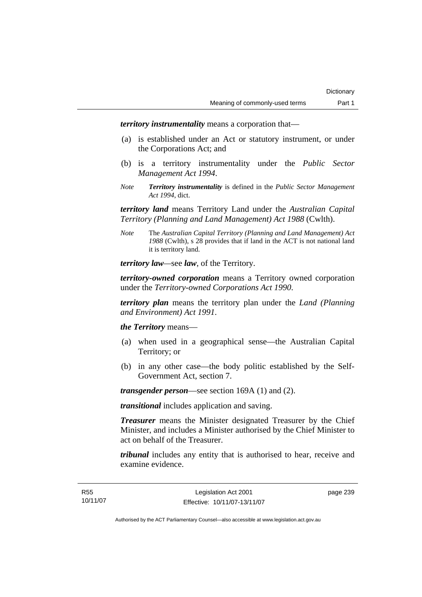*territory instrumentality* means a corporation that—

- (a) is established under an Act or statutory instrument, or under the Corporations Act; and
- (b) is a territory instrumentality under the *Public Sector Management Act 1994*.
- *Note Territory instrumentality* is defined in the *Public Sector Management Act 1994*, dict.

*territory land* means Territory Land under the *Australian Capital Territory (Planning and Land Management) Act 1988* (Cwlth).

*Note* The *Australian Capital Territory (Planning and Land Management) Act 1988* (Cwlth), s 28 provides that if land in the ACT is not national land it is territory land.

*territory law—*see *law*, of the Territory.

*territory-owned corporation* means a Territory owned corporation under the *Territory-owned Corporations Act 1990*.

*territory plan* means the territory plan under the *Land (Planning and Environment) Act 1991*.

*the Territory* means—

- (a) when used in a geographical sense—the Australian Capital Territory; or
- (b) in any other case—the body politic established by the Self-Government Act, section 7.

*transgender person*—see section 169A (1) and (2).

*transitional* includes application and saving.

*Treasurer* means the Minister designated Treasurer by the Chief Minister, and includes a Minister authorised by the Chief Minister to act on behalf of the Treasurer.

*tribunal* includes any entity that is authorised to hear, receive and examine evidence.

page 239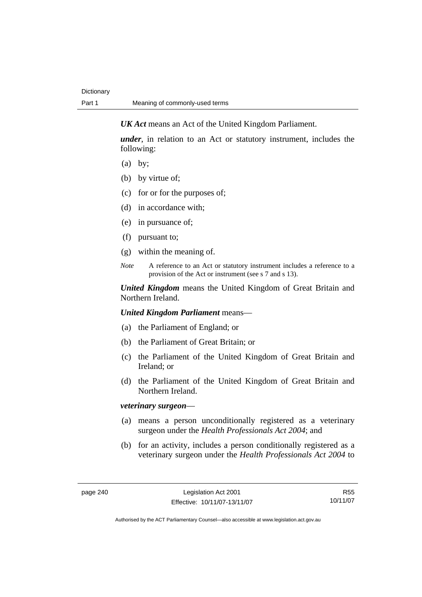*UK Act* means an Act of the United Kingdom Parliament.

*under*, in relation to an Act or statutory instrument, includes the following:

- (a) by;
- (b) by virtue of;
- (c) for or for the purposes of;
- (d) in accordance with;
- (e) in pursuance of;
- (f) pursuant to;
- (g) within the meaning of.
- *Note* A reference to an Act or statutory instrument includes a reference to a provision of the Act or instrument (see s 7 and s 13).

*United Kingdom* means the United Kingdom of Great Britain and Northern Ireland.

*United Kingdom Parliament* means—

- (a) the Parliament of England; or
- (b) the Parliament of Great Britain; or
- (c) the Parliament of the United Kingdom of Great Britain and Ireland; or
- (d) the Parliament of the United Kingdom of Great Britain and Northern Ireland.

## *veterinary surgeon*—

- (a) means a person unconditionally registered as a veterinary surgeon under the *Health Professionals Act 2004*; and
- (b) for an activity, includes a person conditionally registered as a veterinary surgeon under the *Health Professionals Act 2004* to

R55 10/11/07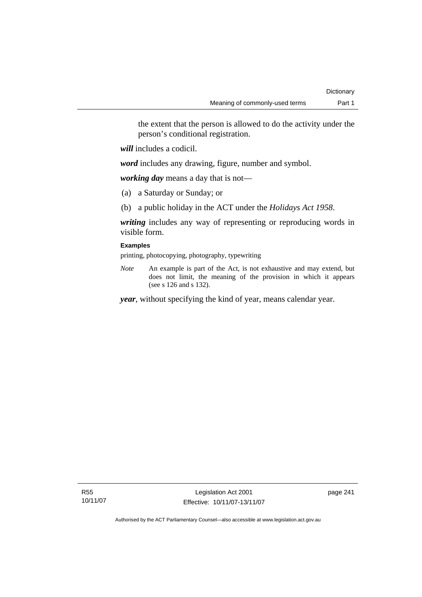the extent that the person is allowed to do the activity under the person's conditional registration.

*will* includes a codicil.

*word* includes any drawing, figure, number and symbol.

*working day* means a day that is not—

- (a) a Saturday or Sunday; or
- (b) a public holiday in the ACT under the *Holidays Act 1958*.

*writing* includes any way of representing or reproducing words in visible form.

## **Examples**

printing, photocopying, photography, typewriting

*Note* An example is part of the Act, is not exhaustive and may extend, but does not limit, the meaning of the provision in which it appears (see s 126 and s 132).

*year*, without specifying the kind of year, means calendar year.

page 241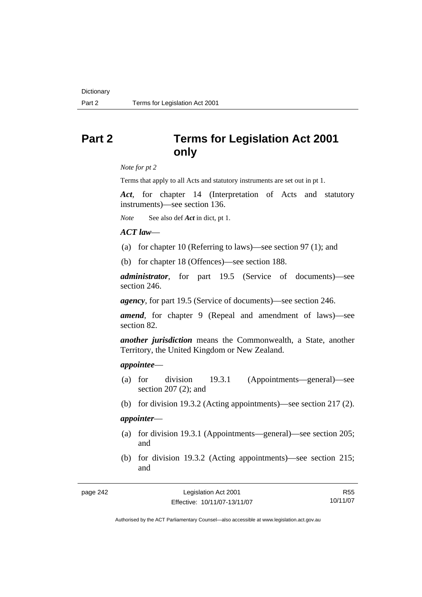# **Part 2 Terms for Legislation Act 2001 only**

*Note for pt 2* 

Terms that apply to all Acts and statutory instruments are set out in pt 1.

*Act*, for chapter 14 (Interpretation of Acts and statutory instruments)—see section 136.

*Note* See also def *Act* in dict, pt 1.

### *ACT law*—

- (a) for chapter 10 (Referring to laws)—see section 97 (1); and
- (b) for chapter 18 (Offences)—see section 188.

*administrator*, for part 19.5 (Service of documents)—see section 246.

*agency*, for part 19.5 (Service of documents)—see section 246.

*amend*, for chapter 9 (Repeal and amendment of laws)—see section 82.

*another jurisdiction* means the Commonwealth, a State, another Territory, the United Kingdom or New Zealand.

#### *appointee*—

- (a) for division 19.3.1 (Appointments—general)—see section 207 (2); and
- (b) for division 19.3.2 (Acting appointments)—see section 217 (2).

## *appointer*—

- (a) for division 19.3.1 (Appointments—general)—see section 205; and
- (b) for division 19.3.2 (Acting appointments)—see section 215; and

| page 242 |  |
|----------|--|
|----------|--|

R55 10/11/07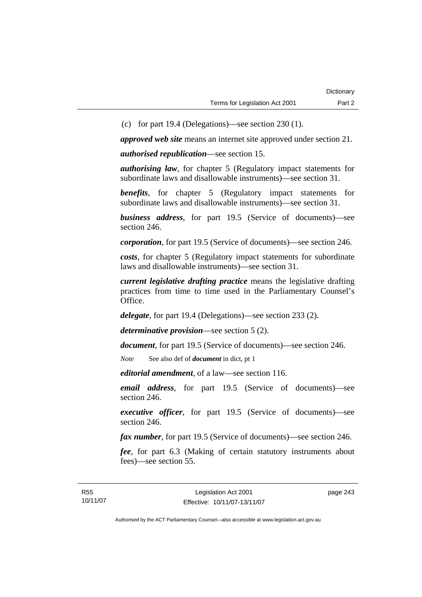(c) for part 19.4 (Delegations)—see section 230 (1).

*approved web site* means an internet site approved under section 21.

*authorised republication*—see section 15.

*authorising law*, for chapter 5 (Regulatory impact statements for subordinate laws and disallowable instruments)—see section 31.

*benefits*, for chapter 5 (Regulatory impact statements for subordinate laws and disallowable instruments)—see section 31.

*business address*, for part 19.5 (Service of documents)—see section 246.

*corporation*, for part 19.5 (Service of documents)—see section 246.

*costs*, for chapter 5 (Regulatory impact statements for subordinate laws and disallowable instruments)—see section 31.

*current legislative drafting practice* means the legislative drafting practices from time to time used in the Parliamentary Counsel's Office.

*delegate*, for part 19.4 (Delegations)—see section 233 (2).

*determinative provision*—see section 5 (2).

*document*, for part 19.5 (Service of documents)—see section 246.

*Note* See also def of *document* in dict, pt 1

*editorial amendment*, of a law—see section 116.

*email address*, for part 19.5 (Service of documents)—see section 246.

*executive officer*, for part 19.5 (Service of documents)—see section 246.

*fax number*, for part 19.5 (Service of documents)—see section 246.

*fee*, for part 6.3 (Making of certain statutory instruments about fees)—see section 55.

page 243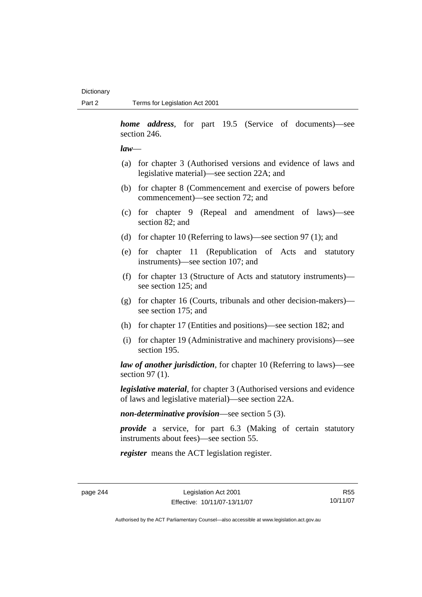*home address*, for part 19.5 (Service of documents)—see section 246.

#### *law*—

- (a) for chapter 3 (Authorised versions and evidence of laws and legislative material)—see section 22A; and
- (b) for chapter 8 (Commencement and exercise of powers before commencement)—see section 72; and
- (c) for chapter 9 (Repeal and amendment of laws)—see section 82; and
- (d) for chapter 10 (Referring to laws)—see section 97 (1); and
- (e) for chapter 11 (Republication of Acts and statutory instruments)—see section 107; and
- (f) for chapter 13 (Structure of Acts and statutory instruments) see section 125; and
- (g) for chapter 16 (Courts, tribunals and other decision-makers) see section 175; and
- (h) for chapter 17 (Entities and positions)—see section 182; and
- (i) for chapter 19 (Administrative and machinery provisions)—see section 195.

*law of another jurisdiction*, for chapter 10 (Referring to laws)—see section 97 (1).

*legislative material*, for chapter 3 (Authorised versions and evidence of laws and legislative material)—see section 22A.

*non-determinative provision*—see section 5 (3).

*provide* a service, for part 6.3 (Making of certain statutory instruments about fees)—see section 55.

*register* means the ACT legislation register.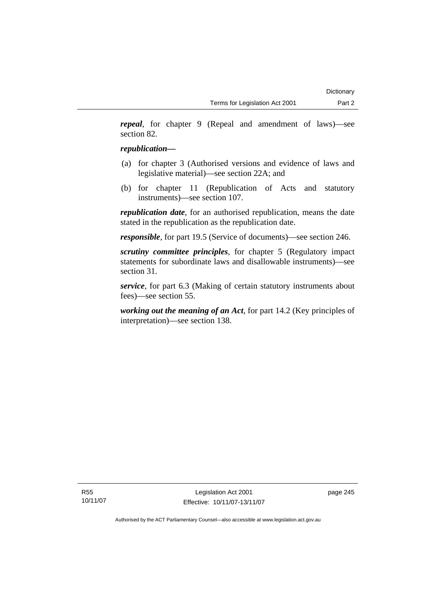*repeal*, for chapter 9 (Repeal and amendment of laws)—see section 82.

# *republication—*

- (a) for chapter 3 (Authorised versions and evidence of laws and legislative material)—see section 22A; and
- (b) for chapter 11 (Republication of Acts and statutory instruments)—see section 107.

*republication date*, for an authorised republication, means the date stated in the republication as the republication date.

*responsible*, for part 19.5 (Service of documents)—see section 246.

*scrutiny committee principles*, for chapter 5 (Regulatory impact statements for subordinate laws and disallowable instruments)—see section 31.

*service*, for part 6.3 (Making of certain statutory instruments about fees)—see section 55.

*working out the meaning of an Act*, for part 14.2 (Key principles of interpretation)—see section 138.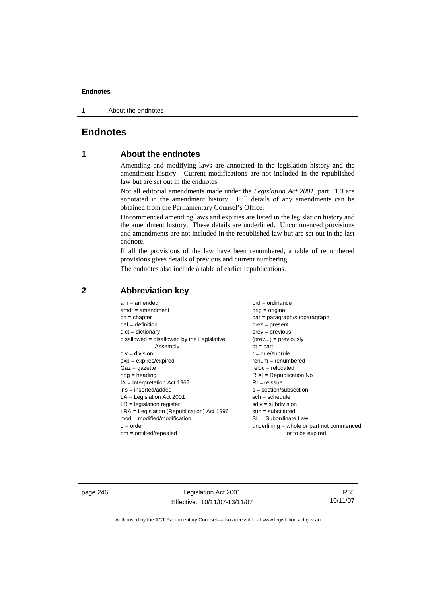1 About the endnotes

# **Endnotes**

# **1 About the endnotes**

Amending and modifying laws are annotated in the legislation history and the amendment history. Current modifications are not included in the republished law but are set out in the endnotes.

Not all editorial amendments made under the *Legislation Act 2001*, part 11.3 are annotated in the amendment history. Full details of any amendments can be obtained from the Parliamentary Counsel's Office.

Uncommenced amending laws and expiries are listed in the legislation history and the amendment history. These details are underlined. Uncommenced provisions and amendments are not included in the republished law but are set out in the last endnote.

If all the provisions of the law have been renumbered, a table of renumbered provisions gives details of previous and current numbering.

The endnotes also include a table of earlier republications.

| $am = amended$                               | $ord = ordinance$                         |
|----------------------------------------------|-------------------------------------------|
| $amdt = amendment$                           | $orig = original$                         |
| $ch = chapter$                               | par = paragraph/subparagraph              |
| $def = definition$                           | $pres = present$                          |
| $dict = dictionary$                          | $prev = previous$                         |
| $disallowed = disallowed by the Legislative$ | $(\text{prev}) = \text{previously}$       |
| Assembly                                     | $pt = part$                               |
| $div = division$                             | $r = rule/subrule$                        |
| $exp = expires/expired$                      | $renum = renumbered$                      |
| $Gaz = gazette$                              | $reloc = relocated$                       |
| $hdg =$ heading                              | $R[X]$ = Republication No                 |
| $IA = Interpretation Act 1967$               | $RI = reissue$                            |
| $ins = inserted/added$                       | $s = section/subsection$                  |
| $LA =$ Legislation Act 2001                  | $sch = schedule$                          |
| $LR =$ legislation register                  | $sdiv = subdivision$                      |
| $LRA =$ Legislation (Republication) Act 1996 | $sub = substituted$                       |
| $mod = modified/modification$                | $SL = Subordinate$ Law                    |
| $o = order$                                  | underlining = whole or part not commenced |
| $om = omitted/report$                        | or to be expired                          |
|                                              |                                           |

# **2 Abbreviation key**

page 246 Legislation Act 2001 Effective: 10/11/07-13/11/07

R55 10/11/07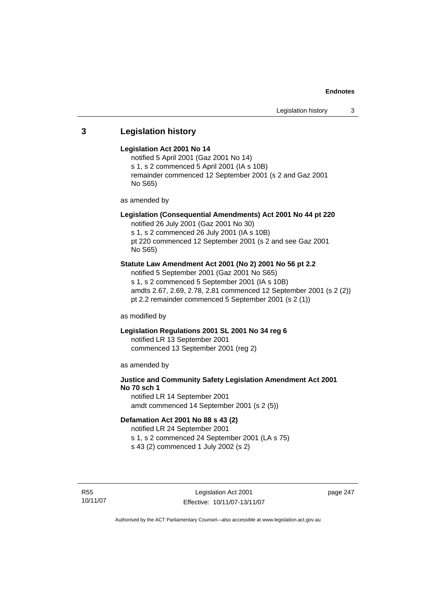# **3 Legislation history**

#### **Legislation Act 2001 No 14**

notified 5 April 2001 (Gaz 2001 No 14) s 1, s 2 commenced 5 April 2001 (IA s 10B) remainder commenced 12 September 2001 (s 2 and Gaz 2001 No S65)

as amended by

# **Legislation (Consequential Amendments) Act 2001 No 44 pt 220**

notified 26 July 2001 (Gaz 2001 No 30) s 1, s 2 commenced 26 July 2001 (IA s 10B) pt 220 commenced 12 September 2001 (s 2 and see Gaz 2001

No S65)

## **Statute Law Amendment Act 2001 (No 2) 2001 No 56 pt 2.2**

notified 5 September 2001 (Gaz 2001 No S65) s 1, s 2 commenced 5 September 2001 (IA s 10B) amdts 2.67, 2.69, 2.78, 2.81 commenced 12 September 2001 (s 2 (2)) pt 2.2 remainder commenced 5 September 2001 (s 2 (1))

as modified by

# **Legislation Regulations 2001 SL 2001 No 34 reg 6**

notified LR 13 September 2001 commenced 13 September 2001 (reg 2)

as amended by

# **Justice and Community Safety Legislation Amendment Act 2001 No 70 sch 1**

notified LR 14 September 2001 amdt commenced 14 September 2001 (s 2 (5))

# **Defamation Act 2001 No 88 s 43 (2)**

notified LR 24 September 2001 s 1, s 2 commenced 24 September 2001 (LA s 75)

s 43 (2) commenced 1 July 2002 (s 2)

R55 10/11/07 page 247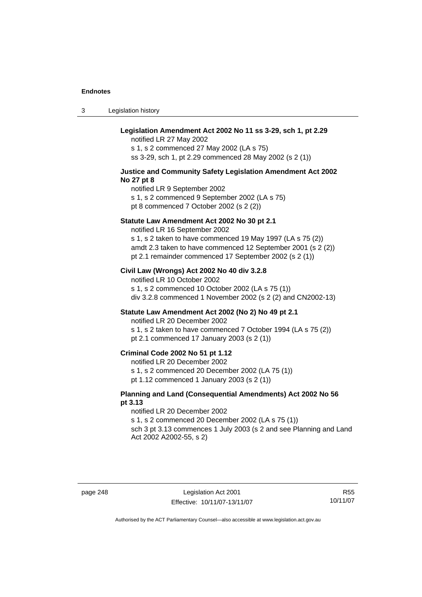3 Legislation history

## **Legislation Amendment Act 2002 No 11 ss 3-29, sch 1, pt 2.29**

notified LR 27 May 2002 s 1, s 2 commenced 27 May 2002 (LA s 75) ss 3-29, sch 1, pt 2.29 commenced 28 May 2002 (s 2 (1))

#### **Justice and Community Safety Legislation Amendment Act 2002 No 27 pt 8**

notified LR 9 September 2002 s 1, s 2 commenced 9 September 2002 (LA s 75) pt 8 commenced 7 October 2002 (s 2 (2))

#### **Statute Law Amendment Act 2002 No 30 pt 2.1**

notified LR 16 September 2002 s 1, s 2 taken to have commenced 19 May 1997 (LA s 75 (2)) amdt 2.3 taken to have commenced 12 September 2001 (s 2 (2)) pt 2.1 remainder commenced 17 September 2002 (s 2 (1))

#### **Civil Law (Wrongs) Act 2002 No 40 div 3.2.8**

notified LR 10 October 2002 s 1, s 2 commenced 10 October 2002 (LA s 75 (1)) div 3.2.8 commenced 1 November 2002 (s 2 (2) and CN2002-13)

## **Statute Law Amendment Act 2002 (No 2) No 49 pt 2.1**

notified LR 20 December 2002

s 1, s 2 taken to have commenced 7 October 1994 (LA s 75 (2)) pt 2.1 commenced 17 January 2003 (s 2 (1))

#### **Criminal Code 2002 No 51 pt 1.12**

notified LR 20 December 2002

s 1, s 2 commenced 20 December 2002 (LA 75 (1))

pt 1.12 commenced 1 January 2003 (s 2 (1))

## **Planning and Land (Consequential Amendments) Act 2002 No 56 pt 3.13**

#### notified LR 20 December 2002

s 1, s 2 commenced 20 December 2002 (LA s 75 (1))

sch 3 pt 3.13 commences 1 July 2003 (s 2 and see Planning and Land Act 2002 A2002-55, s 2)

R55 10/11/07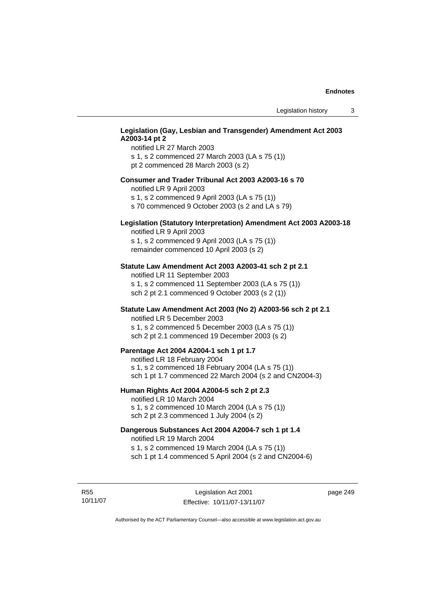## **Legislation (Gay, Lesbian and Transgender) Amendment Act 2003 A2003-14 pt 2**

notified LR 27 March 2003 s 1, s 2 commenced 27 March 2003 (LA s 75 (1)) pt 2 commenced 28 March 2003 (s 2)

#### **Consumer and Trader Tribunal Act 2003 A2003-16 s 70**

notified LR 9 April 2003

s 1, s 2 commenced 9 April 2003 (LA s 75 (1))

s 70 commenced 9 October 2003 (s 2 and LA s 79)

# **Legislation (Statutory Interpretation) Amendment Act 2003 A2003-18**

notified LR 9 April 2003 s 1, s 2 commenced 9 April 2003 (LA s 75 (1)) remainder commenced 10 April 2003 (s 2)

#### **Statute Law Amendment Act 2003 A2003-41 sch 2 pt 2.1**

notified LR 11 September 2003 s 1, s 2 commenced 11 September 2003 (LA s 75 (1)) sch 2 pt 2.1 commenced 9 October 2003 (s 2 (1))

## **Statute Law Amendment Act 2003 (No 2) A2003-56 sch 2 pt 2.1**

notified LR 5 December 2003 s 1, s 2 commenced 5 December 2003 (LA s 75 (1)) sch 2 pt 2.1 commenced 19 December 2003 (s 2)

#### **Parentage Act 2004 A2004-1 sch 1 pt 1.7**

notified LR 18 February 2004 s 1, s 2 commenced 18 February 2004 (LA s 75 (1)) sch 1 pt 1.7 commenced 22 March 2004 (s 2 and CN2004-3)

#### **Human Rights Act 2004 A2004-5 sch 2 pt 2.3**

notified LR 10 March 2004 s 1, s 2 commenced 10 March 2004 (LA s 75 (1)) sch 2 pt 2.3 commenced 1 July 2004 (s 2)

#### **Dangerous Substances Act 2004 A2004-7 sch 1 pt 1.4**

notified LR 19 March 2004 s 1, s 2 commenced 19 March 2004 (LA s 75 (1)) sch 1 pt 1.4 commenced 5 April 2004 (s 2 and CN2004-6)

R55 10/11/07 page 249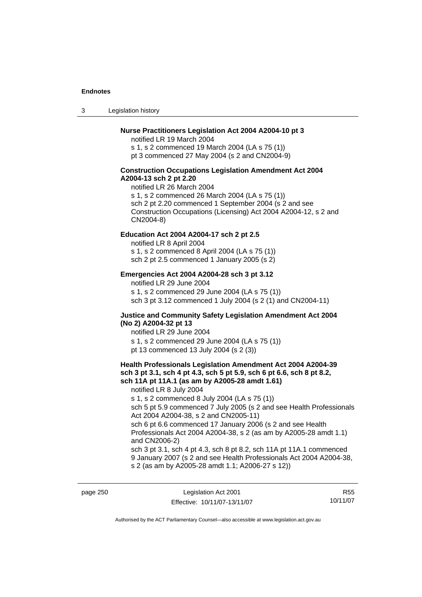3 Legislation history

## **Nurse Practitioners Legislation Act 2004 A2004-10 pt 3**

notified LR 19 March 2004 s 1, s 2 commenced 19 March 2004 (LA s 75 (1)) pt 3 commenced 27 May 2004 (s 2 and CN2004-9)

#### **Construction Occupations Legislation Amendment Act 2004 A2004-13 sch 2 pt 2.20**

notified LR 26 March 2004 s 1, s 2 commenced 26 March 2004 (LA s 75 (1)) sch 2 pt 2.20 commenced 1 September 2004 (s 2 and see Construction Occupations (Licensing) Act 2004 A2004-12, s 2 and CN2004-8)

#### **Education Act 2004 A2004-17 sch 2 pt 2.5**

notified LR 8 April 2004 s 1, s 2 commenced 8 April 2004 (LA s 75 (1))

sch 2 pt 2.5 commenced 1 January 2005 (s 2)

#### **Emergencies Act 2004 A2004-28 sch 3 pt 3.12**

notified LR 29 June 2004

s 1, s 2 commenced 29 June 2004 (LA s 75 (1)) sch 3 pt 3.12 commenced 1 July 2004 (s 2 (1) and CN2004-11)

#### **Justice and Community Safety Legislation Amendment Act 2004 (No 2) A2004-32 pt 13**

notified LR 29 June 2004 s 1, s 2 commenced 29 June 2004 (LA s 75 (1)) pt 13 commenced 13 July 2004 (s 2 (3))

#### **Health Professionals Legislation Amendment Act 2004 A2004-39 sch 3 pt 3.1, sch 4 pt 4.3, sch 5 pt 5.9, sch 6 pt 6.6, sch 8 pt 8.2, sch 11A pt 11A.1 (as am by A2005-28 amdt 1.61)**

notified LR 8 July 2004

s 1, s 2 commenced 8 July 2004 (LA s 75 (1))

sch 5 pt 5.9 commenced 7 July 2005 (s 2 and see Health Professionals Act 2004 A2004-38, s 2 and CN2005-11)

sch 6 pt 6.6 commenced 17 January 2006 (s 2 and see Health Professionals Act 2004 A2004-38, s 2 (as am by A2005-28 amdt 1.1) and CN2006-2)

sch 3 pt 3.1, sch 4 pt 4.3, sch 8 pt 8.2, sch 11A pt 11A.1 commenced 9 January 2007 (s 2 and see Health Professionals Act 2004 A2004-38, s 2 (as am by A2005-28 amdt 1.1; A2006-27 s 12))

page 250 Legislation Act 2001 Effective: 10/11/07-13/11/07

R55 10/11/07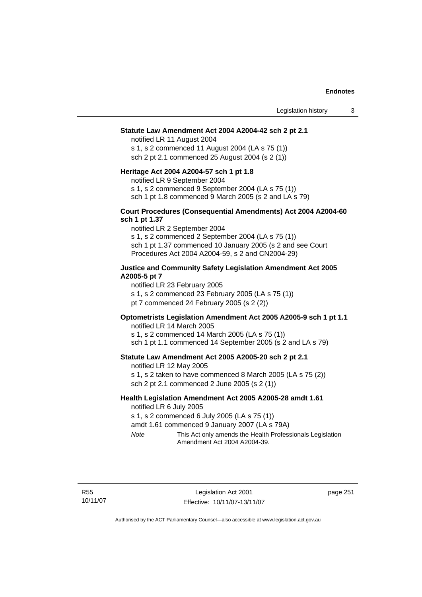#### **Statute Law Amendment Act 2004 A2004-42 sch 2 pt 2.1**

notified LR 11 August 2004 s 1, s 2 commenced 11 August 2004 (LA s 75 (1)) sch 2 pt 2.1 commenced 25 August 2004 (s 2 (1))

#### **Heritage Act 2004 A2004-57 sch 1 pt 1.8**

notified LR 9 September 2004

s 1, s 2 commenced 9 September 2004 (LA s 75 (1))

sch 1 pt 1.8 commenced 9 March 2005 (s 2 and LA s 79)

#### **Court Procedures (Consequential Amendments) Act 2004 A2004-60 sch 1 pt 1.37**

notified LR 2 September 2004 s 1, s 2 commenced 2 September 2004 (LA s 75 (1)) sch 1 pt 1.37 commenced 10 January 2005 (s 2 and see Court Procedures Act 2004 A2004-59, s 2 and CN2004-29)

#### **Justice and Community Safety Legislation Amendment Act 2005 A2005-5 pt 7**

notified LR 23 February 2005

s 1, s 2 commenced 23 February 2005 (LA s 75 (1))

pt 7 commenced 24 February 2005 (s 2 (2))

# **Optometrists Legislation Amendment Act 2005 A2005-9 sch 1 pt 1.1**

notified LR 14 March 2005 s 1, s 2 commenced 14 March 2005 (LA s 75 (1)) sch 1 pt 1.1 commenced 14 September 2005 (s 2 and LA s 79)

#### **Statute Law Amendment Act 2005 A2005-20 sch 2 pt 2.1**

notified LR 12 May 2005 s 1, s 2 taken to have commenced 8 March 2005 (LA s 75 (2)) sch 2 pt 2.1 commenced 2 June 2005 (s 2 (1))

#### **Health Legislation Amendment Act 2005 A2005-28 amdt 1.61**  notified LR 6 July 2005

s 1, s 2 commenced 6 July 2005 (LA s 75 (1))

amdt 1.61 commenced 9 January 2007 (LA s 79A)

*Note* This Act only amends the Health Professionals Legislation Amendment Act 2004 A2004-39.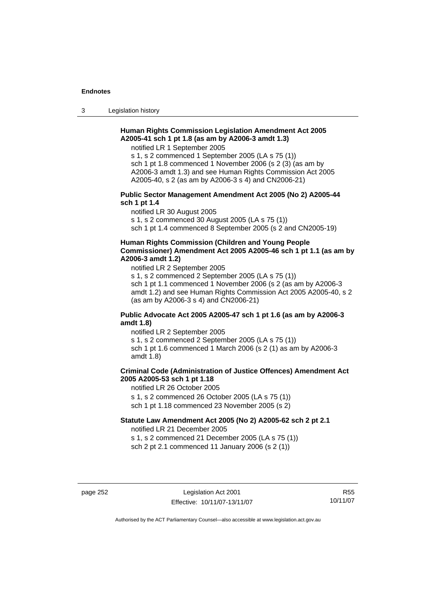3 Legislation history

## **Human Rights Commission Legislation Amendment Act 2005 A2005-41 sch 1 pt 1.8 (as am by A2006-3 amdt 1.3)**

notified LR 1 September 2005

s 1, s 2 commenced 1 September 2005 (LA s 75 (1)) sch 1 pt 1.8 commenced 1 November 2006 (s 2 (3) (as am by A2006-3 amdt 1.3) and see Human Rights Commission Act 2005 A2005-40, s 2 (as am by A2006-3 s 4) and CN2006-21)

#### **Public Sector Management Amendment Act 2005 (No 2) A2005-44 sch 1 pt 1.4**

notified LR 30 August 2005

s 1, s 2 commenced 30 August 2005 (LA s 75 (1))

sch 1 pt 1.4 commenced 8 September 2005 (s 2 and CN2005-19)

## **Human Rights Commission (Children and Young People Commissioner) Amendment Act 2005 A2005-46 sch 1 pt 1.1 (as am by A2006-3 amdt 1.2)**

notified LR 2 September 2005

s 1, s 2 commenced 2 September 2005 (LA s 75 (1)) sch 1 pt 1.1 commenced 1 November 2006 (s 2 (as am by A2006-3 amdt 1.2) and see Human Rights Commission Act 2005 A2005-40, s 2 (as am by A2006-3 s 4) and CN2006-21)

## **Public Advocate Act 2005 A2005-47 sch 1 pt 1.6 (as am by A2006-3 amdt 1.8)**

notified LR 2 September 2005 s 1, s 2 commenced 2 September 2005 (LA s 75 (1)) sch 1 pt 1.6 commenced 1 March 2006 (s 2 (1) as am by A2006-3 amdt 1.8)

# **Criminal Code (Administration of Justice Offences) Amendment Act 2005 A2005-53 sch 1 pt 1.18**

notified LR 26 October 2005 s 1, s 2 commenced 26 October 2005 (LA s 75 (1))

sch 1 pt 1.18 commenced 23 November 2005 (s 2)

## **Statute Law Amendment Act 2005 (No 2) A2005-62 sch 2 pt 2.1**

notified LR 21 December 2005 s 1, s 2 commenced 21 December 2005 (LA s 75 (1))

sch 2 pt 2.1 commenced 11 January 2006 (s 2 (1))

R55 10/11/07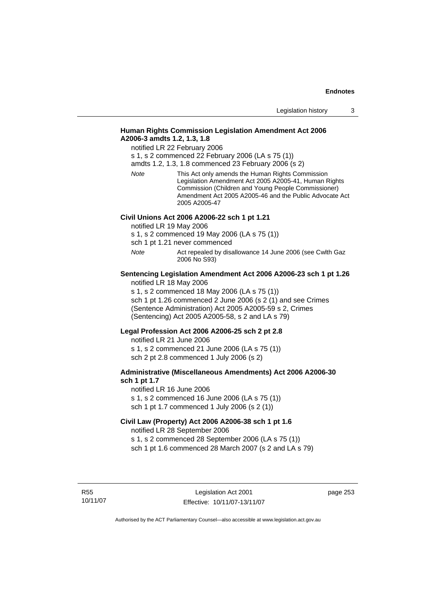## **Human Rights Commission Legislation Amendment Act 2006 A2006-3 amdts 1.2, 1.3, 1.8**

notified LR 22 February 2006

s 1, s 2 commenced 22 February 2006 (LA s 75 (1))

amdts 1.2, 1.3, 1.8 commenced 23 February 2006 (s 2)

*Note* This Act only amends the Human Rights Commission Legislation Amendment Act 2005 A2005-41, Human Rights Commission (Children and Young People Commissioner) Amendment Act 2005 A2005-46 and the Public Advocate Act 2005 A2005-47

## **Civil Unions Act 2006 A2006-22 sch 1 pt 1.21**

notified LR 19 May 2006

s 1, s 2 commenced 19 May 2006 (LA s 75 (1))

sch 1 pt 1.21 never commenced

*Note* Act repealed by disallowance 14 June 2006 (see Cwlth Gaz 2006 No S93)

#### **Sentencing Legislation Amendment Act 2006 A2006-23 sch 1 pt 1.26**  notified LR 18 May 2006

s 1, s 2 commenced 18 May 2006 (LA s 75 (1))

sch 1 pt 1.26 commenced 2 June 2006 (s 2 (1) and see Crimes (Sentence Administration) Act 2005 A2005-59 s 2, Crimes (Sentencing) Act 2005 A2005-58, s 2 and LA s 79)

#### **Legal Profession Act 2006 A2006-25 sch 2 pt 2.8**

notified LR 21 June 2006 s 1, s 2 commenced 21 June 2006 (LA s 75 (1)) sch 2 pt 2.8 commenced 1 July 2006 (s 2)

## **Administrative (Miscellaneous Amendments) Act 2006 A2006-30 sch 1 pt 1.7**

notified LR 16 June 2006 s 1, s 2 commenced 16 June 2006 (LA s 75 (1)) sch 1 pt 1.7 commenced 1 July 2006 (s 2 (1))

# **Civil Law (Property) Act 2006 A2006-38 sch 1 pt 1.6**  notified LR 28 September 2006

s 1, s 2 commenced 28 September 2006 (LA s 75 (1)) sch 1 pt 1.6 commenced 28 March 2007 (s 2 and LA s 79)

R55 10/11/07 page 253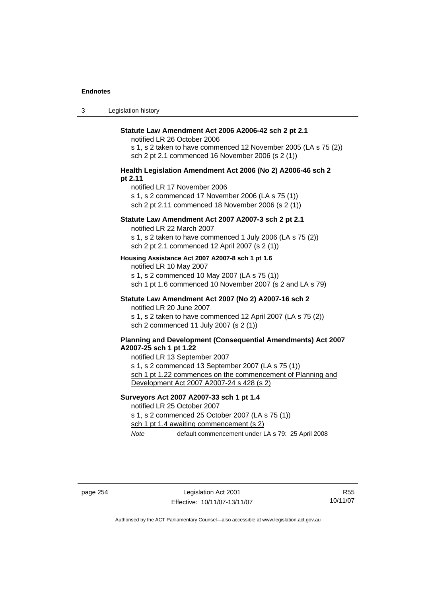3 Legislation history

#### **Statute Law Amendment Act 2006 A2006-42 sch 2 pt 2.1**

notified LR 26 October 2006

s 1, s 2 taken to have commenced 12 November 2005 (LA s 75 (2)) sch 2 pt 2.1 commenced 16 November 2006 (s 2 (1))

#### **Health Legislation Amendment Act 2006 (No 2) A2006-46 sch 2 pt 2.11**

notified LR 17 November 2006

s 1, s 2 commenced 17 November 2006 (LA s 75 (1))

sch 2 pt 2.11 commenced 18 November 2006 (s 2 (1))

### **Statute Law Amendment Act 2007 A2007-3 sch 2 pt 2.1**

notified LR 22 March 2007

s 1, s 2 taken to have commenced 1 July 2006 (LA s 75 (2)) sch 2 pt 2.1 commenced 12 April 2007 (s 2 (1))

#### **Housing Assistance Act 2007 A2007-8 sch 1 pt 1.6**

notified LR 10 May 2007

s 1, s 2 commenced 10 May 2007 (LA s 75 (1))

sch 1 pt 1.6 commenced 10 November 2007 (s 2 and LA s 79)

#### **Statute Law Amendment Act 2007 (No 2) A2007-16 sch 2**  notified LR 20 June 2007

s 1, s 2 taken to have commenced 12 April 2007 (LA s 75 (2)) sch 2 commenced 11 July 2007 (s 2 (1))

#### **Planning and Development (Consequential Amendments) Act 2007 A2007-25 sch 1 pt 1.22**

notified LR 13 September 2007

s 1, s 2 commenced 13 September 2007 (LA s 75 (1))

sch 1 pt 1.22 commences on the commencement of Planning and Development Act 2007 A2007-24 s 428 (s 2)

# **Surveyors Act 2007 A2007-33 sch 1 pt 1.4**  notified LR 25 October 2007

s 1, s 2 commenced 25 October 2007 (LA s 75 (1))

sch 1 pt 1.4 awaiting commencement (s 2)

*Note* default commencement under LA s 79: 25 April 2008

page 254 Legislation Act 2001 Effective: 10/11/07-13/11/07

R55 10/11/07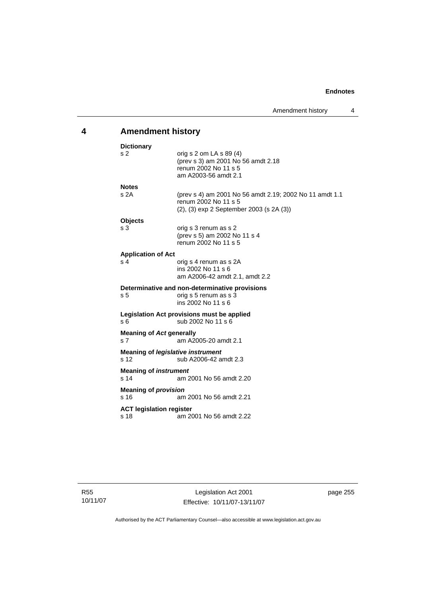# **4 Amendment history**

| <b>Dictionary</b>                               |                                                                                                                                     |  |  |  |
|-------------------------------------------------|-------------------------------------------------------------------------------------------------------------------------------------|--|--|--|
| s 2                                             | orig s 2 om LA s $89(4)$<br>(prev s 3) am 2001 No 56 amdt 2.18<br>renum 2002 No 11 s 5<br>am A2003-56 amdt 2.1                      |  |  |  |
| <b>Notes</b>                                    |                                                                                                                                     |  |  |  |
| s2A                                             | (prev s 4) am 2001 No 56 amdt 2.19; 2002 No 11 amdt 1.1<br>renum 2002 No 11 s 5<br>$(2)$ , $(3)$ exp 2 September 2003 (s 2A $(3)$ ) |  |  |  |
| <b>Objects</b>                                  |                                                                                                                                     |  |  |  |
| s 3                                             | orig s 3 renum as s 2<br>(prev s 5) am 2002 No 11 s 4<br>renum 2002 No 11 s 5                                                       |  |  |  |
| <b>Application of Act</b>                       |                                                                                                                                     |  |  |  |
| s 4                                             | orig s 4 renum as s 2A<br>ins 2002 No 11 s 6<br>am A2006-42 amdt 2.1, amdt 2.2                                                      |  |  |  |
| s <sub>5</sub>                                  | Determinative and non-determinative provisions<br>orig s 5 renum as s 3<br>ins 2002 No 11 s 6                                       |  |  |  |
| s 6                                             | Legislation Act provisions must be applied<br>sub 2002 No 11 s 6                                                                    |  |  |  |
| s <sub>7</sub>                                  | <b>Meaning of Act generally</b><br>am A2005-20 amdt 2.1                                                                             |  |  |  |
| s <sub>12</sub>                                 | Meaning of <i>legislative instrument</i><br>sub A2006-42 amdt 2.3                                                                   |  |  |  |
| <b>Meaning of instrument</b><br>s <sub>14</sub> | am 2001 No 56 amdt 2.20                                                                                                             |  |  |  |
| <b>Meaning of provision</b><br>s <sub>16</sub>  | am 2001 No 56 amdt 2.21                                                                                                             |  |  |  |
| s 18                                            | <b>ACT legislation register</b><br>am 2001 No 56 amdt 2.22                                                                          |  |  |  |

R55 10/11/07 page 255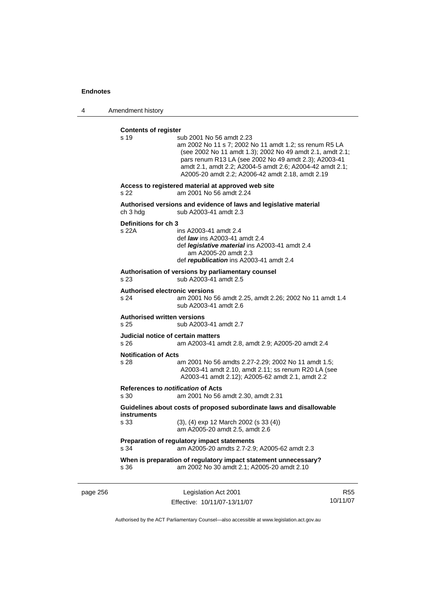4 Amendment history

# **Contents of register**

| s 19                                                  | sub 2001 No 56 amdt 2.23<br>am 2002 No 11 s 7; 2002 No 11 amdt 1.2; ss renum R5 LA<br>(see 2002 No 11 amdt 1.3); 2002 No 49 amdt 2.1, amdt 2.1;<br>pars renum R13 LA (see 2002 No 49 amdt 2.3); A2003-41<br>amdt 2.1, amdt 2.2; A2004-5 amdt 2.6; A2004-42 amdt 2.1;<br>A2005-20 amdt 2.2; A2006-42 amdt 2.18, amdt 2.19 |
|-------------------------------------------------------|--------------------------------------------------------------------------------------------------------------------------------------------------------------------------------------------------------------------------------------------------------------------------------------------------------------------------|
| s 22                                                  | Access to registered material at approved web site<br>am 2001 No 56 amdt 2.24                                                                                                                                                                                                                                            |
| ch 3 hdg                                              | Authorised versions and evidence of laws and legislative material<br>sub A2003-41 amdt 2.3                                                                                                                                                                                                                               |
| Definitions for ch 3<br>s 22A                         | ins A2003-41 amdt 2.4<br>def <i>law</i> ins A2003-41 amdt 2.4<br>def legislative material ins A2003-41 amdt 2.4<br>am A2005-20 amdt 2.3<br>def republication ins A2003-41 amdt 2.4                                                                                                                                       |
| s 23                                                  | Authorisation of versions by parliamentary counsel<br>sub A2003-41 amdt 2.5                                                                                                                                                                                                                                              |
| <b>Authorised electronic versions</b><br>s 24         | am 2001 No 56 amdt 2.25, amdt 2.26; 2002 No 11 amdt 1.4<br>sub A2003-41 amdt 2.6                                                                                                                                                                                                                                         |
| <b>Authorised written versions</b><br>s <sub>25</sub> | sub A2003-41 amdt 2.7                                                                                                                                                                                                                                                                                                    |
| Judicial notice of certain matters<br>s <sub>26</sub> | am A2003-41 amdt 2.8, amdt 2.9; A2005-20 amdt 2.4                                                                                                                                                                                                                                                                        |
| <b>Notification of Acts</b><br>s 28                   | am 2001 No 56 amdts 2.27-2.29; 2002 No 11 amdt 1.5;<br>A2003-41 amdt 2.10, amdt 2.11; ss renum R20 LA (see<br>A2003-41 amdt 2.12); A2005-62 amdt 2.1, amdt 2.2                                                                                                                                                           |
| References to <i>notification</i> of Acts<br>s 30     | am 2001 No 56 amdt 2.30, amdt 2.31                                                                                                                                                                                                                                                                                       |
| <b>instruments</b>                                    | Guidelines about costs of proposed subordinate laws and disallowable                                                                                                                                                                                                                                                     |
| s 33                                                  | (3), (4) exp 12 March 2002 (s 33 (4))<br>am A2005-20 amdt 2.5, amdt 2.6                                                                                                                                                                                                                                                  |
| s 34                                                  | Preparation of regulatory impact statements<br>am A2005-20 amdts 2.7-2.9; A2005-62 amdt 2.3                                                                                                                                                                                                                              |
| s 36                                                  | When is preparation of regulatory impact statement unnecessary?<br>am 2002 No 30 amdt 2.1; A2005-20 amdt 2.10                                                                                                                                                                                                            |

page 256 Legislation Act 2001 Effective: 10/11/07-13/11/07

R55 10/11/07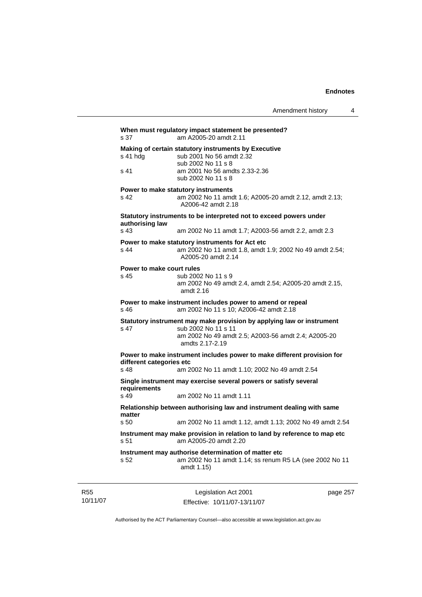| Making of certain statutory instruments by Executive<br>sub 2001 No 56 amdt 2.32<br>s 41 hdg<br>sub 2002 No 11 s 8<br>am 2001 No 56 amdts 2.33-2.36<br>s 41<br>sub 2002 No 11 s 8<br>Power to make statutory instruments<br>am 2002 No 11 amdt 1.6; A2005-20 amdt 2.12, amdt 2.13;<br>s 42<br>A2006-42 amdt 2.18<br>Statutory instruments to be interpreted not to exceed powers under<br>authorising law<br>s 43<br>am 2002 No 11 amdt 1.7; A2003-56 amdt 2.2, amdt 2.3<br>Power to make statutory instruments for Act etc<br>s 44<br>am 2002 No 11 amdt 1.8, amdt 1.9; 2002 No 49 amdt 2.54;<br>A2005-20 amdt 2.14<br>Power to make court rules<br>sub 2002 No 11 s 9<br>s 45<br>am 2002 No 49 amdt 2.4, amdt 2.54; A2005-20 amdt 2.15,<br>amdt 2.16<br>Power to make instrument includes power to amend or repeal<br>am 2002 No 11 s 10; A2006-42 amdt 2.18<br>s 46<br>Statutory instrument may make provision by applying law or instrument<br>sub 2002 No 11 s 11<br>s 47<br>am 2002 No 49 amdt 2.5; A2003-56 amdt 2.4; A2005-20<br>amdts 2.17-2.19<br>Power to make instrument includes power to make different provision for<br>different categories etc<br>s 48<br>am 2002 No 11 amdt 1.10; 2002 No 49 amdt 2.54<br>Single instrument may exercise several powers or satisfy several<br>requirements<br>s 49<br>am 2002 No 11 amdt 1.11<br>Relationship between authorising law and instrument dealing with same<br>matter<br>s 50<br>Instrument may make provision in relation to land by reference to map etc<br>am A2005-20 amdt 2.20<br>s 51<br>Instrument may authorise determination of matter etc<br>s 52<br>amdt 1.15) | s 37 | When must regulatory impact statement be presented?<br>am A2005-20 amdt 2.11 |
|----------------------------------------------------------------------------------------------------------------------------------------------------------------------------------------------------------------------------------------------------------------------------------------------------------------------------------------------------------------------------------------------------------------------------------------------------------------------------------------------------------------------------------------------------------------------------------------------------------------------------------------------------------------------------------------------------------------------------------------------------------------------------------------------------------------------------------------------------------------------------------------------------------------------------------------------------------------------------------------------------------------------------------------------------------------------------------------------------------------------------------------------------------------------------------------------------------------------------------------------------------------------------------------------------------------------------------------------------------------------------------------------------------------------------------------------------------------------------------------------------------------------------------------------------------------------------------------------------------------------------------------|------|------------------------------------------------------------------------------|
|                                                                                                                                                                                                                                                                                                                                                                                                                                                                                                                                                                                                                                                                                                                                                                                                                                                                                                                                                                                                                                                                                                                                                                                                                                                                                                                                                                                                                                                                                                                                                                                                                                        |      |                                                                              |
|                                                                                                                                                                                                                                                                                                                                                                                                                                                                                                                                                                                                                                                                                                                                                                                                                                                                                                                                                                                                                                                                                                                                                                                                                                                                                                                                                                                                                                                                                                                                                                                                                                        |      |                                                                              |
|                                                                                                                                                                                                                                                                                                                                                                                                                                                                                                                                                                                                                                                                                                                                                                                                                                                                                                                                                                                                                                                                                                                                                                                                                                                                                                                                                                                                                                                                                                                                                                                                                                        |      |                                                                              |
|                                                                                                                                                                                                                                                                                                                                                                                                                                                                                                                                                                                                                                                                                                                                                                                                                                                                                                                                                                                                                                                                                                                                                                                                                                                                                                                                                                                                                                                                                                                                                                                                                                        |      |                                                                              |
|                                                                                                                                                                                                                                                                                                                                                                                                                                                                                                                                                                                                                                                                                                                                                                                                                                                                                                                                                                                                                                                                                                                                                                                                                                                                                                                                                                                                                                                                                                                                                                                                                                        |      |                                                                              |
|                                                                                                                                                                                                                                                                                                                                                                                                                                                                                                                                                                                                                                                                                                                                                                                                                                                                                                                                                                                                                                                                                                                                                                                                                                                                                                                                                                                                                                                                                                                                                                                                                                        |      |                                                                              |
|                                                                                                                                                                                                                                                                                                                                                                                                                                                                                                                                                                                                                                                                                                                                                                                                                                                                                                                                                                                                                                                                                                                                                                                                                                                                                                                                                                                                                                                                                                                                                                                                                                        |      |                                                                              |
|                                                                                                                                                                                                                                                                                                                                                                                                                                                                                                                                                                                                                                                                                                                                                                                                                                                                                                                                                                                                                                                                                                                                                                                                                                                                                                                                                                                                                                                                                                                                                                                                                                        |      |                                                                              |
|                                                                                                                                                                                                                                                                                                                                                                                                                                                                                                                                                                                                                                                                                                                                                                                                                                                                                                                                                                                                                                                                                                                                                                                                                                                                                                                                                                                                                                                                                                                                                                                                                                        |      |                                                                              |
|                                                                                                                                                                                                                                                                                                                                                                                                                                                                                                                                                                                                                                                                                                                                                                                                                                                                                                                                                                                                                                                                                                                                                                                                                                                                                                                                                                                                                                                                                                                                                                                                                                        |      |                                                                              |
|                                                                                                                                                                                                                                                                                                                                                                                                                                                                                                                                                                                                                                                                                                                                                                                                                                                                                                                                                                                                                                                                                                                                                                                                                                                                                                                                                                                                                                                                                                                                                                                                                                        |      |                                                                              |
|                                                                                                                                                                                                                                                                                                                                                                                                                                                                                                                                                                                                                                                                                                                                                                                                                                                                                                                                                                                                                                                                                                                                                                                                                                                                                                                                                                                                                                                                                                                                                                                                                                        |      |                                                                              |
|                                                                                                                                                                                                                                                                                                                                                                                                                                                                                                                                                                                                                                                                                                                                                                                                                                                                                                                                                                                                                                                                                                                                                                                                                                                                                                                                                                                                                                                                                                                                                                                                                                        |      |                                                                              |
|                                                                                                                                                                                                                                                                                                                                                                                                                                                                                                                                                                                                                                                                                                                                                                                                                                                                                                                                                                                                                                                                                                                                                                                                                                                                                                                                                                                                                                                                                                                                                                                                                                        |      |                                                                              |
|                                                                                                                                                                                                                                                                                                                                                                                                                                                                                                                                                                                                                                                                                                                                                                                                                                                                                                                                                                                                                                                                                                                                                                                                                                                                                                                                                                                                                                                                                                                                                                                                                                        |      | am 2002 No 11 amdt 1.12, amdt 1.13; 2002 No 49 amdt 2.54                     |
|                                                                                                                                                                                                                                                                                                                                                                                                                                                                                                                                                                                                                                                                                                                                                                                                                                                                                                                                                                                                                                                                                                                                                                                                                                                                                                                                                                                                                                                                                                                                                                                                                                        |      |                                                                              |
|                                                                                                                                                                                                                                                                                                                                                                                                                                                                                                                                                                                                                                                                                                                                                                                                                                                                                                                                                                                                                                                                                                                                                                                                                                                                                                                                                                                                                                                                                                                                                                                                                                        |      | am 2002 No 11 amdt 1.14; ss renum R5 LA (see 2002 No 11                      |

R55 10/11/07

Legislation Act 2001 Effective: 10/11/07-13/11/07 page 257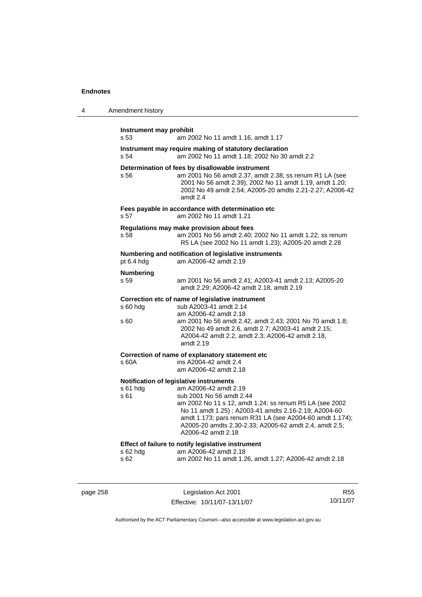| 4 | Amendment history               |                                                                                                                                                                                                                                                                                                                                                             |
|---|---------------------------------|-------------------------------------------------------------------------------------------------------------------------------------------------------------------------------------------------------------------------------------------------------------------------------------------------------------------------------------------------------------|
|   | Instrument may prohibit<br>s 53 | am 2002 No 11 amdt 1.16, amdt 1.17                                                                                                                                                                                                                                                                                                                          |
|   | s 54                            | Instrument may require making of statutory declaration<br>am 2002 No 11 amdt 1.18; 2002 No 30 amdt 2.2                                                                                                                                                                                                                                                      |
|   | s 56                            | Determination of fees by disallowable instrument<br>am 2001 No 56 amdt 2.37, amdt 2.38; ss renum R1 LA (see<br>2001 No 56 amdt 2.39); 2002 No 11 amdt 1.19, amdt 1.20;<br>2002 No 49 amdt 2.54; A2005-20 amdts 2.21-2.27; A2006-42<br>amdt 2.4                                                                                                              |
|   | s 57                            | Fees payable in accordance with determination etc<br>am 2002 No 11 amdt 1.21                                                                                                                                                                                                                                                                                |
|   | s 58                            | Regulations may make provision about fees<br>am 2001 No 56 amdt 2.40; 2002 No 11 amdt 1.22; ss renum<br>R5 LA (see 2002 No 11 amdt 1.23); A2005-20 amdt 2.28                                                                                                                                                                                                |
|   | pt 6.4 hdg                      | Numbering and notification of legislative instruments<br>am A2006-42 amdt 2.19                                                                                                                                                                                                                                                                              |
|   | <b>Numbering</b><br>s 59        | am 2001 No 56 amdt 2.41; A2003-41 amdt 2.13; A2005-20<br>amdt 2.29; A2006-42 amdt 2.18, amdt 2.19                                                                                                                                                                                                                                                           |
|   | $s$ 60 hdg<br>s 60              | Correction etc of name of legislative instrument<br>sub A2003-41 amdt 2.14<br>am A2006-42 amdt 2.18<br>am 2001 No 56 amdt 2.42, amdt 2.43; 2001 No 70 amdt 1.8;<br>2002 No 49 amdt 2.6, amdt 2.7; A2003-41 amdt 2.15;<br>A2004-42 amdt 2.2, amdt 2.3; A2006-42 amdt 2.18,<br>amdt 2.19                                                                      |
|   | s 60A                           | Correction of name of explanatory statement etc<br>ins A2004-42 amdt 2.4<br>am A2006-42 amdt 2.18                                                                                                                                                                                                                                                           |
|   | $s61$ hdg<br>s 61               | Notification of legislative instruments<br>am A2006-42 amdt 2.19<br>sub 2001 No 56 amdt 2.44<br>am 2002 No 11 s 12, amdt 1.24; ss renum R5 LA (see 2002<br>No 11 amdt 1.25); A2003-41 amdts 2.16-2.19; A2004-60<br>amdt 1.173; pars renum R31 LA (see A2004-60 amdt 1.174);<br>A2005-20 amdts 2.30-2.33; A2005-62 amdt 2.4, amdt 2.5;<br>A2006-42 amdt 2.18 |
|   | s 62 hdg<br>s 62                | Effect of failure to notify legislative instrument<br>am A2006-42 amdt 2.18<br>am 2002 No 11 amdt 1.26, amdt 1.27; A2006-42 amdt 2.18                                                                                                                                                                                                                       |

page 258 Legislation Act 2001 Effective: 10/11/07-13/11/07

R55 10/11/07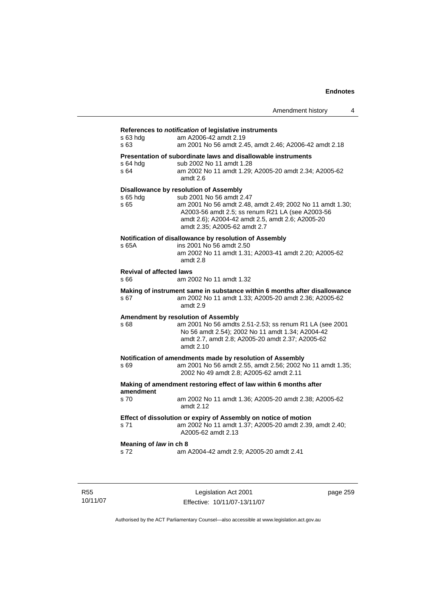## **References to** *notification* **of legislative instruments**

| s 63 hdg<br>s 63                        | am A2006-42 amdt 2.19<br>am 2001 No 56 amdt 2.45, amdt 2.46; A2006-42 amdt 2.18                                                                                                                                                                                                |
|-----------------------------------------|--------------------------------------------------------------------------------------------------------------------------------------------------------------------------------------------------------------------------------------------------------------------------------|
| $s$ 64 hdg<br>s 64                      | Presentation of subordinate laws and disallowable instruments<br>sub 2002 No 11 amdt 1.28<br>am 2002 No 11 amdt 1.29; A2005-20 amdt 2.34; A2005-62<br>amdt 2.6                                                                                                                 |
| s 65 hdg<br>s 65                        | <b>Disallowance by resolution of Assembly</b><br>sub 2001 No 56 amdt 2.47<br>am 2001 No 56 amdt 2.48, amdt 2.49; 2002 No 11 amdt 1.30;<br>A2003-56 amdt 2.5; ss renum R21 LA (see A2003-56<br>amdt 2.6); A2004-42 amdt 2.5, amdt 2.6; A2005-20<br>amdt 2.35; A2005-62 amdt 2.7 |
| s 65A                                   | Notification of disallowance by resolution of Assembly<br>ins 2001 No 56 amdt 2.50<br>am 2002 No 11 amdt 1.31; A2003-41 amdt 2.20; A2005-62<br>amdt 2.8                                                                                                                        |
| <b>Revival of affected laws</b><br>s 66 | am 2002 No 11 amdt 1.32                                                                                                                                                                                                                                                        |
| s 67                                    | Making of instrument same in substance within 6 months after disallowance<br>am 2002 No 11 amdt 1.33; A2005-20 amdt 2.36; A2005-62<br>amdt 2.9                                                                                                                                 |
| s 68                                    | Amendment by resolution of Assembly<br>am 2001 No 56 amdts 2.51-2.53; ss renum R1 LA (see 2001<br>No 56 amdt 2.54); 2002 No 11 amdt 1.34; A2004-42<br>amdt 2.7, amdt 2.8; A2005-20 amdt 2.37; A2005-62<br>amdt $2.10$                                                          |
| s 69                                    | Notification of amendments made by resolution of Assembly<br>am 2001 No 56 amdt 2.55, amdt 2.56; 2002 No 11 amdt 1.35;<br>2002 No 49 amdt 2.8; A2005-62 amdt 2.11                                                                                                              |
| amendment                               | Making of amendment restoring effect of law within 6 months after                                                                                                                                                                                                              |
| s 70                                    | am 2002 No 11 amdt 1.36; A2005-20 amdt 2.38; A2005-62<br>amdt 2.12                                                                                                                                                                                                             |
| s 71                                    | Effect of dissolution or expiry of Assembly on notice of motion<br>am 2002 No 11 amdt 1.37; A2005-20 amdt 2.39, amdt 2.40;<br>A2005-62 amdt 2.13                                                                                                                               |
| Meaning of law in ch 8<br>s 72          | am A2004-42 amdt 2.9; A2005-20 amdt 2.41                                                                                                                                                                                                                                       |

R55 10/11/07

Legislation Act 2001 Effective: 10/11/07-13/11/07 page 259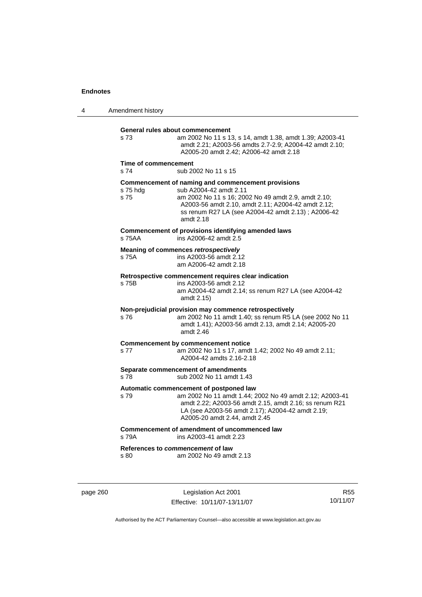4 Amendment history

**General rules about commencement**  s 73 am 2002 No 11 s 13, s 14, amdt 1.38, amdt 1.39; A2003-41 amdt 2.21; A2003-56 amdts 2.7-2.9; A2004-42 amdt 2.10; A2005-20 amdt 2.42; A2006-42 amdt 2.18 **Time of commencement**  s 74 sub 2002 No 11 s 15 **Commencement of naming and commencement provisions**  s 75 hdg sub A2004-42 amdt 2.11<br>s 75 straam 2002 No 11 s 16: 200 am 2002 No 11 s 16: 2002 No 49 amdt 2.9, amdt 2.10; A2003-56 amdt 2.10, amdt 2.11; A2004-42 amdt 2.12; ss renum R27 LA (see A2004-42 amdt 2.13) ; A2006-42 amdt 2.18 **Commencement of provisions identifying amended laws**  s 75AA ins A2006-42 amdt 2.5 **Meaning of commences** *retrospectively*  s 75A ins A2003-56 amdt 2.12 am A2006-42 amdt 2.18 **Retrospective commencement requires clear indication**  ins A2003-56 amdt 2.12 am A2004-42 amdt 2.14; ss renum R27 LA (see A2004-42 amdt 2.15) **Non-prejudicial provision may commence retrospectively**  s 76 am 2002 No 11 amdt 1.40; ss renum R5 LA (see 2002 No 11 amdt 1.41); A2003-56 amdt 2.13, amdt 2.14; A2005-20 amdt 2.46 **Commencement by commencement notice**  s 77 am 2002 No 11 s 17, amdt 1.42; 2002 No 49 amdt 2.11; A2004-42 amdts 2.16-2.18 **Separate commencement of amendments**<br>s 78 **Separate Supply** 2002 No 11 amdt 1.4 sub 2002 No 11 amdt 1.43 **Automatic commencement of postponed law**  s 79 am 2002 No 11 amdt 1.44; 2002 No 49 amdt 2.12; A2003-41 amdt 2.22; A2003-56 amdt 2.15, amdt 2.16; ss renum R21 LA (see A2003-56 amdt 2.17); A2004-42 amdt 2.19; A2005-20 amdt 2.44, amdt 2.45 **Commencement of amendment of uncommenced law**  s 79A ins A2003-41 amdt 2.23 **References to** *commencement* **of law**  s 80 am 2002 No 49 amdt 2.13

page 260 Legislation Act 2001 Effective: 10/11/07-13/11/07

R55 10/11/07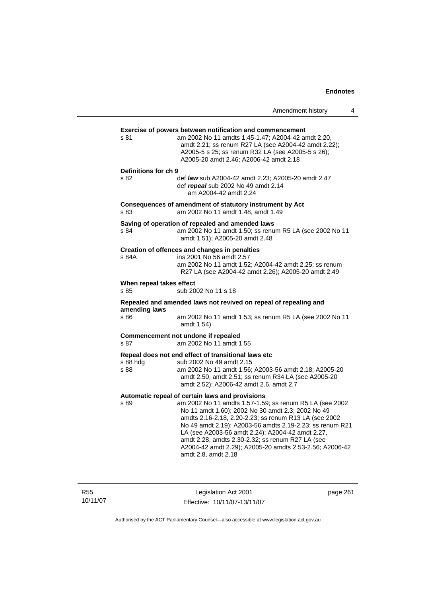|                                  |                                                                                                                                                                                                                                                                                                                                                                                                                                                                                | Amendment history | 4 |
|----------------------------------|--------------------------------------------------------------------------------------------------------------------------------------------------------------------------------------------------------------------------------------------------------------------------------------------------------------------------------------------------------------------------------------------------------------------------------------------------------------------------------|-------------------|---|
| s 81                             | Exercise of powers between notification and commencement<br>am 2002 No 11 amdts 1.45-1.47; A2004-42 amdt 2.20,<br>amdt 2.21; ss renum R27 LA (see A2004-42 amdt 2.22);<br>A2005-5 s 25; ss renum R32 LA (see A2005-5 s 26);<br>A2005-20 amdt 2.46; A2006-42 amdt 2.18                                                                                                                                                                                                          |                   |   |
| Definitions for ch 9<br>s 82     | def law sub A2004-42 amdt 2.23; A2005-20 amdt 2.47<br>def repeal sub 2002 No 49 amdt 2.14<br>am A2004-42 amdt 2.24                                                                                                                                                                                                                                                                                                                                                             |                   |   |
| s 83                             | Consequences of amendment of statutory instrument by Act<br>am 2002 No 11 amdt 1.48, amdt 1.49                                                                                                                                                                                                                                                                                                                                                                                 |                   |   |
| s 84                             | Saving of operation of repealed and amended laws<br>am 2002 No 11 amdt 1.50; ss renum R5 LA (see 2002 No 11<br>amdt 1.51); A2005-20 amdt 2.48                                                                                                                                                                                                                                                                                                                                  |                   |   |
| s 84A                            | Creation of offences and changes in penalties<br>ins 2001 No 56 amdt 2.57<br>am 2002 No 11 amdt 1.52; A2004-42 amdt 2.25; ss renum<br>R27 LA (see A2004-42 amdt 2.26); A2005-20 amdt 2.49                                                                                                                                                                                                                                                                                      |                   |   |
| When repeal takes effect<br>s 85 | sub 2002 No 11 s 18                                                                                                                                                                                                                                                                                                                                                                                                                                                            |                   |   |
| amending laws<br>s 86            | Repealed and amended laws not revived on repeal of repealing and<br>am 2002 No 11 amdt 1.53; ss renum R5 LA (see 2002 No 11<br>amdt 1.54)                                                                                                                                                                                                                                                                                                                                      |                   |   |
| s 87                             | Commencement not undone if repealed<br>am 2002 No 11 amdt 1.55                                                                                                                                                                                                                                                                                                                                                                                                                 |                   |   |
| $s$ 88 hdg<br>s 88               | Repeal does not end effect of transitional laws etc<br>sub 2002 No 49 amdt 2.15<br>am 2002 No 11 amdt 1.56; A2003-56 amdt 2.18; A2005-20<br>amdt 2.50, amdt 2.51; ss renum R34 LA (see A2005-20<br>amdt 2.52); A2006-42 amdt 2.6, amdt 2.7                                                                                                                                                                                                                                     |                   |   |
| s 89                             | Automatic repeal of certain laws and provisions<br>am 2002 No 11 amdts 1.57-1.59; ss renum R5 LA (see 2002<br>No 11 amdt 1.60); 2002 No 30 amdt 2.3; 2002 No 49<br>amdts 2.16-2.18, 2.20-2.23; ss renum R13 LA (see 2002<br>No 49 amdt 2.19); A2003-56 amdts 2.19-2.23; ss renum R21<br>LA (see A2003-56 amdt 2.24); A2004-42 amdt 2.27,<br>amdt 2.28, amdts 2.30-2.32; ss renum R27 LA (see<br>A2004-42 amdt 2.29); A2005-20 amdts 2.53-2.56; A2006-42<br>amdt 2.8, amdt 2.18 |                   |   |

R55 10/11/07

Legislation Act 2001 Effective: 10/11/07-13/11/07 page 261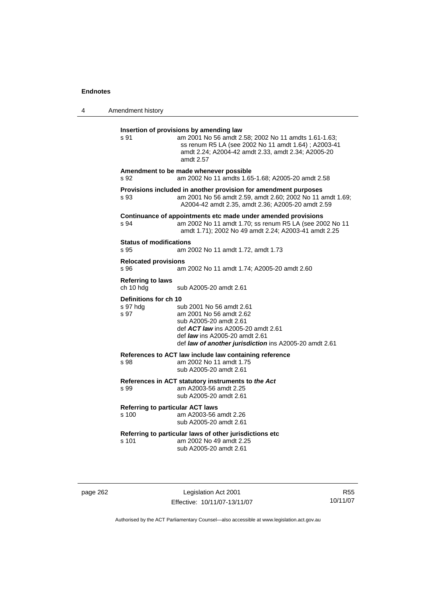| 4 | Amendment history                                                                                                                                                                                                                                                   |
|---|---------------------------------------------------------------------------------------------------------------------------------------------------------------------------------------------------------------------------------------------------------------------|
|   | Insertion of provisions by amending law<br>s 91<br>am 2001 No 56 amdt 2.58; 2002 No 11 amdts 1.61-1.63;<br>ss renum R5 LA (see 2002 No 11 amdt 1.64); A2003-41<br>amdt 2.24; A2004-42 amdt 2.33, amdt 2.34; A2005-20<br>amdt 2.57                                   |
|   | Amendment to be made whenever possible<br>am 2002 No 11 amdts 1.65-1.68; A2005-20 amdt 2.58<br>s 92                                                                                                                                                                 |
|   | Provisions included in another provision for amendment purposes<br>am 2001 No 56 amdt 2.59, amdt 2.60; 2002 No 11 amdt 1.69;<br>s 93<br>A2004-42 amdt 2.35, amdt 2.36; A2005-20 amdt 2.59                                                                           |
|   | Continuance of appointments etc made under amended provisions<br>am 2002 No 11 amdt 1.70; ss renum R5 LA (see 2002 No 11<br>s 94<br>amdt 1.71); 2002 No 49 amdt 2.24; A2003-41 amdt 2.25                                                                            |
|   | <b>Status of modifications</b><br>s 95<br>am 2002 No 11 amdt 1.72, amdt 1.73                                                                                                                                                                                        |
|   | <b>Relocated provisions</b><br>s 96<br>am 2002 No 11 amdt 1.74; A2005-20 amdt 2.60                                                                                                                                                                                  |
|   | <b>Referring to laws</b><br>ch 10 hdg<br>sub A2005-20 amdt 2.61                                                                                                                                                                                                     |
|   | Definitions for ch 10<br>s 97 hdg<br>sub 2001 No 56 amdt 2.61<br>s 97<br>am 2001 No 56 amdt 2.62<br>sub A2005-20 amdt 2.61<br>def ACT law ins A2005-20 amdt 2.61<br>def <i>law</i> ins A2005-20 amdt 2.61<br>def law of another jurisdiction ins A2005-20 amdt 2.61 |
|   | References to ACT law include law containing reference<br>am 2002 No 11 amdt 1.75<br>s 98<br>sub A2005-20 amdt 2.61                                                                                                                                                 |
|   | References in ACT statutory instruments to the Act<br>am A2003-56 amdt 2.25<br>s 99<br>sub A2005-20 amdt 2.61                                                                                                                                                       |
|   | <b>Referring to particular ACT laws</b><br>s 100<br>am A2003-56 amdt 2.26<br>sub A2005-20 amdt 2.61                                                                                                                                                                 |
|   | Referring to particular laws of other jurisdictions etc<br>am 2002 No 49 amdt 2.25<br>s 101<br>sub A2005-20 amdt 2.61                                                                                                                                               |
|   |                                                                                                                                                                                                                                                                     |

page 262 Legislation Act 2001 Effective: 10/11/07-13/11/07

R55 10/11/07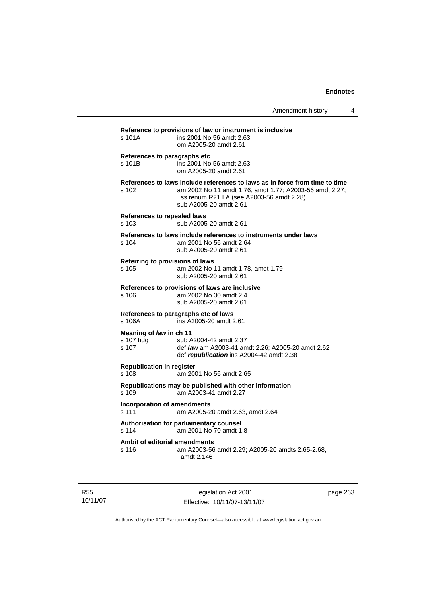| s 101A                                        | ins 2001 No 56 amdt 2.63<br>om A2005-20 amdt 2.61                                                                                                                                                            |
|-----------------------------------------------|--------------------------------------------------------------------------------------------------------------------------------------------------------------------------------------------------------------|
| s 101B                                        | References to paragraphs etc<br>ins 2001 No 56 amdt 2.63<br>om A2005-20 amdt 2.61                                                                                                                            |
| s 102                                         | References to laws include references to laws as in force from time to time<br>am 2002 No 11 amdt 1.76, amdt 1.77; A2003-56 amdt 2.27;<br>ss renum R21 LA (see A2003-56 amdt 2.28)<br>sub A2005-20 amdt 2.61 |
| References to repealed laws<br>s 103          | sub A2005-20 amdt 2.61                                                                                                                                                                                       |
| s 104                                         | References to laws include references to instruments under laws<br>am 2001 No 56 amdt 2.64<br>sub A2005-20 amdt 2.61                                                                                         |
| s 105                                         | Referring to provisions of laws<br>am 2002 No 11 amdt 1.78, amdt 1.79<br>sub A2005-20 amdt 2.61                                                                                                              |
| s 106                                         | References to provisions of laws are inclusive<br>am 2002 No 30 amdt 2.4<br>sub A2005-20 amdt 2.61                                                                                                           |
| s 106A                                        | References to paragraphs etc of laws<br>ins A2005-20 amdt 2.61                                                                                                                                               |
| Meaning of law in ch 11<br>s 107 hdg<br>s 107 | sub A2004-42 amdt 2.37<br>def law am A2003-41 amdt 2.26; A2005-20 amdt 2.62<br>def republication ins A2004-42 amdt 2.38                                                                                      |
| <b>Republication in register</b><br>s 108     | am 2001 No 56 amdt 2.65                                                                                                                                                                                      |
| s 109                                         | Republications may be published with other information<br>am A2003-41 amdt 2.27                                                                                                                              |
| s 111                                         | <b>Incorporation of amendments</b><br>am A2005-20 amdt 2.63, amdt 2.64                                                                                                                                       |
| s 114                                         | Authorisation for parliamentary counsel<br>am 2001 No 70 amdt 1.8                                                                                                                                            |
| s 116                                         | Ambit of editorial amendments<br>am A2003-56 amdt 2.29; A2005-20 amdts 2.65-2.68,<br>amdt 2.146                                                                                                              |

R55 10/11/07

Legislation Act 2001 Effective: 10/11/07-13/11/07 page 263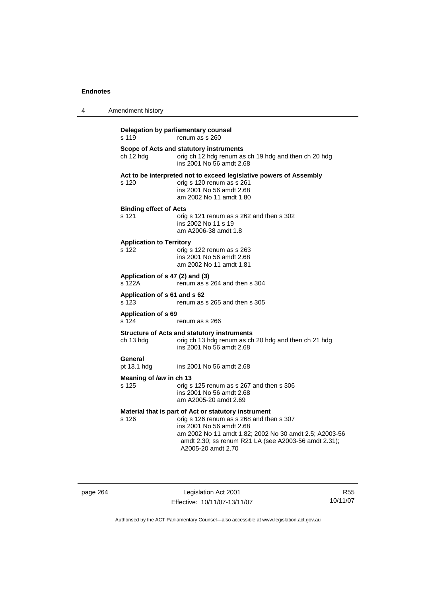| 4 | Amendment history                         |                                                                                                                                                                                                                                                                      |
|---|-------------------------------------------|----------------------------------------------------------------------------------------------------------------------------------------------------------------------------------------------------------------------------------------------------------------------|
|   | s 119                                     | Delegation by parliamentary counsel<br>renum as s 260                                                                                                                                                                                                                |
|   | ch 12 hdg                                 | Scope of Acts and statutory instruments<br>orig ch 12 hdg renum as ch 19 hdg and then ch 20 hdg<br>ins 2001 No 56 amdt 2.68                                                                                                                                          |
|   | s 120                                     | Act to be interpreted not to exceed legislative powers of Assembly<br>orig s 120 renum as s 261<br>ins 2001 No 56 amdt 2.68<br>am 2002 No 11 amdt 1.80                                                                                                               |
|   | <b>Binding effect of Acts</b><br>s 121    | orig s 121 renum as s 262 and then s 302<br>ins 2002 No 11 s 19<br>am A2006-38 amdt 1.8                                                                                                                                                                              |
|   | <b>Application to Territory</b><br>s 122  | orig s 122 renum as s 263<br>ins 2001 No 56 amdt 2.68<br>am 2002 No 11 amdt 1.81                                                                                                                                                                                     |
|   | Application of s 47 (2) and (3)<br>s 122A | renum as s 264 and then s 304                                                                                                                                                                                                                                        |
|   | Application of s 61 and s 62<br>s 123     | renum as s 265 and then s 305                                                                                                                                                                                                                                        |
|   | <b>Application of s 69</b><br>s 124       | renum as s 266                                                                                                                                                                                                                                                       |
|   | ch 13 hdg                                 | <b>Structure of Acts and statutory instruments</b><br>orig ch 13 hdg renum as ch 20 hdg and then ch 21 hdg<br>ins 2001 No 56 amdt 2.68                                                                                                                               |
|   | General<br>pt 13.1 hdg                    | ins 2001 No 56 amdt 2.68                                                                                                                                                                                                                                             |
|   | Meaning of law in ch 13<br>s 125          | orig s 125 renum as s 267 and then s 306<br>ins 2001 No 56 amdt 2.68<br>am A2005-20 amdt 2.69                                                                                                                                                                        |
|   | s 126                                     | Material that is part of Act or statutory instrument<br>orig s 126 renum as s 268 and then s 307<br>ins 2001 No 56 amdt 2.68<br>am 2002 No 11 amdt 1.82; 2002 No 30 amdt 2.5; A2003-56<br>amdt 2.30; ss renum R21 LA (see A2003-56 amdt 2.31);<br>A2005-20 amdt 2.70 |

page 264 Legislation Act 2001 Effective: 10/11/07-13/11/07

R55 10/11/07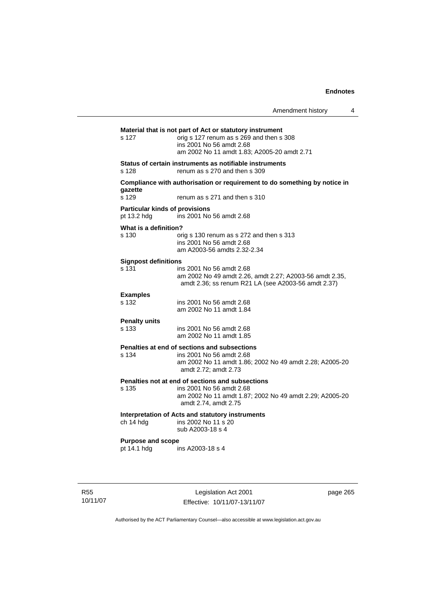|                                                      |                                                                                                                                                                                 | Amendment history | 4 |
|------------------------------------------------------|---------------------------------------------------------------------------------------------------------------------------------------------------------------------------------|-------------------|---|
| s 127                                                | Material that is not part of Act or statutory instrument<br>orig s 127 renum as s 269 and then s 308<br>ins 2001 No 56 amdt 2.68<br>am 2002 No 11 amdt 1.83; A2005-20 amdt 2.71 |                   |   |
| s 128                                                | Status of certain instruments as notifiable instruments<br>renum as s 270 and then s 309                                                                                        |                   |   |
| gazette<br>s 129                                     | Compliance with authorisation or requirement to do something by notice in<br>renum as s 271 and then s 310                                                                      |                   |   |
| <b>Particular kinds of provisions</b><br>pt 13.2 hdg | ins 2001 No 56 amdt 2.68                                                                                                                                                        |                   |   |
| What is a definition?<br>s 130                       | orig s 130 renum as s 272 and then s 313<br>ins 2001 No 56 amdt 2.68<br>am A2003-56 amdts 2.32-2.34                                                                             |                   |   |
| <b>Signpost definitions</b><br>s 131                 | ins 2001 No 56 amdt 2.68<br>am 2002 No 49 amdt 2.26, amdt 2.27; A2003-56 amdt 2.35,<br>amdt 2.36; ss renum R21 LA (see A2003-56 amdt 2.37)                                      |                   |   |
| <b>Examples</b><br>s 132                             | ins 2001 No 56 amdt 2.68<br>am 2002 No 11 amdt 1.84                                                                                                                             |                   |   |
| <b>Penalty units</b><br>s 133                        | ins 2001 No 56 amdt 2.68<br>am 2002 No 11 amdt 1.85                                                                                                                             |                   |   |
| s 134                                                | Penalties at end of sections and subsections<br>ins 2001 No 56 amdt 2.68<br>am 2002 No 11 amdt 1.86; 2002 No 49 amdt 2.28; A2005-20<br>amdt 2.72; amdt 2.73                     |                   |   |
| s 135                                                | Penalties not at end of sections and subsections<br>ins 2001 No 56 amdt 2.68<br>am 2002 No 11 amdt 1.87; 2002 No 49 amdt 2.29; A2005-20<br>amdt 2.74, amdt 2.75                 |                   |   |
| ch 14 hdg                                            | Interpretation of Acts and statutory instruments<br>ins 2002 No 11 s 20<br>sub A2003-18 s 4                                                                                     |                   |   |
| <b>Purpose and scope</b><br>pt 14.1 hdg              | ins A2003-18 s 4                                                                                                                                                                |                   |   |

R55 10/11/07

Legislation Act 2001 Effective: 10/11/07-13/11/07 page 265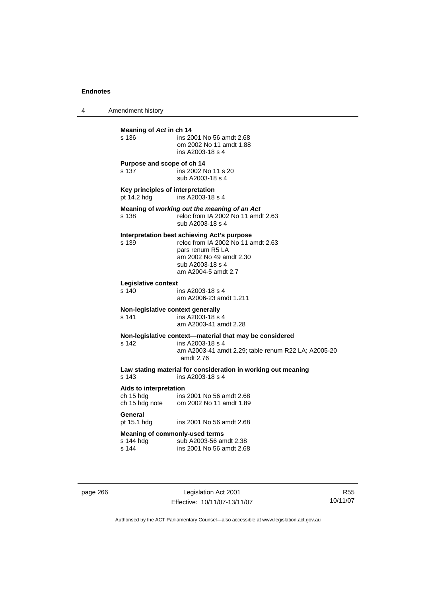4 Amendment history

| Meaning of Act in ch 14<br>s 136                            | ins 2001 No 56 amdt 2.68<br>om 2002 No 11 amdt 1.88<br>ins A2003-18 s 4                                                                                                     |
|-------------------------------------------------------------|-----------------------------------------------------------------------------------------------------------------------------------------------------------------------------|
| Purpose and scope of ch 14<br>s 137                         | ins 2002 No 11 s 20<br>sub A2003-18 s 4                                                                                                                                     |
| Key principles of interpretation<br>pt 14.2 hdg             | ins A2003-18 s 4                                                                                                                                                            |
| s 138                                                       | Meaning of working out the meaning of an Act<br>reloc from IA 2002 No 11 amdt 2.63<br>sub A2003-18 s 4                                                                      |
| s 139                                                       | Interpretation best achieving Act's purpose<br>reloc from IA 2002 No 11 amdt 2.63<br>pars renum R5 LA<br>am 2002 No 49 amdt 2.30<br>sub A2003-18 s 4<br>am A2004-5 amdt 2.7 |
| Legislative context<br>s 140                                | ins A2003-18 s 4<br>am A2006-23 amdt 1.211                                                                                                                                  |
| Non-legislative context generally<br>s 141                  | ins A2003-18 s 4<br>am A2003-41 amdt 2.28                                                                                                                                   |
| s 142                                                       | Non-legislative context-material that may be considered<br>ins A2003-18 s 4<br>am A2003-41 amdt 2.29; table renum R22 LA; A2005-20<br>amdt 2.76                             |
| s 143                                                       | Law stating material for consideration in working out meaning<br>ins A2003-18 s 4                                                                                           |
| Aids to interpretation<br>ch 15 hdg                         | ins 2001 No 56 amdt 2.68<br>ch 15 hdg note om 2002 No 11 amdt 1.89                                                                                                          |
| General<br>pt 15.1 hdg                                      | ins 2001 No 56 amdt 2.68                                                                                                                                                    |
| <b>Meaning of commonly-used terms</b><br>s 144 hdg<br>s 144 | sub A2003-56 amdt 2.38<br>ins 2001 No 56 amdt 2.68                                                                                                                          |
|                                                             |                                                                                                                                                                             |

page 266 Legislation Act 2001 Effective: 10/11/07-13/11/07

R55 10/11/07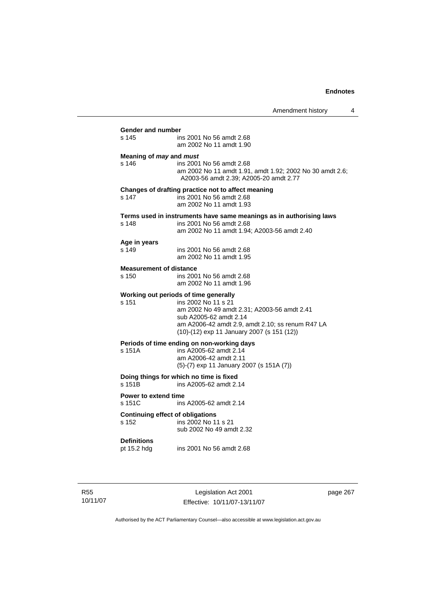Amendment history 4 **Gender and number**  ins 2001 No 56 amdt 2.68 am 2002 No 11 amdt 1.90 **Meaning of** *may* **and** *must* s 146 ins 2001 No 56 amdt 2.68 am 2002 No 11 amdt 1.91, amdt 1.92; 2002 No 30 amdt 2.6; A2003-56 amdt 2.39; A2005-20 amdt 2.77 **Changes of drafting practice not to affect meaning**  s 147 ins 2001 No 56 amdt 2.68 am 2002 No 11 amdt 1.93 **Terms used in instruments have same meanings as in authorising laws**  s 148 ins 2001 No 56 amdt 2.68 am 2002 No 11 amdt 1.94; A2003-56 amdt 2.40 **Age in years**  s 149 ins 2001 No 56 amdt 2.68 am 2002 No 11 amdt 1.95 **Measurement of distance**  s 150 ins 2001 No 56 amdt 2.68 am 2002 No 11 amdt 1.96 **Working out periods of time generally**  s 151 ins 2002 No 11 s 21 am 2002 No 49 amdt 2.31; A2003-56 amdt 2.41 sub A2005-62 amdt 2.14 am A2006-42 amdt 2.9, amdt 2.10; ss renum R47 LA (10)-(12) exp 11 January 2007 (s 151 (12)) **Periods of time ending on non-working days**  s 151A ins A2005-62 amdt 2.14 am A2006-42 amdt 2.11 (5)-(7) exp 11 January 2007 (s 151A (7)) **Doing things for which no time is fixed**<br>s 151B ins A2005-62 amdt 2. ins A2005-62 amdt 2.14 **Power to extend time**  s 151C ins A2005-62 amdt 2.14 **Continuing effect of obligations**<br> **s** 152 **ins 2002 No 11** ins 2002 No 11 s 21 sub 2002 No 49 amdt 2.32 **Definitions**  ins 2001 No 56 amdt 2.68

R55 10/11/07

Legislation Act 2001 Effective: 10/11/07-13/11/07 page 267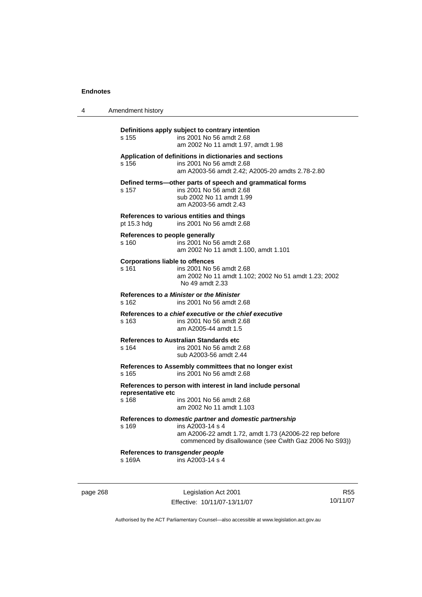| 4 | Amendment history                               |                                                                                                                                                                                                |
|---|-------------------------------------------------|------------------------------------------------------------------------------------------------------------------------------------------------------------------------------------------------|
|   | s 155                                           | Definitions apply subject to contrary intention<br>ins 2001 No 56 amdt 2.68<br>am 2002 No 11 amdt 1.97, amdt 1.98                                                                              |
|   | s 156                                           | Application of definitions in dictionaries and sections<br>ins 2001 No 56 amdt 2.68<br>am A2003-56 amdt 2.42; A2005-20 amdts 2.78-2.80                                                         |
|   | s 157                                           | Defined terms-other parts of speech and grammatical forms<br>ins 2001 No 56 amdt 2.68<br>sub 2002 No 11 amdt 1.99<br>am A2003-56 amdt 2.43                                                     |
|   | pt 15.3 hdg                                     | References to various entities and things<br>ins 2001 No 56 amdt 2.68                                                                                                                          |
|   | References to people generally<br>s 160         | ins 2001 No 56 amdt 2.68<br>am 2002 No 11 amdt 1.100, amdt 1.101                                                                                                                               |
|   | <b>Corporations liable to offences</b><br>s 161 | ins 2001 No 56 amdt 2.68<br>am 2002 No 11 amdt 1.102; 2002 No 51 amdt 1.23; 2002<br>No 49 amdt 2.33                                                                                            |
|   | s 162                                           | References to a Minister or the Minister<br>ins 2001 No 56 amdt 2.68                                                                                                                           |
|   | s 163                                           | References to a chief executive or the chief executive<br>ins 2001 No 56 amdt 2.68<br>am A2005-44 amdt 1.5                                                                                     |
|   | s 164                                           | References to Australian Standards etc<br>ins 2001 No 56 amdt 2.68<br>sub A2003-56 amdt 2.44                                                                                                   |
|   | s 165                                           | References to Assembly committees that no longer exist<br>ins 2001 No 56 amdt 2.68                                                                                                             |
|   | representative etc<br>s 168                     | References to person with interest in land include personal<br>ins 2001 No 56 amdt 2.68<br>am 2002 No 11 amdt 1.103                                                                            |
|   | s 169                                           | References to domestic partner and domestic partnership<br>ins A2003-14 s 4<br>am A2006-22 amdt 1.72, amdt 1.73 (A2006-22 rep before<br>commenced by disallowance (see Cwlth Gaz 2006 No S93)) |
|   | References to transgender people<br>s 169A      | ins A2003-14 s 4                                                                                                                                                                               |
|   |                                                 |                                                                                                                                                                                                |

page 268 Legislation Act 2001 Effective: 10/11/07-13/11/07

R55 10/11/07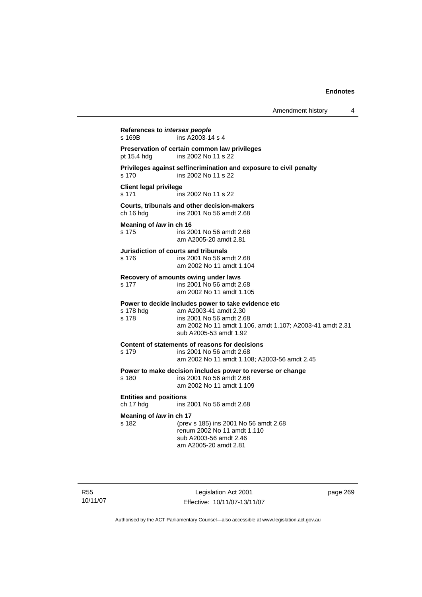| Amendment history |  |
|-------------------|--|
|-------------------|--|

**References to** *intersex people*  s 169B ins A2003-14 s 4 **Preservation of certain common law privileges**  pt 15.4 hdg ins 2002 No 11 s 22 **Privileges against selfincrimination and exposure to civil penalty**  s 170 ins 2002 No 11 s 22 **Client legal privilege**  s 171 ins 2002 No 11 s 22 **Courts, tribunals and other decision-makers**  ins 2001 No 56 amdt 2.68 **Meaning of** *law* **in ch 16**  s 175 ins 2001 No 56 amdt 2.68 am A2005-20 amdt 2.81 **Jurisdiction of courts and tribunals**  s 176 ins 2001 No 56 amdt 2.68 am 2002 No 11 amdt 1.104 **Recovery of amounts owing under laws**  s 177 ins 2001 No 56 amdt 2.68 am 2002 No 11 amdt 1.105 **Power to decide includes power to take evidence etc** s 178 hdq am A2003-41 amdt 2.30 am A2003-41 amdt 2.30 s 178 ins 2001 No 56 amdt 2.68 am 2002 No 11 amdt 1.106, amdt 1.107; A2003-41 amdt 2.31 sub A2005-53 amdt 1.92 **Content of statements of reasons for decisions**  s 179 ins 2001 No 56 amdt 2.68 am 2002 No 11 amdt 1.108; A2003-56 amdt 2.45 **Power to make decision includes power to reverse or change**  s 180 ins 2001 No 56 amdt 2.68 am 2002 No 11 amdt 1.109 **Entities and positions**  ch 17 hdg ins 2001 No 56 amdt 2.68 **Meaning of** *law* **in ch 17**  s 182 (prev s 185) ins 2001 No 56 amdt 2.68 renum 2002 No 11 amdt 1.110 sub A2003-56 amdt 2.46 am A2005-20 amdt 2.81

R55 10/11/07

Legislation Act 2001 Effective: 10/11/07-13/11/07 page 269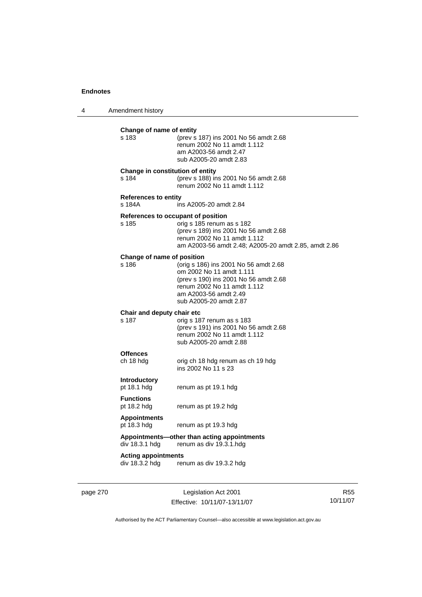4 Amendment history

| s 183                                 | Change of name of entity<br>(prev s 187) ins 2001 No 56 amdt 2.68<br>renum 2002 No 11 amdt 1.112<br>am A2003-56 amdt 2.47<br>sub A2005-20 amdt 2.83                                             |
|---------------------------------------|-------------------------------------------------------------------------------------------------------------------------------------------------------------------------------------------------|
| s 184                                 | Change in constitution of entity<br>(prev s 188) ins 2001 No 56 amdt 2.68<br>renum 2002 No 11 amdt 1.112                                                                                        |
| <b>References to entity</b><br>s 184A | ins A2005-20 amdt 2.84                                                                                                                                                                          |
| s 185                                 | References to occupant of position<br>orig s 185 renum as s 182<br>(prev s 189) ins 2001 No 56 amdt 2.68<br>renum 2002 No 11 amdt 1.112<br>am A2003-56 amdt 2.48; A2005-20 amdt 2.85, amdt 2.86 |
| Change of name of position<br>s 186   | (orig s 186) ins 2001 No 56 amdt 2.68<br>om 2002 No 11 amdt 1.111<br>(prev s 190) ins 2001 No 56 amdt 2.68<br>renum 2002 No 11 amdt 1.112<br>am A2003-56 amdt 2.49<br>sub A2005-20 amdt 2.87    |
| Chair and deputy chair etc<br>s 187   | orig s 187 renum as s 183<br>(prev s 191) ins 2001 No 56 amdt 2.68<br>renum 2002 No 11 amdt 1.112<br>sub A2005-20 amdt 2.88                                                                     |
| <b>Offences</b><br>ch 18 hdg          | orig ch 18 hdg renum as ch 19 hdg<br>ins 2002 No 11 s 23                                                                                                                                        |
| <b>Introductory</b><br>pt 18.1 hdg    | renum as pt 19.1 hdg                                                                                                                                                                            |
| <b>Functions</b><br>pt 18.2 hdg       | renum as pt 19.2 hdg                                                                                                                                                                            |
| <b>Appointments</b>                   | renum as pt 19.3 hdg                                                                                                                                                                            |
| pt 18.3 hdg                           |                                                                                                                                                                                                 |
| div 18.3.1 hdg                        | Appointments—other than acting appointments<br>renum as div 19.3.1.hdg                                                                                                                          |

page 270 Legislation Act 2001 Effective: 10/11/07-13/11/07

R55 10/11/07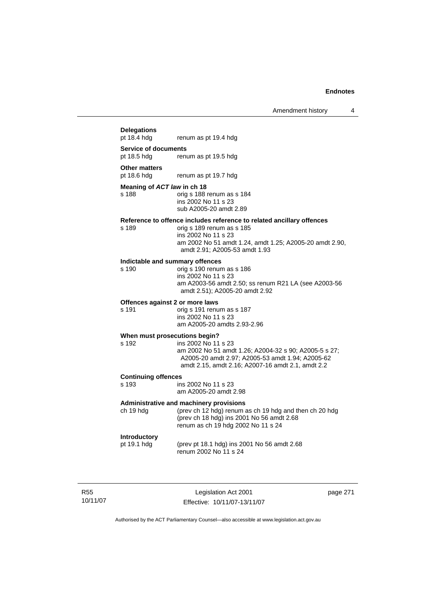# Amendment history 4 **Delegations**  renum as pt 19.4 hdg **Service of documents**  pt 18.5 hdg renum as pt 19.5 hdg **Other matters**<br>pt 18.6 hdg renum as pt 19.7 hdg **Meaning of** *ACT law* **in ch 18**  s 188 orig s 188 renum as s 184 ins 2002 No 11 s 23 sub A2005-20 amdt 2.89 **Reference to offence includes reference to related ancillary offences**  orig s 189 renum as s 185 ins 2002 No 11 s 23 am 2002 No 51 amdt 1.24, amdt 1.25; A2005-20 amdt 2.90, amdt 2.91; A2005-53 amdt 1.93 **Indictable and summary offences**  orig s 190 renum as s 186 ins 2002 No 11 s 23 am A2003-56 amdt 2.50; ss renum R21 LA (see A2003-56 amdt 2.51); A2005-20 amdt 2.92 **Offences against 2 or more laws**  s 191 orig s 191 renum as s 187 ins 2002 No 11 s 23 am A2005-20 amdts 2.93-2.96 **When must prosecutions begin?**  s 192 ins 2002 No 11 s 23 am 2002 No 51 amdt 1.26; A2004-32 s 90; A2005-5 s 27; A2005-20 amdt 2.97; A2005-53 amdt 1.94; A2005-62 amdt 2.15, amdt 2.16; A2007-16 amdt 2.1, amdt 2.2 **Continuing offences**  ins 2002 No 11 s 23 am A2005-20 amdt 2.98 **Administrative and machinery provisions**  ch 19 hdg (prev ch 12 hdg) renum as ch 19 hdg and then ch 20 hdg (prev ch 18 hdg) ins 2001 No 56 amdt 2.68 renum as ch 19 hdg 2002 No 11 s 24 **Introductory**  pt 19.1 hdg (prev pt 18.1 hdg) ins 2001 No 56 amdt 2.68 renum 2002 No 11 s 24

R55 10/11/07

Legislation Act 2001 Effective: 10/11/07-13/11/07 page 271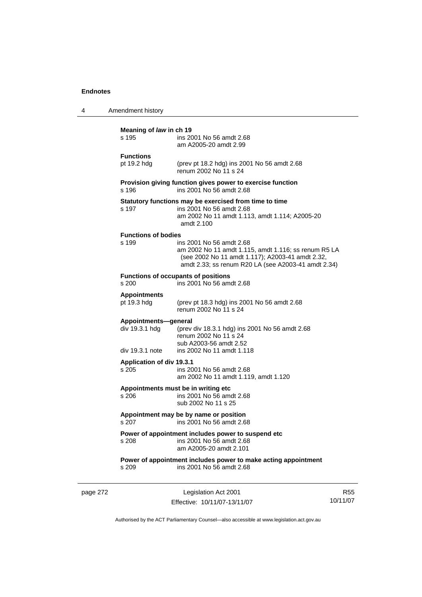| 4 | Amendment history                                         |                                                                                                                                                                                             |  |  |
|---|-----------------------------------------------------------|---------------------------------------------------------------------------------------------------------------------------------------------------------------------------------------------|--|--|
|   | Meaning of law in ch 19<br>s 195                          | ins 2001 No 56 amdt 2.68<br>am A2005-20 amdt 2.99                                                                                                                                           |  |  |
|   | <b>Functions</b><br>pt 19.2 hdg                           | (prev pt 18.2 hdg) ins 2001 No 56 amdt 2.68<br>renum 2002 No 11 s 24                                                                                                                        |  |  |
|   | s 196                                                     | Provision giving function gives power to exercise function<br>ins 2001 No 56 amdt 2.68                                                                                                      |  |  |
|   | s 197                                                     | Statutory functions may be exercised from time to time<br>ins 2001 No 56 amdt 2.68<br>am 2002 No 11 amdt 1.113, amdt 1.114; A2005-20<br>amdt 2.100                                          |  |  |
|   | <b>Functions of bodies</b><br>s 199                       | ins 2001 No 56 amdt 2.68<br>am 2002 No 11 amdt 1.115, amdt 1.116; ss renum R5 LA<br>(see 2002 No 11 amdt 1.117); A2003-41 amdt 2.32,<br>amdt 2.33; ss renum R20 LA (see A2003-41 amdt 2.34) |  |  |
|   | s 200                                                     | <b>Functions of occupants of positions</b><br>ins 2001 No 56 amdt 2.68                                                                                                                      |  |  |
|   | <b>Appointments</b><br>pt 19.3 hdg                        | (prev pt 18.3 hdg) ins 2001 No 56 amdt 2.68<br>renum 2002 No 11 s 24                                                                                                                        |  |  |
|   | Appointments-general<br>div 19.3.1 hdg<br>div 19.3.1 note | (prev div 18.3.1 hdg) ins 2001 No 56 amdt 2.68<br>renum 2002 No 11 s 24<br>sub A2003-56 amdt 2.52<br>ins 2002 No 11 amdt 1.118                                                              |  |  |
|   | Application of div 19.3.1<br>s 205                        | ins 2001 No 56 amdt 2.68<br>am 2002 No 11 amdt 1.119, amdt 1.120                                                                                                                            |  |  |
|   | s 206                                                     | Appointments must be in writing etc<br>ins 2001 No 56 amdt 2.68<br>sub 2002 No 11 s 25                                                                                                      |  |  |
|   | s 207                                                     | Appointment may be by name or position<br>ins 2001 No 56 amdt 2.68                                                                                                                          |  |  |
|   | s 208                                                     | Power of appointment includes power to suspend etc<br>ins 2001 No 56 amdt 2.68<br>am A2005-20 amdt 2.101                                                                                    |  |  |
|   | s 209                                                     | Power of appointment includes power to make acting appointment<br>ins 2001 No 56 amdt 2.68                                                                                                  |  |  |
|   |                                                           |                                                                                                                                                                                             |  |  |

page 272 Legislation Act 2001 Effective: 10/11/07-13/11/07

R55 10/11/07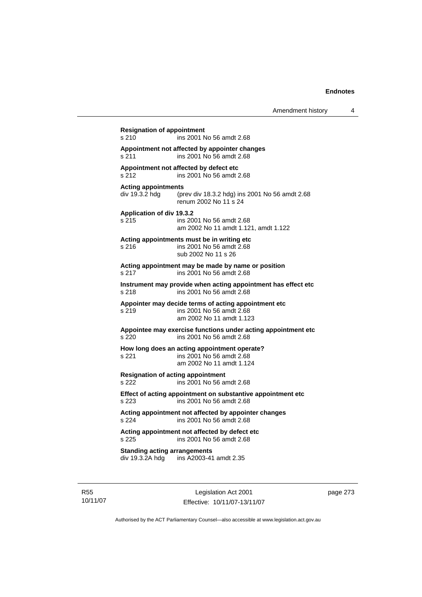**Resignation of appointment**  s 210 ins 2001 No 56 amdt 2.68 **Appointment not affected by appointer changes**  s 211 ins 2001 No 56 amdt 2.68 **Appointment not affected by defect etc**  s 212 ins 2001 No 56 amdt 2.68 **Acting appointments**  div 19.3.2 hdg (prev div 18.3.2 hdg) ins 2001 No 56 amdt 2.68 renum 2002 No 11 s 24 **Application of div 19.3.2**  s 215 ins 2001 No 56 amdt 2.68 am 2002 No 11 amdt 1.121, amdt 1.122 **Acting appointments must be in writing etc**  s 216 ins 2001 No 56 amdt 2.68 sub 2002 No 11 s 26 **Acting appointment may be made by name or position**  s 217 ins 2001 No 56 amdt 2.68 **Instrument may provide when acting appointment has effect etc**  s 218 ins 2001 No 56 amdt 2.68 **Appointer may decide terms of acting appointment etc**  s 219 ins 2001 No 56 amdt 2.68 am 2002 No 11 amdt 1.123 **Appointee may exercise functions under acting appointment etc**  s 220 ins 2001 No 56 amdt 2.68 **How long does an acting appointment operate?**  s 221 ins 2001 No 56 amdt 2.68 am 2002 No 11 amdt 1.124 **Resignation of acting appointment**  s 222 ins 2001 No 56 amdt 2.68 **Effect of acting appointment on substantive appointment etc**  s 223 ins 2001 No 56 amdt 2.68 **Acting appointment not affected by appointer changes**  s 224 ins 2001 No 56 amdt 2.68 **Acting appointment not affected by defect etc**  s 225 ins 2001 No 56 amdt 2.68 **Standing acting arrangements**  div 19.3.2A hdg ins A2003-41 amdt 2.35

R55 10/11/07

Legislation Act 2001 Effective: 10/11/07-13/11/07 page 273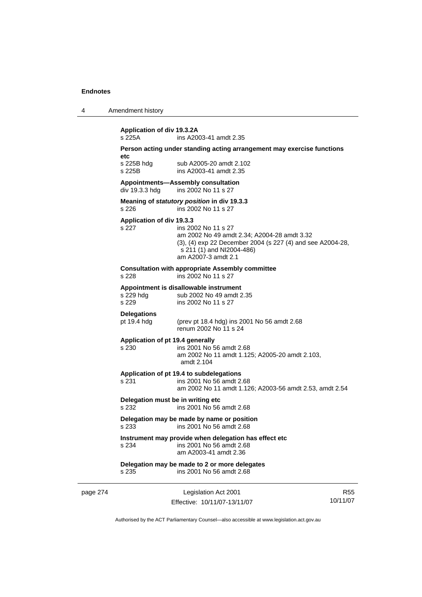|  | Amendment history |  |
|--|-------------------|--|
|--|-------------------|--|

| s 225A                             | ins A2003-41 amdt 2.35                                                            |
|------------------------------------|-----------------------------------------------------------------------------------|
| etc                                | Person acting under standing acting arrangement may exercise functions            |
| s 225B hdg                         | sub A2005-20 amdt 2.102                                                           |
| s 225B                             | ins A2003-41 amdt 2.35                                                            |
|                                    | <b>Appointments-Assembly consultation</b>                                         |
| div 19.3.3 hdg                     | ins 2002 No 11 s 27                                                               |
|                                    | Meaning of statutory position in div 19.3.3                                       |
| s 226                              | ins 2002 No 11 s 27                                                               |
| Application of div 19.3.3<br>s 227 | ins 2002 No 11 s 27                                                               |
|                                    | am 2002 No 49 amdt 2.34; A2004-28 amdt 3.32                                       |
|                                    | (3), (4) exp 22 December 2004 (s 227 (4) and see A2004-28,                        |
|                                    | s 211 (1) and NI2004-486)<br>am A2007-3 amdt 2.1                                  |
|                                    |                                                                                   |
| s 228                              | <b>Consultation with appropriate Assembly committee</b><br>ins 2002 No 11 s 27    |
|                                    |                                                                                   |
| s 229 hdg                          | Appointment is disallowable instrument<br>sub 2002 No 49 amdt 2.35                |
| s 229                              | ins 2002 No 11 s 27                                                               |
| <b>Delegations</b>                 |                                                                                   |
| pt 19.4 hdg                        | (prev pt 18.4 hdg) ins 2001 No 56 amdt 2.68                                       |
|                                    | renum 2002 No 11 s 24                                                             |
|                                    | Application of pt 19.4 generally                                                  |
| s 230                              | ins 2001 No 56 amdt 2.68<br>am 2002 No 11 amdt 1.125; A2005-20 amdt 2.103,        |
|                                    | amdt 2.104                                                                        |
|                                    | Application of pt 19.4 to subdelegations                                          |
| s 231                              | ins 2001 No 56 amdt 2.68                                                          |
|                                    | am 2002 No 11 amdt 1.126; A2003-56 amdt 2.53, amdt 2.54                           |
|                                    | Delegation must be in writing etc                                                 |
| s 232                              | ins 2001 No 56 amdt 2.68                                                          |
|                                    | Delegation may be made by name or position                                        |
| s 233                              | ins 2001 No 56 amdt 2.68                                                          |
| s 234                              | Instrument may provide when delegation has effect etc<br>ins 2001 No 56 amdt 2.68 |
|                                    | am A2003-41 amdt 2.36                                                             |
|                                    | Delegation may be made to 2 or more delegates                                     |
| s 235                              | ins 2001 No 56 amdt 2.68                                                          |

page 274 Legislation Act 2001 Effective: 10/11/07-13/11/07

R55 10/11/07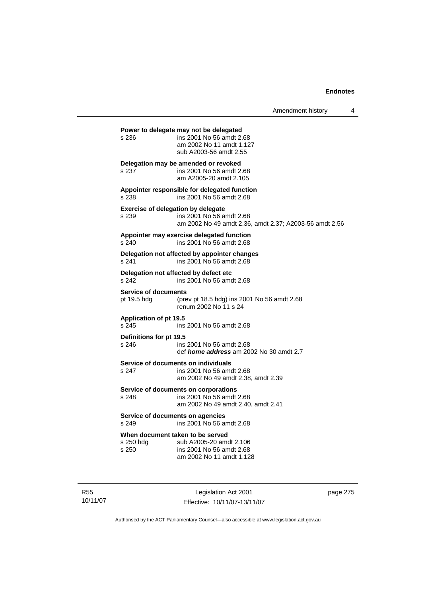Amendment history 4

**Power to delegate may not be delegated**  s 236 ins 2001 No 56 amdt 2.68 am 2002 No 11 amdt 1.127 sub A2003-56 amdt 2.55 **Delegation may be amended or revoked**  s 237 ins 2001 No 56 amdt 2.68 am A2005-20 amdt 2.105 **Appointer responsible for delegated function**  s 238 ins 2001 No 56 amdt 2.68 **Exercise of delegation by delegate**  s 239 ins 2001 No 56 amdt 2.68 am 2002 No 49 amdt 2.36, amdt 2.37; A2003-56 amdt 2.56 **Appointer may exercise delegated function**  s 240 ins 2001 No 56 amdt 2.68 **Delegation not affected by appointer changes**  s 241 ins 2001 No 56 amdt 2.68 **Delegation not affected by defect etc**  s 242 ins 2001 No 56 amdt 2.68 **Service of documents**<br>pt 19.5 hdg (pre (prev pt 18.5 hdg) ins 2001 No 56 amdt  $2.68$ renum 2002 No 11 s 24 **Application of pt 19.5**  s 245 ins 2001 No 56 amdt 2.68 **Definitions for pt 19.5**  ins 2001 No 56 amdt 2.68 def *home address* am 2002 No 30 amdt 2.7 **Service of documents on individuals**<br>s 247 **ins 2001 No 56 am** ins 2001 No 56 amdt 2.68 am 2002 No 49 amdt 2.38, amdt 2.39 **Service of documents on corporations**  s 248 ins 2001 No 56 amdt 2.68 am 2002 No 49 amdt 2.40, amdt 2.41 **Service of documents on agencies**  s 249 ins 2001 No 56 amdt 2.68 **When document taken to be served**  s 250 hdg sub A2005-20 amdt 2.106 s 250 ins 2001 No 56 amdt 2.68 am 2002 No 11 amdt 1.128

R55 10/11/07

Legislation Act 2001 Effective: 10/11/07-13/11/07 page 275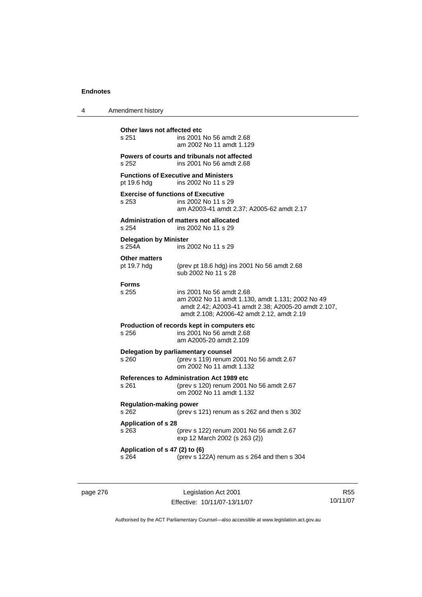| 4 | Amendment history                                  |                                                                                                                                                                                  |
|---|----------------------------------------------------|----------------------------------------------------------------------------------------------------------------------------------------------------------------------------------|
|   | Other laws not affected etc<br>s 251               | ins 2001 No 56 amdt 2.68<br>am 2002 No 11 amdt 1.129                                                                                                                             |
|   | s 252                                              | Powers of courts and tribunals not affected<br>ins 2001 No 56 amdt 2.68                                                                                                          |
|   | pt 19.6 hdg                                        | <b>Functions of Executive and Ministers</b><br>ins 2002 No 11 s 29                                                                                                               |
|   | <b>Exercise of functions of Executive</b><br>s 253 | ins 2002 No 11 s 29<br>am A2003-41 amdt 2.37; A2005-62 amdt 2.17                                                                                                                 |
|   | s 254                                              | <b>Administration of matters not allocated</b><br>ins 2002 No 11 s 29                                                                                                            |
|   | <b>Delegation by Minister</b><br>s 254A            | ins 2002 No 11 s 29                                                                                                                                                              |
|   | <b>Other matters</b><br>pt 19.7 hdg                | (prev pt 18.6 hdg) ins 2001 No 56 amdt 2.68<br>sub 2002 No 11 s 28                                                                                                               |
|   | <b>Forms</b><br>s 255                              | ins 2001 No 56 amdt 2.68<br>am 2002 No 11 amdt 1.130, amdt 1.131; 2002 No 49<br>amdt 2.42; A2003-41 amdt 2.38; A2005-20 amdt 2.107,<br>amdt 2.108; A2006-42 amdt 2.12, amdt 2.19 |
|   | s 256                                              | Production of records kept in computers etc<br>ins 2001 No 56 amdt 2.68<br>am A2005-20 amdt 2.109                                                                                |
|   | s 260                                              | Delegation by parliamentary counsel<br>(prev s 119) renum 2001 No 56 amdt 2.67<br>om 2002 No 11 amdt 1.132                                                                       |
|   | s 261                                              | <b>References to Administration Act 1989 etc</b><br>(prev s 120) renum 2001 No 56 amdt 2.67<br>om 2002 No 11 amdt 1.132                                                          |
|   | <b>Regulation-making power</b><br>s 262            | (prev s 121) renum as s 262 and then s 302                                                                                                                                       |
|   | <b>Application of s 28</b><br>s 263                | (prev s 122) renum 2001 No 56 amdt 2.67<br>exp 12 March 2002 (s 263 (2))                                                                                                         |
|   | Application of s 47 (2) to (6)<br>s 264            | (prev s 122A) renum as s 264 and then s 304                                                                                                                                      |
|   |                                                    |                                                                                                                                                                                  |

page 276 Legislation Act 2001 Effective: 10/11/07-13/11/07

R55 10/11/07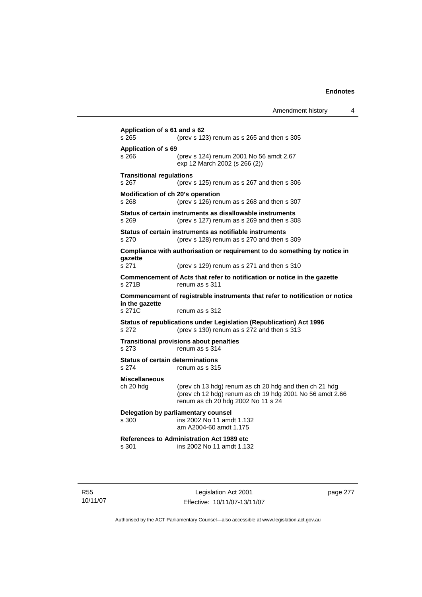| Amendment history |  |  |
|-------------------|--|--|
|-------------------|--|--|

**Application of s 61 and s 62**  s 265 (prev s 123) renum as s 265 and then s 305 **Application of s 69**  s 266 (prev s 124) renum 2001 No 56 amdt 2.67 exp 12 March 2002 (s 266 (2)) **Transitional regulations**  s 267 (prev s 125) renum as s 267 and then s 306 **Modification of ch 20's operation**  s 268 (prev s 126) renum as s 268 and then s 307 **Status of certain instruments as disallowable instruments**  s 269 (prev s 127) renum as s 269 and then s 308 **Status of certain instruments as notifiable instruments**  s 270 (prev s 128) renum as s 270 and then s 309 **Compliance with authorisation or requirement to do something by notice in gazette**  s 271 (prev s 129) renum as s 271 and then s 310 **Commencement of Acts that refer to notification or notice in the gazette**  s 271B renum as s 311 **Commencement of registrable instruments that refer to notification or notice in the gazette**  s 271C renum as s 312 **Status of republications under Legislation (Republication) Act 1996**  s 272 (prev s 130) renum as s 272 and then s 313 **Transitional provisions about penalties** s 273 renum as s 314 **Status of certain determinations**  s 274 renum as s 315 **Miscellaneous**  ch 20 hdg (prev ch 13 hdg) renum as ch 20 hdg and then ch 21 hdg (prev ch 12 hdg) renum as ch 19 hdg 2001 No 56 amdt 2.66 renum as ch 20 hdg 2002 No 11 s 24 **Delegation by parliamentary counsel**  s 300 ins 2002 No 11 amdt 1.132 am A2004-60 amdt 1.175 **References to Administration Act 1989 etc**  ins 2002 No 11 amdt 1.132

R55 10/11/07

Legislation Act 2001 Effective: 10/11/07-13/11/07 page 277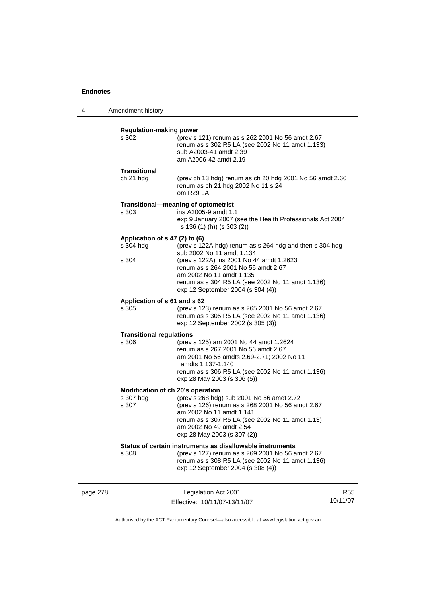4 Amendment history

|          | <b>Regulation-making power</b>                          |                                                                                                                                                                                                                                                                                              |     |
|----------|---------------------------------------------------------|----------------------------------------------------------------------------------------------------------------------------------------------------------------------------------------------------------------------------------------------------------------------------------------------|-----|
|          | s 302                                                   | (prev s 121) renum as s 262 2001 No 56 amdt 2.67<br>renum as s 302 R5 LA (see 2002 No 11 amdt 1.133)<br>sub A2003-41 amdt 2.39<br>am A2006-42 amdt 2.19                                                                                                                                      |     |
|          | <b>Transitional</b><br>ch 21 hdg                        | (prev ch 13 hdg) renum as ch 20 hdg 2001 No 56 amdt 2.66<br>renum as ch 21 hdg 2002 No 11 s 24<br>om R29 LA                                                                                                                                                                                  |     |
|          | s 303                                                   | Transitional-meaning of optometrist<br>ins A2005-9 amdt 1.1<br>exp 9 January 2007 (see the Health Professionals Act 2004<br>s 136 (1) (h)) (s 303 (2))                                                                                                                                       |     |
|          | Application of s 47 (2) to (6)<br>s 304 hdg<br>s 304    | (prev s 122A hdg) renum as s 264 hdg and then s 304 hdg<br>sub 2002 No 11 amdt 1.134<br>(prev s 122A) ins 2001 No 44 amdt 1.2623<br>renum as s 264 2001 No 56 amdt 2.67<br>am 2002 No 11 amdt 1.135<br>renum as s 304 R5 LA (see 2002 No 11 amdt 1.136)<br>exp 12 September 2004 (s 304 (4)) |     |
|          | Application of s 61 and s 62<br>s 305                   | (prev s 123) renum as s 265 2001 No 56 amdt 2.67<br>renum as s 305 R5 LA (see 2002 No 11 amdt 1.136)<br>exp 12 September 2002 (s 305 (3))                                                                                                                                                    |     |
|          | <b>Transitional regulations</b><br>s 306                | (prev s 125) am 2001 No 44 amdt 1.2624<br>renum as s 267 2001 No 56 amdt 2.67<br>am 2001 No 56 amdts 2.69-2.71; 2002 No 11<br>amdts 1.137-1.140<br>renum as s 306 R5 LA (see 2002 No 11 amdt 1.136)<br>exp 28 May 2003 (s 306 (5))                                                           |     |
|          | Modification of ch 20's operation<br>s 307 hdg<br>s 307 | (prev s 268 hdg) sub 2001 No 56 amdt 2.72<br>(prev s 126) renum as s 268 2001 No 56 amdt 2.67<br>am 2002 No 11 amdt 1.141<br>renum as s 307 R5 LA (see 2002 No 11 amdt 1.13)<br>am 2002 No 49 amdt 2.54<br>exp 28 May 2003 (s 307 (2))                                                       |     |
|          | s 308                                                   | Status of certain instruments as disallowable instruments<br>(prev s 127) renum as s 269 2001 No 56 amdt 2.67<br>renum as s 308 R5 LA (see 2002 No 11 amdt 1.136)<br>exp 12 September 2004 (s 308 (4))                                                                                       |     |
| page 278 |                                                         | Legislation Act 2001                                                                                                                                                                                                                                                                         | R55 |

Authorised by the ACT Parliamentary Counsel—also accessible at www.legislation.act.gov.au

10/11/07

Effective: 10/11/07-13/11/07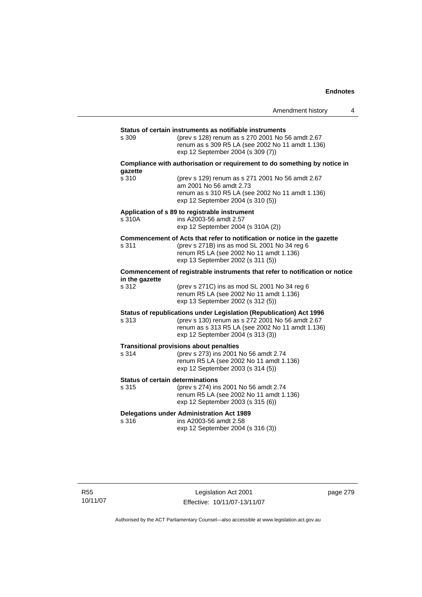|                                                  |                                                                                                                                                                                                                  | Amendment history | 4 |
|--------------------------------------------------|------------------------------------------------------------------------------------------------------------------------------------------------------------------------------------------------------------------|-------------------|---|
|                                                  |                                                                                                                                                                                                                  |                   |   |
| s 309                                            | Status of certain instruments as notifiable instruments<br>(prev s 128) renum as s 270 2001 No 56 amdt 2.67<br>renum as s 309 R5 LA (see 2002 No 11 amdt 1.136)<br>exp 12 September 2004 (s 309 (7))             |                   |   |
| gazette                                          | Compliance with authorisation or requirement to do something by notice in                                                                                                                                        |                   |   |
| s 310                                            | (prev s 129) renum as s 271 2001 No 56 amdt 2.67<br>am 2001 No 56 amdt 2.73<br>renum as s 310 R5 LA (see 2002 No 11 amdt 1.136)<br>exp 12 September 2004 (s 310 (5))                                             |                   |   |
| s 310A                                           | Application of s 89 to registrable instrument<br>ins A2003-56 amdt 2.57<br>exp 12 September 2004 (s 310A (2))                                                                                                    |                   |   |
| s 311                                            | Commencement of Acts that refer to notification or notice in the gazette<br>(prev s 271B) ins as mod SL 2001 No 34 reg 6<br>renum R5 LA (see 2002 No 11 amdt 1.136)<br>exp 13 September 2002 (s 311 (5))         |                   |   |
| in the gazette                                   | Commencement of registrable instruments that refer to notification or notice                                                                                                                                     |                   |   |
| s 312                                            | (prev s 271C) ins as mod SL 2001 No 34 reg 6<br>renum R5 LA (see 2002 No 11 amdt 1.136)<br>exp 13 September 2002 (s 312 (5))                                                                                     |                   |   |
| s 313                                            | Status of republications under Legislation (Republication) Act 1996<br>(prev s 130) renum as s 272 2001 No 56 amdt 2.67<br>renum as s 313 R5 LA (see 2002 No 11 amdt 1.136)<br>exp 12 September 2004 (s 313 (3)) |                   |   |
| s 314                                            | <b>Transitional provisions about penalties</b><br>(prev s 273) ins 2001 No 56 amdt 2.74<br>renum R5 LA (see 2002 No 11 amdt 1.136)<br>exp 12 September 2003 (s 314 (5))                                          |                   |   |
| <b>Status of certain determinations</b><br>s 315 | (prev s 274) ins 2001 No 56 amdt 2.74<br>renum R5 LA (see 2002 No 11 amdt 1.136)<br>exp 12 September 2003 (s 315 (6))                                                                                            |                   |   |
| s 316                                            | <b>Delegations under Administration Act 1989</b><br>ins A2003-56 amdt 2.58<br>exp 12 September 2004 (s 316 (3))                                                                                                  |                   |   |

page 279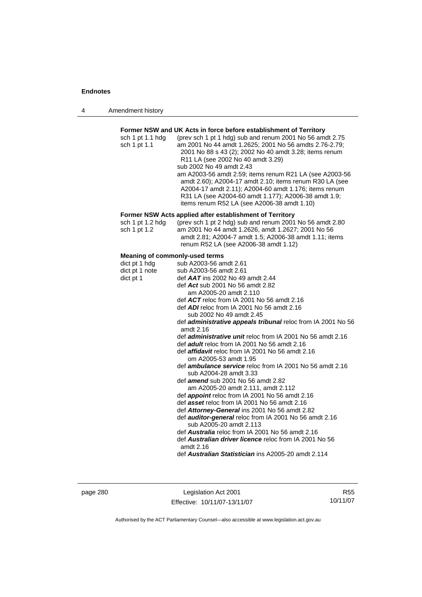| Amendment history<br>4 |  |
|------------------------|--|
|------------------------|--|

#### **Former NSW and UK Acts in force before establishment of Territory**

| am 2001 No 44 amdt 1.2625; 2001 No 56 amdts 2.76-2.79;<br>2001 No 88 s 43 (2); 2002 No 40 amdt 3.28; items renum |
|------------------------------------------------------------------------------------------------------------------|
|                                                                                                                  |
|                                                                                                                  |
|                                                                                                                  |
|                                                                                                                  |
| am A2003-56 amdt 2.59; items renum R21 LA (see A2003-56                                                          |
| amdt 2.60); A2004-17 amdt 2.10; items renum R30 LA (see                                                          |
| A2004-17 amdt 2.11); A2004-60 amdt 1.176; items renum                                                            |
| R31 LA (see A2004-60 amdt 1.177); A2006-38 amdt 1.9;                                                             |
|                                                                                                                  |
|                                                                                                                  |

#### **Former NSW Acts applied after establishment of Territory**

| sch 1 pt 1.2 hdg | (prev sch 1 pt 2 hdg) sub and renum 2001 No 56 amdt 2.80 |
|------------------|----------------------------------------------------------|
| sch 1 pt 1.2     | am 2001 No 44 amdt 1.2626, amdt 1.2627; 2001 No 56       |
|                  | amdt 2.81; A2004-7 amdt 1.5; A2006-38 amdt 1.11; items   |
|                  | renum R52 LA (see A2006-38 amdt 1.12)                    |

#### **Meaning of commonly-used terms**

| dict pt 1 hdg  | sub A2003-56 amdt 2.61                                                                   |
|----------------|------------------------------------------------------------------------------------------|
| dict pt 1 note | sub A2003-56 amdt 2.61                                                                   |
| dict pt 1      | def <b>AAT</b> ins 2002 No 49 amdt 2.44                                                  |
|                | def Act sub 2001 No 56 amdt 2.82                                                         |
|                | am A2005-20 amdt 2.110                                                                   |
|                | def $ACT$ reloc from IA 2001 No 56 amdt 2.16                                             |
|                | def <b>ADI</b> reloc from IA 2001 No 56 amdt 2.16                                        |
|                | sub 2002 No 49 amdt 2.45                                                                 |
|                | def <b>administrative appeals tribunal</b> reloc from IA 2001 No 56<br>amdt $2.16$       |
|                | def <i>administrative unit</i> reloc from IA 2001 No 56 amdt 2.16                        |
|                | def <i>adult</i> reloc from IA 2001 No 56 amdt 2.16                                      |
|                | def <i>affidavit</i> reloc from IA 2001 No 56 amdt 2.16                                  |
|                | om A2005-53 amdt 1.95                                                                    |
|                | def <b>ambulance service</b> reloc from IA 2001 No 56 amdt 2.16                          |
|                | sub A2004-28 amdt 3.33                                                                   |
|                | def <i>amend</i> sub 2001 No 56 amdt 2.82                                                |
|                | am A2005-20 amdt 2.111, amdt 2.112                                                       |
|                | def <b>appoint</b> reloc from IA 2001 No 56 amdt 2.16                                    |
|                | def asset reloc from IA 2001 No 56 amdt 2.16                                             |
|                | def Attorney-General ins 2001 No 56 amdt 2.82                                            |
|                | def <b>auditor-general</b> reloc from IA 2001 No 56 amdt 2.16<br>sub A2005-20 amdt 2.113 |
|                | def <b>Australia</b> reloc from IA 2001 No 56 amdt 2.16                                  |
|                | def <b>Australian driver licence</b> reloc from IA 2001 No 56<br>amdt $2.16$             |
|                | def Australian Statistician ins A2005-20 amdt 2.114                                      |
|                |                                                                                          |

page 280 Legislation Act 2001 Effective: 10/11/07-13/11/07

R55 10/11/07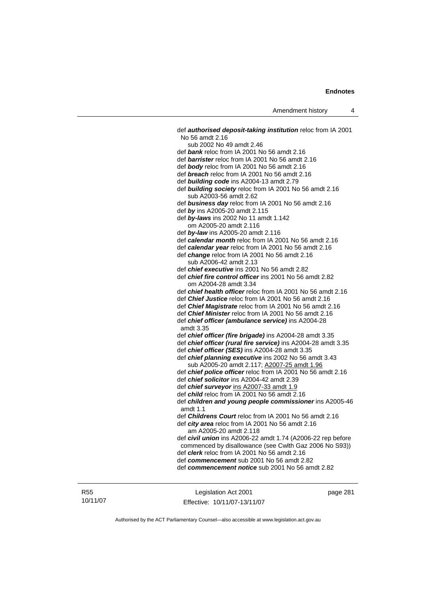def *authorised deposit-taking institution* reloc from IA 2001 No 56 amdt 2.16 sub 2002 No 49 amdt 2.46 def *bank* reloc from IA 2001 No 56 amdt 2.16 def *barrister* reloc from IA 2001 No 56 amdt 2.16 def *body* reloc from IA 2001 No 56 amdt 2.16 def *breach* reloc from IA 2001 No 56 amdt 2.16 def *building code* ins A2004-13 amdt 2.79 def *building society* reloc from IA 2001 No 56 amdt 2.16 sub A2003-56 amdt 2.62 def *business day* reloc from IA 2001 No 56 amdt 2.16 def *by* ins A2005-20 amdt 2.115 def *by-laws* ins 2002 No 11 amdt 1.142 om A2005-20 amdt 2.116 def *by-law* ins A2005-20 amdt 2.116 def *calendar month* reloc from IA 2001 No 56 amdt 2.16 def *calendar year* reloc from IA 2001 No 56 amdt 2.16 def *change* reloc from IA 2001 No 56 amdt 2.16 sub A2006-42 amdt 2.13 def *chief executive* ins 2001 No 56 amdt 2.82 def *chief fire control officer* ins 2001 No 56 amdt 2.82 om A2004-28 amdt 3.34 def *chief health officer* reloc from IA 2001 No 56 amdt 2.16 def *Chief Justice* reloc from IA 2001 No 56 amdt 2.16 def *Chief Magistrate* reloc from IA 2001 No 56 amdt 2.16 def *Chief Minister* reloc from IA 2001 No 56 amdt 2.16 def *chief officer (ambulance service)* ins A2004-28 amdt 3.35 def *chief officer (fire brigade)* ins A2004-28 amdt 3.35 def *chief officer (rural fire service)* ins A2004-28 amdt 3.35 def *chief officer (SES)* ins A2004-28 amdt 3.35 def *chief planning executive* ins 2002 No 56 amdt 3.43 sub A2005-20 amdt 2.117; A2007-25 amdt 1.96 def *chief police officer* reloc from IA 2001 No 56 amdt 2.16 def *chief solicitor* ins A2004-42 amdt 2.39 def *chief surveyor* ins A2007-33 amdt 1.9 def *child* reloc from IA 2001 No 56 amdt 2.16 def *children and young people commissioner* ins A2005-46 amdt 1.1 def *Childrens Court* reloc from IA 2001 No 56 amdt 2.16 def *city area* reloc from IA 2001 No 56 amdt 2.16 am A2005-20 amdt 2.118 def *civil union* ins A2006-22 amdt 1.74 (A2006-22 rep before commenced by disallowance (see Cwlth Gaz 2006 No S93)) def *clerk* reloc from IA 2001 No 56 amdt 2.16 def *commencement* sub 2001 No 56 amdt 2.82 def *commencement notice* sub 2001 No 56 amdt 2.82

Legislation Act 2001 Effective: 10/11/07-13/11/07 page 281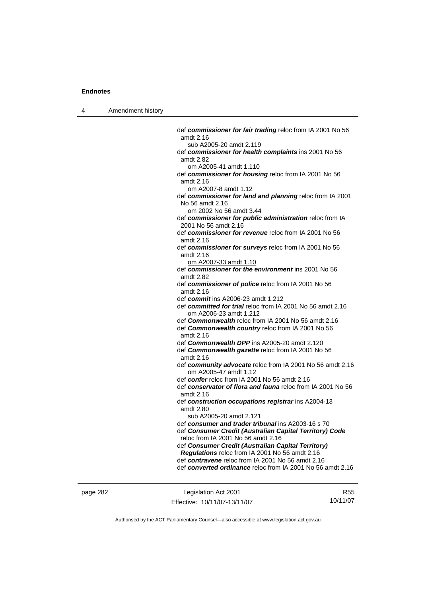4 Amendment history

 def *commissioner for fair trading* reloc from IA 2001 No 56 amdt 2.16 sub A2005-20 amdt 2.119 def *commissioner for health complaints* ins 2001 No 56 amdt 2.82 om A2005-41 amdt 1.110 def *commissioner for housing* reloc from IA 2001 No 56 amdt 2.16 om A2007-8 amdt 1.12 def *commissioner for land and planning* reloc from IA 2001 No 56 amdt 2.16 om 2002 No 56 amdt 3.44 def *commissioner for public administration* reloc from IA 2001 No 56 amdt 2.16 def *commissioner for revenue* reloc from IA 2001 No 56 amdt 2.16 def *commissioner for surveys* reloc from IA 2001 No 56 amdt 2.16 om A2007-33 amdt 1.10 def *commissioner for the environment* ins 2001 No 56 amdt 2.82 def *commissioner of police* reloc from IA 2001 No 56 amdt 2.16 def *commit* ins A2006-23 amdt 1.212 def *committed for trial* reloc from IA 2001 No 56 amdt 2.16 om A2006-23 amdt 1.212 def *Commonwealth* reloc from IA 2001 No 56 amdt 2.16 def *Commonwealth country* reloc from IA 2001 No 56 amdt 2.16 def *Commonwealth DPP* ins A2005-20 amdt 2.120 def *Commonwealth gazette* reloc from IA 2001 No 56 amdt 2.16 def *community advocate* reloc from IA 2001 No 56 amdt 2.16 om A2005-47 amdt 1.12 def *confer* reloc from IA 2001 No 56 amdt 2.16 def *conservator of flora and fauna* reloc from IA 2001 No 56 amdt 2.16 def *construction occupations registrar* ins A2004-13 amdt 2.80 sub A2005-20 amdt 2.121 def *consumer and trader tribunal* ins A2003-16 s 70 def *Consumer Credit (Australian Capital Territory) Code* reloc from IA 2001 No 56 amdt 2.16 def *Consumer Credit (Australian Capital Territory) Regulations* reloc from IA 2001 No 56 amdt 2.16 def *contravene* reloc from IA 2001 No 56 amdt 2.16 def *converted ordinance* reloc from IA 2001 No 56 amdt 2.16

page 282 Legislation Act 2001 Effective: 10/11/07-13/11/07

R55 10/11/07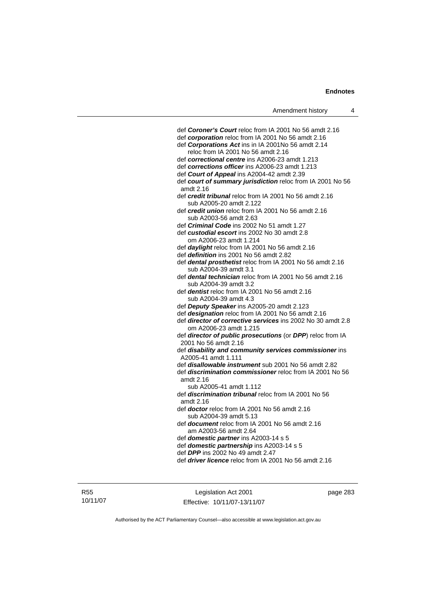| def Coroner's Court reloc from IA 2001 No 56 amdt 2.16          |
|-----------------------------------------------------------------|
| def corporation reloc from IA 2001 No 56 amdt 2.16              |
| def Corporations Act ins in IA 2001No 56 amdt 2.14              |
| reloc from IA 2001 No 56 amdt 2.16                              |
| def correctional centre ins A2006-23 amdt 1.213                 |
| def corrections officer ins A2006-23 amdt 1.213                 |
| def Court of Appeal ins A2004-42 amdt 2.39                      |
| def court of summary jurisdiction reloc from IA 2001 No 56      |
| amdt 2.16                                                       |
| def credit tribunal reloc from IA 2001 No 56 amdt 2.16          |
| sub A2005-20 amdt 2.122                                         |
| def credit union reloc from IA 2001 No 56 amdt 2.16             |
| sub A2003-56 amdt 2.63                                          |
| def Criminal Code ins 2002 No 51 amdt 1.27                      |
| def custodial escort ins 2002 No 30 amdt 2.8                    |
| om A2006-23 amdt 1.214                                          |
| def daylight reloc from IA 2001 No 56 amdt 2.16                 |
| def definition ins 2001 No 56 amdt 2.82                         |
| def dental prosthetist reloc from IA 2001 No 56 amdt 2.16       |
| sub A2004-39 amdt 3.1                                           |
| def dental technician reloc from IA 2001 No 56 amdt 2.16        |
| sub A2004-39 amdt 3.2                                           |
| def dentist reloc from IA 2001 No 56 amdt 2.16                  |
| sub A2004-39 amdt 4.3                                           |
| def Deputy Speaker ins A2005-20 amdt 2.123                      |
| def designation reloc from IA 2001 No 56 amdt 2.16              |
| def director of corrective services ins 2002 No 30 amdt 2.8     |
| om A2006-23 amdt 1.215                                          |
| def director of public prosecutions (or DPP) reloc from IA      |
| 2001 No 56 amdt 2.16                                            |
| def disability and community services commissioner ins          |
| A2005-41 amdt 1.111                                             |
| def <b>disallowable instrument</b> sub 2001 No 56 amdt 2.82     |
| def <i>discrimination commissioner</i> reloc from IA 2001 No 56 |
| amdt 2.16                                                       |
| sub A2005-41 amdt 1.112                                         |
| def <i>discrimination tribunal</i> reloc from IA 2001 No 56     |
| amdt 2.16                                                       |
| def <b>doctor</b> reloc from IA 2001 No 56 amdt 2.16            |
| sub A2004-39 amdt 5.13                                          |
| def <b>document</b> reloc from IA 2001 No 56 amdt 2.16          |
| am A2003-56 amdt 2.64                                           |
| def domestic partner ins A2003-14 s 5                           |
| def domestic partnership ins A2003-14 s 5                       |
| def DPP ins 2002 No 49 amdt 2.47                                |
| def <i>driver licence</i> reloc from IA 2001 No 56 amdt 2.16    |
|                                                                 |
|                                                                 |

R55 10/11/07

Legislation Act 2001 Effective: 10/11/07-13/11/07 page 283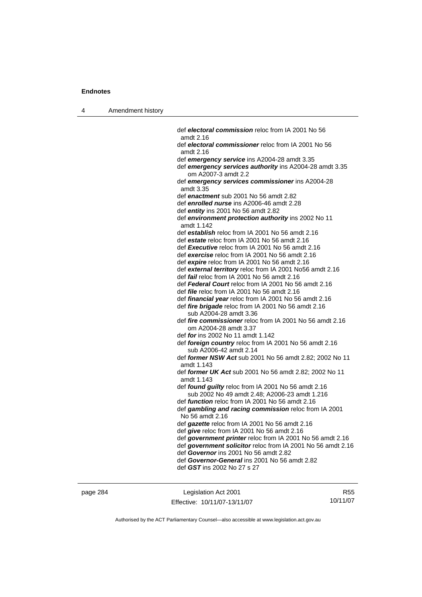4 Amendment history

| def electoral commission reloc from IA 2001 No 56                                                           |
|-------------------------------------------------------------------------------------------------------------|
| amdt 2.16                                                                                                   |
| def electoral commissioner reloc from IA 2001 No 56<br>amdt 2.16                                            |
| def emergency service ins A2004-28 amdt 3.35                                                                |
| def emergency services authority ins A2004-28 amdt 3.35<br>om A2007-3 amdt 2.2                              |
| def emergency services commissioner ins A2004-28<br>amdt 3.35                                               |
| def enactment sub 2001 No 56 amdt 2.82                                                                      |
| def enrolled nurse ins A2006-46 amdt 2.28                                                                   |
| def entity ins 2001 No 56 amdt 2.82                                                                         |
| def environment protection authority ins 2002 No 11<br>amdt 1.142                                           |
| def establish reloc from IA 2001 No 56 amdt 2.16                                                            |
| def estate reloc from IA 2001 No 56 amdt 2.16                                                               |
| def Executive reloc from IA 2001 No 56 amdt 2.16                                                            |
| def exercise reloc from IA 2001 No 56 amdt 2.16                                                             |
| def expire reloc from IA 2001 No 56 amdt 2.16                                                               |
| def external territory reloc from IA 2001 No56 amdt 2.16                                                    |
| def fail reloc from IA 2001 No 56 amdt 2.16                                                                 |
| def Federal Court reloc from IA 2001 No 56 amdt 2.16                                                        |
| def <i>file</i> reloc from IA 2001 No 56 amdt 2.16                                                          |
| def <i>financial year</i> reloc from IA 2001 No 56 amdt 2.16                                                |
| def fire brigade reloc from IA 2001 No 56 amdt 2.16                                                         |
| sub A2004-28 amdt 3.36                                                                                      |
| def fire commissioner reloc from IA 2001 No 56 amdt 2.16                                                    |
| om A2004-28 amdt 3.37                                                                                       |
| def for ins 2002 No 11 amdt 1.142                                                                           |
| def foreign country reloc from IA 2001 No 56 amdt 2.16<br>sub A2006-42 amdt 2.14                            |
| def former NSW Act sub 2001 No 56 amdt 2.82; 2002 No 11<br>amdt 1.143                                       |
| def former UK Act sub 2001 No 56 amdt 2.82; 2002 No 11<br>amdt 1.143                                        |
| def <b>found guilty</b> reloc from IA 2001 No 56 amdt 2.16<br>sub 2002 No 49 amdt 2.48; A2006-23 amdt 1.216 |
| def <i>function</i> reloc from IA 2001 No 56 amdt 2.16                                                      |
| def gambling and racing commission reloc from IA 2001<br>No 56 amdt 2.16                                    |
| def gazette reloc from IA 2001 No 56 amdt 2.16                                                              |
| def give reloc from IA 2001 No 56 amdt 2.16                                                                 |
| def government printer reloc from IA 2001 No 56 amdt 2.16                                                   |
| def government solicitor reloc from IA 2001 No 56 amdt 2.16                                                 |
| def Governor ins 2001 No 56 amdt 2.82                                                                       |
| def Governor-General ins 2001 No 56 amdt 2.82                                                               |
| def GST ins 2002 No 27 s 27                                                                                 |
|                                                                                                             |

page 284 Legislation Act 2001 Effective: 10/11/07-13/11/07

R55 10/11/07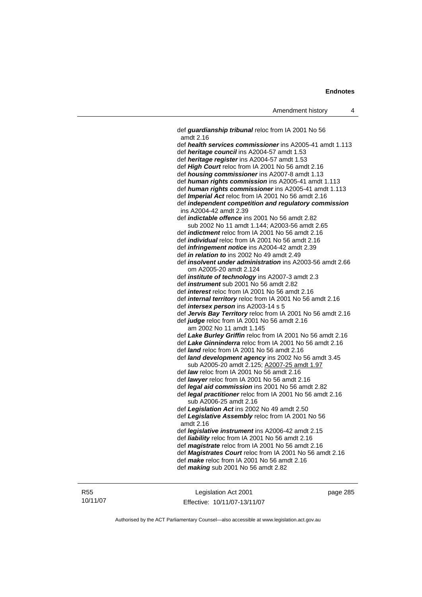def *guardianship tribunal* reloc from IA 2001 No 56 amdt 2.16 def *health services commissioner* ins A2005-41 amdt 1.113 def *heritage council* ins A2004-57 amdt 1.53 def *heritage register* ins A2004-57 amdt 1.53 def *High Court* reloc from IA 2001 No 56 amdt 2.16 def *housing commissioner* ins A2007-8 amdt 1.13 def *human rights commission* ins A2005-41 amdt 1.113 def *human rights commissioner* ins A2005-41 amdt 1.113 def *Imperial Act* reloc from IA 2001 No 56 amdt 2.16 def *independent competition and regulatory commission*  ins A2004-42 amdt 2.39 def *indictable offence* ins 2001 No 56 amdt 2.82 sub 2002 No 11 amdt 1.144; A2003-56 amdt 2.65 def *indictment* reloc from IA 2001 No 56 amdt 2.16 def *individual* reloc from IA 2001 No 56 amdt 2.16 def *infringement notice* ins A2004-42 amdt 2.39 def *in relation to* ins 2002 No 49 amdt 2.49 def *insolvent under administration* ins A2003-56 amdt 2.66 om A2005-20 amdt 2.124 def *institute of technology* ins A2007-3 amdt 2.3 def *instrument* sub 2001 No 56 amdt 2.82 def *interest* reloc from IA 2001 No 56 amdt 2.16 def *internal territory* reloc from IA 2001 No 56 amdt 2.16 def *intersex person* ins A2003-14 s 5 def *Jervis Bay Territory* reloc from IA 2001 No 56 amdt 2.16 def *judge* reloc from IA 2001 No 56 amdt 2.16 am 2002 No 11 amdt 1.145 def *Lake Burley Griffin* reloc from IA 2001 No 56 amdt 2.16 def *Lake Ginninderra* reloc from IA 2001 No 56 amdt 2.16 def *land* reloc from IA 2001 No 56 amdt 2.16 def *land development agency* ins 2002 No 56 amdt 3.45 sub A2005-20 amdt 2.125; A2007-25 amdt 1.97 def *law* reloc from IA 2001 No 56 amdt 2.16 def *lawyer* reloc from IA 2001 No 56 amdt 2.16 def *legal aid commission* ins 2001 No 56 amdt 2.82 def *legal practitioner* reloc from IA 2001 No 56 amdt 2.16 sub A2006-25 amdt 2.16 def *Legislation Act* ins 2002 No 49 amdt 2.50 def *Legislative Assembly* reloc from IA 2001 No 56 amdt 2.16 def *legislative instrument* ins A2006-42 amdt 2.15 def *liability* reloc from IA 2001 No 56 amdt 2.16 def *magistrate* reloc from IA 2001 No 56 amdt 2.16 def *Magistrates Court* reloc from IA 2001 No 56 amdt 2.16 def *make* reloc from IA 2001 No 56 amdt 2.16 def *making* sub 2001 No 56 amdt 2.82

Legislation Act 2001 Effective: 10/11/07-13/11/07 page 285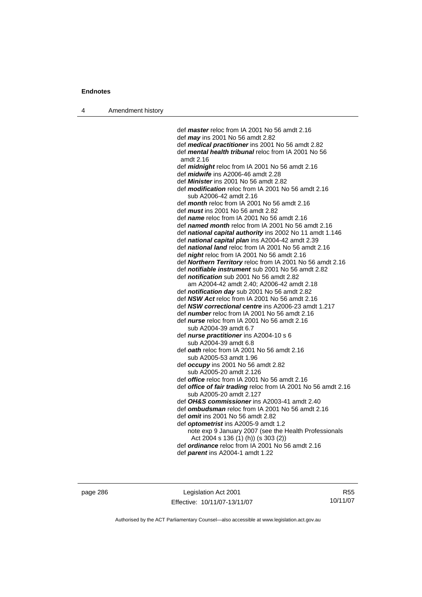4 Amendment history

 def *master* reloc from IA 2001 No 56 amdt 2.16 def *may* ins 2001 No 56 amdt 2.82 def *medical practitioner* ins 2001 No 56 amdt 2.82 def *mental health tribunal* reloc from IA 2001 No 56 amdt 2.16 def *midnight* reloc from IA 2001 No 56 amdt 2.16 def *midwife* ins A2006-46 amdt 2.28 def *Minister* ins 2001 No 56 amdt 2.82 def *modification* reloc from IA 2001 No 56 amdt 2.16 sub A2006-42 amdt 2.16 def *month* reloc from IA 2001 No 56 amdt 2.16 def *must* ins 2001 No 56 amdt 2.82 def *name* reloc from IA 2001 No 56 amdt 2.16 def *named month* reloc from IA 2001 No 56 amdt 2.16 def *national capital authority* ins 2002 No 11 amdt 1.146 def *national capital plan* ins A2004-42 amdt 2.39 def *national land* reloc from IA 2001 No 56 amdt 2.16 def *night* reloc from IA 2001 No 56 amdt 2.16 def *Northern Territory* reloc from IA 2001 No 56 amdt 2.16 def *notifiable instrument* sub 2001 No 56 amdt 2.82 def *notification* sub 2001 No 56 amdt 2.82 am A2004-42 amdt 2.40; A2006-42 amdt 2.18 def *notification day* sub 2001 No 56 amdt 2.82 def *NSW Act* reloc from IA 2001 No 56 amdt 2.16 def *NSW correctional centre* ins A2006-23 amdt 1.217 def *number* reloc from IA 2001 No 56 amdt 2.16 def *nurse* reloc from IA 2001 No 56 amdt 2.16 sub A2004-39 amdt 6.7 def *nurse practitioner* ins A2004-10 s 6 sub A2004-39 amdt 6.8 def *oath* reloc from IA 2001 No 56 amdt 2.16 sub A2005-53 amdt 1.96 def *occupy* ins 2001 No 56 amdt 2.82 sub A2005-20 amdt 2.126 def *office* reloc from IA 2001 No 56 amdt 2.16 def *office of fair trading* reloc from IA 2001 No 56 amdt 2.16 sub A2005-20 amdt 2.127 def *OH&S commissioner* ins A2003-41 amdt 2.40 def *ombudsman* reloc from IA 2001 No 56 amdt 2.16 def *omit* ins 2001 No 56 amdt 2.82 def *optometrist* ins A2005-9 amdt 1.2 note exp 9 January 2007 (see the Health Professionals Act 2004 s 136 (1) (h)) (s 303 (2)) def *ordinance* reloc from IA 2001 No 56 amdt 2.16

def *parent* ins A2004-1 amdt 1.22

page 286 Legislation Act 2001 Effective: 10/11/07-13/11/07

R55 10/11/07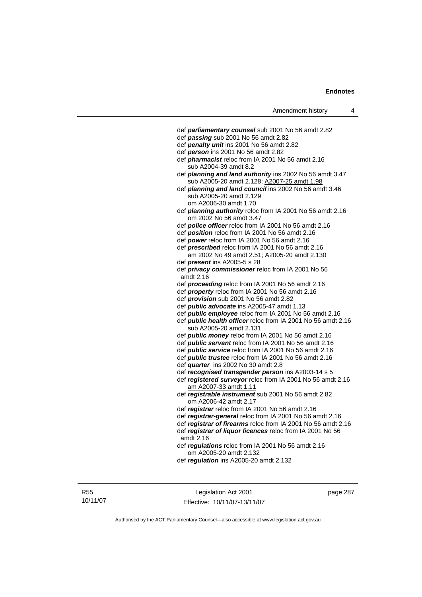| Amendment history |
|-------------------|
|                   |

| Amendment history                                                                    | 4 |
|--------------------------------------------------------------------------------------|---|
|                                                                                      |   |
| def parliamentary counsel sub 2001 No 56 amdt 2.82                                   |   |
| def passing sub 2001 No 56 amdt 2.82                                                 |   |
| def penalty unit ins 2001 No 56 amdt 2.82                                            |   |
| def person ins 2001 No 56 amdt 2.82                                                  |   |
| def <i>pharmacist</i> reloc from IA 2001 No 56 amdt 2.16                             |   |
| sub A2004-39 amdt 8.2                                                                |   |
| def planning and land authority ins 2002 No 56 amdt 3.47                             |   |
| sub A2005-20 amdt 2.128; A2007-25 amdt 1.98                                          |   |
| def planning and land council ins 2002 No 56 amdt 3.46                               |   |
| sub A2005-20 amdt 2.129                                                              |   |
| om A2006-30 amdt 1.70                                                                |   |
| def planning authority reloc from IA 2001 No 56 amdt 2.16<br>om 2002 No 56 amdt 3.47 |   |
| def police officer reloc from IA 2001 No 56 amdt 2.16                                |   |
| def position reloc from IA 2001 No 56 amdt 2.16                                      |   |
| def power reloc from IA 2001 No 56 amdt 2.16                                         |   |
| def prescribed reloc from IA 2001 No 56 amdt 2.16                                    |   |
| am 2002 No 49 amdt 2.51; A2005-20 amdt 2.130                                         |   |
| def <i>present</i> ins A2005-5 s 28                                                  |   |
| def privacy commissioner reloc from IA 2001 No 56                                    |   |
| amdt 2.16                                                                            |   |
| def proceeding reloc from IA 2001 No 56 amdt 2.16                                    |   |
| def property reloc from IA 2001 No 56 amdt 2.16                                      |   |
| def <i>provision</i> sub 2001 No 56 amdt 2.82                                        |   |
| def <i>public advocate</i> ins A2005-47 amdt 1.13                                    |   |
| def <i>public</i> employee reloc from IA 2001 No 56 amdt 2.16                        |   |
| def public health officer reloc from IA 2001 No 56 amdt 2.16                         |   |
| sub A2005-20 amdt 2.131                                                              |   |
| def public money reloc from IA 2001 No 56 amdt 2.16                                  |   |
| def public servant reloc from IA 2001 No 56 amdt 2.16                                |   |
| def <i>public service</i> reloc from IA 2001 No 56 amdt 2.16                         |   |
| def <i>public trustee</i> reloc from IA 2001 No 56 amdt 2.16                         |   |
| def quarter ins 2002 No 30 amdt 2.8                                                  |   |
| def recognised transgender person ins A2003-14 s 5                                   |   |
| def registered surveyor reloc from IA 2001 No 56 amdt 2.16                           |   |
| am A2007-33 amdt 1.11                                                                |   |
| def registrable instrument sub 2001 No 56 amdt 2.82<br>om A2006-42 amdt 2.17         |   |
| def registrar reloc from IA 2001 No 56 amdt 2.16                                     |   |
| def registrar-general reloc from IA 2001 No 56 amdt 2.16                             |   |
| def registrar of firearms reloc from IA 2001 No 56 amdt 2.16                         |   |
| def registrar of liquor licences reloc from IA 2001 No 56                            |   |
| amdt 2.16                                                                            |   |
| def regulations reloc from IA 2001 No 56 amdt 2.16                                   |   |
| om A2005-20 amdt 2.132                                                               |   |
| def regulation ins A2005-20 amdt 2.132                                               |   |
|                                                                                      |   |
|                                                                                      |   |

R55 10/11/07

Legislation Act 2001 Effective: 10/11/07-13/11/07 page 287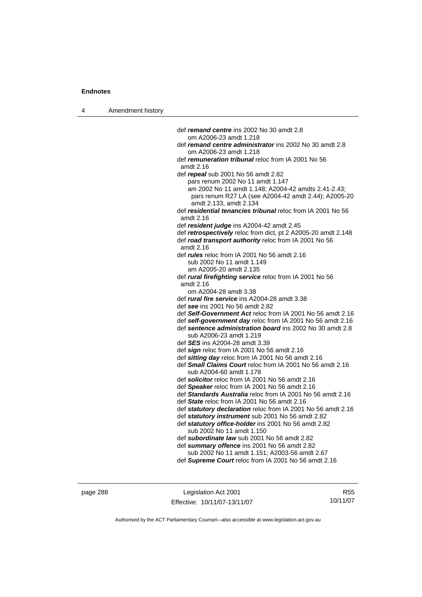4 Amendment history def *remand centre* ins 2002 No 30 amdt 2.8 om A2006-23 amdt 1.218 def *remand centre administrator* ins 2002 No 30 amdt 2.8 om A2006-23 amdt 1.218 def *remuneration tribunal* reloc from IA 2001 No 56 amdt 2.16 def *repeal* sub 2001 No 56 amdt 2.82 pars renum 2002 No 11 amdt 1.147 am 2002 No 11 amdt 1.148; A2004-42 amdts 2.41-2.43; pars renum R27 LA (see A2004-42 amdt 2.44); A2005-20 amdt 2.133, amdt 2.134 def *residential tenancies tribunal* reloc from IA 2001 No 56 amdt 2.16 def *resident judge* ins A2004-42 amdt 2.45 def *retrospectively* reloc from dict, pt 2 A2005-20 amdt 2.148 def *road transport authority* reloc from IA 2001 No 56 amdt 2.16 def *rules* reloc from IA 2001 No 56 amdt 2.16 sub 2002 No 11 amdt 1.149 am A2005-20 amdt 2.135 def *rural firefighting service* reloc from IA 2001 No 56 amdt 2.16 om A2004-28 amdt 3.38 def *rural fire service* ins A2004-28 amdt 3.38 def *see* ins 2001 No 56 amdt 2.82 def *Self-Government Act* reloc from IA 2001 No 56 amdt 2.16 def *self-government day* reloc from IA 2001 No 56 amdt 2.16 def *sentence administration board* ins 2002 No 30 amdt 2.8 sub A2006-23 amdt 1.219 def *SES* ins A2004-28 amdt 3.39 def *sign* reloc from IA 2001 No 56 amdt 2.16 def *sitting day* reloc from IA 2001 No 56 amdt 2.16 def *Small Claims Court* reloc from IA 2001 No 56 amdt 2.16 sub A2004-60 amdt 1.178 def *solicitor* reloc from IA 2001 No 56 amdt 2.16 def *Speaker* reloc from IA 2001 No 56 amdt 2.16 def *Standards Australia* reloc from IA 2001 No 56 amdt 2.16 def *State* reloc from IA 2001 No 56 amdt 2.16 def *statutory declaration* reloc from IA 2001 No 56 amdt 2.16 def *statutory instrument* sub 2001 No 56 amdt 2.82 def *statutory office-holder* ins 2001 No 56 amdt 2.82 sub 2002 No 11 amdt 1.150 def *subordinate law* sub 2001 No 56 amdt 2.82 def *summary offence* ins 2001 No 56 amdt 2.82 sub 2002 No 11 amdt 1.151; A2003-56 amdt 2.67 def *Supreme Court* reloc from IA 2001 No 56 amdt 2.16

page 288 Legislation Act 2001 Effective: 10/11/07-13/11/07

R55 10/11/07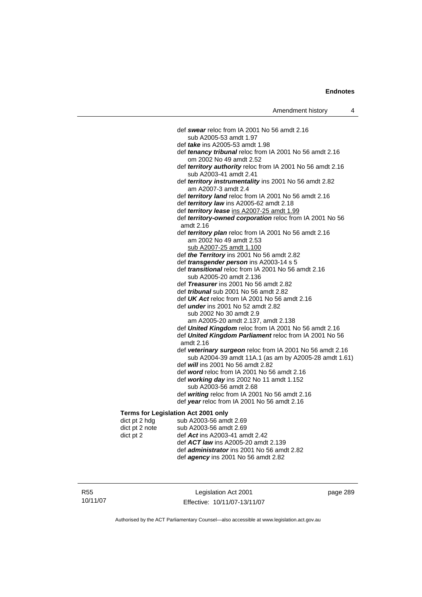|                | def swear reloc from IA 2001 No 56 amdt 2.16                                         |
|----------------|--------------------------------------------------------------------------------------|
|                | sub A2005-53 amdt 1.97                                                               |
|                | def <i>take</i> ins A2005-53 amdt 1.98                                               |
|                | def tenancy tribunal reloc from IA 2001 No 56 amdt 2.16<br>om 2002 No 49 amdt 2.52   |
|                | def territory authority reloc from IA 2001 No 56 amdt 2.16<br>sub A2003-41 amdt 2.41 |
|                | def territory instrumentality ins 2001 No 56 amdt 2.82<br>am A2007-3 amdt 2.4        |
|                | def territory land reloc from IA 2001 No 56 amdt 2.16                                |
|                | def territory law ins A2005-62 amdt 2.18                                             |
|                | def territory lease ins A2007-25 amdt 1.99                                           |
|                | def territory-owned corporation reloc from IA 2001 No 56<br>amdt 2.16                |
|                | def territory plan reloc from IA 2001 No 56 amdt 2.16                                |
|                | am 2002 No 49 amdt 2.53                                                              |
|                | sub A2007-25 amdt 1.100                                                              |
|                | def the Territory ins 2001 No 56 amdt 2.82                                           |
|                | def <i>transgender person</i> ins A2003-14 s 5                                       |
|                | def <i>transitional</i> reloc from IA 2001 No 56 amdt 2.16                           |
|                | sub A2005-20 amdt 2.136                                                              |
|                | def Treasurer ins 2001 No 56 amdt 2.82                                               |
|                | def <i>tribunal</i> sub 2001 No 56 amdt 2.82                                         |
|                | def UK Act reloc from IA 2001 No 56 amdt 2.16                                        |
|                | def <i>under</i> ins 2001 No 52 amdt 2.82                                            |
|                | sub 2002 No 30 amdt 2.9                                                              |
|                | am A2005-20 amdt 2.137, amdt 2.138                                                   |
|                | def United Kingdom reloc from IA 2001 No 56 amdt 2.16                                |
|                | def United Kingdom Parliament reloc from IA 2001 No 56<br>amdt 2.16                  |
|                | def veterinary surgeon reloc from IA 2001 No 56 amdt 2.16                            |
|                | sub A2004-39 amdt 11A.1 (as am by A2005-28 amdt 1.61)                                |
|                | def <i>will</i> ins 2001 No 56 amdt 2.82                                             |
|                | def word reloc from IA 2001 No 56 amdt 2.16                                          |
|                | def working day ins 2002 No 11 amdt 1.152<br>sub A2003-56 amdt 2.68                  |
|                | def writing reloc from IA 2001 No 56 amdt 2.16                                       |
|                | def year reloc from IA 2001 No 56 amdt 2.16                                          |
|                | Terms for Legislation Act 2001 only                                                  |
| dict pt 2 hdg  | sub A2003-56 amdt 2.69                                                               |
| dict nt 2 note | sub A2003-56 amdt 2.69                                                               |

# **Terms for**

| dict pt 2 hdg  | sub A2003-56 amdt 2.69                            |
|----------------|---------------------------------------------------|
| dict pt 2 note | sub A2003-56 amdt 2.69                            |
| dict pt 2      | def Act ins A2003-41 amdt 2.42                    |
|                | def <b>ACT law</b> ins A2005-20 amdt 2.139        |
|                | def <i>administrator</i> ins 2001 No 56 amdt 2.82 |
|                | def <i>agency</i> ins 2001 No 56 amdt 2.82        |
|                |                                                   |

R55 10/11/07

Legislation Act 2001 Effective: 10/11/07-13/11/07 page 289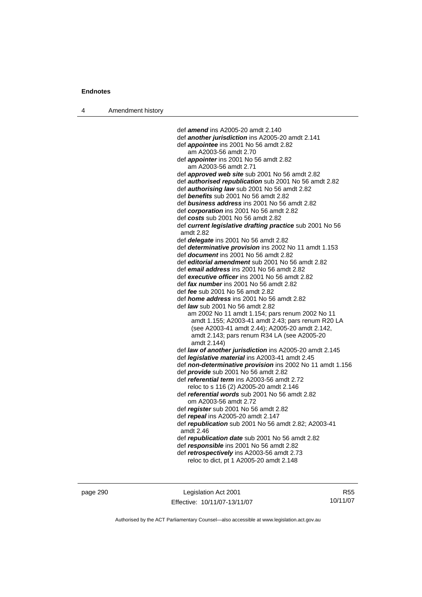| 4 | Amendment history |  |
|---|-------------------|--|
|   |                   |  |

 def *amend* ins A2005-20 amdt 2.140 def *another jurisdiction* ins A2005-20 amdt 2.141 def *appointee* ins 2001 No 56 amdt 2.82 am A2003-56 amdt 2.70 def *appointer* ins 2001 No 56 amdt 2.82 am A2003-56 amdt 2.71 def *approved web site* sub 2001 No 56 amdt 2.82 def *authorised republication* sub 2001 No 56 amdt 2.82 def *authorising law* sub 2001 No 56 amdt 2.82 def *benefits* sub 2001 No 56 amdt 2.82 def *business address* ins 2001 No 56 amdt 2.82 def *corporation* ins 2001 No 56 amdt 2.82 def *costs* sub 2001 No 56 amdt 2.82 def *current legislative drafting practice* sub 2001 No 56 amdt 2.82 def *delegate* ins 2001 No 56 amdt 2.82 def *determinative provision* ins 2002 No 11 amdt 1.153 def *document* ins 2001 No 56 amdt 2.82 def *editorial amendment* sub 2001 No 56 amdt 2.82 def *email address* ins 2001 No 56 amdt 2.82 def *executive officer* ins 2001 No 56 amdt 2.82 def *fax number* ins 2001 No 56 amdt 2.82 def *fee* sub 2001 No 56 amdt 2.82 def *home address* ins 2001 No 56 amdt 2.82 def *law* sub 2001 No 56 amdt 2.82 am 2002 No 11 amdt 1.154; pars renum 2002 No 11 amdt 1.155; A2003-41 amdt 2.43; pars renum R20 LA (see A2003-41 amdt 2.44); A2005-20 amdt 2.142, amdt 2.143; pars renum R34 LA (see A2005-20 amdt 2.144) def *law of another jurisdiction* ins A2005-20 amdt 2.145 def *legislative material* ins A2003-41 amdt 2.45 def *non-determinative provision* ins 2002 No 11 amdt 1.156 def *provide* sub 2001 No 56 amdt 2.82 def *referential term* ins A2003-56 amdt 2.72 reloc to s 116 (2) A2005-20 amdt 2.146 def *referential words* sub 2001 No 56 amdt 2.82 om A2003-56 amdt 2.72 def *register* sub 2001 No 56 amdt 2.82 def *repeal* ins A2005-20 amdt 2.147 def *republication* sub 2001 No 56 amdt 2.82; A2003-41 amdt 2.46 def *republication date* sub 2001 No 56 amdt 2.82 def *responsible* ins 2001 No 56 amdt 2.82 def *retrospectively* ins A2003-56 amdt 2.73 reloc to dict, pt 1 A2005-20 amdt 2.148

page 290 Legislation Act 2001 Effective: 10/11/07-13/11/07

R55 10/11/07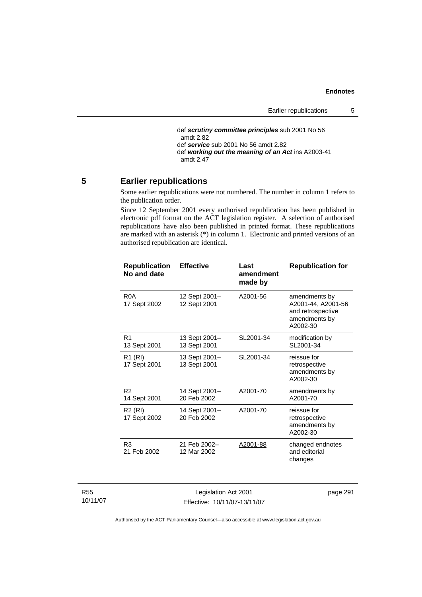```
 def scrutiny committee principles sub 2001 No 56 
amdt 2.82
def service sub 2001 No 56 amdt 2.82 
def working out the meaning of an Act ins A2003-41 
amdt 2.47
```
# **5 Earlier republications**

Some earlier republications were not numbered. The number in column 1 refers to the publication order.

Since 12 September 2001 every authorised republication has been published in electronic pdf format on the ACT legislation register. A selection of authorised republications have also been published in printed format. These republications are marked with an asterisk (\*) in column 1. Electronic and printed versions of an authorised republication are identical.

| <b>Republication</b><br>No and date | <b>Effective</b>              | Last<br>amendment<br>made by | <b>Republication for</b>                                                              |
|-------------------------------------|-------------------------------|------------------------------|---------------------------------------------------------------------------------------|
| R0A<br>17 Sept 2002                 | 12 Sept 2001-<br>12 Sept 2001 | A2001-56                     | amendments by<br>A2001-44, A2001-56<br>and retrospective<br>amendments by<br>A2002-30 |
| R <sub>1</sub><br>13 Sept 2001      | 13 Sept 2001-<br>13 Sept 2001 | SL2001-34                    | modification by<br>SL2001-34                                                          |
| R1 (RI)<br>17 Sept 2001             | 13 Sept 2001-<br>13 Sept 2001 | SL2001-34                    | reissue for<br>retrospective<br>amendments by<br>A2002-30                             |
| R <sub>2</sub><br>14 Sept 2001      | 14 Sept 2001-<br>20 Feb 2002  | A2001-70                     | amendments by<br>A2001-70                                                             |
| R <sub>2</sub> (RI)<br>17 Sept 2002 | 14 Sept 2001-<br>20 Feb 2002  | A2001-70                     | reissue for<br>retrospective<br>amendments by<br>A2002-30                             |
| R <sub>3</sub><br>21 Feb 2002       | 21 Feb 2002-<br>12 Mar 2002   | A2001-88                     | changed endnotes<br>and editorial<br>changes                                          |

R55 10/11/07

Legislation Act 2001 Effective: 10/11/07-13/11/07 page 291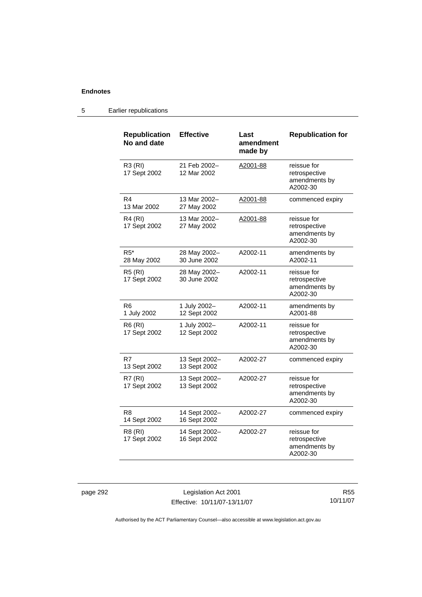# 5 Earlier republications

| <b>Republication</b><br>No and date | <b>Effective</b>              | Last<br>amendment<br>made by | <b>Republication for</b>                                  |
|-------------------------------------|-------------------------------|------------------------------|-----------------------------------------------------------|
| <b>R3 (RI)</b><br>17 Sept 2002      | 21 Feb 2002-<br>12 Mar 2002   | A2001-88                     | reissue for<br>retrospective<br>amendments by<br>A2002-30 |
| R4<br>13 Mar 2002                   | 13 Mar 2002-<br>27 May 2002   | A2001-88                     | commenced expiry                                          |
| R4 (RI)<br>17 Sept 2002             | 13 Mar 2002-<br>27 May 2002   | A2001-88                     | reissue for<br>retrospective<br>amendments by<br>A2002-30 |
| $R5*$<br>28 May 2002                | 28 May 2002-<br>30 June 2002  | A2002-11                     | amendments by<br>A2002-11                                 |
| <b>R5 (RI)</b><br>17 Sept 2002      | 28 May 2002-<br>30 June 2002  | A2002-11                     | reissue for<br>retrospective<br>amendments by<br>A2002-30 |
| R6<br>1 July 2002                   | 1 July 2002-<br>12 Sept 2002  | A2002-11                     | amendments by<br>A2001-88                                 |
| <b>R6 (RI)</b><br>17 Sept 2002      | 1 July 2002-<br>12 Sept 2002  | A2002-11                     | reissue for<br>retrospective<br>amendments by<br>A2002-30 |
| R7<br>13 Sept 2002                  | 13 Sept 2002-<br>13 Sept 2002 | A2002-27                     | commenced expiry                                          |
| <b>R7 (RI)</b><br>17 Sept 2002      | 13 Sept 2002-<br>13 Sept 2002 | A2002-27                     | reissue for<br>retrospective<br>amendments by<br>A2002-30 |
| R8<br>14 Sept 2002                  | 14 Sept 2002-<br>16 Sept 2002 | A2002-27                     | commenced expiry                                          |
| R8 (RI)<br>17 Sept 2002             | 14 Sept 2002-<br>16 Sept 2002 | A2002-27                     | reissue for<br>retrospective<br>amendments by<br>A2002-30 |

page 292 Legislation Act 2001 Effective: 10/11/07-13/11/07

R55 10/11/07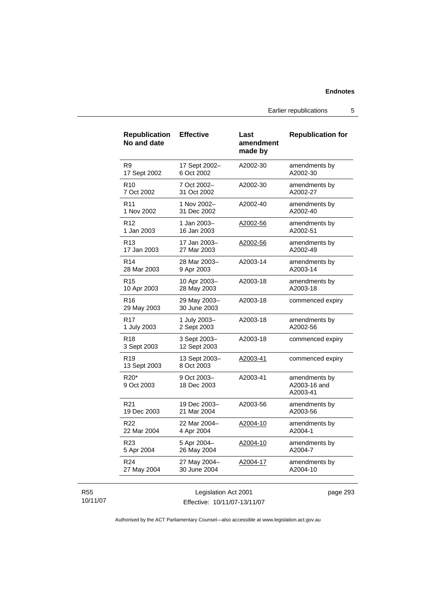Earlier republications 5

| <b>Republication</b><br>No and date | <b>Effective</b>             | Last<br>amendment<br>made by | <b>Republication for</b>                  |
|-------------------------------------|------------------------------|------------------------------|-------------------------------------------|
| R9                                  | 17 Sept 2002-                | A2002-30                     | amendments by                             |
| 17 Sept 2002                        | 6 Oct 2002                   |                              | A2002-30                                  |
| R <sub>10</sub>                     | 7 Oct 2002-                  | A2002-30                     | amendments by                             |
| 7 Oct 2002                          | 31 Oct 2002                  |                              | A2002-27                                  |
| R <sub>11</sub>                     | 1 Nov 2002–                  | A2002-40                     | amendments by                             |
| 1 Nov 2002                          | 31 Dec 2002                  |                              | A2002-40                                  |
| R <sub>12</sub>                     | 1 Jan 2003–                  | A2002-56                     | amendments by                             |
| 1 Jan 2003                          | 16 Jan 2003                  |                              | A2002-51                                  |
| R <sub>13</sub>                     | 17 Jan 2003-                 | A2002-56                     | amendments by                             |
| 17 Jan 2003                         | 27 Mar 2003                  |                              | A2002-49                                  |
| R <sub>14</sub>                     | 28 Mar 2003-                 | A2003-14                     | amendments by                             |
| 28 Mar 2003                         | 9 Apr 2003                   |                              | A2003-14                                  |
| R <sub>15</sub>                     | 10 Apr 2003-                 | A2003-18                     | amendments by                             |
| 10 Apr 2003                         | 28 May 2003                  |                              | A2003-18                                  |
| R <sub>16</sub><br>29 May 2003      | 29 May 2003-<br>30 June 2003 | A2003-18                     | commenced expiry                          |
| R17                                 | 1 July 2003-                 | A2003-18                     | amendments by                             |
| 1 July 2003                         | 2 Sept 2003                  |                              | A2002-56                                  |
| R <sub>18</sub><br>3 Sept 2003      | 3 Sept 2003-<br>12 Sept 2003 | A2003-18                     | commenced expiry                          |
| R <sub>19</sub><br>13 Sept 2003     | 13 Sept 2003-<br>8 Oct 2003  | <u>A2003-41</u>              | commenced expiry                          |
| R <sub>20</sub> *<br>9 Oct 2003     | 9 Oct 2003-<br>18 Dec 2003   | A2003-41                     | amendments by<br>A2003-16 and<br>A2003-41 |
| R21                                 | 19 Dec 2003-                 | A2003-56                     | amendments by                             |
| 19 Dec 2003                         | 21 Mar 2004                  |                              | A2003-56                                  |
| <b>R22</b>                          | 22 Mar 2004-                 | A2004-10                     | amendments by                             |
| 22 Mar 2004                         | 4 Apr 2004                   |                              | A2004-1                                   |
| R23                                 | 5 Apr 2004–                  | <u>A2004-10</u>              | amendments by                             |
| 5 Apr 2004                          | 26 May 2004                  |                              | A2004-7                                   |
| R <sub>24</sub>                     | 27 May 2004-                 | A2004-17                     | amendments by                             |
| 27 May 2004                         | 30 June 2004                 |                              | A2004-10                                  |
|                                     | Legislation Act 2001         |                              | page 293                                  |

10/11/07

R55

Effective: 10/11/07-13/11/07

page 293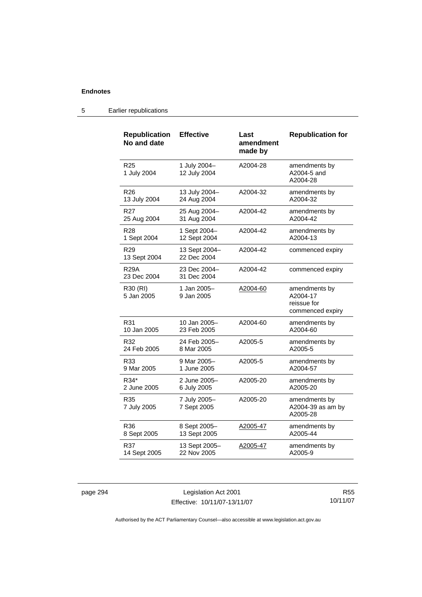| <b>Republication</b><br>No and date | <b>Effective</b>             | Last<br>amendment<br>made by | <b>Republication for</b>                                     |
|-------------------------------------|------------------------------|------------------------------|--------------------------------------------------------------|
| R <sub>25</sub><br>1 July 2004      | 1 July 2004-<br>12 July 2004 | A2004-28                     | amendments by<br>A2004-5 and<br>A2004-28                     |
| R <sub>26</sub>                     | 13 July 2004-                | A2004-32                     | amendments by                                                |
| 13 July 2004                        | 24 Aug 2004                  |                              | A2004-32                                                     |
| R27                                 | 25 Aug 2004-                 | A2004-42                     | amendments by                                                |
| 25 Aug 2004                         | 31 Aug 2004                  |                              | A2004-42                                                     |
| R28                                 | 1 Sept 2004-                 | A2004-42                     | amendments by                                                |
| 1 Sept 2004                         | 12 Sept 2004                 |                              | A2004-13                                                     |
| R <sub>29</sub><br>13 Sept 2004     | 13 Sept 2004-<br>22 Dec 2004 | A2004-42                     | commenced expiry                                             |
| <b>R29A</b><br>23 Dec 2004          | 23 Dec 2004–<br>31 Dec 2004  | A2004-42                     | commenced expiry                                             |
| R30 (RI)<br>5 Jan 2005              | 1 Jan 2005-<br>9 Jan 2005    | A2004-60                     | amendments by<br>A2004-17<br>reissue for<br>commenced expiry |
| R31                                 | 10 Jan 2005-                 | A2004-60                     | amendments by                                                |
| 10 Jan 2005                         | 23 Feb 2005                  |                              | A2004-60                                                     |
| R32                                 | 24 Feb 2005–                 | A2005-5                      | amendments by                                                |
| 24 Feb 2005                         | 8 Mar 2005                   |                              | A2005-5                                                      |
| R33                                 | 9 Mar 2005–                  | A2005-5                      | amendments by                                                |
| 9 Mar 2005                          | 1 June 2005                  |                              | A2004-57                                                     |
| R34*                                | 2 June 2005-                 | A2005-20                     | amendments by                                                |
| 2 June 2005                         | 6 July 2005                  |                              | A2005-20                                                     |
| R35<br>7 July 2005                  | 7 July 2005-<br>7 Sept 2005  | A2005-20                     | amendments by<br>A2004-39 as am by<br>A2005-28               |
| R36                                 | 8 Sept 2005-                 | A2005-47                     | amendments by                                                |
| 8 Sept 2005                         | 13 Sept 2005                 |                              | A2005-44                                                     |
| R37                                 | 13 Sept 2005-                | A2005-47                     | amendments by                                                |
| 14 Sept 2005                        | 22 Nov 2005                  |                              | A2005-9                                                      |

# 5 Earlier republications

page 294 Legislation Act 2001 Effective: 10/11/07-13/11/07

R55 10/11/07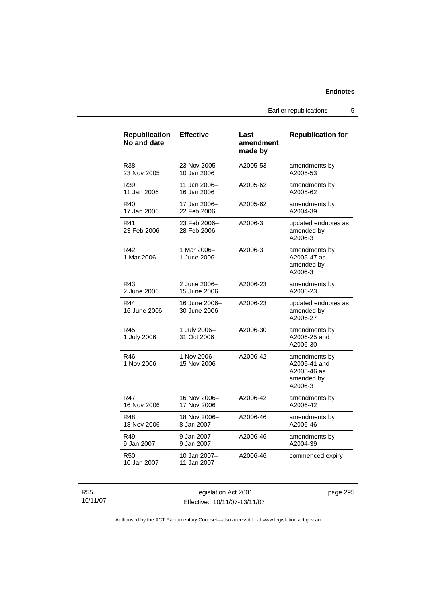Earlier republications 5

| <b>Republication</b><br>No and date | <b>Effective</b>              | Last<br>amendment<br>made by | <b>Republication for</b>                                              |
|-------------------------------------|-------------------------------|------------------------------|-----------------------------------------------------------------------|
| R38                                 | 23 Nov 2005-                  | A2005-53                     | amendments by                                                         |
| 23 Nov 2005                         | 10 Jan 2006                   |                              | A2005-53                                                              |
| R39                                 | 11 Jan 2006-                  | A2005-62                     | amendments by                                                         |
| 11 Jan 2006                         | 16 Jan 2006                   |                              | A2005-62                                                              |
| R40                                 | 17 Jan 2006-                  | A2005-62                     | amendments by                                                         |
| 17 Jan 2006                         | 22 Feb 2006                   |                              | A2004-39                                                              |
| R41<br>23 Feb 2006                  | 23 Feb 2006-<br>28 Feb 2006   | A2006-3                      | updated endnotes as<br>amended by<br>A2006-3                          |
| R42<br>1 Mar 2006                   | 1 Mar 2006-<br>1 June 2006    | A2006-3                      | amendments by<br>A2005-47 as<br>amended by<br>A2006-3                 |
| R43                                 | 2 June 2006-                  | A2006-23                     | amendments by                                                         |
| 2 June 2006                         | 15 June 2006                  |                              | A2006-23                                                              |
| R44<br>16 June 2006                 | 16 June 2006-<br>30 June 2006 | A2006-23                     | updated endnotes as<br>amended by<br>A2006-27                         |
| R45<br>1 July 2006                  | 1 July 2006-<br>31 Oct 2006   | A2006-30                     | amendments by<br>A2006-25 and<br>A2006-30                             |
| R46<br>1 Nov 2006                   | 1 Nov 2006-<br>15 Nov 2006    | A2006-42                     | amendments by<br>A2005-41 and<br>A2005-46 as<br>amended by<br>A2006-3 |
| R47                                 | 16 Nov 2006-                  | A2006-42                     | amendments by                                                         |
| 16 Nov 2006                         | 17 Nov 2006                   |                              | A2006-42                                                              |
| R48                                 | 18 Nov 2006-                  | A2006-46                     | amendments by                                                         |
| 18 Nov 2006                         | 8 Jan 2007                    |                              | A2006-46                                                              |
| R49                                 | 9 Jan 2007-                   | A2006-46                     | amendments by                                                         |
| 9 Jan 2007                          | 9 Jan 2007                    |                              | A2004-39                                                              |
| R50<br>10 Jan 2007                  | 10 Jan 2007-<br>11 Jan 2007   | A2006-46                     | commenced expiry                                                      |

R55 10/11/07

Legislation Act 2001 Effective: 10/11/07-13/11/07 page 295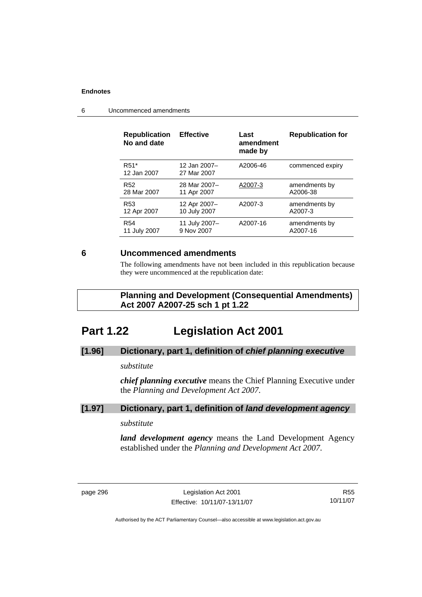| <b>Republication</b><br>No and date | <b>Effective</b>            | Last<br>amendment<br>made by | <b>Republication for</b> |
|-------------------------------------|-----------------------------|------------------------------|--------------------------|
| R <sub>51</sub> *<br>12 Jan 2007    | 12 Jan 2007-<br>27 Mar 2007 | A2006-46                     | commenced expiry         |
| R <sub>52</sub>                     | 28 Mar 2007-                | A2007-3                      | amendments by            |
| 28 Mar 2007                         | 11 Apr 2007                 |                              | A2006-38                 |
| R <sub>53</sub>                     | 12 Apr 2007-                | A2007-3                      | amendments by            |
| 12 Apr 2007                         | 10 July 2007                |                              | A2007-3                  |
| <b>R54</b>                          | 11 July 2007-               | A2007-16                     | amendments by            |
| 11 July 2007                        | 9 Nov 2007                  |                              | A2007-16                 |

6 Uncommenced amendments

# **6 Uncommenced amendments**

The following amendments have not been included in this republication because they were uncommenced at the republication date:

 **Planning and Development (Consequential Amendments) Act 2007 A2007-25 sch 1 pt 1.22** 

# **Part 1.22 Legislation Act 2001**

# **[1.96] Dictionary, part 1, definition of** *chief planning executive*

# *substitute*

*chief planning executive* means the Chief Planning Executive under the *Planning and Development Act 2007*.

# **[1.97] Dictionary, part 1, definition of** *land development agency*

# *substitute*

*land development agency* means the Land Development Agency established under the *Planning and Development Act 2007*.

R55 10/11/07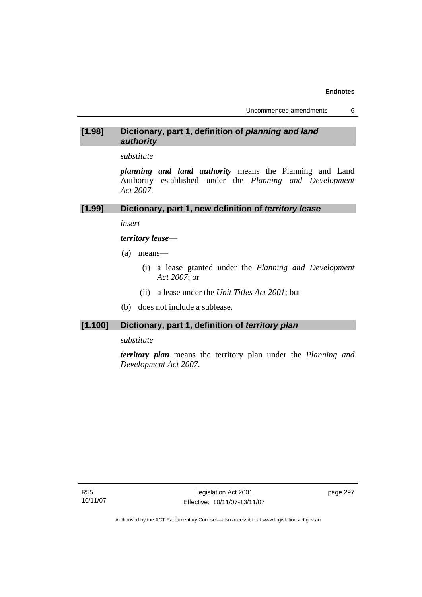# **[1.98] Dictionary, part 1, definition of** *planning and land authority*

*substitute* 

*planning and land authority* means the Planning and Land Authority established under the *Planning and Development Act 2007*.

#### **[1.99] Dictionary, part 1, new definition of** *territory lease*

*insert* 

*territory lease*—

- (a) means—
	- (i) a lease granted under the *Planning and Development Act 2007*; or
	- (ii) a lease under the *Unit Titles Act 2001*; but
- (b) does not include a sublease.

# **[1.100] Dictionary, part 1, definition of** *territory plan*

#### *substitute*

*territory plan* means the territory plan under the *Planning and Development Act 2007*.

R55 10/11/07 page 297